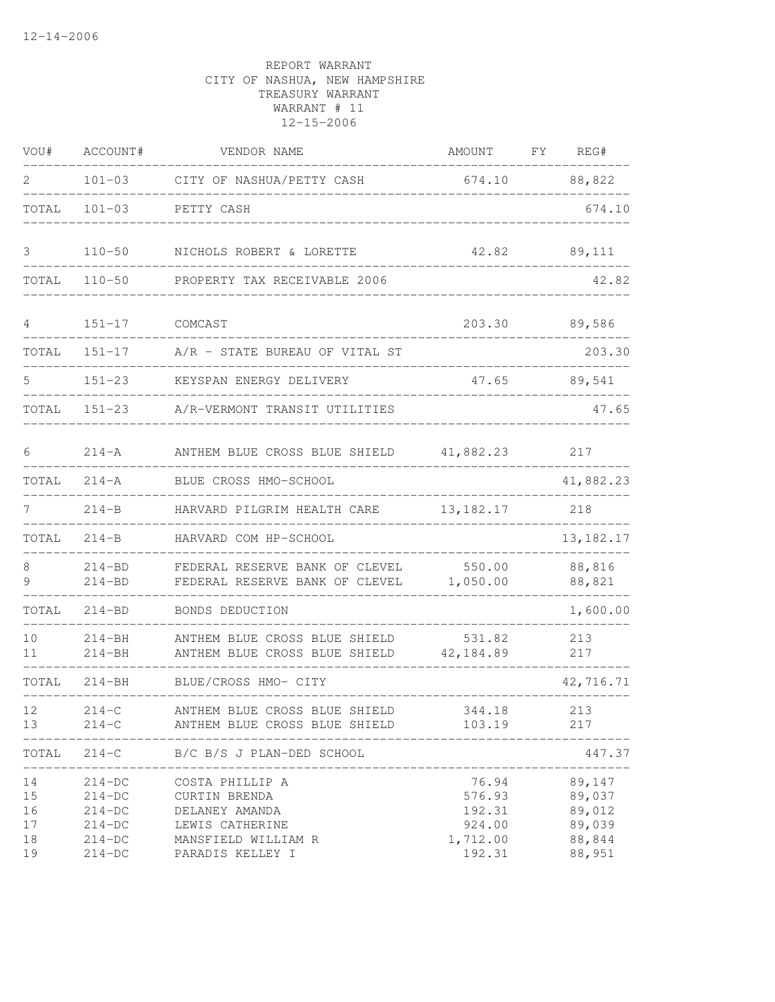| VOU#                             | ACCOUNT#                                                             | VENDOR NAME                                                                                                      | AMOUNT                                                    | FY | REG#                                                     |
|----------------------------------|----------------------------------------------------------------------|------------------------------------------------------------------------------------------------------------------|-----------------------------------------------------------|----|----------------------------------------------------------|
| 2                                |                                                                      | 101-03 CITY OF NASHUA/PETTY CASH                                                                                 |                                                           |    | 674.10 88,822                                            |
| TOTAL                            | $101 - 03$                                                           | PETTY CASH                                                                                                       |                                                           |    | 674.10                                                   |
| 3                                | $110 - 50$                                                           | NICHOLS ROBERT & LORETTE                                                                                         | 42.82                                                     |    | 89,111                                                   |
| TOTAL                            | $110 - 50$                                                           | PROPERTY TAX RECEIVABLE 2006                                                                                     |                                                           |    | 42.82                                                    |
| 4                                | $151 - 17$                                                           | COMCAST                                                                                                          | 203.30                                                    |    | 89,586                                                   |
| TOTAL                            | $151 - 17$                                                           | A/R - STATE BUREAU OF VITAL ST                                                                                   |                                                           |    | 203.30                                                   |
| 5                                | $151 - 23$                                                           | KEYSPAN ENERGY DELIVERY                                                                                          | 47.65                                                     |    | 89,541                                                   |
| TOTAL                            | $151 - 23$                                                           | A/R-VERMONT TRANSIT UTILITIES                                                                                    |                                                           |    | 47.65                                                    |
| 6                                | $214 - A$                                                            | ANTHEM BLUE CROSS BLUE SHIELD 41,882.23                                                                          |                                                           |    | 217                                                      |
| TOTAL                            | $214 - A$                                                            | BLUE CROSS HMO-SCHOOL                                                                                            |                                                           |    | 41,882.23                                                |
| 7                                | $214-B$                                                              | HARVARD PILGRIM HEALTH CARE                                                                                      | 13, 182. 17                                               |    | 218                                                      |
| TOTAL                            | $214 - B$                                                            | HARVARD COM HP-SCHOOL                                                                                            |                                                           |    | 13, 182. 17                                              |
| 8<br>9                           | $214 - BD$<br>$214 - BD$                                             | FEDERAL RESERVE BANK OF CLEVEL<br>FEDERAL RESERVE BANK OF CLEVEL                                                 | 550.00<br>1,050.00                                        |    | 88,816<br>88,821                                         |
| TOTAL                            | $214 - BD$                                                           | BONDS DEDUCTION                                                                                                  |                                                           |    | 1,600.00                                                 |
| 10<br>11                         | $214 - BH$<br>$214 - BH$                                             | ANTHEM BLUE CROSS BLUE SHIELD<br>ANTHEM BLUE CROSS BLUE SHIELD                                                   | 531.82<br>42,184.89                                       |    | 213<br>217                                               |
| TOTAL                            | $214 - BH$                                                           | BLUE/CROSS HMO- CITY                                                                                             |                                                           |    | 42,716.71                                                |
| 12<br>13                         | $214-C$<br>$214 - C$                                                 | ANTHEM BLUE CROSS BLUE SHIELD 344.18<br>ANTHEM BLUE CROSS BLUE SHIELD                                            | 103.19                                                    |    | 213<br>217                                               |
| TOTAL                            | $214-C$                                                              | B/C B/S J PLAN-DED SCHOOL                                                                                        |                                                           |    | 447.37                                                   |
| 14<br>15<br>16<br>17<br>18<br>19 | $214-DC$<br>$214-DC$<br>$214-DC$<br>$214-DC$<br>$214-DC$<br>$214-DC$ | COSTA PHILLIP A<br>CURTIN BRENDA<br>DELANEY AMANDA<br>LEWIS CATHERINE<br>MANSFIELD WILLIAM R<br>PARADIS KELLEY I | 76.94<br>576.93<br>192.31<br>924.00<br>1,712.00<br>192.31 |    | 89,147<br>89,037<br>89,012<br>89,039<br>88,844<br>88,951 |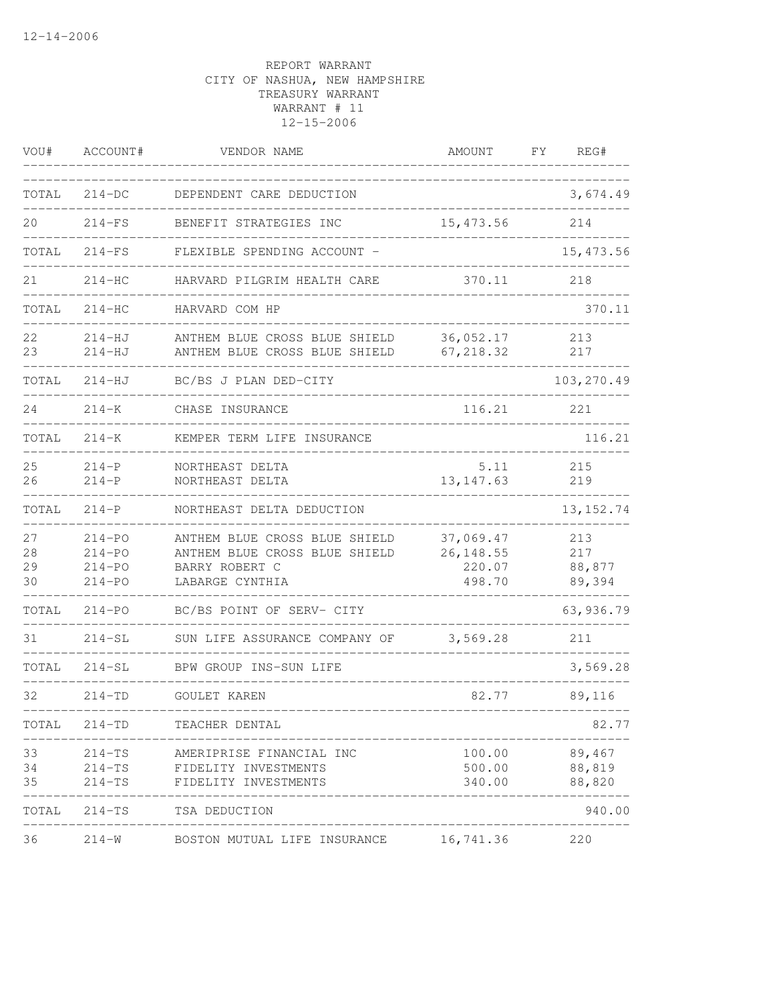| VOU#                 | ACCOUNT#                                             | VENDOR NAME                                                                                         | AMOUNT                                      | FY. | REG#                           |
|----------------------|------------------------------------------------------|-----------------------------------------------------------------------------------------------------|---------------------------------------------|-----|--------------------------------|
| TOTAL                | $214-DC$                                             | DEPENDENT CARE DEDUCTION                                                                            |                                             |     | 3,674.49                       |
| 20                   | $214-FS$                                             | BENEFIT STRATEGIES INC                                                                              | 15, 473.56                                  |     | 214                            |
| TOTAL                | $214-FS$                                             | FLEXIBLE SPENDING ACCOUNT -                                                                         |                                             |     | 15, 473.56                     |
| 21                   | $214-HC$                                             | HARVARD PILGRIM HEALTH CARE                                                                         | 370.11                                      |     | 218                            |
| TOTAL                | $214-HC$                                             | HARVARD COM HP                                                                                      |                                             |     | 370.11                         |
| 22<br>23             | $214 - HJ$<br>$214-HJ$                               | ANTHEM BLUE CROSS BLUE SHIELD<br>ANTHEM BLUE CROSS BLUE SHIELD                                      | 36,052.17<br>67, 218.32                     |     | 213<br>217                     |
| TOTAL                | $214 - HJ$                                           | BC/BS J PLAN DED-CITY                                                                               |                                             |     | 103,270.49                     |
| 24                   | $214 - K$                                            | CHASE INSURANCE                                                                                     | 116.21                                      |     | 221                            |
| TOTAL                | $214 - K$                                            | KEMPER TERM LIFE INSURANCE                                                                          |                                             |     | 116.21                         |
| 25<br>26             | $214-P$<br>$214-P$                                   | NORTHEAST DELTA<br>NORTHEAST DELTA                                                                  | 5.11<br>13, 147.63                          |     | 215<br>219                     |
| TOTAL                | $214-P$                                              | NORTHEAST DELTA DEDUCTION                                                                           |                                             |     | 13, 152.74                     |
| 27<br>28<br>29<br>30 | $214 - PO$<br>$214 - PQ$<br>$214 - PO$<br>$214 - PQ$ | ANTHEM BLUE CROSS BLUE SHIELD<br>ANTHEM BLUE CROSS BLUE SHIELD<br>BARRY ROBERT C<br>LABARGE CYNTHIA | 37,069.47<br>26, 148.55<br>220.07<br>498.70 |     | 213<br>217<br>88,877<br>89,394 |
| TOTAL                | $214 - PO$                                           | BC/BS POINT OF SERV- CITY                                                                           |                                             |     | 63,936.79                      |
| 31                   | $214-SL$                                             | SUN LIFE ASSURANCE COMPANY OF                                                                       | 3,569.28                                    |     | 211                            |
| TOTAL                | $214-SL$                                             | BPW GROUP INS-SUN LIFE                                                                              |                                             |     | 3,569.28                       |
| 32                   | $214 - TD$                                           | GOULET KAREN                                                                                        | 82.77                                       |     | 89,116                         |
| TOTAL                | $214 - TD$                                           | TEACHER DENTAL                                                                                      |                                             |     | 82.77                          |
| 33<br>34<br>35       | 214-TS<br>$214-TS$<br>$214-TS$                       | AMERIPRISE FINANCIAL INC<br>FIDELITY INVESTMENTS<br>FIDELITY INVESTMENTS                            | 100.00<br>500.00<br>340.00                  |     | 89,467<br>88,819<br>88,820     |
| TOTAL                | $214-TS$                                             | TSA DEDUCTION                                                                                       |                                             |     | 940.00                         |
| 36                   | $214 - W$                                            | BOSTON MUTUAL LIFE INSURANCE                                                                        | 16,741.36                                   |     | 220                            |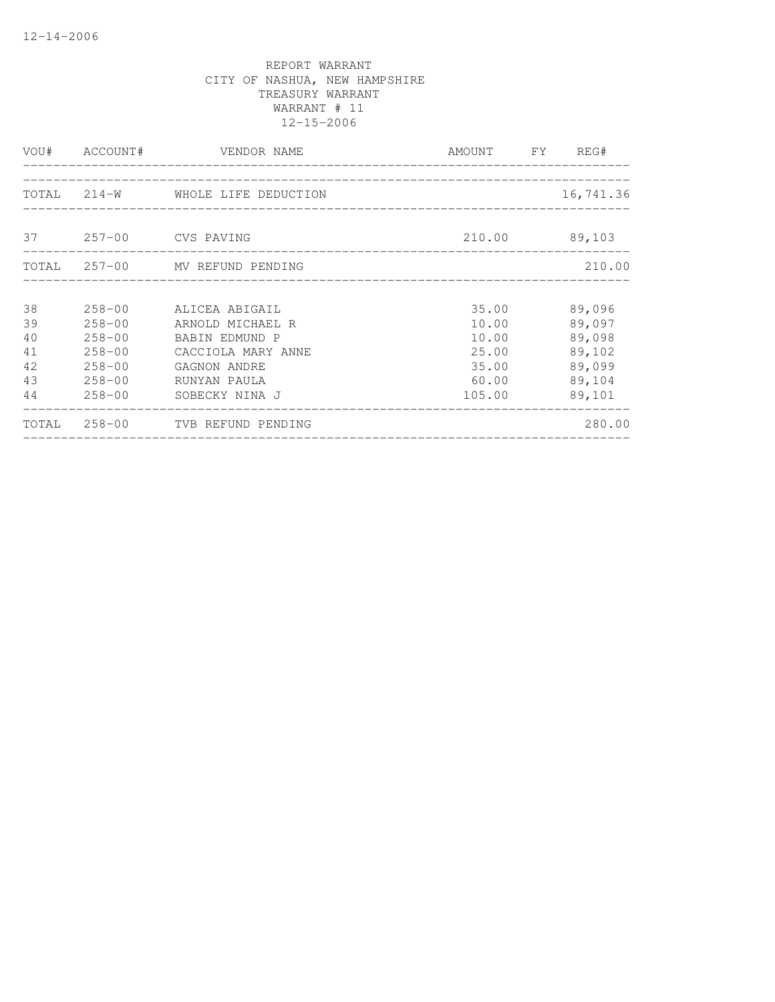|                      |                                                  | VOU# ACCOUNT# VENDOR NAME<br><u>____________________</u>             | AMOUNT FY                              | REG#                                 |
|----------------------|--------------------------------------------------|----------------------------------------------------------------------|----------------------------------------|--------------------------------------|
|                      |                                                  | TOTAL 214-W WHOLE LIFE DEDUCTION                                     |                                        | 16,741.36                            |
|                      |                                                  | 37 257-00 CVS PAVING                                                 | 210.00                                 | 89,103                               |
|                      |                                                  | TOTAL 257-00 MV REFUND PENDING                                       |                                        | 210.00                               |
| 38<br>39<br>40       | $258 - 00$<br>$258 - 00$<br>$258 - 00$           | ALICEA ABIGAIL<br>ARNOLD MICHAEL R<br>BABIN EDMUND P                 | 35.00<br>10.00<br>10.00                | 89,096<br>89,097<br>89,098           |
| 41<br>42<br>43<br>44 | $258 - 00$<br>$258 - 00$<br>$258 - 00$<br>258-00 | CACCIOLA MARY ANNE<br>GAGNON ANDRE<br>RUNYAN PAULA<br>SOBECKY NINA J | 25.00<br>35.00<br>60.00<br>105.00      | 89,102<br>89,099<br>89,104<br>89,101 |
|                      |                                                  | TOTAL 258-00 TVB REFUND PENDING                                      | -------------------------------------- | 280.00                               |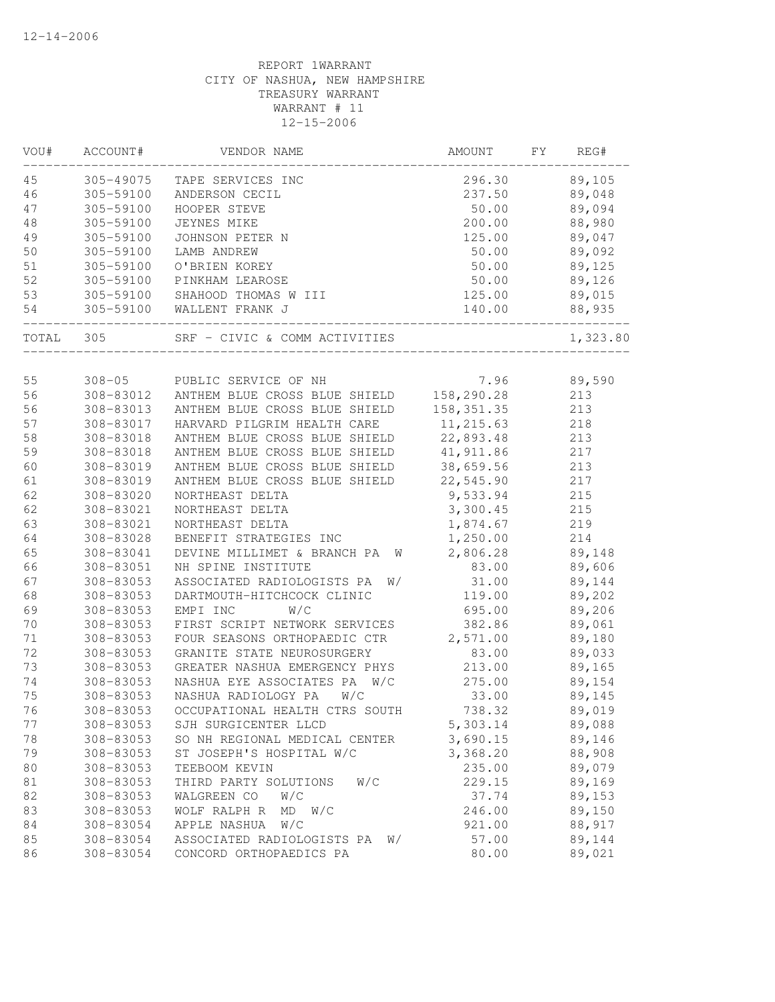| VOU#     | ACCOUNT#               | VENDOR NAME                                                    | AMOUNT                  | FΥ | REG#       |
|----------|------------------------|----------------------------------------------------------------|-------------------------|----|------------|
| 45       | 305-49075              | TAPE SERVICES INC                                              | 296.30                  |    | 89,105     |
| 46       | 305-59100              | ANDERSON CECIL                                                 | 237.50                  |    | 89,048     |
| 47       | 305-59100              | HOOPER STEVE                                                   | 50.00                   |    | 89,094     |
| 48       | 305-59100              | JEYNES MIKE                                                    | 200.00                  |    | 88,980     |
| 49       | 305-59100              | JOHNSON PETER N                                                | 125.00                  |    | 89,047     |
| 50       | 305-59100              | LAMB ANDREW                                                    | 50.00                   |    | 89,092     |
| 51       | 305-59100              | O'BRIEN KOREY                                                  | 50.00                   |    | 89,125     |
| 52       | 305-59100              | PINKHAM LEAROSE                                                | 50.00                   |    | 89,126     |
| 53       | 305-59100              | SHAHOOD THOMAS W III                                           | 125.00                  |    | 89,015     |
| 54       |                        | 305-59100 WALLENT FRANK J                                      | 140.00                  |    | 88,935     |
| TOTAL    | 305                    | SRF - CIVIC & COMM ACTIVITIES                                  |                         |    | 1,323.80   |
|          |                        |                                                                |                         |    |            |
| 55       | $308 - 05$             | PUBLIC SERVICE OF NH                                           | 7.96                    |    | 89,590     |
| 56       | 308-83012<br>308-83013 | ANTHEM BLUE CROSS BLUE SHIELD                                  | 158,290.28              |    | 213        |
| 56<br>57 |                        | ANTHEM BLUE CROSS BLUE SHIELD<br>HARVARD PILGRIM HEALTH CARE   | 158, 351.35             |    | 213        |
|          | 308-83017              |                                                                | 11, 215.63<br>22,893.48 |    | 218        |
| 58<br>59 | 308-83018<br>308-83018 | ANTHEM BLUE CROSS BLUE SHIELD<br>ANTHEM BLUE CROSS BLUE SHIELD | 41, 911.86              |    | 213<br>217 |
| 60       | 308-83019              | ANTHEM BLUE CROSS BLUE SHIELD                                  | 38,659.56               |    | 213        |
| 61       | 308-83019              | ANTHEM BLUE CROSS BLUE SHIELD                                  | 22,545.90               |    | 217        |
| 62       | 308-83020              | NORTHEAST DELTA                                                | 9,533.94                |    | 215        |
| 62       | 308-83021              | NORTHEAST DELTA                                                | 3,300.45                |    | 215        |
| 63       | 308-83021              | NORTHEAST DELTA                                                | 1,874.67                |    | 219        |
| 64       | 308-83028              | BENEFIT STRATEGIES INC                                         | 1,250.00                |    | 214        |
| 65       | 308-83041              | DEVINE MILLIMET & BRANCH PA<br>W                               | 2,806.28                |    | 89,148     |
| 66       | 308-83051              | NH SPINE INSTITUTE                                             | 83.00                   |    | 89,606     |
| 67       | 308-83053              | ASSOCIATED RADIOLOGISTS PA<br>W/                               | 31.00                   |    | 89,144     |
| 68       | 308-83053              | DARTMOUTH-HITCHCOCK CLINIC                                     | 119.00                  |    | 89,202     |
| 69       | 308-83053              | EMPI INC<br>W/C                                                | 695.00                  |    | 89,206     |
| 70       | 308-83053              | FIRST SCRIPT NETWORK SERVICES                                  | 382.86                  |    | 89,061     |
| 71       | 308-83053              | FOUR SEASONS ORTHOPAEDIC CTR                                   | 2,571.00                |    | 89,180     |
| 72       | 308-83053              | GRANITE STATE NEUROSURGERY                                     | 83.00                   |    | 89,033     |
| 73       | 308-83053              | GREATER NASHUA EMERGENCY PHYS                                  | 213.00                  |    | 89,165     |
| 74       | 308-83053              | NASHUA EYE ASSOCIATES PA W/C                                   | 275.00                  |    | 89,154     |
| 75       | 308-83053              | NASHUA RADIOLOGY PA<br>W/C                                     | 33.00                   |    | 89,145     |
| 76       | 308-83053              | OCCUPATIONAL HEALTH CTRS SOUTH                                 | 738.32                  |    | 89,019     |
| 77       | 308-83053              | SJH SURGICENTER LLCD                                           | 5,303.14                |    | 89,088     |
| 78       | 308-83053              | SO NH REGIONAL MEDICAL CENTER                                  | 3,690.15                |    | 89,146     |
| 79       | 308-83053              | ST JOSEPH'S HOSPITAL W/C                                       | 3,368.20                |    | 88,908     |
| 80       | 308-83053              | TEEBOOM KEVIN                                                  | 235.00                  |    | 89,079     |
| 81       | 308-83053              | THIRD PARTY SOLUTIONS<br>W/C                                   | 229.15                  |    | 89,169     |
| 82       | 308-83053              | WALGREEN CO<br>W/C                                             | 37.74                   |    | 89,153     |
| 83       | 308-83053              | WOLF RALPH R<br>W/C<br>MD                                      | 246.00                  |    | 89,150     |
| 84       | 308-83054              | APPLE NASHUA<br>W/C                                            | 921.00                  |    | 88,917     |
| 85       | 308-83054              | ASSOCIATED RADIOLOGISTS PA<br>W/                               | 57.00                   |    | 89,144     |
| 86       | 308-83054              | CONCORD ORTHOPAEDICS PA                                        | 80.00                   |    | 89,021     |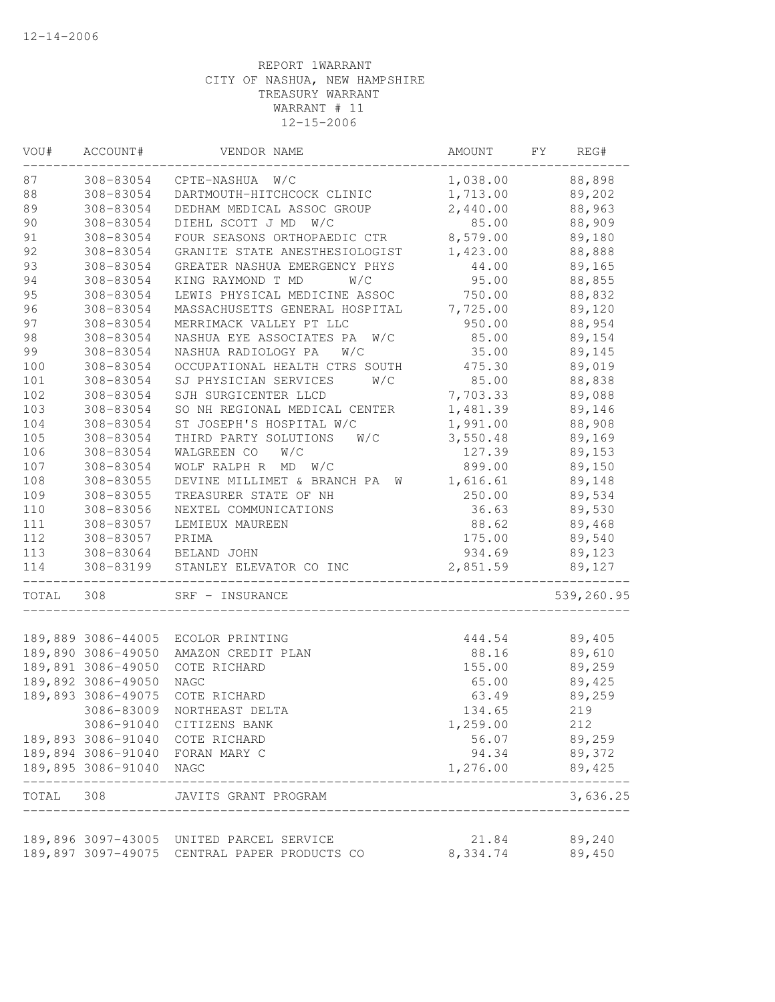| VOU#  | ACCOUNT#           | VENDOR NAME                              | AMOUNT   | FY | REG#       |
|-------|--------------------|------------------------------------------|----------|----|------------|
| 87    | 308-83054          | W/C<br>CPTE-NASHUA                       | 1,038.00 |    | 88,898     |
| 88    | 308-83054          | DARTMOUTH-HITCHCOCK CLINIC               | 1,713.00 |    | 89,202     |
| 89    | 308-83054          | DEDHAM MEDICAL ASSOC GROUP               | 2,440.00 |    | 88,963     |
| 90    | 308-83054          | DIEHL SCOTT J MD W/C                     | 85.00    |    | 88,909     |
| 91    | 308-83054          | FOUR SEASONS ORTHOPAEDIC CTR             | 8,579.00 |    | 89,180     |
| 92    | 308-83054          | GRANITE STATE ANESTHESIOLOGIST           | 1,423.00 |    | 88,888     |
| 93    | 308-83054          | GREATER NASHUA EMERGENCY PHYS            | 44.00    |    | 89,165     |
| 94    | 308-83054          | KING RAYMOND T MD<br>W/C                 | 95.00    |    | 88,855     |
| 95    | 308-83054          | LEWIS PHYSICAL MEDICINE ASSOC            | 750.00   |    | 88,832     |
| 96    | 308-83054          | MASSACHUSETTS GENERAL HOSPITAL           | 7,725.00 |    | 89,120     |
| 97    | 308-83054          | MERRIMACK VALLEY PT LLC                  | 950.00   |    | 88,954     |
| 98    | 308-83054          | NASHUA EYE ASSOCIATES PA<br>W/C          | 85.00    |    | 89,154     |
| 99    | 308-83054          | NASHUA RADIOLOGY PA<br>W/C               | 35.00    |    | 89,145     |
| 100   | 308-83054          | OCCUPATIONAL HEALTH CTRS SOUTH           | 475.30   |    | 89,019     |
| $101$ | 308-83054          | SJ PHYSICIAN SERVICES<br>W/C             | 85.00    |    | 88,838     |
| 102   | 308-83054          | SJH SURGICENTER LLCD                     | 7,703.33 |    | 89,088     |
| 103   | 308-83054          | SO NH REGIONAL MEDICAL CENTER            | 1,481.39 |    | 89,146     |
| 104   | 308-83054          | ST JOSEPH'S HOSPITAL W/C                 | 1,991.00 |    | 88,908     |
| 105   | 308-83054          | THIRD PARTY SOLUTIONS<br>W/C             | 3,550.48 |    | 89,169     |
| 106   | 308-83054          | WALGREEN CO<br>W/C                       | 127.39   |    | 89,153     |
| 107   | 308-83054          | WOLF RALPH R MD<br>W/C                   | 899.00   |    | 89,150     |
| 108   | 308-83055          | DEVINE MILLIMET & BRANCH PA<br>W         | 1,616.61 |    | 89,148     |
| 109   | 308-83055          | TREASURER STATE OF NH                    | 250.00   |    | 89,534     |
| 110   | 308-83056          | NEXTEL COMMUNICATIONS                    | 36.63    |    | 89,530     |
| 111   | 308-83057          | LEMIEUX MAUREEN                          | 88.62    |    | 89,468     |
| 112   | 308-83057          | PRIMA                                    | 175.00   |    | 89,540     |
| 113   | 308-83064          | BELAND JOHN                              | 934.69   |    | 89,123     |
| 114   | 308-83199          | STANLEY ELEVATOR CO INC                  | 2,851.59 |    | 89,127     |
| TOTAL | 308                | SRF - INSURANCE                          |          |    | 539,260.95 |
|       |                    |                                          |          |    |            |
|       | 189,889 3086-44005 | ECOLOR PRINTING                          | 444.54   |    | 89,405     |
|       | 189,890 3086-49050 | AMAZON CREDIT PLAN                       | 88.16    |    | 89,610     |
|       | 189,891 3086-49050 | COTE RICHARD                             | 155.00   |    | 89,259     |
|       | 189,892 3086-49050 | <b>NAGC</b>                              | 65.00    |    | 89,425     |
|       | 189,893 3086-49075 | COTE RICHARD                             | 63.49    |    | 89,259     |
|       | 3086-83009         | NORTHEAST DELTA                          | 134.65   |    | 219        |
|       | 3086-91040         | CITIZENS BANK                            | 1,259.00 |    | 212        |
|       | 189,893 3086-91040 | COTE RICHARD                             | 56.07    |    | 89,259     |
|       |                    | 189,894 3086-91040 FORAN MARY C          | 94.34    |    | 89,372     |
|       | 189,895 3086-91040 | NAGC                                     | 1,276.00 |    | 89,425     |
| TOTAL | 308                | JAVITS GRANT PROGRAM                     |          |    | 3,636.25   |
|       |                    |                                          |          |    |            |
|       |                    | 189,896 3097-43005 UNITED PARCEL SERVICE | 21.84    |    | 89,240     |
|       | 189,897 3097-49075 | CENTRAL PAPER PRODUCTS CO                | 8,334.74 |    | 89,450     |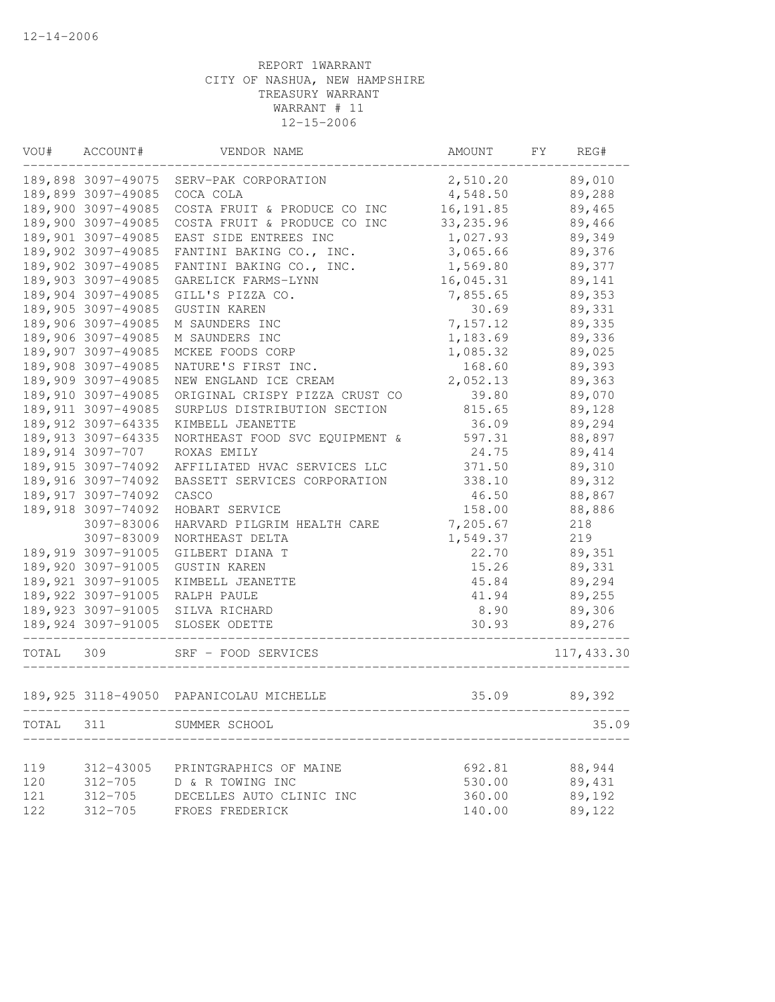| WOU#       | ACCOUNT#            | VENDOR NAME                                          | AMOUNT                                 | FY | REG#             |
|------------|---------------------|------------------------------------------------------|----------------------------------------|----|------------------|
|            | 189,898 3097-49075  | SERV-PAK CORPORATION                                 | 2,510.20                               |    | 89,010           |
|            | 189,899 3097-49085  | COCA COLA                                            | 4,548.50                               |    | 89,288           |
|            | 189,900 3097-49085  | COSTA FRUIT & PRODUCE CO INC                         | 16, 191.85                             |    | 89,465           |
|            | 189,900 3097-49085  | COSTA FRUIT & PRODUCE CO INC                         | 33, 235.96                             |    | 89,466           |
|            | 189,901 3097-49085  | EAST SIDE ENTREES INC                                | 1,027.93                               |    | 89,349           |
|            | 189,902 3097-49085  | FANTINI BAKING CO., INC.                             | 3,065.66                               |    | 89,376           |
|            | 189,902 3097-49085  | FANTINI BAKING CO., INC.                             | 1,569.80                               |    | 89,377           |
|            | 189,903 3097-49085  | GARELICK FARMS-LYNN                                  | 16,045.31                              |    | 89,141           |
|            | 189,904 3097-49085  | GILL'S PIZZA CO.                                     | 7,855.65                               |    | 89,353           |
|            | 189,905 3097-49085  | <b>GUSTIN KAREN</b>                                  | 30.69                                  |    | 89,331           |
|            | 189,906 3097-49085  | M SAUNDERS INC                                       | 7,157.12                               |    | 89,335           |
|            | 189,906 3097-49085  | M SAUNDERS INC                                       | 1,183.69                               |    | 89,336           |
|            | 189,907 3097-49085  | MCKEE FOODS CORP                                     | 1,085.32                               |    | 89,025           |
|            | 189,908 3097-49085  | NATURE'S FIRST INC.                                  | 168.60                                 |    | 89,393           |
|            | 189,909 3097-49085  | NEW ENGLAND ICE CREAM                                | 2,052.13                               |    | 89,363           |
|            | 189,910 3097-49085  | ORIGINAL CRISPY PIZZA CRUST CO                       | 39.80                                  |    | 89,070           |
|            | 189, 911 3097-49085 | SURPLUS DISTRIBUTION SECTION                         | 815.65                                 |    | 89,128           |
|            | 189, 912 3097-64335 | KIMBELL JEANETTE                                     | 36.09                                  |    | 89,294           |
|            | 189, 913 3097-64335 | NORTHEAST FOOD SVC EQUIPMENT &                       | 597.31                                 |    | 88,897           |
|            | 189,914 3097-707    | ROXAS EMILY                                          | 24.75                                  |    | 89,414           |
|            | 189, 915 3097-74092 | AFFILIATED HVAC SERVICES LLC                         | 371.50                                 |    | 89,310           |
|            | 189,916 3097-74092  | BASSETT SERVICES CORPORATION                         | 338.10                                 |    | 89,312           |
|            | 189,917 3097-74092  | CASCO                                                | 46.50                                  |    | 88,867           |
|            | 189,918 3097-74092  | HOBART SERVICE                                       | 158.00                                 |    | 88,886           |
|            | 3097-83006          | HARVARD PILGRIM HEALTH CARE                          | 7,205.67                               |    | 218              |
|            | 3097-83009          | NORTHEAST DELTA                                      | 1,549.37                               |    | 219              |
|            | 189,919 3097-91005  | GILBERT DIANA T                                      | 22.70                                  |    | 89,351           |
|            | 189,920 3097-91005  | <b>GUSTIN KAREN</b>                                  | 15.26                                  |    | 89,331           |
|            | 189, 921 3097-91005 | KIMBELL JEANETTE                                     | 45.84                                  |    | 89,294           |
|            | 189,922 3097-91005  | RALPH PAULE                                          | 41.94                                  |    | 89,255           |
|            |                     | 189,923 3097-91005 SILVA RICHARD                     | 8.90                                   |    | 89,306           |
|            | 189,924 3097-91005  | SLOSEK ODETTE<br>_________________                   | 30.93<br>_____________________________ |    | 89,276           |
| TOTAL      | 309                 | SRF - FOOD SERVICES                                  |                                        |    | 117, 433.30      |
|            |                     | 189,925 3118-49050 PAPANICOLAU MICHELLE              | 35.09                                  |    | 89,392           |
| TOTAL      | 311                 | SUMMER SCHOOL                                        |                                        |    | 35.09            |
|            |                     |                                                      |                                        |    |                  |
| 119<br>120 | $312 - 705$         | 312-43005 PRINTGRAPHICS OF MAINE<br>D & R TOWING INC | 692.81<br>530.00                       |    | 88,944<br>89,431 |

121 312-705 DECELLES AUTO CLINIC INC 360.00 89,192 122 312-705 FROES FREDERICK 140.00 89,122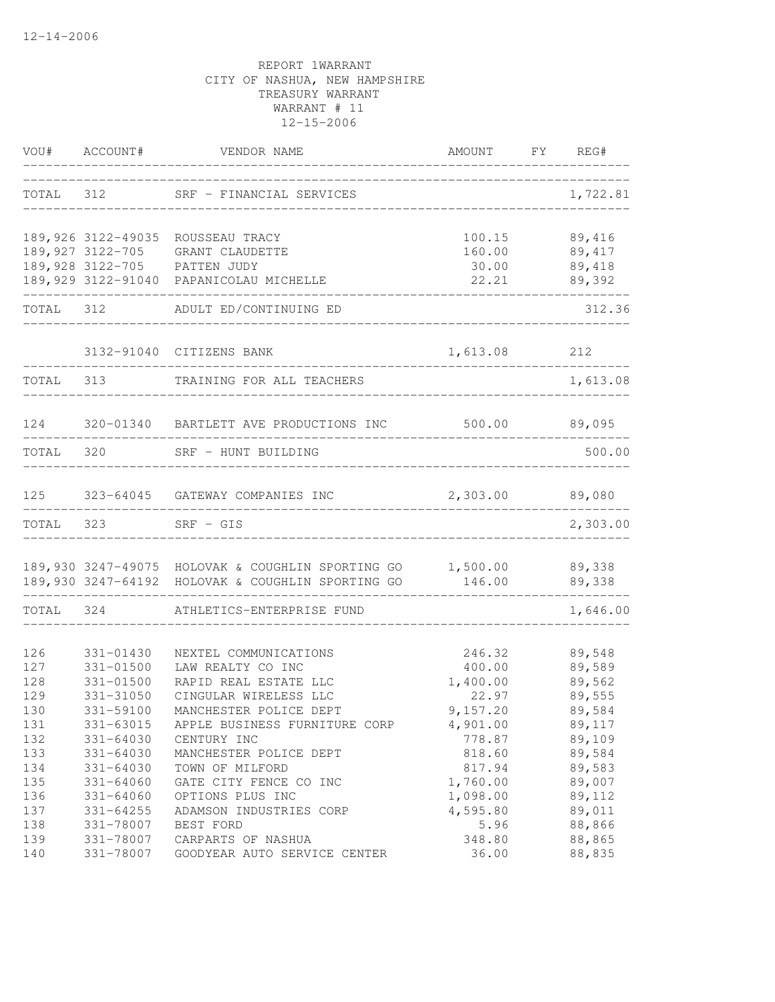| VOU#      | ACCOUNT#      | VENDOR NAME                                                                                                     | AMOUNT                   | <b>FY</b> | REG#             |
|-----------|---------------|-----------------------------------------------------------------------------------------------------------------|--------------------------|-----------|------------------|
| TOTAL     | 312           | SRF - FINANCIAL SERVICES                                                                                        |                          |           | 1,722.81         |
|           |               | 189,926 3122-49035 ROUSSEAU TRACY                                                                               | 100.15                   |           | 89,416           |
|           |               | 189,927 3122-705 GRANT CLAUDETTE<br>189,928 3122-705 PATTEN JUDY                                                | 160.00                   |           | 89,417           |
|           |               |                                                                                                                 | 30.00                    |           | 89,418           |
|           |               | 189,929 3122-91040 PAPANICOLAU MICHELLE                                                                         | 22.21<br>_______________ |           | 89,392           |
| TOTAL 312 |               | ADULT ED/CONTINUING ED                                                                                          |                          |           | 312.36           |
|           |               | 3132-91040 CITIZENS BANK                                                                                        | 1,613.08 212             |           |                  |
| TOTAL 313 |               | TRAINING FOR ALL TEACHERS                                                                                       |                          |           | 1,613.08         |
| 124       |               | 320-01340 BARTLETT AVE PRODUCTIONS INC                                                                          | 500.00 89,095            |           |                  |
| TOTAL     | 320           | SRF - HUNT BUILDING                                                                                             |                          |           | 500.00           |
| 125       |               | 323-64045 GATEWAY COMPANIES INC                                                                                 | 2,303.00                 |           | 89,080           |
| TOTAL     | 323           | $SRF - GIS$                                                                                                     |                          |           | 2,303.00         |
|           |               | 189,930 3247-49075 HOLOVAK & COUGHLIN SPORTING GO 1,500.00<br>189,930 3247-64192 HOLOVAK & COUGHLIN SPORTING GO | 146.00                   |           | 89,338<br>89,338 |
| TOTAL     | 324           | ATHLETICS-ENTERPRISE FUND                                                                                       |                          |           | 1,646.00         |
| 126       | 331-01430     | NEXTEL COMMUNICATIONS                                                                                           | 246.32                   |           | 89,548           |
| 127       | 331-01500     | LAW REALTY CO INC                                                                                               | 400.00                   |           | 89,589           |
| 128       | 331-01500     | RAPID REAL ESTATE LLC                                                                                           | 1,400.00                 |           | 89,562           |
| 129       | 331-31050     | CINGULAR WIRELESS LLC                                                                                           | 22.97                    |           | 89,555           |
| 130       | 331-59100     | MANCHESTER POLICE DEPT                                                                                          | 9,157.20                 |           | 89,584           |
| 131       | 331-63015     | APPLE BUSINESS FURNITURE CORP                                                                                   | 4,901.00                 |           | 89,117           |
| 132       | 331-64030     | CENTURY INC                                                                                                     | 778.87                   |           | 89,109           |
| 133       | $331 - 64030$ | MANCHESTER POLICE DEPT                                                                                          | 818.60                   |           | 89,584           |
| 134       | $331 - 64030$ | TOWN OF MILFORD                                                                                                 | 817.94                   |           | 89,583           |
| 135       | $331 - 64060$ | GATE CITY FENCE CO INC                                                                                          | 1,760.00                 |           | 89,007           |
| 136       | $331 - 64060$ | OPTIONS PLUS INC                                                                                                | 1,098.00                 |           | 89,112           |
| 137       | $331 - 64255$ | ADAMSON INDUSTRIES CORP                                                                                         | 4,595.80                 |           | 89,011           |
| 138       | 331-78007     | BEST FORD                                                                                                       | 5.96                     |           | 88,866           |
| 139       | 331-78007     | CARPARTS OF NASHUA                                                                                              | 348.80                   |           | 88,865           |
| 140       | 331-78007     | GOODYEAR AUTO SERVICE CENTER                                                                                    | 36.00                    |           | 88,835           |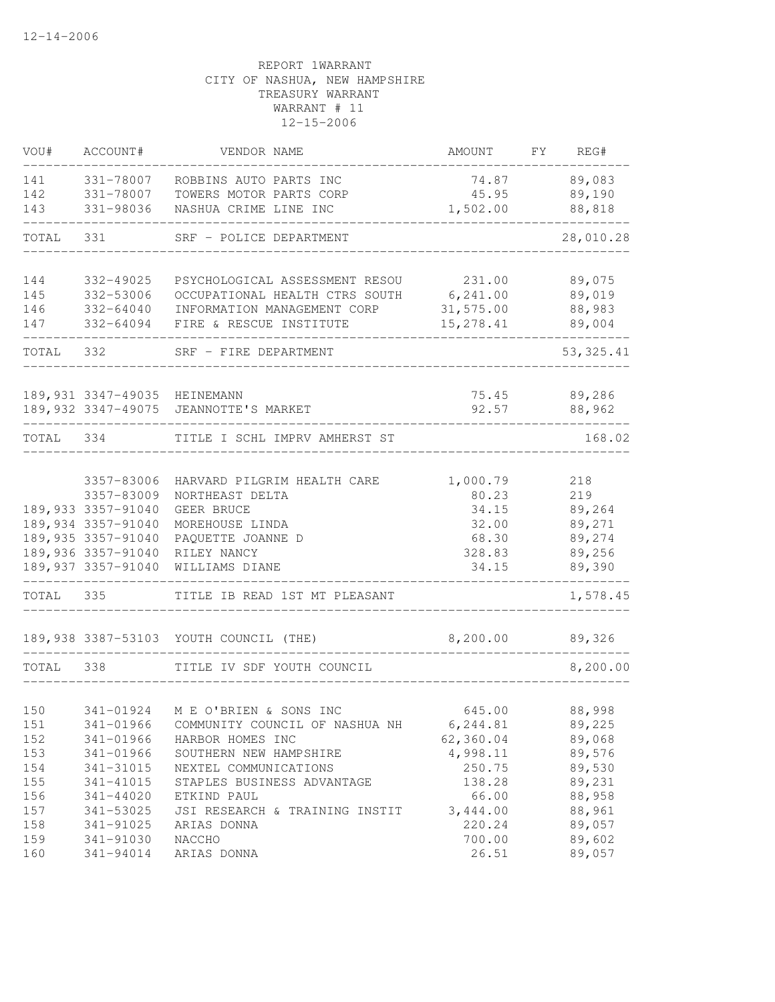| VOU#      | ACCOUNT#                     | VENDOR NAME                                    | AMOUNT            | FY | REG#         |
|-----------|------------------------------|------------------------------------------------|-------------------|----|--------------|
| 141       | 331-78007                    | ROBBINS AUTO PARTS INC                         |                   |    | 74.87 89,083 |
|           | 142 331-78007                | TOWERS MOTOR PARTS CORP                        |                   |    | 45.95 89,190 |
| 143       | 331-98036                    | NASHUA CRIME LINE INC                          | 1,502.00          |    | 88,818       |
| TOTAL     | 331                          | SRF - POLICE DEPARTMENT                        |                   |    | 28,010.28    |
|           |                              |                                                |                   |    |              |
| 144       | 332-49025                    | PSYCHOLOGICAL ASSESSMENT RESOU 231.00          |                   |    | 89,075       |
| 145       | 332-53006                    | OCCUPATIONAL HEALTH CTRS SOUTH 6,241.00        |                   |    | 89,019       |
| 146       | 332-64040                    | INFORMATION MANAGEMENT CORP                    | 31,575.00         |    | 88,983       |
| 147       | 332-64094                    | FIRE & RESCUE INSTITUTE                        | 15,278.41         |    | 89,004       |
| TOTAL 332 |                              | SRF - FIRE DEPARTMENT<br>_________________     |                   |    | 53, 325.41   |
|           |                              |                                                |                   |    |              |
|           | 189,931 3347-49035 HEINEMANN |                                                |                   |    | 75.45 89,286 |
|           |                              | 189,932 3347-49075 JEANNOTTE'S MARKET          | 92.57             |    | 88,962       |
|           |                              | TOTAL 334 TITLE I SCHL IMPRV AMHERST ST        |                   |    | 168.02       |
|           |                              |                                                |                   |    |              |
|           | 3357-83006<br>3357-83009     | HARVARD PILGRIM HEALTH CARE<br>NORTHEAST DELTA | 1,000.79<br>80.23 |    | 218<br>219   |
|           | 189,933 3357-91040           | GEER BRUCE                                     | 34.15             |    | 89,264       |
|           | 189,934 3357-91040           | MOREHOUSE LINDA                                | 32.00             |    | 89,271       |
|           | 189,935 3357-91040           | PAQUETTE JOANNE D                              | 68.30             |    | 89,274       |
|           | 189,936 3357-91040           | RILEY NANCY                                    | 328.83            |    | 89,256       |
|           | 189,937 3357-91040           | WILLIAMS DIANE                                 | 34.15             |    | 89,390       |
| TOTAL 335 |                              | TITLE IB READ 1ST MT PLEASANT                  |                   |    | 1,578.45     |
|           |                              |                                                |                   |    |              |
|           |                              | 189,938 3387-53103 YOUTH COUNCIL (THE)         | 8,200.00 89,326   |    |              |
| TOTAL 338 |                              | TITLE IV SDF YOUTH COUNCIL                     |                   |    | 8,200.00     |
|           |                              |                                                |                   |    |              |
| 150       |                              | 341-01924 M E O'BRIEN & SONS INC               | 645.00            |    | 88,998       |
| 151       | 341-01966                    | COMMUNITY COUNCIL OF NASHUA NH                 | 6,244.81          |    | 89,225       |
| 152       | 341-01966                    | HARBOR HOMES INC                               | 62,360.04         |    | 89,068       |
| 153       | 341-01966                    | SOUTHERN NEW HAMPSHIRE                         | 4,998.11          |    | 89,576       |
| 154       | 341-31015                    | NEXTEL COMMUNICATIONS                          | 250.75            |    | 89,530       |
| 155       | 341-41015                    | STAPLES BUSINESS ADVANTAGE                     | 138.28            |    | 89,231       |
| 156       | 341-44020                    | ETKIND PAUL                                    | 66.00             |    | 88,958       |
| 157       | 341-53025                    | JSI RESEARCH & TRAINING INSTIT                 | 3,444.00          |    | 88,961       |
| 158       | 341-91025                    | ARIAS DONNA                                    | 220.24            |    | 89,057       |
| 159       | 341-91030                    | NACCHO                                         | 700.00            |    | 89,602       |
| 160       | 341-94014                    | ARIAS DONNA                                    | 26.51             |    | 89,057       |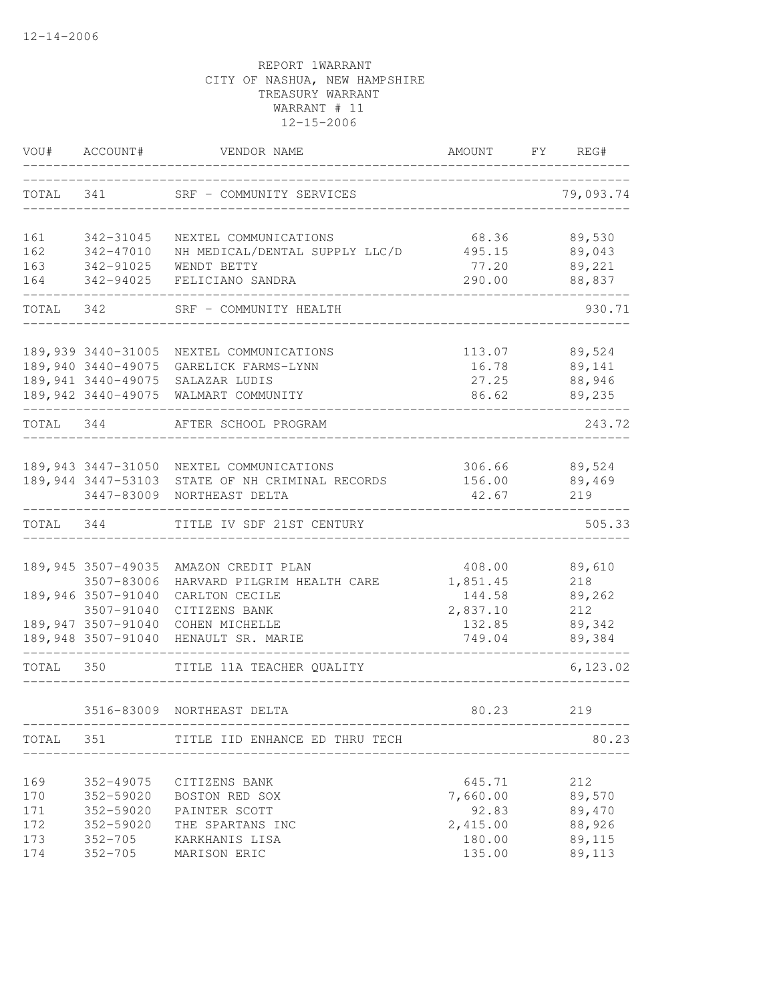|           | VOU# ACCOUNT#                    | VENDOR NAME                                   | AMOUNT FY REG#     |               |
|-----------|----------------------------------|-----------------------------------------------|--------------------|---------------|
| TOTAL 341 |                                  | SRF - COMMUNITY SERVICES                      |                    | 79,093.74     |
| 161       | 342-31045                        | NEXTEL COMMUNICATIONS                         | 68.36              | 89,530        |
| 162       | 342-47010                        | NH MEDICAL/DENTAL SUPPLY LLC/D                | 495.15             | 89,043        |
| 163       | 342-91025                        | WENDT BETTY                                   | 77.20              | 89,221        |
| 164       | 342-94025                        | FELICIANO SANDRA                              | 290.00             | 88,837        |
| TOTAL 342 |                                  | SRF - COMMUNITY HEALTH                        |                    | 930.71        |
|           | 189,939 3440-31005               | NEXTEL COMMUNICATIONS                         |                    | 113.07 89,524 |
|           | 189,940 3440-49075               | GARELICK FARMS-LYNN                           | 16.78              | 89,141        |
|           | 189,941 3440-49075               | SALAZAR LUDIS                                 | 27.25              | 88,946        |
|           |                                  | 189,942 3440-49075 WALMART COMMUNITY          | 86.62              | 89,235        |
| TOTAL 344 |                                  | AFTER SCHOOL PROGRAM                          |                    | 243.72        |
|           |                                  | 189,943 3447-31050 NEXTEL COMMUNICATIONS      |                    | 306.66 89,524 |
|           | 189,944 3447-53103               | STATE OF NH CRIMINAL RECORDS                  | 156.00             | 89,469        |
|           | 3447-83009                       | NORTHEAST DELTA                               | 42.67              | 219           |
| TOTAL 344 |                                  | TITLE IV SDF 21ST CENTURY                     |                    | 505.33        |
|           |                                  |                                               |                    |               |
|           | 189, 945 3507-49035              | AMAZON CREDIT PLAN                            | 408.00             | 89,610        |
|           | 3507-83006<br>189,946 3507-91040 | HARVARD PILGRIM HEALTH CARE<br>CARLTON CECILE | 1,851.45<br>144.58 | 218<br>89,262 |
|           | 3507-91040                       | CITIZENS BANK                                 | 2,837.10           | 212           |
|           | 189,947 3507-91040               | COHEN MICHELLE                                | 132.85             | 89,342        |
|           |                                  | 189,948 3507-91040 HENAULT SR. MARIE          | 749.04             | 89,384        |
| TOTAL 350 |                                  | TITLE 11A TEACHER QUALITY                     |                    | 6, 123.02     |
|           |                                  | 3516-83009 NORTHEAST DELTA                    | 80.23              | 219           |
|           | TOTAL 351                        | TITLE IID ENHANCE ED THRU TECH                |                    | 80.23         |
|           |                                  |                                               |                    |               |
| 169       | 352-49075                        | CITIZENS BANK                                 | 645.71             | 212           |
| 170       | 352-59020                        | BOSTON RED SOX                                | 7,660.00           | 89,570        |
| 171       | 352-59020                        | PAINTER SCOTT                                 | 92.83              | 89,470        |
| 172       | 352-59020                        | THE SPARTANS INC                              | 2,415.00           | 88,926        |
| 173       | $352 - 705$                      | KARKHANIS LISA                                | 180.00             | 89,115        |
| 174       | $352 - 705$                      | MARISON ERIC                                  | 135.00             | 89,113        |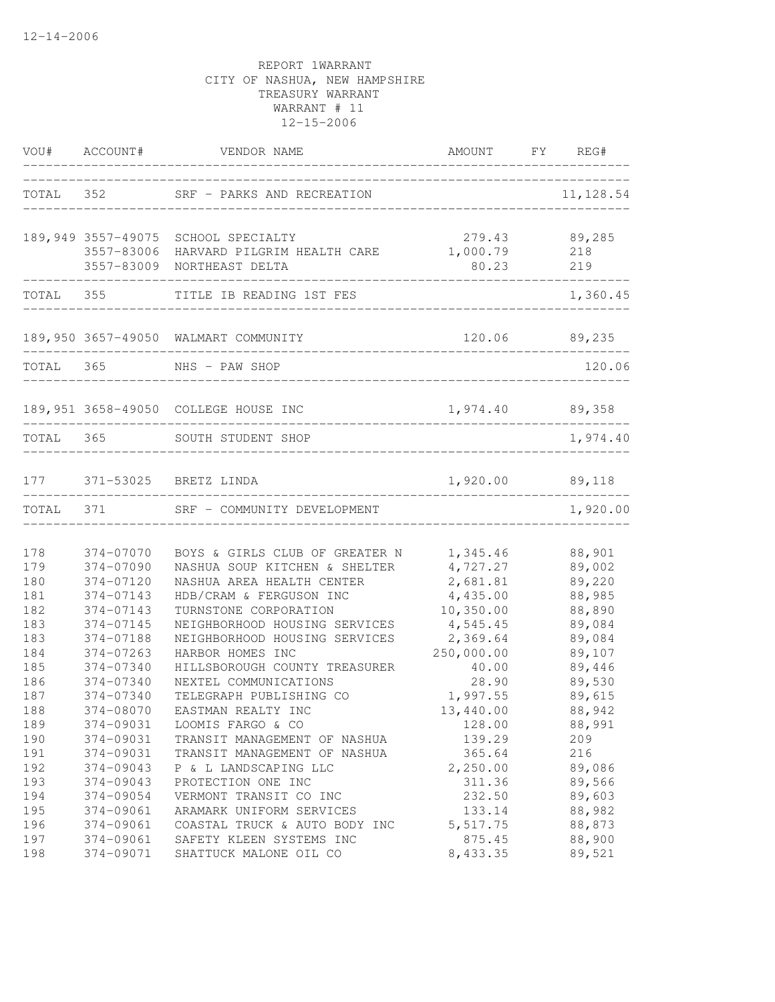|                          | VOU# ACCOUNT#                                    | VENDOR NAME                                                                                                        | AMOUNT FY REG#                                 |                                      |
|--------------------------|--------------------------------------------------|--------------------------------------------------------------------------------------------------------------------|------------------------------------------------|--------------------------------------|
|                          |                                                  | TOTAL 352 SRF - PARKS AND RECREATION                                                                               | ______________________________                 | 11,128.54                            |
|                          | 189,949 3557-49075<br>3557-83006<br>3557-83009   | SCHOOL SPECIALTY<br>HARVARD PILGRIM HEALTH CARE<br>NORTHEAST DELTA                                                 | 279.43<br>1,000.79<br>80.23                    | 89,285<br>218<br>219                 |
|                          | TOTAL 355                                        | TITLE IB READING 1ST FES                                                                                           |                                                | 1,360.45                             |
|                          |                                                  | 189,950 3657-49050 WALMART COMMUNITY                                                                               |                                                | 120.06 89,235                        |
| TOTAL 365                |                                                  | _______________________<br>NHS - PAW SHOP                                                                          |                                                | 120.06                               |
|                          |                                                  | 189,951 3658-49050 COLLEGE HOUSE INC                                                                               | 1,974.40 89,358                                |                                      |
|                          |                                                  | TOTAL 365 SOUTH STUDENT SHOP                                                                                       |                                                | 1,974.40                             |
|                          |                                                  | 177 371-53025 BRETZ LINDA                                                                                          | 1,920.00 89,118                                |                                      |
| TOTAL 371                |                                                  | SRF - COMMUNITY DEVELOPMENT                                                                                        |                                                | 1,920.00                             |
| 178<br>179<br>180        | 374-07070<br>374-07090<br>374-07120              | BOYS & GIRLS CLUB OF GREATER N 1,345.46<br>NASHUA SOUP KITCHEN & SHELTER<br>NASHUA AREA HEALTH CENTER              | 4,727.27<br>2,681.81                           | 88,901<br>89,002<br>89,220           |
| 181<br>182<br>183<br>183 | 374-07143<br>374-07143<br>374-07145<br>374-07188 | HDB/CRAM & FERGUSON INC<br>TURNSTONE CORPORATION<br>NEIGHBORHOOD HOUSING SERVICES<br>NEIGHBORHOOD HOUSING SERVICES | 4,435.00<br>10, 350.00<br>4,545.45<br>2,369.64 | 88,985<br>88,890<br>89,084<br>89,084 |
| 184<br>185<br>186<br>187 | 374-07263<br>374-07340<br>374-07340<br>374-07340 | HARBOR HOMES INC<br>HILLSBOROUGH COUNTY TREASURER<br>NEXTEL COMMUNICATIONS<br>TELEGRAPH PUBLISHING CO              | 250,000.00<br>40.00<br>28.90<br>1,997.55       | 89,107<br>89,446<br>89,530<br>89,615 |
| 188<br>189<br>190        | 374-08070<br>374-09031<br>374-09031              | EASTMAN REALTY INC<br>LOOMIS FARGO & CO<br>TRANSIT MANAGEMENT OF NASHUA                                            | 13,440.00<br>128.00<br>139.29                  | 88,942<br>88,991<br>209              |
| 191<br>192<br>193        | 374-09031<br>374-09043<br>374-09043              | TRANSIT MANAGEMENT OF NASHUA<br>P & L LANDSCAPING LLC<br>PROTECTION ONE INC                                        | 365.64<br>2,250.00<br>311.36                   | 216<br>89,086<br>89,566              |
| 194<br>195<br>196<br>197 | 374-09054<br>374-09061<br>374-09061<br>374-09061 | VERMONT TRANSIT CO INC<br>ARAMARK UNIFORM SERVICES<br>COASTAL TRUCK & AUTO BODY INC<br>SAFETY KLEEN SYSTEMS INC    | 232.50<br>133.14<br>5, 517.75<br>875.45        | 89,603<br>88,982<br>88,873<br>88,900 |
| 198                      | 374-09071                                        | SHATTUCK MALONE OIL CO                                                                                             | 8,433.35                                       | 89,521                               |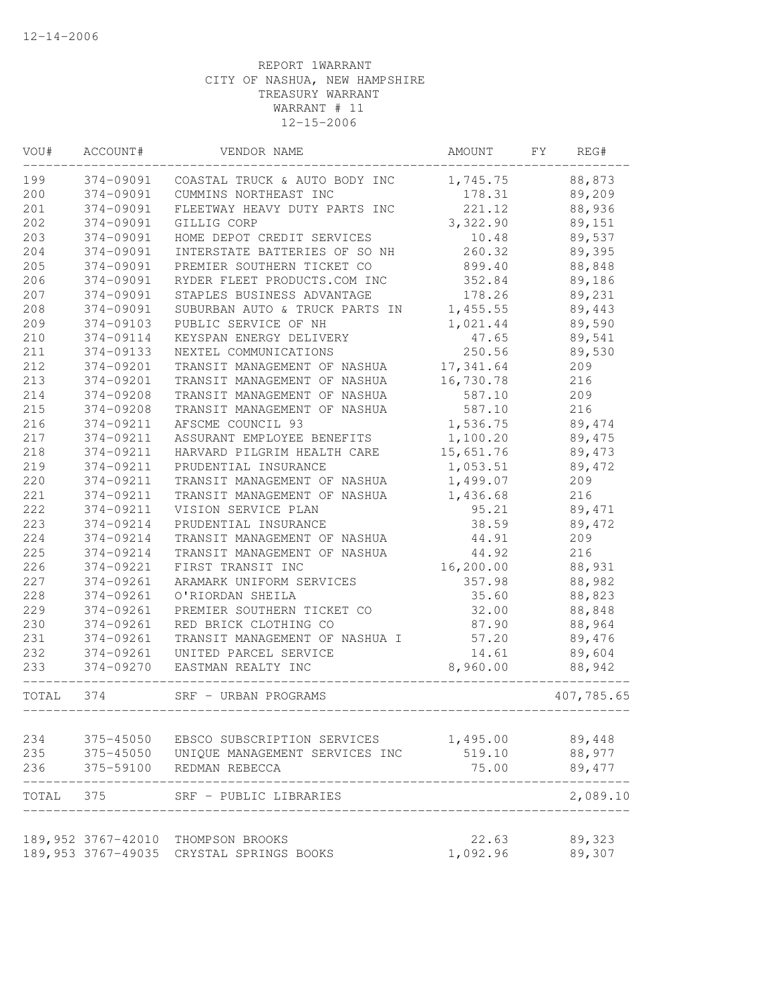| VOU#      | ACCOUNT#            | VENDOR NAME                        | AMOUNT     | FY | REG#       |
|-----------|---------------------|------------------------------------|------------|----|------------|
| 199       | 374-09091           | COASTAL TRUCK & AUTO BODY INC      | 1,745.75   |    | 88,873     |
| 200       | 374-09091           | CUMMINS NORTHEAST INC              | 178.31     |    | 89,209     |
| 201       | 374-09091           | FLEETWAY HEAVY DUTY PARTS INC      | 221.12     |    | 88,936     |
| 202       | 374-09091           | GILLIG CORP                        | 3,322.90   |    | 89,151     |
| 203       | 374-09091           | HOME DEPOT CREDIT SERVICES         | 10.48      |    | 89,537     |
| 204       | 374-09091           | INTERSTATE BATTERIES OF SO NH      | 260.32     |    | 89,395     |
| 205       | 374-09091           | PREMIER SOUTHERN TICKET CO         | 899.40     |    | 88,848     |
| 206       | 374-09091           | RYDER FLEET PRODUCTS.COM INC       | 352.84     |    | 89,186     |
| 207       | 374-09091           | STAPLES BUSINESS ADVANTAGE         | 178.26     |    | 89,231     |
| 208       | 374-09091           | SUBURBAN AUTO & TRUCK PARTS IN     | 1,455.55   |    | 89,443     |
| 209       | 374-09103           | PUBLIC SERVICE OF NH               | 1,021.44   |    | 89,590     |
| 210       | 374-09114           | KEYSPAN ENERGY DELIVERY            | 47.65      |    | 89,541     |
| 211       | 374-09133           | NEXTEL COMMUNICATIONS              | 250.56     |    | 89,530     |
| 212       | 374-09201           | TRANSIT MANAGEMENT OF NASHUA       | 17,341.64  |    | 209        |
| 213       | 374-09201           | TRANSIT MANAGEMENT OF NASHUA       | 16,730.78  |    | 216        |
| 214       | 374-09208           | TRANSIT MANAGEMENT OF NASHUA       | 587.10     |    | 209        |
| 215       | 374-09208           | TRANSIT MANAGEMENT OF NASHUA       | 587.10     |    | 216        |
| 216       | 374-09211           | AFSCME COUNCIL 93                  | 1,536.75   |    | 89,474     |
| 217       | 374-09211           | ASSURANT EMPLOYEE BENEFITS         | 1,100.20   |    | 89,475     |
| 218       | 374-09211           | HARVARD PILGRIM HEALTH CARE        | 15,651.76  |    | 89,473     |
| 219       | 374-09211           | PRUDENTIAL INSURANCE               | 1,053.51   |    | 89,472     |
| 220       | 374-09211           | TRANSIT MANAGEMENT OF NASHUA       | 1,499.07   |    | 209        |
| 221       | 374-09211           | TRANSIT MANAGEMENT OF NASHUA       | 1,436.68   |    | 216        |
| 222       | 374-09211           | VISION SERVICE PLAN                | 95.21      |    | 89,471     |
| 223       | 374-09214           | PRUDENTIAL INSURANCE               | 38.59      |    | 89,472     |
| 224       | 374-09214           | TRANSIT MANAGEMENT OF NASHUA       | 44.91      |    | 209        |
| 225       | 374-09214           | TRANSIT MANAGEMENT OF NASHUA       | 44.92      |    | 216        |
| 226       | 374-09221           | FIRST TRANSIT INC                  | 16, 200.00 |    | 88,931     |
| 227       | 374-09261           | ARAMARK UNIFORM SERVICES           | 357.98     |    | 88,982     |
| 228       | 374-09261           | O'RIORDAN SHEILA                   | 35.60      |    | 88,823     |
| 229       | 374-09261           | PREMIER SOUTHERN TICKET CO         | 32.00      |    | 88,848     |
| 230       | 374-09261           | RED BRICK CLOTHING CO              | 87.90      |    | 88,964     |
| 231       | 374-09261           | TRANSIT MANAGEMENT OF NASHUA I     | 57.20      |    | 89,476     |
| 232       | 374-09261           | UNITED PARCEL SERVICE              | 14.61      |    | 89,604     |
| 233       | 374-09270           | EASTMAN REALTY INC                 | 8,960.00   |    | 88,942     |
| TOTAL     | 374                 | SRF - URBAN PROGRAMS               |            |    | 407,785.65 |
| 234       | 375-45050           | EBSCO SUBSCRIPTION SERVICES        | 1,495.00   |    | 89,448     |
| 235       | 375-45050           | UNIQUE MANAGEMENT SERVICES INC     | 519.10     |    | 88,977     |
| 236       | 375-59100           | REDMAN REBECCA                     | 75.00      |    | 89,477     |
|           |                     |                                    |            |    |            |
| TOTAL 375 |                     | SRF - PUBLIC LIBRARIES             |            |    | 2,089.10   |
|           |                     | 189,952 3767-42010 THOMPSON BROOKS | 22.63      |    | 89,323     |
|           | 189, 953 3767-49035 | CRYSTAL SPRINGS BOOKS              | 1,092.96   |    | 89,307     |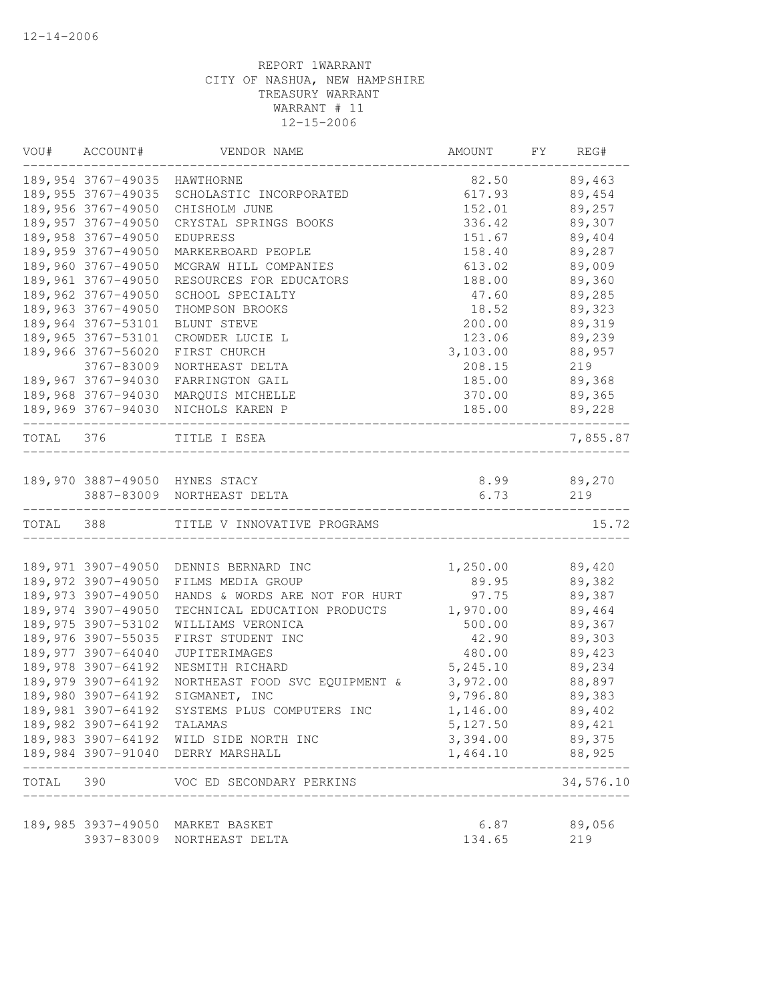|           | VOU# ACCOUNT#                | VENDOR NAME                                    | AMOUNT   | FY | REG#                    |
|-----------|------------------------------|------------------------------------------------|----------|----|-------------------------|
|           | 189,954 3767-49035 HAWTHORNE |                                                | 82.50    |    | 89,463                  |
|           | 189,955 3767-49035           | SCHOLASTIC INCORPORATED                        | 617.93   |    | 89,454                  |
|           | 189,956 3767-49050           | CHISHOLM JUNE                                  | 152.01   |    | 89,257                  |
|           | 189,957 3767-49050           | CRYSTAL SPRINGS BOOKS                          | 336.42   |    | 89,307                  |
|           | 189,958 3767-49050           | EDUPRESS                                       | 151.67   |    | 89,404                  |
|           | 189,959 3767-49050           | MARKERBOARD PEOPLE                             | 158.40   |    | 89,287                  |
|           | 189,960 3767-49050           | MCGRAW HILL COMPANIES                          | 613.02   |    | 89,009                  |
|           | 189,961 3767-49050           | RESOURCES FOR EDUCATORS                        | 188.00   |    | 89,360                  |
|           | 189,962 3767-49050           | SCHOOL SPECIALTY                               | 47.60    |    | 89,285                  |
|           | 189,963 3767-49050           | THOMPSON BROOKS                                | 18.52    |    | 89,323                  |
|           | 189,964 3767-53101           | BLUNT STEVE                                    | 200.00   |    | 89,319                  |
|           | 189,965 3767-53101           | CROWDER LUCIE L                                | 123.06   |    | 89,239                  |
|           | 189,966 3767-56020           | FIRST CHURCH                                   | 3,103.00 |    | 88,957                  |
|           | 3767-83009                   | NORTHEAST DELTA                                | 208.15   |    | 219                     |
|           | 189,967 3767-94030           | FARRINGTON GAIL                                | 185.00   |    | 89,368                  |
|           |                              | 189,968 3767-94030 MARQUIS MICHELLE            | 370.00   |    | 89,365                  |
|           |                              | 189,969 3767-94030 NICHOLS KAREN P             | 185.00   |    | 89,228                  |
| TOTAL 376 |                              | TITLE I ESEA                                   |          |    | 7,855.87                |
|           |                              |                                                |          |    |                         |
|           |                              | 189,970 3887-49050 HYNES STACY                 | 8.99     |    | 89,270                  |
|           |                              | 3887-83009 NORTHEAST DELTA                     | 6.73     |    | 219                     |
| TOTAL 388 |                              | TITLE V INNOVATIVE PROGRAMS                    |          |    | 15.72                   |
|           |                              |                                                |          |    |                         |
|           |                              | 189,971 3907-49050 DENNIS BERNARD INC          | 1,250.00 |    | 89,420                  |
|           | 189,972 3907-49050           | FILMS MEDIA GROUP                              | 89.95    |    | 89,382                  |
|           | 189,973 3907-49050           | HANDS & WORDS ARE NOT FOR HURT                 | 97.75    |    | 89,387                  |
|           | 189,974 3907-49050           | TECHNICAL EDUCATION PRODUCTS                   | 1,970.00 |    | 89,464                  |
|           | 189,975 3907-53102           | WILLIAMS VERONICA                              | 500.00   |    | 89,367                  |
|           | 189,976 3907-55035           | FIRST STUDENT INC                              | 42.90    |    | 89,303                  |
|           | 189,977 3907-64040           | <b>JUPITERIMAGES</b>                           | 480.00   |    | 89,423                  |
|           | 189,978 3907-64192           | NESMITH RICHARD                                | 5,245.10 |    | 89,234                  |
|           | 189,979 3907-64192           | NORTHEAST FOOD SVC EOUIPMENT &                 | 3,972.00 |    | 88,897                  |
|           | 189,980 3907-64192           | SIGMANET, INC                                  | 9,796.80 |    | 89,383                  |
|           | 189,981 3907-64192           | SYSTEMS PLUS COMPUTERS INC                     | 1,146.00 |    | 89,402                  |
|           | 189,982 3907-64192 TALAMAS   |                                                | 5,127.50 |    | 89,421                  |
|           |                              | 189,983 3907-64192 WILD SIDE NORTH INC         | 3,394.00 |    | 89,375                  |
|           |                              | 189,984 3907-91040 DERRY MARSHALL              | 1,464.10 |    | 88,925<br>. - - - - - - |
| TOTAL 390 |                              | VOC ED SECONDARY PERKINS<br>__________________ |          |    | 34,576.10               |
|           |                              | 189,985 3937-49050 MARKET BASKET               | 6.87     |    | 89,056                  |
|           | 3937-83009                   | NORTHEAST DELTA                                | 134.65   |    | 219                     |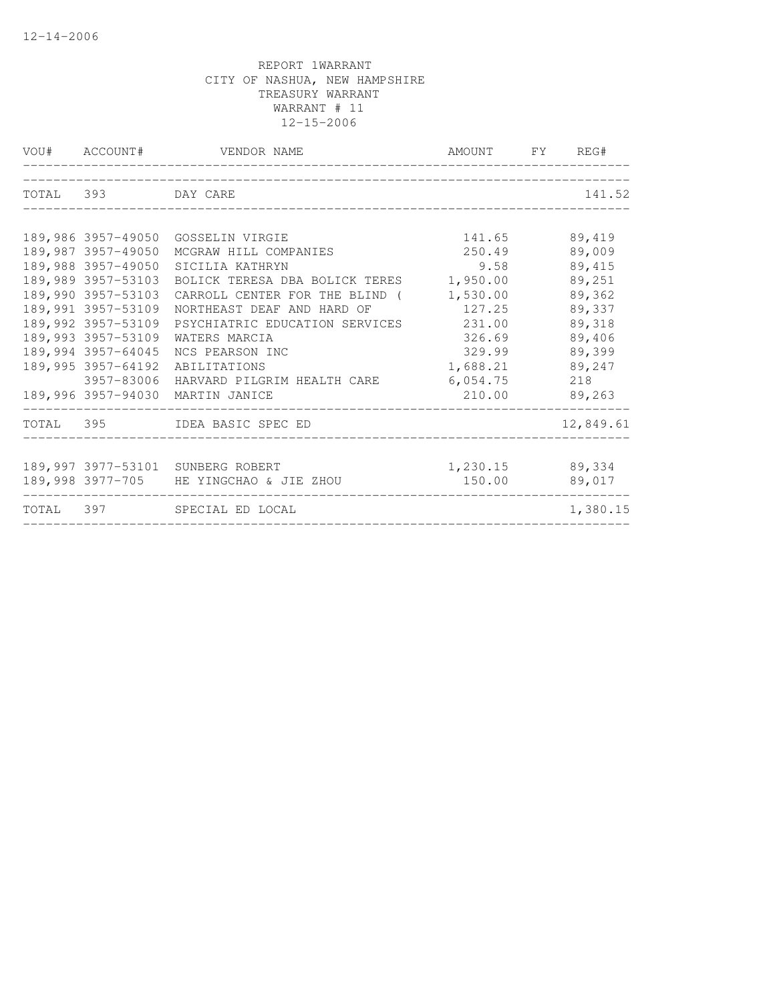|                    | VOU# ACCOUNT# VENDOR NAME               | AMOUNT FY REG# |           |
|--------------------|-----------------------------------------|----------------|-----------|
| TOTAL 393 DAY CARE |                                         |                | 141.52    |
|                    |                                         |                |           |
| 189,986 3957-49050 | GOSSELIN VIRGIE                         | 141.65         | 89,419    |
| 189,987 3957-49050 | MCGRAW HILL COMPANIES                   | 250.49         | 89,009    |
| 189,988 3957-49050 | SICILIA KATHRYN                         | 9.58           | 89,415    |
| 189,989 3957-53103 | BOLICK TERESA DBA BOLICK TERES          | 1,950.00       | 89,251    |
| 189,990 3957-53103 | CARROLL CENTER FOR THE BLIND (          | 1,530.00       | 89,362    |
| 189,991 3957-53109 | NORTHEAST DEAF AND HARD OF              | 127.25         | 89,337    |
| 189,992 3957-53109 | PSYCHIATRIC EDUCATION SERVICES          | 231.00         | 89,318    |
| 189,993 3957-53109 | WATERS MARCIA                           | 326.69         | 89,406    |
| 189,994 3957-64045 | NCS PEARSON INC                         | 329.99         | 89,399    |
| 189,995 3957-64192 | ABILITATIONS                            | 1,688.21       | 89,247    |
| 3957-83006         | HARVARD PILGRIM HEALTH CARE             | 6,054.75       | 218       |
|                    | 189,996 3957-94030 MARTIN JANICE        | 210.00         | 89,263    |
|                    | TOTAL 395 IDEA BASIC SPEC ED            |                | 12,849.61 |
|                    | 189,997 3977-53101 SUNBERG ROBERT       | 1,230.15       | 89,334    |
|                    | 189,998 3977-705 HE YINGCHAO & JIE ZHOU | 150.00         | 89,017    |
|                    | TOTAL 397 SPECIAL ED LOCAL              |                | 1,380.15  |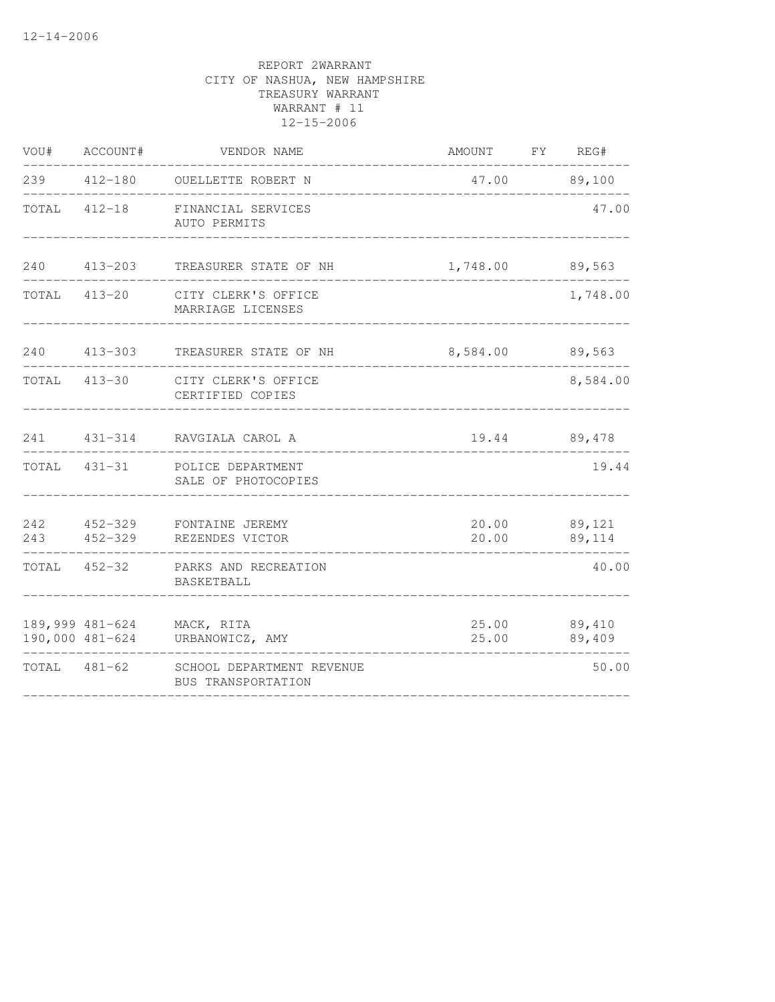|       | VOU# ACCOUNT# | VENDOR NAME                                                   | AMOUNT FY REG# |                        |
|-------|---------------|---------------------------------------------------------------|----------------|------------------------|
|       |               | 239 412-180 OUELLETTE ROBERT N                                |                | 47.00 89,100           |
|       | TOTAL 412-18  | FINANCIAL SERVICES<br>AUTO PERMITS                            |                | 47.00                  |
| 240   | $413 - 203$   | TREASURER STATE OF NH                                         | 1,748.00       | 89,563                 |
| TOTAL |               | 413-20 CITY CLERK'S OFFICE<br>MARRIAGE LICENSES               |                | 1,748.00               |
|       |               | 240   413-303   TREASURER STATE OF NH                         | 8,584.00       | 89,563                 |
| TOTAL | $413 - 30$    | CITY CLERK'S OFFICE<br>CERTIFIED COPIES                       |                | 8,584.00               |
|       |               | 241 431-314 RAVGIALA CAROL A                                  |                | 19.44 89,478           |
|       | TOTAL 431-31  | POLICE DEPARTMENT<br>SALE OF PHOTOCOPIES                      |                | 19.44                  |
| 243   | 452-329       | 242 452-329 FONTAINE JEREMY<br>REZENDES VICTOR                | 20.00          | 20.00 89,121<br>89,114 |
|       | TOTAL 452-32  | PARKS AND RECREATION<br>BASKETBALL                            |                | 40.00                  |
|       |               | 189,999 481-624 MACK, RITA<br>190,000 481-624 URBANOWICZ, AMY | 25.00          | 25.00 89,410<br>89,409 |
|       |               | TOTAL 481-62 SCHOOL DEPARTMENT REVENUE<br>BUS TRANSPORTATION  |                | 50.00                  |
|       |               |                                                               |                |                        |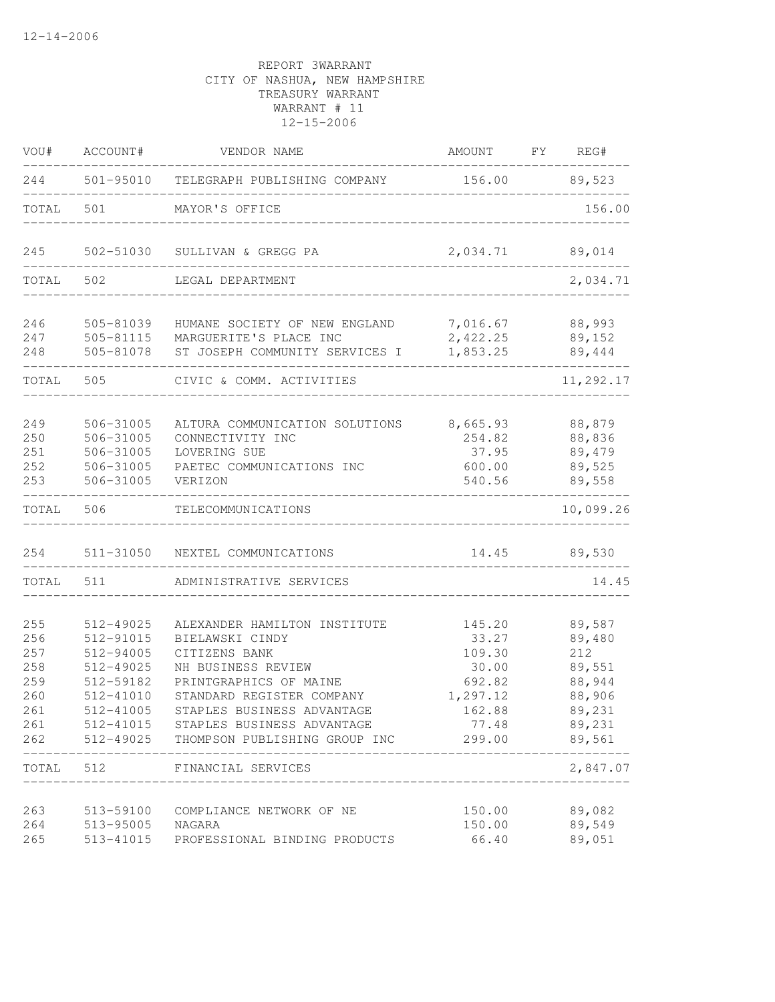| VOU#       | ACCOUNT#               | VENDOR NAME                                              | AMOUNT               | FY | REG#             |
|------------|------------------------|----------------------------------------------------------|----------------------|----|------------------|
| 244        |                        | 501-95010 TELEGRAPH PUBLISHING COMPANY                   | 156.00 89,523        |    |                  |
| TOTAL      | 501                    | MAYOR'S OFFICE                                           |                      |    | 156.00           |
| 245        | 502-51030              | SULLIVAN & GREGG PA                                      | 2,034.71             |    | 89,014           |
| TOTAL      | 502                    | LEGAL DEPARTMENT                                         |                      |    | 2,034.71         |
| 246        | 505-81039              | HUMANE SOCIETY OF NEW ENGLAND                            | 7,016.67             |    | 88,993           |
| 247<br>248 | 505-81115<br>505-81078 | MARGUERITE'S PLACE INC<br>ST JOSEPH COMMUNITY SERVICES I | 2,422.25<br>1,853.25 |    | 89,152<br>89,444 |
| TOTAL      | 505                    | CIVIC & COMM. ACTIVITIES                                 |                      |    | 11,292.17        |
|            |                        |                                                          |                      |    |                  |
| 249        | 506-31005              | ALTURA COMMUNICATION SOLUTIONS                           | 8,665.93             |    | 88,879           |
| 250        | 506-31005              | CONNECTIVITY INC                                         | 254.82               |    | 88,836           |
| 251        | 506-31005              | LOVERING SUE                                             | 37.95                |    | 89,479           |
| 252        | 506-31005              | PAETEC COMMUNICATIONS INC                                | 600.00               |    | 89,525           |
| 253        | 506-31005              | VERIZON                                                  | 540.56               |    | 89,558           |
| TOTAL      | 506                    | TELECOMMUNICATIONS                                       |                      |    | 10,099.26        |
| 254        | 511-31050              | NEXTEL COMMUNICATIONS                                    | 14.45                |    | 89,530           |
| TOTAL      | 511                    | ADMINISTRATIVE SERVICES                                  |                      |    | 14.45            |
| 255        | 512-49025              | ALEXANDER HAMILTON INSTITUTE                             | 145.20               |    | 89,587           |
| 256        | 512-91015              | BIELAWSKI CINDY                                          | 33.27                |    | 89,480           |
| 257        | 512-94005              | CITIZENS BANK                                            | 109.30               |    | 212              |
| 258        | 512-49025              | NH BUSINESS REVIEW                                       | 30.00                |    | 89,551           |
| 259        | 512-59182              | PRINTGRAPHICS OF MAINE                                   | 692.82               |    | 88,944           |
| 260        | 512-41010              | STANDARD REGISTER COMPANY                                | 1,297.12             |    | 88,906           |
| 261        | 512-41005              | STAPLES BUSINESS ADVANTAGE                               | 162.88               |    | 89,231           |
| 261        |                        | 512-41015 STAPLES BUSINESS ADVANTAGE                     | 77.48                |    | 89,231           |
| 262        |                        | 512-49025 THOMPSON PUBLISHING GROUP INC                  | 299.00               |    | 89,561           |
| TOTAL 512  |                        | FINANCIAL SERVICES                                       |                      |    | 2,847.07         |
| 263        | 513-59100              | COMPLIANCE NETWORK OF NE                                 | 150.00               |    | 89,082           |
| 264        | 513-95005              | NAGARA                                                   | 150.00               |    | 89,549           |
| 265        | 513-41015              | PROFESSIONAL BINDING PRODUCTS                            | 66.40                |    | 89,051           |
|            |                        |                                                          |                      |    |                  |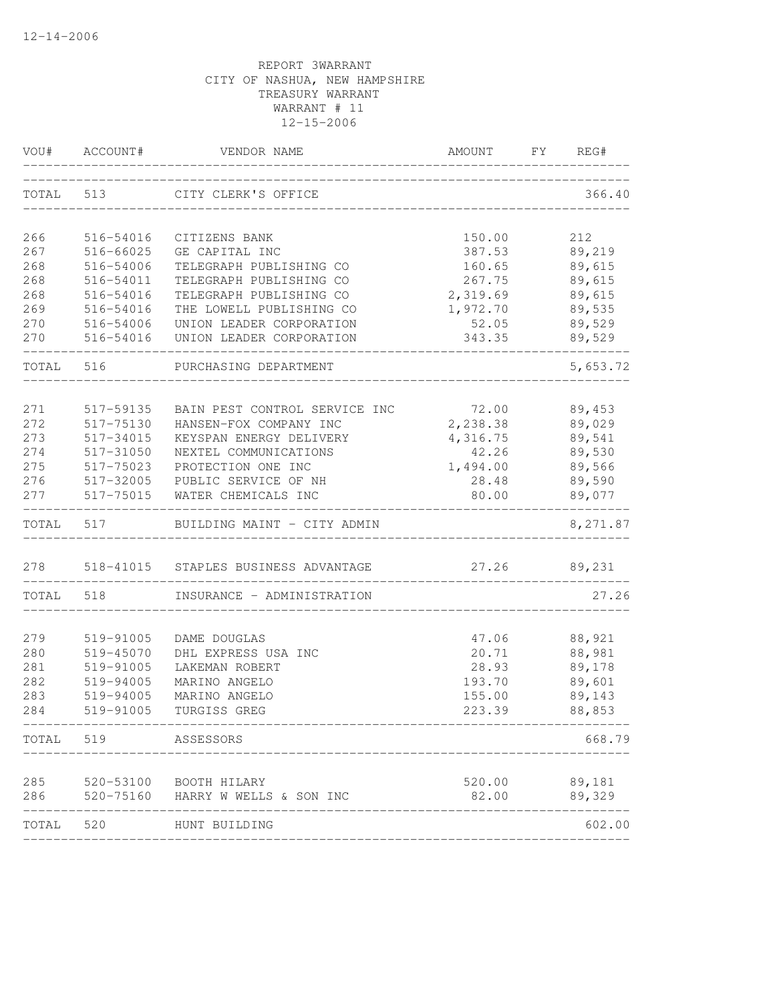|           | VOU# ACCOUNT# | VENDOR NAME                                 | AMOUNT FY REG#           |          |
|-----------|---------------|---------------------------------------------|--------------------------|----------|
|           |               | TOTAL 513 CITY CLERK'S OFFICE               |                          | 366.40   |
|           |               |                                             |                          |          |
| 266       | 516-54016     | CITIZENS BANK                               | 150.00                   | 212      |
| 267       | 516-66025     | GE CAPITAL INC                              | 387.53                   | 89,219   |
| 268       | 516-54006     | TELEGRAPH PUBLISHING CO                     | 160.65                   | 89,615   |
| 268       | 516-54011     | TELEGRAPH PUBLISHING CO                     | 267.75                   | 89,615   |
| 268       | 516-54016     | TELEGRAPH PUBLISHING CO                     | 2,319.69                 | 89,615   |
| 269       | 516-54016     | THE LOWELL PUBLISHING CO                    | 1,972.70                 | 89,535   |
| 270       | 516-54006     | UNION LEADER CORPORATION                    | 52.05                    | 89,529   |
| 270       | 516-54016     | UNION LEADER CORPORATION                    | 343.35                   | 89,529   |
| TOTAL 516 |               | PURCHASING DEPARTMENT                       |                          | 5,653.72 |
|           |               |                                             |                          |          |
| 271       | 517-59135     | BAIN PEST CONTROL SERVICE INC               | 72.00                    | 89,453   |
| 272       | 517-75130     | HANSEN-FOX COMPANY INC                      | 2,238.38                 | 89,029   |
| 273       | 517-34015     | KEYSPAN ENERGY DELIVERY                     | 4,316.75                 | 89,541   |
| 274       | 517-31050     | NEXTEL COMMUNICATIONS<br>PROTECTION ONE INC | 42.26<br>1,494.00 89,566 | 89,530   |
| 275       | 517-75023     |                                             |                          |          |
| 276       |               | 517-32005 PUBLIC SERVICE OF NH              | 28.48<br>80.00           | 89,590   |
| 277       |               | 517-75015 WATER CHEMICALS INC               |                          | 89,077   |
|           | TOTAL 517     | BUILDING MAINT - CITY ADMIN                 |                          | 8,271.87 |
|           |               | 278 518-41015 STAPLES BUSINESS ADVANTAGE    | 27.26 89,231             |          |
|           | TOTAL 518     | INSURANCE - ADMINISTRATION                  |                          | 27.26    |
|           |               |                                             |                          |          |
| 279       | 519-91005     | DAME DOUGLAS                                | 47.06                    | 88,921   |
| 280       | 519-45070     | DHL EXPRESS USA INC                         | 20.71                    | 88,981   |
| 281       | 519-91005     | LAKEMAN ROBERT                              | 28.93                    | 89,178   |
| 282       | 519-94005     | MARINO ANGELO                               | 193.70<br>155.00         | 89,601   |
| 283       | 519-94005     | MARINO ANGELO                               |                          | 89,143   |
| 284       | 519-91005     | TURGISS GREG                                | 223.39                   | 88,853   |
| TOTAL 519 |               | ASSESSORS                                   |                          | 668.79   |
| 285       |               | 520-53100 BOOTH HILARY                      | 520.00                   | 89,181   |
| 286       |               | 520-75160 HARRY W WELLS & SON INC           | 82.00                    | 89,329   |
| TOTAL     | 520           | HUNT BUILDING                               |                          | 602.00   |
|           |               |                                             |                          |          |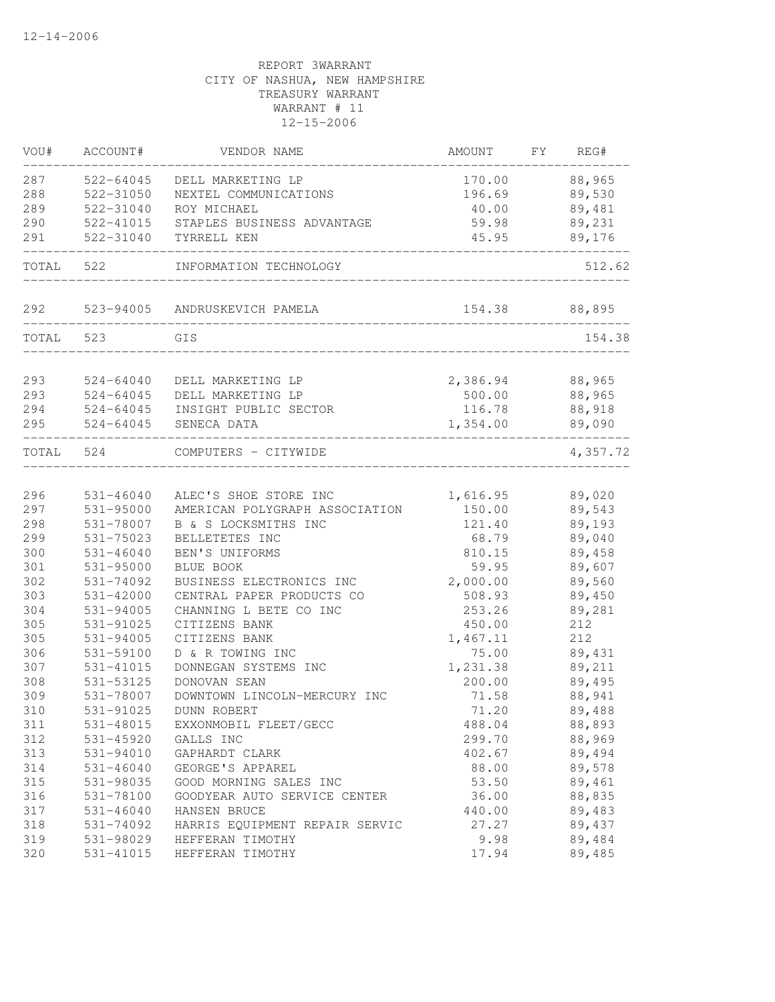| VOU#      | ACCOUNT#      | VENDOR NAME                          | AMOUNT          | FY. | REG#          |
|-----------|---------------|--------------------------------------|-----------------|-----|---------------|
| 287       | 522-64045     | DELL MARKETING LP                    | 170.00          |     | 88,965        |
| 288       | 522-31050     | NEXTEL COMMUNICATIONS                |                 |     | 196.69 89,530 |
| 289       | 522-31040     | ROY MICHAEL                          | 40.00           |     | 89,481        |
| 290       |               | 522-41015 STAPLES BUSINESS ADVANTAGE | 59.98           |     | 89,231        |
| 291       | 522-31040     | TYRRELL KEN                          | 45.95           |     | 89,176        |
| TOTAL 522 |               | INFORMATION TECHNOLOGY               |                 |     | 512.62        |
|           |               | 292 523-94005 ANDRUSKEVICH PAMELA    | 154.38 88,895   |     |               |
| TOTAL 523 |               | GIS                                  |                 |     | 154.38        |
| 293       | 524-64040     | DELL MARKETING LP                    | 2,386.94 88,965 |     |               |
| 293       | 524-64045     | DELL MARKETING LP                    | 500.00          |     | 88,965        |
| 294       |               | 524-64045 INSIGHT PUBLIC SECTOR      | 116.78          |     | 88,918        |
| 295       |               | 524-64045 SENECA DATA                | 1,354.00        |     | 89,090        |
| TOTAL 524 |               | COMPUTERS - CITYWIDE                 |                 |     | 4,357.72      |
| 296       | 531-46040     | ALEC'S SHOE STORE INC                | 1,616.95        |     | 89,020        |
| 297       | 531-95000     | AMERICAN POLYGRAPH ASSOCIATION       | 150.00          |     | 89,543        |
| 298       | 531-78007     | B & S LOCKSMITHS INC                 | 121.40          |     | 89,193        |
| 299       | 531-75023     | BELLETETES INC                       | 68.79           |     | 89,040        |
| 300       | 531-46040     | BEN'S UNIFORMS                       | 810.15          |     | 89,458        |
| 301       | 531-95000     | BLUE BOOK                            | 59.95           |     | 89,607        |
| 302       | 531-74092     | BUSINESS ELECTRONICS INC             | 2,000.00        |     | 89,560        |
| 303       | 531-42000     | CENTRAL PAPER PRODUCTS CO            | 508.93          |     | 89,450        |
| 304       | 531-94005     | CHANNING L BETE CO INC               | 253.26          |     | 89,281        |
| 305       | 531-91025     | CITIZENS BANK                        | 450.00          |     | 212           |
| 305       | 531-94005     | CITIZENS BANK                        | 1,467.11        |     | 212           |
| 306       | 531-59100     | D & R TOWING INC                     | 75.00           |     | 89,431        |
| 307       | 531-41015     | DONNEGAN SYSTEMS INC                 | 1,231.38        |     | 89,211        |
| 308       | 531-53125     | DONOVAN SEAN                         | 200.00          |     | 89,495        |
| 309       | 531-78007     | DOWNTOWN LINCOLN-MERCURY INC         | 71.58           |     | 88,941        |
| 310       | 531-91025     | DUNN ROBERT                          | 71.20           |     | 89,488        |
| 311       | 531-48015     | EXXONMOBIL FLEET/GECC                | 488.04          |     | 88,893        |
| 312       | 531-45920     | GALLS INC                            | 299.70          |     | 88,969        |
| 313       | 531-94010     | GAPHARDT CLARK                       | 402.67          |     | 89,494        |
| 314       | $531 - 46040$ | GEORGE'S APPAREL                     | 88.00           |     | 89,578        |
| 315       | 531-98035     | GOOD MORNING SALES INC               | 53.50           |     | 89,461        |
| 316       | 531-78100     | GOODYEAR AUTO SERVICE CENTER         | 36.00           |     | 88,835        |
| 317       | $531 - 46040$ | HANSEN BRUCE                         | 440.00          |     | 89,483        |
| 318       | 531-74092     | HARRIS EQUIPMENT REPAIR SERVIC       | 27.27           |     | 89,437        |
| 319       | 531-98029     | HEFFERAN TIMOTHY                     | 9.98            |     | 89,484        |
| 320       | 531-41015     | HEFFERAN TIMOTHY                     | 17.94           |     | 89,485        |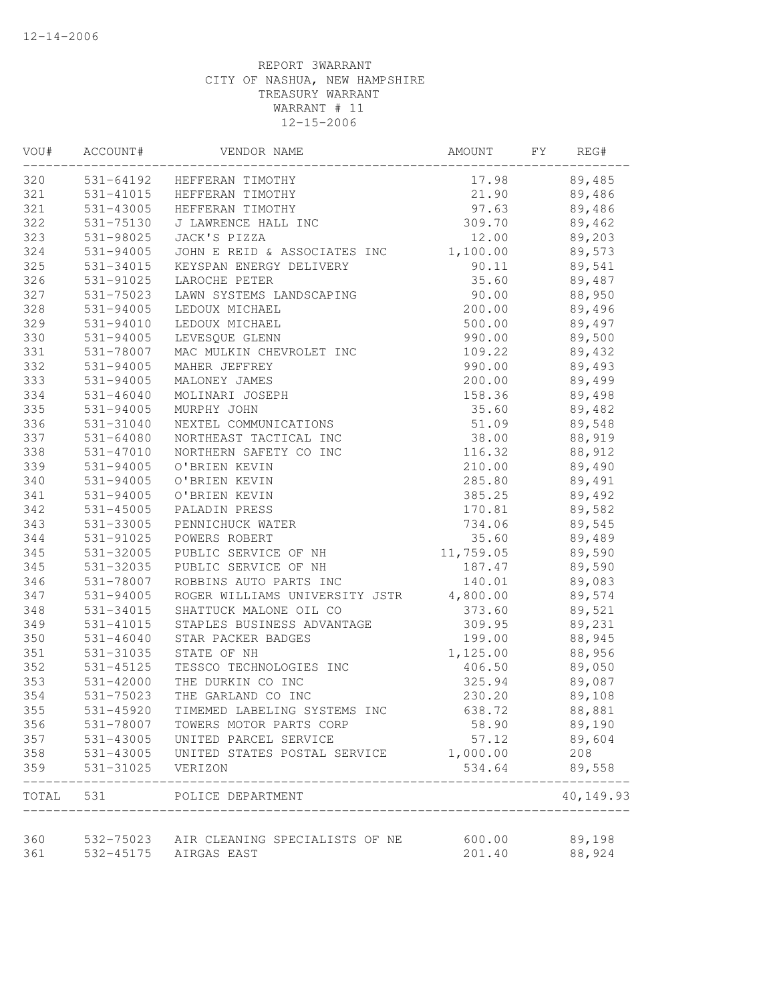| VOU# | ACCOUNT#      | VENDOR NAME                                             | AMOUNT    | FY | REG#      |  |
|------|---------------|---------------------------------------------------------|-----------|----|-----------|--|
| 320  |               | 531-64192 HEFFERAN TIMOTHY                              | 17.98     |    | 89,485    |  |
| 321  |               | 531-41015 HEFFERAN TIMOTHY                              | 21.90     |    | 89,486    |  |
| 321  | 531-43005     | HEFFERAN TIMOTHY                                        | 97.63     |    | 89,486    |  |
| 322  | 531-75130     | J LAWRENCE HALL INC                                     | 309.70    |    | 89,462    |  |
| 323  | 531-98025     | JACK'S PIZZA                                            | 12.00     |    | 89,203    |  |
| 324  | 531-94005     | JOHN E REID & ASSOCIATES INC                            | 1,100.00  |    | 89,573    |  |
| 325  | 531-34015     | KEYSPAN ENERGY DELIVERY                                 | 90.11     |    | 89,541    |  |
| 326  | 531-91025     | LAROCHE PETER                                           | 35.60     |    | 89,487    |  |
| 327  | 531-75023     | LAWN SYSTEMS LANDSCAPING                                | 90.00     |    | 88,950    |  |
| 328  | 531-94005     | LEDOUX MICHAEL                                          | 200.00    |    | 89,496    |  |
| 329  | 531-94010     | LEDOUX MICHAEL                                          | 500.00    |    | 89,497    |  |
| 330  | $531 - 94005$ | LEVESQUE GLENN                                          | 990.00    |    | 89,500    |  |
| 331  | 531-78007     | MAC MULKIN CHEVROLET INC                                | 109.22    |    | 89,432    |  |
| 332  | 531-94005     | MAHER JEFFREY                                           | 990.00    |    | 89,493    |  |
| 333  | 531-94005     | MALONEY JAMES                                           | 200.00    |    | 89,499    |  |
| 334  | $531 - 46040$ | MOLINARI JOSEPH                                         | 158.36    |    | 89,498    |  |
| 335  | 531-94005     | MURPHY JOHN                                             | 35.60     |    | 89,482    |  |
| 336  | 531-31040     | NEXTEL COMMUNICATIONS                                   | 51.09     |    | 89,548    |  |
| 337  | 531-64080     | NORTHEAST TACTICAL INC                                  | 38.00     |    | 88,919    |  |
| 338  | 531-47010     | NORTHERN SAFETY CO INC                                  | 116.32    |    | 88,912    |  |
| 339  | 531-94005     | O'BRIEN KEVIN                                           | 210.00    |    | 89,490    |  |
| 340  | 531-94005     | O'BRIEN KEVIN                                           | 285.80    |    | 89,491    |  |
| 341  | 531-94005     | O'BRIEN KEVIN                                           | 385.25    |    | 89,492    |  |
| 342  | 531-45005     | PALADIN PRESS                                           | 170.81    |    | 89,582    |  |
| 343  | 531-33005     | PENNICHUCK WATER                                        | 734.06    |    | 89,545    |  |
| 344  | 531-91025     | POWERS ROBERT                                           | 35.60     |    | 89,489    |  |
| 345  | 531-32005     | PUBLIC SERVICE OF NH                                    | 11,759.05 |    | 89,590    |  |
| 345  | 531-32035     | PUBLIC SERVICE OF NH                                    | 187.47    |    | 89,590    |  |
| 346  | 531-78007     | ROBBINS AUTO PARTS INC                                  | 140.01    |    | 89,083    |  |
| 347  | $531 - 94005$ | ROGER WILLIAMS UNIVERSITY JSTR                          | 4,800.00  |    | 89,574    |  |
| 348  | 531-34015     | SHATTUCK MALONE OIL CO                                  | 373.60    |    | 89,521    |  |
| 349  | 531-41015     | STAPLES BUSINESS ADVANTAGE                              | 309.95    |    | 89,231    |  |
| 350  | $531 - 46040$ | STAR PACKER BADGES                                      | 199.00    |    | 88,945    |  |
| 351  | 531-31035     | STATE OF NH                                             | 1,125.00  |    | 88,956    |  |
| 352  | 531-45125     | TESSCO TECHNOLOGIES INC                                 | 406.50    |    | 89,050    |  |
| 353  | 531-42000     | THE DURKIN CO INC                                       | 325.94    |    | 89,087    |  |
| 354  |               | 531-75023 THE GARLAND CO INC                            | 230.20    |    | 89,108    |  |
| 355  | 531-45920     | TIMEMED LABELING SYSTEMS INC                            | 638.72    |    | 88,881    |  |
| 356  | 531-78007     | TOWERS MOTOR PARTS CORP                                 | 58.90     |    | 89,190    |  |
| 357  | 531-43005     | UNITED PARCEL SERVICE                                   | 57.12     |    | 89,604    |  |
| 358  | 531-43005     | UNITED STATES POSTAL SERVICE                            | 1,000.00  |    | 208       |  |
| 359  | 531-31025     | VERIZON                                                 | 534.64    |    | 89,558    |  |
|      |               | TOTAL 531 POLICE DEPARTMENT                             |           |    | 40,149.93 |  |
| 360  |               |                                                         | 600.00    |    | 89,198    |  |
| 361  | 532-45175     | 532-75023 AIR CLEANING SPECIALISTS OF NE<br>AIRGAS EAST | 201.40    |    | 88,924    |  |
|      |               |                                                         |           |    |           |  |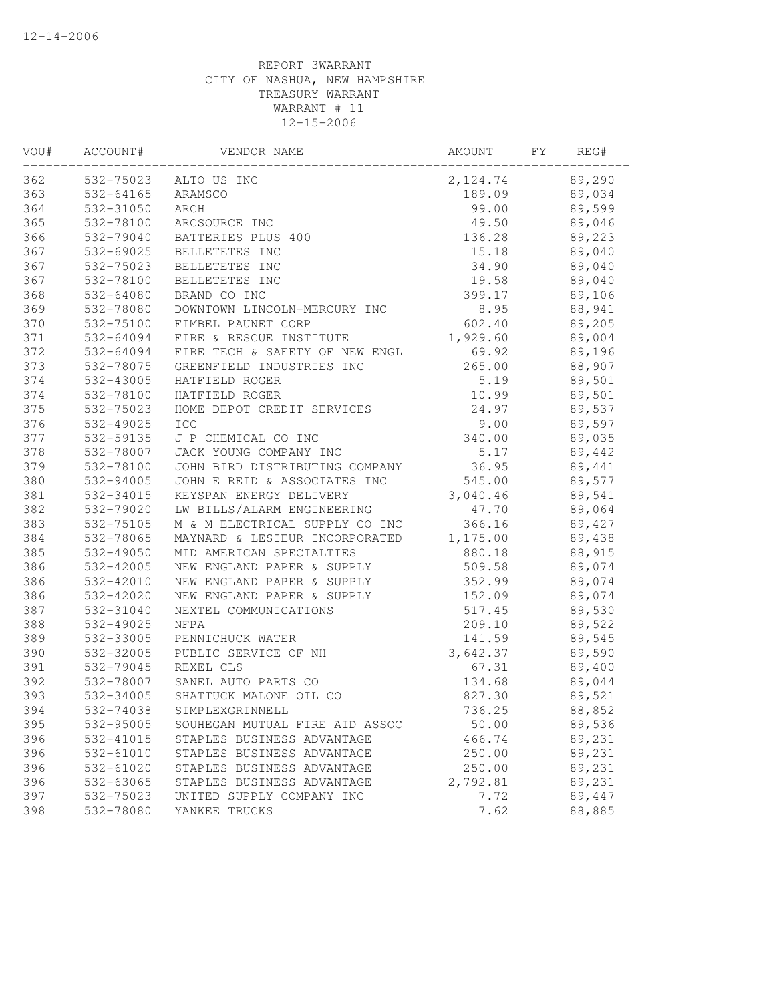| VOU# | ACCOUNT#  | VENDOR NAME                    | AMOUNT   | FY. | REG#   |  |
|------|-----------|--------------------------------|----------|-----|--------|--|
| 362  | 532-75023 | ALTO US INC                    | 2,124.74 |     | 89,290 |  |
| 363  | 532-64165 | ARAMSCO                        | 189.09   |     | 89,034 |  |
| 364  | 532-31050 | ARCH                           | 99.00    |     | 89,599 |  |
| 365  | 532-78100 | ARCSOURCE INC                  | 49.50    |     | 89,046 |  |
| 366  | 532-79040 | BATTERIES PLUS 400             | 136.28   |     | 89,223 |  |
| 367  | 532-69025 | BELLETETES INC                 | 15.18    |     | 89,040 |  |
| 367  | 532-75023 | BELLETETES INC                 | 34.90    |     | 89,040 |  |
| 367  | 532-78100 | BELLETETES INC                 | 19.58    |     | 89,040 |  |
| 368  | 532-64080 | BRAND CO INC                   | 399.17   |     | 89,106 |  |
| 369  | 532-78080 | DOWNTOWN LINCOLN-MERCURY INC   | 8.95     |     | 88,941 |  |
| 370  | 532-75100 | FIMBEL PAUNET CORP             | 602.40   |     | 89,205 |  |
| 371  | 532-64094 | FIRE & RESCUE INSTITUTE        | 1,929.60 |     | 89,004 |  |
| 372  | 532-64094 | FIRE TECH & SAFETY OF NEW ENGL | 69.92    |     | 89,196 |  |
| 373  | 532-78075 | GREENFIELD INDUSTRIES INC      | 265.00   |     | 88,907 |  |
| 374  | 532-43005 | HATFIELD ROGER                 | 5.19     |     | 89,501 |  |
| 374  | 532-78100 | HATFIELD ROGER                 | 10.99    |     | 89,501 |  |
| 375  | 532-75023 | HOME DEPOT CREDIT SERVICES     | 24.97    |     | 89,537 |  |
| 376  | 532-49025 | ICC                            | 9.00     |     | 89,597 |  |
| 377  | 532-59135 | J P CHEMICAL CO INC            | 340.00   |     | 89,035 |  |
| 378  | 532-78007 | JACK YOUNG COMPANY INC         | 5.17     |     | 89,442 |  |
| 379  | 532-78100 | JOHN BIRD DISTRIBUTING COMPANY | 36.95    |     | 89,441 |  |
| 380  | 532-94005 | JOHN E REID & ASSOCIATES INC   | 545.00   |     | 89,577 |  |
| 381  | 532-34015 | KEYSPAN ENERGY DELIVERY        | 3,040.46 |     | 89,541 |  |
| 382  | 532-79020 | LW BILLS/ALARM ENGINEERING     | 47.70    |     | 89,064 |  |
| 383  | 532-75105 | M & M ELECTRICAL SUPPLY CO INC | 366.16   |     | 89,427 |  |
| 384  | 532-78065 | MAYNARD & LESIEUR INCORPORATED | 1,175.00 |     | 89,438 |  |
| 385  | 532-49050 | MID AMERICAN SPECIALTIES       | 880.18   |     | 88,915 |  |
| 386  | 532-42005 | NEW ENGLAND PAPER & SUPPLY     | 509.58   |     | 89,074 |  |
| 386  | 532-42010 | NEW ENGLAND PAPER & SUPPLY     | 352.99   |     | 89,074 |  |
| 386  | 532-42020 | NEW ENGLAND PAPER & SUPPLY     | 152.09   |     | 89,074 |  |
| 387  | 532-31040 | NEXTEL COMMUNICATIONS          | 517.45   |     | 89,530 |  |
| 388  | 532-49025 | NFPA                           | 209.10   |     | 89,522 |  |
| 389  | 532-33005 | PENNICHUCK WATER               | 141.59   |     | 89,545 |  |
| 390  | 532-32005 | PUBLIC SERVICE OF NH           | 3,642.37 |     | 89,590 |  |
| 391  | 532-79045 | REXEL CLS                      | 67.31    |     | 89,400 |  |
| 392  | 532-78007 | SANEL AUTO PARTS CO            | 134.68   |     | 89,044 |  |
| 393  | 532-34005 | SHATTUCK MALONE OIL CO         | 827.30   |     | 89,521 |  |
| 394  | 532-74038 | SIMPLEXGRINNELL                | 736.25   |     | 88,852 |  |
| 395  | 532-95005 | SOUHEGAN MUTUAL FIRE AID ASSOC | 50.00    |     | 89,536 |  |
| 396  | 532-41015 | STAPLES BUSINESS ADVANTAGE     | 466.74   |     | 89,231 |  |
| 396  | 532-61010 | STAPLES BUSINESS ADVANTAGE     | 250.00   |     | 89,231 |  |
| 396  | 532-61020 | STAPLES BUSINESS ADVANTAGE     | 250.00   |     | 89,231 |  |
| 396  | 532-63065 | STAPLES BUSINESS ADVANTAGE     | 2,792.81 |     | 89,231 |  |
| 397  | 532-75023 | UNITED SUPPLY COMPANY INC      | 7.72     |     | 89,447 |  |
| 398  | 532-78080 | YANKEE TRUCKS                  | 7.62     |     | 88,885 |  |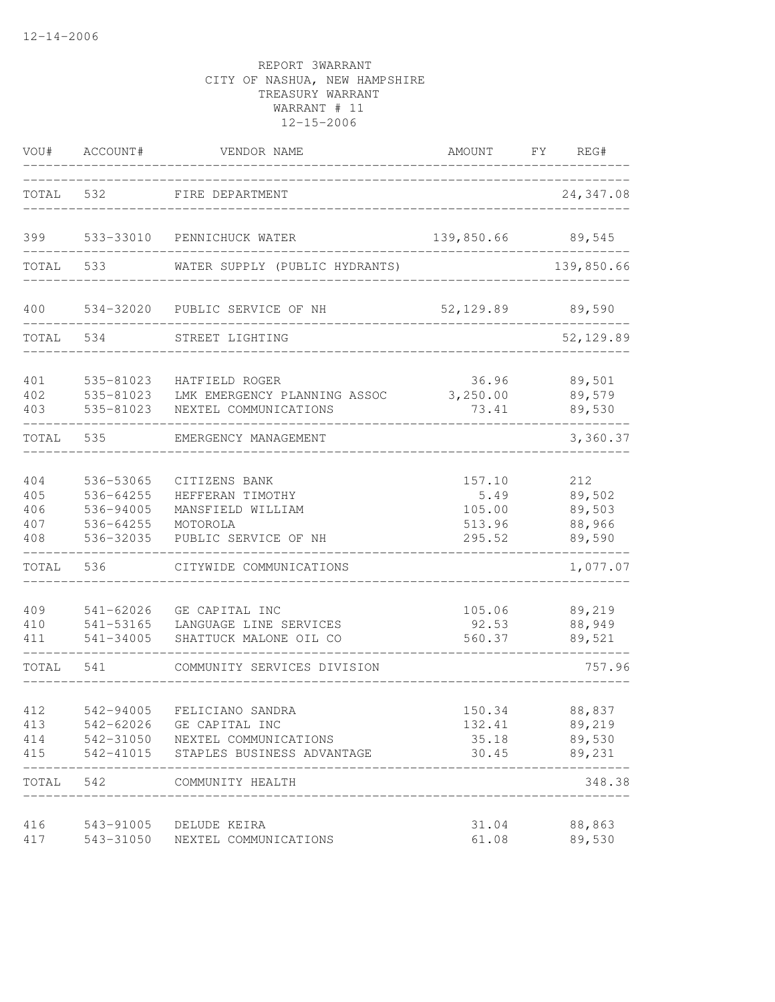| VOU#                            | ACCOUNT#                                                      | VENDOR NAME                                                                                | AMOUNT                                       | FY | REG#                                        |
|---------------------------------|---------------------------------------------------------------|--------------------------------------------------------------------------------------------|----------------------------------------------|----|---------------------------------------------|
| TOTAL                           | 532                                                           | FIRE DEPARTMENT                                                                            |                                              |    | 24, 347.08                                  |
| 399                             |                                                               | 533-33010 PENNICHUCK WATER                                                                 | 139,850.66                                   |    | 89,545                                      |
| TOTAL                           | 533                                                           | WATER SUPPLY (PUBLIC HYDRANTS)                                                             |                                              |    | 139,850.66                                  |
| 400                             | 534-32020                                                     | PUBLIC SERVICE OF NH                                                                       | 52,129.89                                    |    | 89,590                                      |
| TOTAL                           | 534                                                           | STREET LIGHTING                                                                            |                                              |    | 52,129.89                                   |
| 401<br>402<br>403               | 535-81023<br>535-81023<br>535-81023                           | HATFIELD ROGER<br>LMK EMERGENCY PLANNING ASSOC<br>NEXTEL COMMUNICATIONS                    | 36.96<br>3,250.00<br>73.41                   |    | 89,501<br>89,579<br>89,530                  |
| TOTAL                           | 535                                                           | EMERGENCY MANAGEMENT                                                                       |                                              |    | 3,360.37                                    |
| 404<br>405<br>406<br>407<br>408 | 536-53065<br>536-64255<br>536-94005<br>536-64255<br>536-32035 | CITIZENS BANK<br>HEFFERAN TIMOTHY<br>MANSFIELD WILLIAM<br>MOTOROLA<br>PUBLIC SERVICE OF NH | 157.10<br>5.49<br>105.00<br>513.96<br>295.52 |    | 212<br>89,502<br>89,503<br>88,966<br>89,590 |
| TOTAL                           | 536                                                           | CITYWIDE COMMUNICATIONS                                                                    |                                              |    | 1,077.07                                    |
| 409<br>410<br>411               | 541-62026<br>541-53165<br>541-34005                           | GE CAPITAL INC<br>LANGUAGE LINE SERVICES<br>SHATTUCK MALONE OIL CO                         | 105.06<br>92.53<br>560.37                    |    | 89,219<br>88,949<br>89,521                  |
| TOTAL                           | 541                                                           | COMMUNITY SERVICES DIVISION                                                                |                                              |    | 757.96                                      |
| 412<br>413<br>414<br>415        | 542-94005<br>542-62026<br>542-31050<br>542-41015              | FELICIANO SANDRA<br>GE CAPITAL INC<br>NEXTEL COMMUNICATIONS<br>STAPLES BUSINESS ADVANTAGE  | 150.34<br>132.41<br>35.18<br>30.45           |    | 88,837<br>89,219<br>89,530<br>89,231        |
| TOTAL 542                       |                                                               | COMMUNITY HEALTH                                                                           |                                              |    | 348.38                                      |
| 416<br>417                      |                                                               | 543-91005 DELUDE KEIRA<br>543-31050 NEXTEL COMMUNICATIONS                                  | 31.04<br>61.08                               |    | 88,863<br>89,530                            |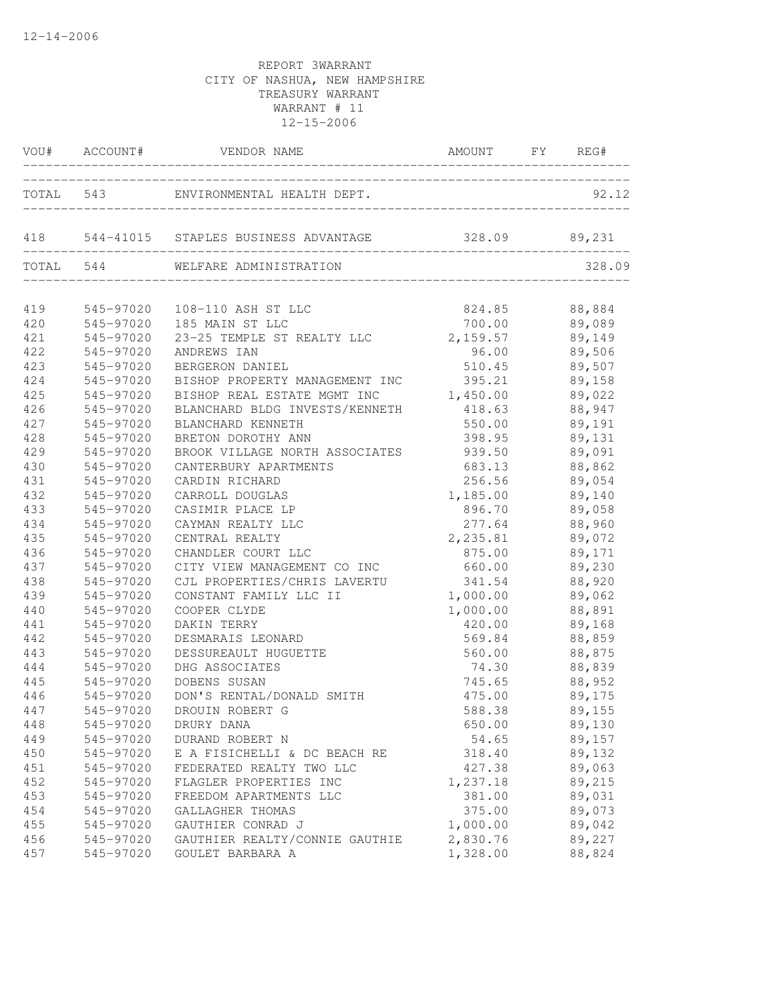|     | VOU# ACCOUNT# | VENDOR NAME                                            | AMOUNT FY REG#    |               |
|-----|---------------|--------------------------------------------------------|-------------------|---------------|
|     |               | TOTAL 543 ENVIRONMENTAL HEALTH DEPT.                   |                   | 92.12         |
|     |               | 418 544-41015 STAPLES BUSINESS ADVANTAGE 328.09 89,231 |                   |               |
|     |               | TOTAL 544 WELFARE ADMINISTRATION                       |                   | 328.09        |
| 419 |               | 545-97020  108-110 ASH ST LLC                          | 824.85            | 88,884        |
| 420 |               | 545-97020 185 MAIN ST LLC                              | $700.00$ 89,089   |               |
| 421 | 545-97020     | 23-25 TEMPLE ST REALTY LLC                             |                   | 89,149        |
| 422 | 545-97020     | ANDREWS IAN                                            | 2,159.57<br>96.00 | 89,506        |
| 423 | 545-97020     | BERGERON DANIEL                                        | 510.45 89,507     |               |
| 424 | 545-97020     | BISHOP PROPERTY MANAGEMENT INC 395.21 89,158           |                   |               |
| 425 | 545-97020     | BISHOP REAL ESTATE MGMT INC                            | 1,450.00 89,022   |               |
| 426 | 545-97020     | BLANCHARD BLDG INVESTS/KENNETH 418.63 88,947           |                   |               |
| 427 | 545-97020     | BLANCHARD KENNETH                                      | 550.00 89,191     |               |
| 428 | 545-97020     | BRETON DOROTHY ANN                                     | 398.95            | 89,131        |
| 429 | 545-97020     | BROOK VILLAGE NORTH ASSOCIATES                         | 939.50            | 89,091        |
| 430 | 545-97020     | CANTERBURY APARTMENTS                                  | 683.13            | 88,862        |
| 431 | 545-97020     | CARDIN RICHARD                                         | 256.56            | 89,054        |
| 432 | 545-97020     | CARROLL DOUGLAS                                        | 1, 185.00 89, 140 |               |
| 433 | 545-97020     | CASIMIR PLACE LP                                       | 896.70            | 89,058        |
| 434 | 545-97020     | CAYMAN REALTY LLC                                      | 277.64            | 88,960        |
| 435 | 545-97020     | CENTRAL REALTY                                         | 2, 235.81 89,072  |               |
| 436 | 545-97020     | CHANDLER COURT LLC                                     | 875.00            | 89,171        |
| 437 | 545-97020     | CITY VIEW MANAGEMENT CO INC                            | 660.00            | 89,230        |
| 438 | 545-97020     | CJL PROPERTIES/CHRIS LAVERTU                           | 341.54            | 88,920        |
| 439 | 545-97020     | CONSTANT FAMILY LLC II                                 | 1,000.00          | 89,062        |
| 440 | 545-97020     | COOPER CLYDE                                           | 1,000.00          | 88,891        |
| 441 | 545-97020     | DAKIN TERRY                                            | 420.00            | 89,168        |
| 442 | 545-97020     | DESMARAIS LEONARD                                      | 569.84            | 88,859        |
| 443 | 545-97020     | DESSUREAULT HUGUETTE                                   | 560.00            | 88,875        |
| 444 | 545-97020     | DHG ASSOCIATES                                         |                   | 74.30 88,839  |
| 445 | 545-97020     | DOBENS SUSAN                                           |                   | 745.65 88,952 |
| 446 | 545-97020     | DON'S RENTAL/DONALD SMITH                              | 475.00            | 89,175        |
| 447 |               | 545-97020 DROUIN ROBERT G                              | 588.38            | 89,155        |
| 448 | 545-97020     | DRURY DANA                                             | 650.00            | 89,130        |
| 449 | 545-97020     | DURAND ROBERT N                                        | 54.65             | 89,157        |
| 450 | 545-97020     | E A FISICHELLI & DC BEACH RE                           | 318.40            | 89,132        |
| 451 | 545-97020     | FEDERATED REALTY TWO LLC                               | 427.38            | 89,063        |
| 452 | 545-97020     | FLAGLER PROPERTIES INC                                 | 1,237.18          | 89,215        |
| 453 | 545-97020     | FREEDOM APARTMENTS LLC                                 | 381.00            | 89,031        |
| 454 | 545-97020     | GALLAGHER THOMAS                                       | 375.00            | 89,073        |
| 455 | 545-97020     | GAUTHIER CONRAD J                                      | 1,000.00          | 89,042        |
| 456 | 545-97020     | GAUTHIER REALTY/CONNIE GAUTHIE                         | 2,830.76          | 89,227        |
| 457 | 545-97020     | GOULET BARBARA A                                       | 1,328.00          | 88,824        |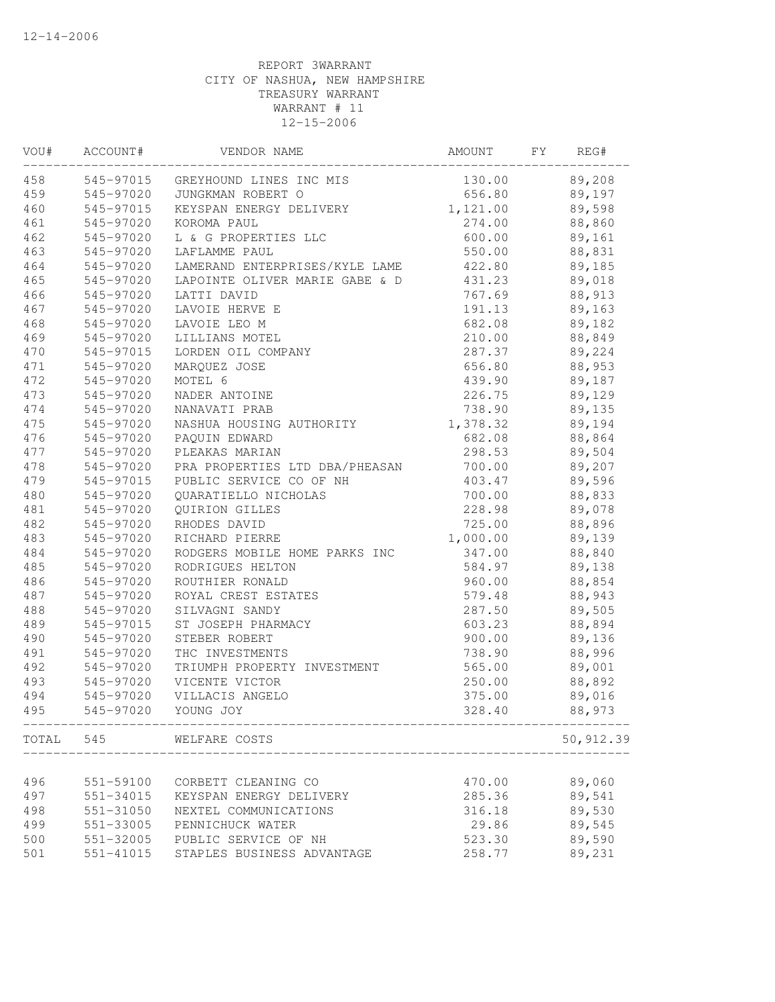| VOU# | ACCOUNT#      | VENDOR NAME                       | AMOUNT   | FY | REG#      |  |
|------|---------------|-----------------------------------|----------|----|-----------|--|
| 458  |               | 545-97015 GREYHOUND LINES INC MIS | 130.00   |    | 89,208    |  |
| 459  | 545-97020     | JUNGKMAN ROBERT O                 | 656.80   |    | 89,197    |  |
| 460  | 545-97015     | KEYSPAN ENERGY DELIVERY           | 1,121.00 |    | 89,598    |  |
| 461  | 545-97020     | KOROMA PAUL                       | 274.00   |    | 88,860    |  |
| 462  | 545-97020     | L & G PROPERTIES LLC              | 600.00   |    | 89,161    |  |
| 463  | 545-97020     | LAFLAMME PAUL                     | 550.00   |    | 88,831    |  |
| 464  | 545-97020     | LAMERAND ENTERPRISES/KYLE LAME    | 422.80   |    | 89,185    |  |
| 465  | 545-97020     | LAPOINTE OLIVER MARIE GABE & D    | 431.23   |    | 89,018    |  |
| 466  | 545-97020     | LATTI DAVID                       | 767.69   |    | 88,913    |  |
| 467  | 545-97020     | LAVOIE HERVE E                    | 191.13   |    | 89,163    |  |
| 468  | 545-97020     | LAVOIE LEO M                      | 682.08   |    | 89,182    |  |
| 469  | 545-97020     | LILLIANS MOTEL                    | 210.00   |    | 88,849    |  |
| 470  | 545-97015     | LORDEN OIL COMPANY                | 287.37   |    | 89,224    |  |
| 471  | 545-97020     | MARQUEZ JOSE                      | 656.80   |    | 88,953    |  |
| 472  | 545-97020     | MOTEL 6                           | 439.90   |    | 89,187    |  |
| 473  | 545-97020     | NADER ANTOINE                     | 226.75   |    | 89,129    |  |
| 474  | 545-97020     | NANAVATI PRAB                     | 738.90   |    | 89,135    |  |
| 475  | 545-97020     | NASHUA HOUSING AUTHORITY          | 1,378.32 |    | 89,194    |  |
| 476  | 545-97020     | PAQUIN EDWARD                     | 682.08   |    | 88,864    |  |
| 477  | 545-97020     | PLEAKAS MARIAN                    | 298.53   |    | 89,504    |  |
| 478  | 545-97020     | PRA PROPERTIES LTD DBA/PHEASAN    | 700.00   |    | 89,207    |  |
| 479  | 545-97015     | PUBLIC SERVICE CO OF NH           | 403.47   |    | 89,596    |  |
| 480  | 545-97020     | QUARATIELLO NICHOLAS              | 700.00   |    | 88,833    |  |
| 481  | 545-97020     | QUIRION GILLES                    | 228.98   |    | 89,078    |  |
| 482  | 545-97020     | RHODES DAVID                      | 725.00   |    | 88,896    |  |
| 483  | 545-97020     | RICHARD PIERRE                    | 1,000.00 |    | 89,139    |  |
| 484  | 545-97020     | RODGERS MOBILE HOME PARKS INC     | 347.00   |    | 88,840    |  |
| 485  | 545-97020     | RODRIGUES HELTON                  | 584.97   |    | 89,138    |  |
| 486  | 545-97020     | ROUTHIER RONALD                   | 960.00   |    | 88,854    |  |
| 487  | 545-97020     | ROYAL CREST ESTATES               | 579.48   |    | 88,943    |  |
| 488  | 545-97020     | SILVAGNI SANDY                    | 287.50   |    | 89,505    |  |
| 489  | 545-97015     | ST JOSEPH PHARMACY                | 603.23   |    | 88,894    |  |
| 490  | 545-97020     | STEBER ROBERT                     | 900.00   |    | 89,136    |  |
| 491  | 545-97020     | THC INVESTMENTS                   | 738.90   |    | 88,996    |  |
| 492  | 545-97020     | TRIUMPH PROPERTY INVESTMENT       | 565.00   |    | 89,001    |  |
| 493  | 545-97020     | VICENTE VICTOR                    | 250.00   |    | 88,892    |  |
| 494  | 545-97020     | VILLACIS ANGELO                   | 375.00   |    | 89,016    |  |
| 495  | 545-97020     | YOUNG JOY                         | 328.40   |    | 88,973    |  |
|      |               | TOTAL 545 WELFARE COSTS           |          |    | 50,912.39 |  |
|      |               |                                   |          |    |           |  |
| 496  | 551-59100     | CORBETT CLEANING CO               | 470.00   |    | 89,060    |  |
| 497  | 551-34015     | KEYSPAN ENERGY DELIVERY           | 285.36   |    | 89,541    |  |
| 498  | 551-31050     | NEXTEL COMMUNICATIONS             | 316.18   |    | 89,530    |  |
| 499  | 551-33005     | PENNICHUCK WATER                  | 29.86    |    | 89,545    |  |
| 500  | 551-32005     | PUBLIC SERVICE OF NH              | 523.30   |    | 89,590    |  |
| 501  | $551 - 41015$ | STAPLES BUSINESS ADVANTAGE        | 258.77   |    | 89,231    |  |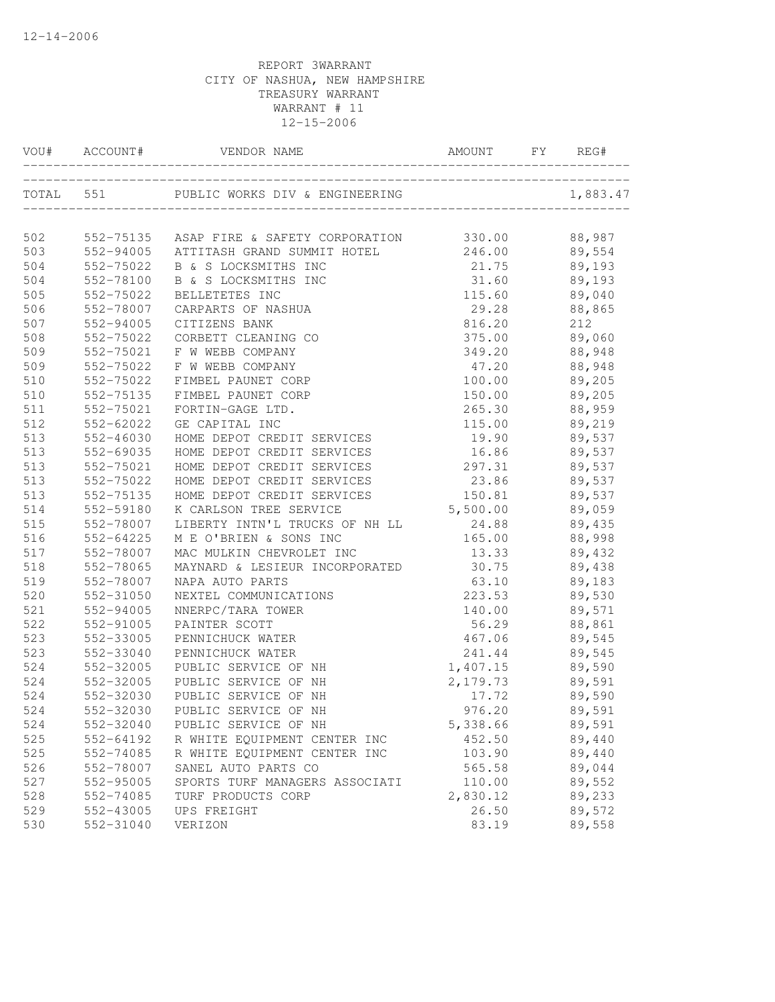| VOU# | ACCOUNT#  | VENDOR NAME                    | <b>AMOUNT</b> | FY | REG#     |
|------|-----------|--------------------------------|---------------|----|----------|
|      | TOTAL 551 | PUBLIC WORKS DIV & ENGINEERING |               |    | 1,883.47 |
| 502  | 552-75135 | ASAP FIRE & SAFETY CORPORATION | 330.00        |    | 88,987   |
| 503  | 552-94005 | ATTITASH GRAND SUMMIT HOTEL    | 246.00        |    | 89,554   |
| 504  | 552-75022 | B & S LOCKSMITHS INC           | 21.75         |    | 89,193   |
| 504  | 552-78100 | B & S LOCKSMITHS INC           | 31.60         |    | 89,193   |
| 505  | 552-75022 | BELLETETES INC                 | 115.60        |    | 89,040   |
| 506  | 552-78007 | CARPARTS OF NASHUA             | 29.28         |    | 88,865   |
| 507  | 552-94005 | CITIZENS BANK                  | 816.20        |    | 212      |
| 508  | 552-75022 | CORBETT CLEANING CO            | 375.00        |    | 89,060   |
| 509  | 552-75021 | F W WEBB COMPANY               | 349.20        |    | 88,948   |
| 509  | 552-75022 | F W WEBB COMPANY               | 47.20         |    | 88,948   |
| 510  | 552-75022 | FIMBEL PAUNET CORP             | 100.00        |    | 89,205   |
| 510  | 552-75135 | FIMBEL PAUNET CORP             | 150.00        |    | 89,205   |
| 511  | 552-75021 | FORTIN-GAGE LTD.               | 265.30        |    | 88,959   |
| 512  | 552-62022 | GE CAPITAL INC                 | 115.00        |    | 89,219   |
| 513  | 552-46030 | HOME DEPOT CREDIT SERVICES     | 19.90         |    | 89,537   |
| 513  | 552-69035 | HOME DEPOT CREDIT SERVICES     | 16.86         |    | 89,537   |
| 513  | 552-75021 | HOME DEPOT CREDIT SERVICES     | 297.31        |    | 89,537   |
| 513  | 552-75022 | HOME DEPOT CREDIT SERVICES     | 23.86         |    | 89,537   |
| 513  | 552-75135 | HOME DEPOT CREDIT SERVICES     | 150.81        |    | 89,537   |
| 514  | 552-59180 | K CARLSON TREE SERVICE         | 5,500.00      |    | 89,059   |
| 515  | 552-78007 | LIBERTY INTN'L TRUCKS OF NH LL | 24.88         |    | 89,435   |
| 516  | 552-64225 | M E O'BRIEN & SONS INC         | 165.00        |    | 88,998   |
| 517  | 552-78007 | MAC MULKIN CHEVROLET INC       | 13.33         |    | 89,432   |
| 518  | 552-78065 | MAYNARD & LESIEUR INCORPORATED | 30.75         |    | 89,438   |
| 519  | 552-78007 | NAPA AUTO PARTS                | 63.10         |    | 89,183   |
| 520  | 552-31050 | NEXTEL COMMUNICATIONS          | 223.53        |    | 89,530   |
| 521  | 552-94005 | NNERPC/TARA TOWER              | 140.00        |    | 89,571   |
| 522  | 552-91005 | PAINTER SCOTT                  | 56.29         |    | 88,861   |
| 523  | 552-33005 | PENNICHUCK WATER               | 467.06        |    | 89,545   |
| 523  | 552-33040 | PENNICHUCK WATER               | 241.44        |    | 89,545   |
| 524  | 552-32005 | PUBLIC SERVICE OF NH           | 1,407.15      |    | 89,590   |
| 524  | 552-32005 | PUBLIC SERVICE OF NH           | 2,179.73      |    | 89,591   |
| 524  | 552-32030 | PUBLIC SERVICE OF NH           | 17.72         |    | 89,590   |
| 524  | 552-32030 | PUBLIC SERVICE OF NH           | 976.20        |    | 89,591   |
| 524  | 552-32040 | PUBLIC SERVICE OF NH           | 5,338.66      |    | 89,591   |
| 525  | 552-64192 | R WHITE EQUIPMENT CENTER INC   | 452.50        |    | 89,440   |
| 525  | 552-74085 | R WHITE EQUIPMENT CENTER INC   | 103.90        |    | 89,440   |
| 526  | 552-78007 | SANEL AUTO PARTS CO            | 565.58        |    | 89,044   |
| 527  | 552-95005 | SPORTS TURF MANAGERS ASSOCIATI | 110.00        |    | 89,552   |
| 528  | 552-74085 | TURF PRODUCTS CORP             | 2,830.12      |    | 89,233   |
| 529  | 552-43005 | UPS FREIGHT                    | 26.50         |    | 89,572   |
| 530  | 552-31040 | VERIZON                        | 83.19         |    | 89,558   |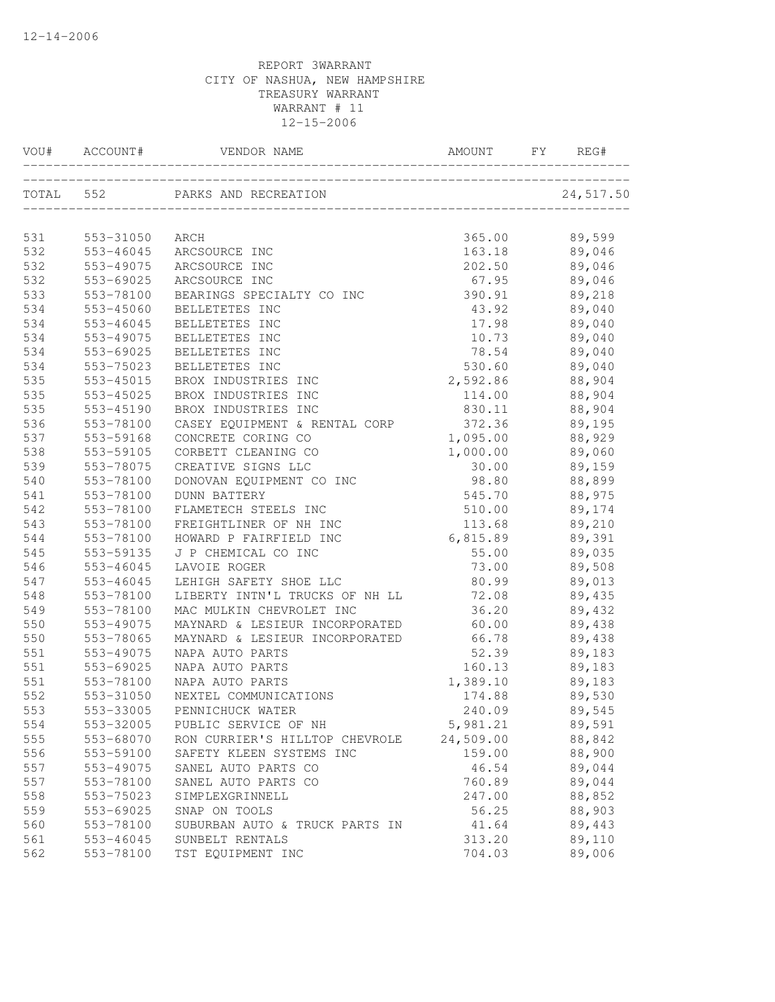|     | VOU# ACCOUNT# | VENDOR NAME                    | AMOUNT    | FY | REG#      |
|-----|---------------|--------------------------------|-----------|----|-----------|
|     | TOTAL 552     | PARKS AND RECREATION           |           |    | 24,517.50 |
|     |               |                                |           |    |           |
| 531 | 553-31050     | ARCH                           | 365.00    |    | 89,599    |
| 532 | 553-46045     | ARCSOURCE INC                  | 163.18    |    | 89,046    |
| 532 | 553-49075     | ARCSOURCE INC                  | 202.50    |    | 89,046    |
| 532 | 553-69025     | ARCSOURCE INC                  | 67.95     |    | 89,046    |
| 533 | 553-78100     | BEARINGS SPECIALTY CO INC      | 390.91    |    | 89,218    |
| 534 | 553-45060     | BELLETETES INC                 | 43.92     |    | 89,040    |
| 534 | 553-46045     | BELLETETES INC                 | 17.98     |    | 89,040    |
| 534 | 553-49075     | BELLETETES INC                 | 10.73     |    | 89,040    |
| 534 | 553-69025     | BELLETETES INC                 | 78.54     |    | 89,040    |
| 534 | 553-75023     | BELLETETES INC                 | 530.60    |    | 89,040    |
| 535 | 553-45015     | BROX INDUSTRIES INC            | 2,592.86  |    | 88,904    |
| 535 | 553-45025     | BROX INDUSTRIES INC            | 114.00    |    | 88,904    |
| 535 | 553-45190     | BROX INDUSTRIES INC            | 830.11    |    | 88,904    |
| 536 | 553-78100     | CASEY EQUIPMENT & RENTAL CORP  | 372.36    |    | 89,195    |
| 537 | 553-59168     | CONCRETE CORING CO             | 1,095.00  |    | 88,929    |
| 538 | 553-59105     | CORBETT CLEANING CO            | 1,000.00  |    | 89,060    |
| 539 | 553-78075     | CREATIVE SIGNS LLC             | 30.00     |    | 89,159    |
| 540 | 553-78100     | DONOVAN EQUIPMENT CO INC       | 98.80     |    | 88,899    |
| 541 | 553-78100     | <b>DUNN BATTERY</b>            | 545.70    |    | 88,975    |
| 542 | 553-78100     | FLAMETECH STEELS INC           | 510.00    |    | 89,174    |
| 543 | 553-78100     | FREIGHTLINER OF NH INC         | 113.68    |    | 89,210    |
| 544 | 553-78100     | HOWARD P FAIRFIELD INC         | 6,815.89  |    | 89,391    |
| 545 | 553-59135     | J P CHEMICAL CO INC            | 55.00     |    | 89,035    |
| 546 | 553-46045     | LAVOIE ROGER                   | 73.00     |    | 89,508    |
| 547 | 553-46045     | LEHIGH SAFETY SHOE LLC         | 80.99     |    | 89,013    |
| 548 | 553-78100     | LIBERTY INTN'L TRUCKS OF NH LL | 72.08     |    | 89,435    |
| 549 | 553-78100     | MAC MULKIN CHEVROLET INC       | 36.20     |    | 89,432    |
| 550 | 553-49075     | MAYNARD & LESIEUR INCORPORATED | 60.00     |    | 89,438    |
| 550 | 553-78065     | MAYNARD & LESIEUR INCORPORATED | 66.78     |    | 89,438    |
| 551 | 553-49075     | NAPA AUTO PARTS                | 52.39     |    | 89,183    |
| 551 | 553-69025     | NAPA AUTO PARTS                | 160.13    |    | 89,183    |
| 551 | 553-78100     | NAPA AUTO PARTS                | 1,389.10  |    | 89,183    |
| 552 | 553-31050     | NEXTEL COMMUNICATIONS          | 174.88    |    | 89,530    |
| 553 | 553-33005     | PENNICHUCK WATER               | 240.09    |    | 89,545    |
| 554 | 553-32005     | PUBLIC SERVICE OF NH           | 5,981.21  |    | 89,591    |
| 555 | 553-68070     | RON CURRIER'S HILLTOP CHEVROLE | 24,509.00 |    | 88,842    |
| 556 | 553-59100     | SAFETY KLEEN SYSTEMS INC       | 159.00    |    | 88,900    |
| 557 | 553-49075     | SANEL AUTO PARTS CO            | 46.54     |    | 89,044    |
| 557 | 553-78100     | SANEL AUTO PARTS CO            | 760.89    |    | 89,044    |
| 558 | 553-75023     | SIMPLEXGRINNELL                | 247.00    |    | 88,852    |
| 559 | 553-69025     | SNAP ON TOOLS                  | 56.25     |    | 88,903    |
| 560 | 553-78100     | SUBURBAN AUTO & TRUCK PARTS IN | 41.64     |    | 89,443    |
| 561 | 553-46045     | SUNBELT RENTALS                | 313.20    |    | 89,110    |
| 562 | 553-78100     | TST EQUIPMENT INC              | 704.03    |    | 89,006    |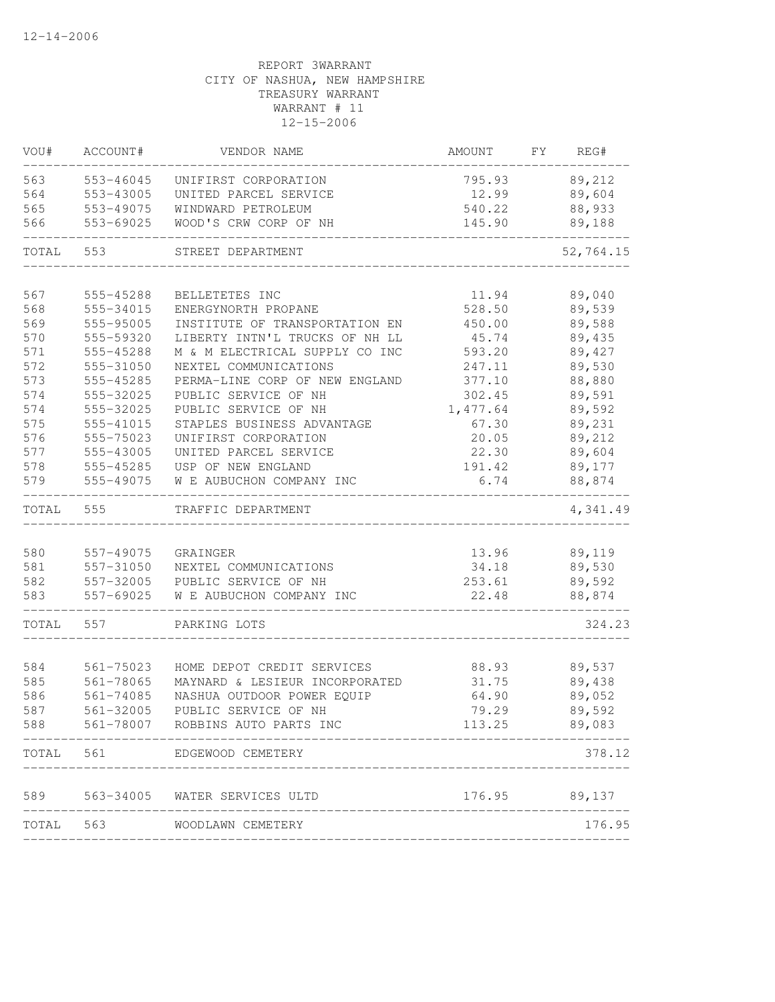| VOU#       | ACCOUNT#               | VENDOR NAME                                  | AMOUNT          | FY | REG#             |
|------------|------------------------|----------------------------------------------|-----------------|----|------------------|
| 563        | 553-46045              | UNIFIRST CORPORATION                         | 795.93          |    | 89,212           |
| 564        | 553-43005              | UNITED PARCEL SERVICE                        | 12.99           |    | 89,604           |
| 565        | 553-49075              | WINDWARD PETROLEUM                           | 540.22          |    | 88,933           |
| 566        | 553-69025              | WOOD'S CRW CORP OF NH                        | 145.90          |    | 89,188           |
| TOTAL      | 553                    | STREET DEPARTMENT                            |                 |    | 52,764.15        |
|            |                        |                                              |                 |    |                  |
| 567        | 555-45288              | BELLETETES INC                               | 11.94           |    | 89,040           |
| 568        | 555-34015              | ENERGYNORTH PROPANE                          | 528.50          |    | 89,539           |
| 569        | 555-95005              | INSTITUTE OF TRANSPORTATION EN               | 450.00          |    | 89,588           |
| 570        | 555-59320              | LIBERTY INTN'L TRUCKS OF NH LL               | 45.74           |    | 89,435           |
| 571        | 555-45288              | M & M ELECTRICAL SUPPLY CO INC               | 593.20          |    | 89,427           |
| 572        | 555-31050              | NEXTEL COMMUNICATIONS                        | 247.11          |    | 89,530           |
| 573        | 555-45285              | PERMA-LINE CORP OF NEW ENGLAND               | 377.10          |    | 88,880           |
| 574        | 555-32025              | PUBLIC SERVICE OF NH<br>PUBLIC SERVICE OF NH | 302.45          |    | 89,591<br>89,592 |
| 574<br>575 | 555-32025              |                                              | 1,477.64        |    | 89,231           |
|            | 555-41015              | STAPLES BUSINESS ADVANTAGE                   | 67.30           |    |                  |
| 576        | 555-75023              | UNIFIRST CORPORATION                         | 20.05           |    | 89,212           |
| 577<br>578 | 555-43005<br>555-45285 | UNITED PARCEL SERVICE<br>USP OF NEW ENGLAND  | 22.30           |    | 89,604<br>89,177 |
|            | 555-49075              |                                              | 191.42<br>6.74  |    |                  |
| 579        |                        | W E AUBUCHON COMPANY INC                     |                 |    | 88,874           |
| TOTAL      | 555                    | TRAFFIC DEPARTMENT                           |                 |    | 4,341.49         |
| 580        | 557-49075              |                                              | 13.96           |    | 89,119           |
| 581        | 557-31050              | GRAINGER<br>NEXTEL COMMUNICATIONS            | 34.18           |    | 89,530           |
| 582        | 557-32005              | PUBLIC SERVICE OF NH                         |                 |    | 89,592           |
| 583        | 557-69025              | W E AUBUCHON COMPANY INC                     | 253.61<br>22.48 |    | 88,874           |
| TOTAL      | 557                    | PARKING LOTS                                 |                 |    | 324.23           |
|            |                        |                                              |                 |    |                  |
| 584        | 561-75023              | HOME DEPOT CREDIT SERVICES                   | 88.93           |    | 89,537           |
| 585        | 561-78065              | MAYNARD & LESIEUR INCORPORATED               | 31.75           |    | 89,438           |
| 586        | 561-74085              | NASHUA OUTDOOR POWER EQUIP                   | 64.90           |    | 89,052           |
| 587        | 561-32005              | PUBLIC SERVICE OF NH                         | 79.29           |    | 89,592           |
| 588        |                        | 561-78007 ROBBINS AUTO PARTS INC             | 113.25          |    | 89,083           |
| TOTAL      | 561                    | EDGEWOOD CEMETERY                            |                 |    | 378.12           |
|            |                        | 589 563-34005 WATER SERVICES ULTD            |                 |    | 176.95 89,137    |
| TOTAL      |                        | 563 WOODLAWN CEMETERY                        |                 |    | 176.95           |
|            |                        |                                              |                 |    |                  |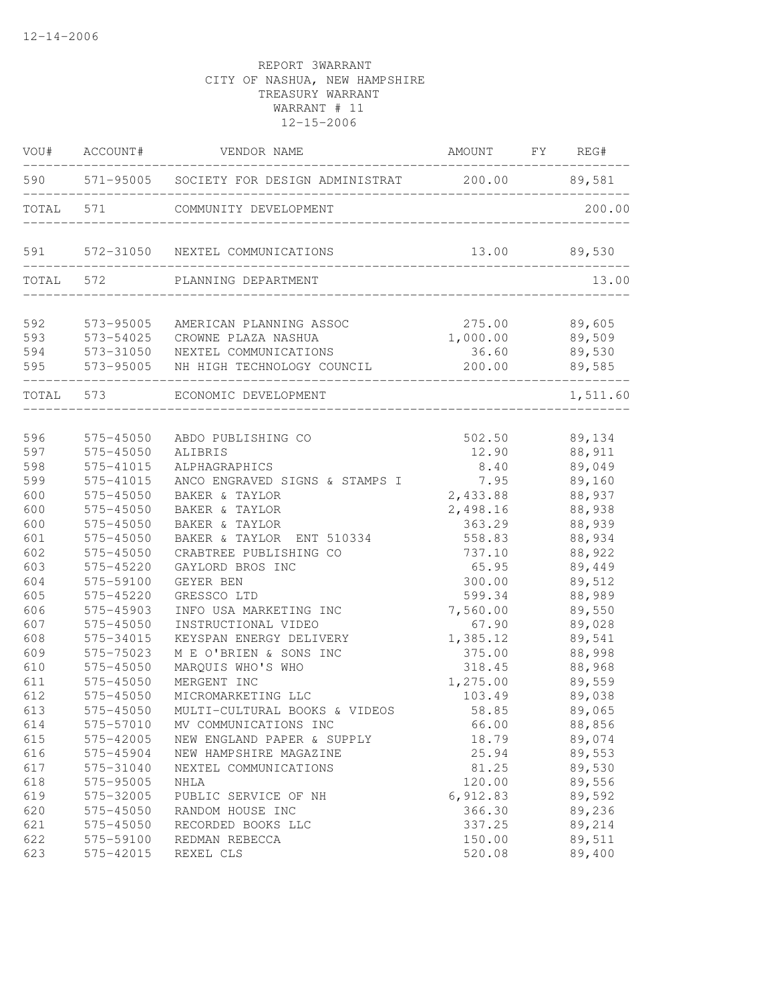| VOU#                     | ACCOUNT#                            | VENDOR NAME                                                                                                     | AMOUNT                                              | FY REG#          |
|--------------------------|-------------------------------------|-----------------------------------------------------------------------------------------------------------------|-----------------------------------------------------|------------------|
| 590                      |                                     | 571-95005 SOCIETY FOR DESIGN ADMINISTRAT 200.00 89,581                                                          |                                                     |                  |
| TOTAL 571                |                                     | COMMUNITY DEVELOPMENT                                                                                           |                                                     | 200.00           |
| 591                      |                                     | 572-31050 NEXTEL COMMUNICATIONS                                                                                 | 13.00                                               | 89,530           |
| TOTAL 572                |                                     | PLANNING DEPARTMENT                                                                                             |                                                     | 13.00            |
| 592<br>593<br>594<br>595 | 573-95005<br>573-54025<br>573-95005 | AMERICAN PLANNING ASSOC<br>CROWNE PLAZA NASHUA<br>573-31050 NEXTEL COMMUNICATIONS<br>NH HIGH TECHNOLOGY COUNCIL | 275.00<br>1,000.00 89,509<br>36.60 89,530<br>200.00 | 89,605<br>89,585 |
| TOTAL 573                |                                     | ECONOMIC DEVELOPMENT                                                                                            |                                                     | 1,511.60         |
| 596                      | 575-45050                           | ABDO PUBLISHING CO                                                                                              | 502.50                                              | 89,134           |
| 597                      | 575-45050                           | ALIBRIS                                                                                                         | 12.90                                               | 88,911           |
| 598                      | 575-41015                           | ALPHAGRAPHICS                                                                                                   | 8.40                                                | 89,049           |
| 599                      | 575-41015                           | ANCO ENGRAVED SIGNS & STAMPS I                                                                                  | 7.95                                                | 89,160           |
| 600                      | 575-45050                           | BAKER & TAYLOR                                                                                                  | 2,433.88                                            | 88,937           |
| 600                      | 575-45050                           | BAKER & TAYLOR                                                                                                  | 2,498.16                                            | 88,938           |
| 600                      | 575-45050                           | BAKER & TAYLOR                                                                                                  | 363.29                                              | 88,939           |
| 601                      | 575-45050                           | BAKER & TAYLOR ENT 510334                                                                                       | 558.83                                              | 88,934           |
| 602                      | 575-45050                           | CRABTREE PUBLISHING CO                                                                                          | 737.10                                              | 88,922           |
| 603                      | 575-45220                           | GAYLORD BROS INC                                                                                                | 65.95                                               | 89,449           |
| 604                      | 575-59100                           | GEYER BEN                                                                                                       | 300.00                                              | 89,512           |
| 605                      | 575-45220                           | GRESSCO LTD                                                                                                     | 599.34                                              | 88,989           |
| 606                      | 575-45903                           | INFO USA MARKETING INC                                                                                          | 7,560.00                                            | 89,550           |
| 607                      | 575-45050                           | INSTRUCTIONAL VIDEO                                                                                             | 67.90                                               | 89,028           |
| 608                      | 575-34015                           | KEYSPAN ENERGY DELIVERY                                                                                         | 1,385.12                                            | 89,541           |
| 609                      | 575-75023                           | M E O'BRIEN & SONS INC                                                                                          | 375.00                                              | 88,998           |
| 610                      | 575-45050                           | MARQUIS WHO'S WHO                                                                                               | 318.45                                              | 88,968           |
| 611                      | 575-45050                           | MERGENT INC                                                                                                     | 1,275.00                                            | 89,559           |
| 612                      | 575-45050                           | MICROMARKETING LLC                                                                                              | 103.49                                              | 89,038           |
| 613                      | 575-45050                           | MULTI-CULTURAL BOOKS & VIDEOS                                                                                   | 58.85                                               | 89,065           |
| 614                      | 575-57010                           | MV COMMUNICATIONS INC                                                                                           | 66.00                                               | 88,856           |
| 615                      | 575-42005                           | NEW ENGLAND PAPER & SUPPLY                                                                                      | 18.79                                               | 89,074           |
| 616                      | 575-45904                           | NEW HAMPSHIRE MAGAZINE                                                                                          | 25.94                                               | 89,553           |
| 617                      | 575-31040                           | NEXTEL COMMUNICATIONS                                                                                           | 81.25                                               | 89,530           |
| 618                      | 575-95005                           | NHLA                                                                                                            | 120.00                                              | 89,556           |
| 619                      | 575-32005                           | PUBLIC SERVICE OF NH                                                                                            | 6,912.83                                            | 89,592           |
| 620                      | 575-45050                           | RANDOM HOUSE INC                                                                                                | 366.30                                              | 89,236           |
| 621                      | 575-45050                           | RECORDED BOOKS LLC                                                                                              | 337.25                                              | 89,214           |
| 622                      | 575-59100                           | REDMAN REBECCA                                                                                                  | 150.00                                              | 89,511           |
| 623                      | 575-42015                           | REXEL CLS                                                                                                       | 520.08                                              | 89,400           |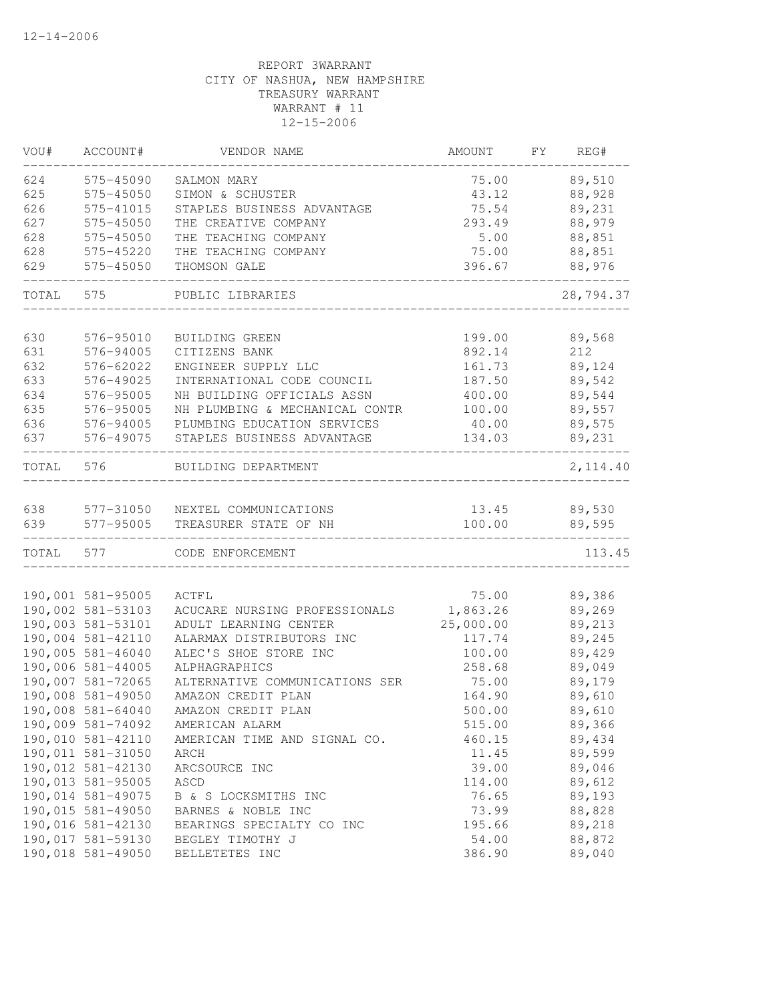| VOU#  | ACCOUNT#               | VENDOR NAME                                              | AMOUNT           | FY. | REG#      |
|-------|------------------------|----------------------------------------------------------|------------------|-----|-----------|
| 624   | 575-45090              | SALMON MARY                                              | 75.00            |     | 89,510    |
| 625   | 575-45050              | SIMON & SCHUSTER                                         | 43.12            |     | 88,928    |
| 626   | 575-41015              | STAPLES BUSINESS ADVANTAGE                               | 75.54            |     | 89,231    |
| 627   | 575-45050              | THE CREATIVE COMPANY                                     | 293.49           |     | 88,979    |
| 628   | 575-45050              | THE TEACHING COMPANY                                     | 5.00             |     | 88,851    |
| 628   | 575-45220              | THE TEACHING COMPANY                                     | 75.00            |     | 88,851    |
| 629   | 575-45050              | THOMSON GALE                                             | 396.67           |     | 88,976    |
| TOTAL | 575                    | PUBLIC LIBRARIES                                         |                  |     | 28,794.37 |
| 630   | 576-95010              | BUILDING GREEN                                           | 199.00           |     | 89,568    |
| 631   | 576-94005              | CITIZENS BANK                                            | 892.14           |     | 212       |
| 632   | 576-62022              | ENGINEER SUPPLY LLC                                      | 161.73           |     | 89,124    |
| 633   | 576-49025              |                                                          |                  |     | 89,542    |
| 634   | 576-95005              | INTERNATIONAL CODE COUNCIL<br>NH BUILDING OFFICIALS ASSN | 187.50<br>400.00 |     | 89,544    |
| 635   |                        |                                                          |                  |     | 89,557    |
|       | 576-95005              | NH PLUMBING & MECHANICAL CONTR                           | 100.00<br>40.00  |     |           |
| 636   | 576-94005<br>576-49075 | PLUMBING EDUCATION SERVICES                              |                  |     | 89,575    |
| 637   |                        | STAPLES BUSINESS ADVANTAGE                               | 134.03           |     | 89,231    |
| TOTAL | 576                    | BUILDING DEPARTMENT                                      |                  |     | 2, 114.40 |
| 638   | 577-31050              | NEXTEL COMMUNICATIONS                                    | 13.45            |     | 89,530    |
| 639   | 577-95005              | TREASURER STATE OF NH                                    | 100.00           |     | 89,595    |
| TOTAL | 577                    | CODE ENFORCEMENT                                         |                  |     | 113.45    |
|       |                        |                                                          |                  |     |           |
|       | 190,001 581-95005      | ACTFL                                                    | 75.00            |     | 89,386    |
|       | 190,002 581-53103      | ACUCARE NURSING PROFESSIONALS                            | 1,863.26         |     | 89,269    |
|       | 190,003 581-53101      | ADULT LEARNING CENTER                                    | 25,000.00        |     | 89,213    |
|       | 190,004 581-42110      | ALARMAX DISTRIBUTORS INC                                 | 117.74           |     | 89,245    |
|       | 190,005 581-46040      | ALEC'S SHOE STORE INC                                    | 100.00           |     | 89,429    |
|       | 190,006 581-44005      | ALPHAGRAPHICS                                            | 258.68           |     | 89,049    |
|       | 190,007 581-72065      | ALTERNATIVE COMMUNICATIONS SER                           | 75.00            |     | 89,179    |
|       | 190,008 581-49050      | AMAZON CREDIT PLAN                                       | 164.90           |     | 89,610    |
|       | 190,008 581-64040      | AMAZON CREDIT PLAN                                       | 500.00           |     | 89,610    |
|       | 190,009 581-74092      | AMERICAN ALARM                                           | 515.00           |     | 89,366    |
|       | 190,010 581-42110      | AMERICAN TIME AND SIGNAL CO.                             | 460.15           |     | 89,434    |
|       | 190,011 581-31050      | ARCH                                                     | 11.45            |     | 89,599    |
|       | 190,012 581-42130      | ARCSOURCE INC                                            | 39.00            |     | 89,046    |
|       | 190,013 581-95005      | ASCD                                                     | 114.00           |     | 89,612    |
|       | 190,014 581-49075      | B & S LOCKSMITHS INC                                     | 76.65            |     | 89,193    |
|       | 190,015 581-49050      | BARNES & NOBLE INC                                       | 73.99            |     | 88,828    |
|       | 190,016 581-42130      | BEARINGS SPECIALTY CO INC                                | 195.66           |     | 89,218    |
|       | 190,017 581-59130      | BEGLEY TIMOTHY J                                         | 54.00            |     | 88,872    |
|       | 190,018 581-49050      | BELLETETES INC                                           | 386.90           |     | 89,040    |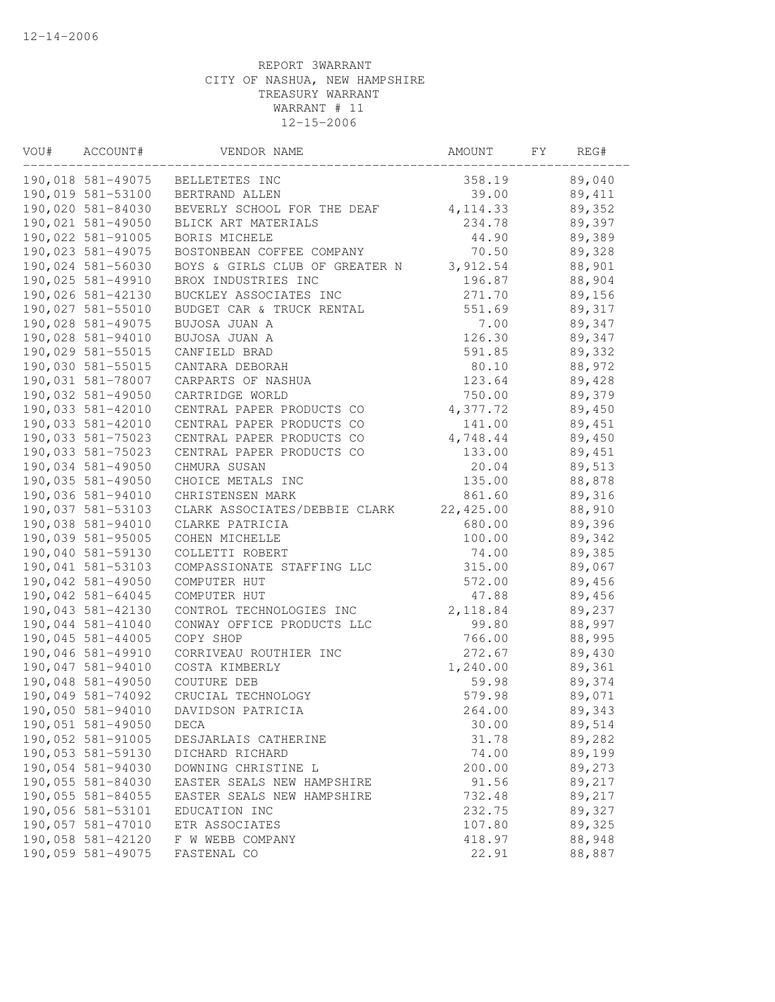| VOU# | ACCOUNT#          | VENDOR NAME                    | AMOUNT    | FΥ | REG#   |  |
|------|-------------------|--------------------------------|-----------|----|--------|--|
|      | 190,018 581-49075 | BELLETETES INC                 | 358.19    |    | 89,040 |  |
|      | 190,019 581-53100 | BERTRAND ALLEN                 | 39.00     |    | 89,411 |  |
|      | 190,020 581-84030 | BEVERLY SCHOOL FOR THE DEAF    | 4, 114.33 |    | 89,352 |  |
|      | 190,021 581-49050 | BLICK ART MATERIALS            | 234.78    |    | 89,397 |  |
|      | 190,022 581-91005 | BORIS MICHELE                  | 44.90     |    | 89,389 |  |
|      | 190,023 581-49075 | BOSTONBEAN COFFEE COMPANY      | 70.50     |    | 89,328 |  |
|      | 190,024 581-56030 | BOYS & GIRLS CLUB OF GREATER N | 3,912.54  |    | 88,901 |  |
|      | 190,025 581-49910 | BROX INDUSTRIES INC            | 196.87    |    | 88,904 |  |
|      | 190,026 581-42130 | BUCKLEY ASSOCIATES INC         | 271.70    |    | 89,156 |  |
|      | 190,027 581-55010 | BUDGET CAR & TRUCK RENTAL      | 551.69    |    | 89,317 |  |
|      | 190,028 581-49075 | BUJOSA JUAN A                  | 7.00      |    | 89,347 |  |
|      | 190,028 581-94010 | BUJOSA JUAN A                  | 126.30    |    | 89,347 |  |
|      | 190,029 581-55015 | CANFIELD BRAD                  | 591.85    |    | 89,332 |  |
|      | 190,030 581-55015 | CANTARA DEBORAH                | 80.10     |    | 88,972 |  |
|      | 190,031 581-78007 | CARPARTS OF NASHUA             | 123.64    |    | 89,428 |  |
|      | 190,032 581-49050 | CARTRIDGE WORLD                | 750.00    |    | 89,379 |  |
|      | 190,033 581-42010 | CENTRAL PAPER PRODUCTS CO      | 4,377.72  |    | 89,450 |  |
|      | 190,033 581-42010 | CENTRAL PAPER PRODUCTS CO      | 141.00    |    | 89,451 |  |
|      | 190,033 581-75023 | CENTRAL PAPER PRODUCTS CO      | 4,748.44  |    | 89,450 |  |
|      | 190,033 581-75023 | CENTRAL PAPER PRODUCTS CO      | 133.00    |    | 89,451 |  |
|      | 190,034 581-49050 | CHMURA SUSAN                   | 20.04     |    | 89,513 |  |
|      | 190,035 581-49050 | CHOICE METALS INC              | 135.00    |    | 88,878 |  |
|      | 190,036 581-94010 | CHRISTENSEN MARK               | 861.60    |    | 89,316 |  |
|      | 190,037 581-53103 | CLARK ASSOCIATES/DEBBIE CLARK  | 22,425.00 |    | 88,910 |  |
|      | 190,038 581-94010 | CLARKE PATRICIA                | 680.00    |    | 89,396 |  |
|      | 190,039 581-95005 | COHEN MICHELLE                 | 100.00    |    | 89,342 |  |
|      | 190,040 581-59130 | COLLETTI ROBERT                | 74.00     |    | 89,385 |  |
|      | 190,041 581-53103 | COMPASSIONATE STAFFING LLC     | 315.00    |    | 89,067 |  |
|      | 190,042 581-49050 | COMPUTER HUT                   | 572.00    |    | 89,456 |  |
|      | 190,042 581-64045 | COMPUTER HUT                   | 47.88     |    | 89,456 |  |
|      | 190,043 581-42130 | CONTROL TECHNOLOGIES INC       | 2,118.84  |    | 89,237 |  |
|      | 190,044 581-41040 | CONWAY OFFICE PRODUCTS LLC     | 99.80     |    | 88,997 |  |
|      | 190,045 581-44005 | COPY SHOP                      | 766.00    |    | 88,995 |  |
|      | 190,046 581-49910 | CORRIVEAU ROUTHIER INC         | 272.67    |    | 89,430 |  |
|      | 190,047 581-94010 | COSTA KIMBERLY                 | 1,240.00  |    | 89,361 |  |
|      | 190,048 581-49050 | COUTURE DEB                    | 59.98     |    | 89,374 |  |
|      | 190,049 581-74092 | CRUCIAL TECHNOLOGY             | 579.98    |    | 89,071 |  |
|      | 190,050 581-94010 | DAVIDSON PATRICIA              | 264.00    |    | 89,343 |  |
|      | 190,051 581-49050 | DECA                           | 30.00     |    | 89,514 |  |
|      | 190,052 581-91005 | DESJARLAIS CATHERINE           | 31.78     |    | 89,282 |  |
|      | 190,053 581-59130 | DICHARD RICHARD                | 74.00     |    | 89,199 |  |
|      | 190,054 581-94030 | DOWNING CHRISTINE L            | 200.00    |    | 89,273 |  |
|      | 190,055 581-84030 | EASTER SEALS NEW HAMPSHIRE     | 91.56     |    | 89,217 |  |
|      | 190,055 581-84055 | EASTER SEALS NEW HAMPSHIRE     | 732.48    |    | 89,217 |  |
|      | 190,056 581-53101 | EDUCATION INC                  | 232.75    |    | 89,327 |  |
|      | 190,057 581-47010 | ETR ASSOCIATES                 | 107.80    |    | 89,325 |  |
|      | 190,058 581-42120 | F W WEBB COMPANY               | 418.97    |    | 88,948 |  |
|      | 190,059 581-49075 | FASTENAL CO                    | 22.91     |    | 88,887 |  |
|      |                   |                                |           |    |        |  |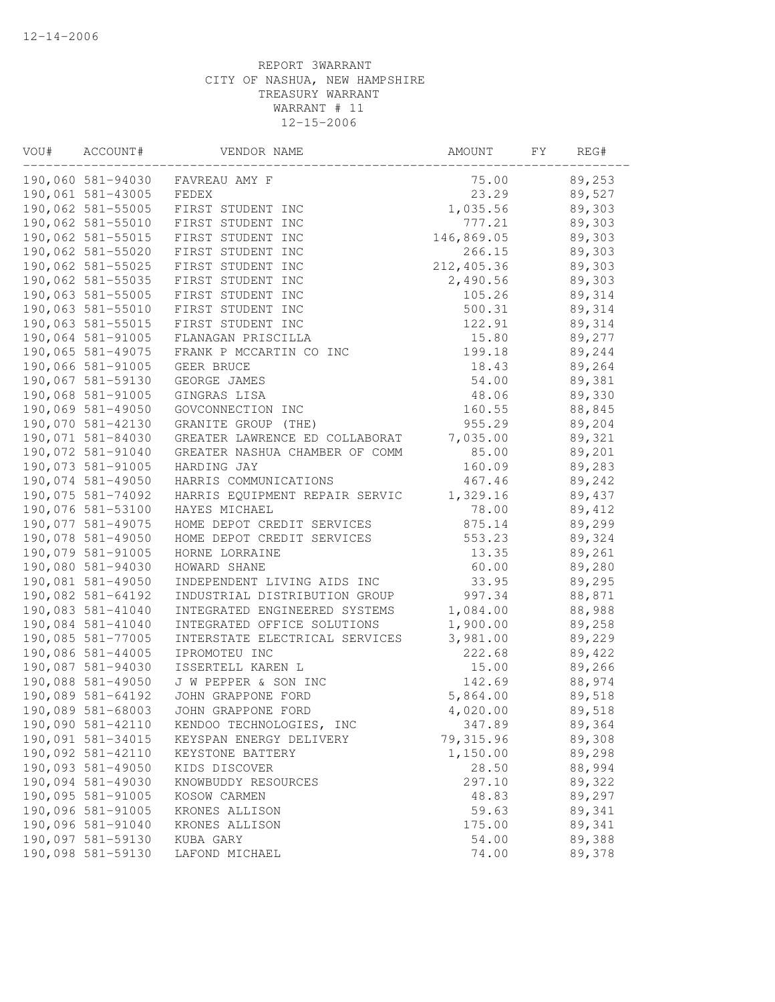| VOU# | ACCOUNT#          | VENDOR NAME                    | AMOUNT      | FY | REG#   |
|------|-------------------|--------------------------------|-------------|----|--------|
|      | 190,060 581-94030 | FAVREAU AMY F                  | 75.00       |    | 89,253 |
|      | 190,061 581-43005 | FEDEX                          | 23.29       |    | 89,527 |
|      | 190,062 581-55005 | FIRST STUDENT INC              | 1,035.56    |    | 89,303 |
|      | 190,062 581-55010 | FIRST STUDENT INC              | 777.21      |    | 89,303 |
|      | 190,062 581-55015 | FIRST STUDENT INC              | 146,869.05  |    | 89,303 |
|      | 190,062 581-55020 | FIRST STUDENT INC              | 266.15      |    | 89,303 |
|      | 190,062 581-55025 | FIRST STUDENT INC              | 212, 405.36 |    | 89,303 |
|      | 190,062 581-55035 | FIRST STUDENT INC              | 2,490.56    |    | 89,303 |
|      | 190,063 581-55005 | FIRST STUDENT INC              | 105.26      |    | 89,314 |
|      | 190,063 581-55010 | FIRST STUDENT INC              | 500.31      |    | 89,314 |
|      | 190,063 581-55015 | FIRST STUDENT INC              | 122.91      |    | 89,314 |
|      | 190,064 581-91005 | FLANAGAN PRISCILLA             | 15.80       |    | 89,277 |
|      | 190,065 581-49075 | FRANK P MCCARTIN CO INC        | 199.18      |    | 89,244 |
|      | 190,066 581-91005 | GEER BRUCE                     | 18.43       |    | 89,264 |
|      | 190,067 581-59130 | GEORGE JAMES                   | 54.00       |    | 89,381 |
|      | 190,068 581-91005 | GINGRAS LISA                   | 48.06       |    | 89,330 |
|      | 190,069 581-49050 | GOVCONNECTION INC              | 160.55      |    | 88,845 |
|      | 190,070 581-42130 | GRANITE GROUP (THE)            | 955.29      |    | 89,204 |
|      | 190,071 581-84030 | GREATER LAWRENCE ED COLLABORAT | 7,035.00    |    | 89,321 |
|      | 190,072 581-91040 | GREATER NASHUA CHAMBER OF COMM | 85.00       |    | 89,201 |
|      | 190,073 581-91005 | HARDING JAY                    | 160.09      |    | 89,283 |
|      | 190,074 581-49050 | HARRIS COMMUNICATIONS          | 467.46      |    | 89,242 |
|      | 190,075 581-74092 | HARRIS EQUIPMENT REPAIR SERVIC | 1,329.16    |    | 89,437 |
|      | 190,076 581-53100 | HAYES MICHAEL                  | 78.00       |    | 89,412 |
|      | 190,077 581-49075 | HOME DEPOT CREDIT SERVICES     | 875.14      |    | 89,299 |
|      | 190,078 581-49050 | HOME DEPOT CREDIT SERVICES     | 553.23      |    | 89,324 |
|      | 190,079 581-91005 | HORNE LORRAINE                 | 13.35       |    | 89,261 |
|      | 190,080 581-94030 | HOWARD SHANE                   | 60.00       |    | 89,280 |
|      | 190,081 581-49050 | INDEPENDENT LIVING AIDS INC    | 33.95       |    | 89,295 |
|      | 190,082 581-64192 | INDUSTRIAL DISTRIBUTION GROUP  | 997.34      |    | 88,871 |
|      | 190,083 581-41040 | INTEGRATED ENGINEERED SYSTEMS  | 1,084.00    |    | 88,988 |
|      | 190,084 581-41040 | INTEGRATED OFFICE SOLUTIONS    | 1,900.00    |    | 89,258 |
|      | 190,085 581-77005 | INTERSTATE ELECTRICAL SERVICES | 3,981.00    |    | 89,229 |
|      | 190,086 581-44005 | IPROMOTEU INC                  | 222.68      |    | 89,422 |
|      | 190,087 581-94030 | ISSERTELL KAREN L              | 15.00       |    | 89,266 |
|      | 190,088 581-49050 | J W PEPPER & SON INC           | 142.69      |    | 88,974 |
|      | 190,089 581-64192 | JOHN GRAPPONE FORD             | 5,864.00    |    | 89,518 |
|      | 190,089 581-68003 | JOHN GRAPPONE FORD             | 4,020.00    |    | 89,518 |
|      | 190,090 581-42110 | KENDOO TECHNOLOGIES, INC       | 347.89      |    | 89,364 |
|      | 190,091 581-34015 | KEYSPAN ENERGY DELIVERY        | 79, 315.96  |    | 89,308 |
|      | 190,092 581-42110 | KEYSTONE BATTERY               | 1,150.00    |    | 89,298 |
|      | 190,093 581-49050 | KIDS DISCOVER                  | 28.50       |    | 88,994 |
|      | 190,094 581-49030 | KNOWBUDDY RESOURCES            | 297.10      |    | 89,322 |
|      | 190,095 581-91005 | KOSOW CARMEN                   | 48.83       |    | 89,297 |
|      | 190,096 581-91005 | KRONES ALLISON                 | 59.63       |    | 89,341 |
|      | 190,096 581-91040 | KRONES ALLISON                 | 175.00      |    | 89,341 |
|      | 190,097 581-59130 | KUBA GARY                      | 54.00       |    | 89,388 |
|      | 190,098 581-59130 | LAFOND MICHAEL                 | 74.00       |    | 89,378 |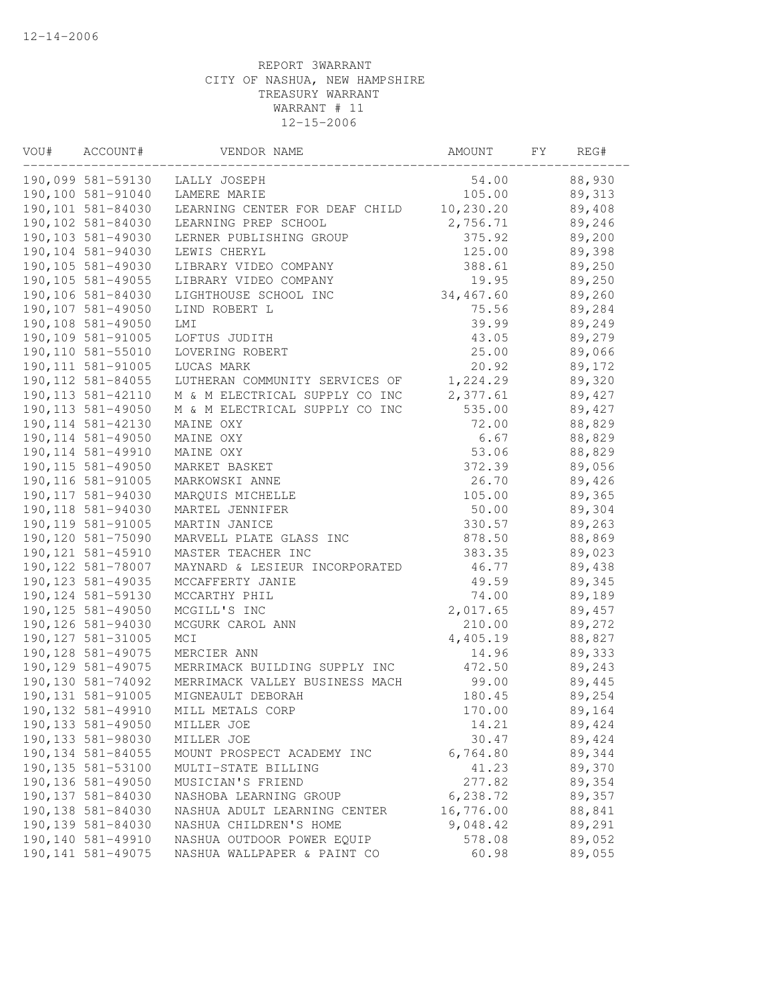| VOU# | ACCOUNT#           | VENDOR NAME                    | AMOUNT    | FΥ | REG#   |  |
|------|--------------------|--------------------------------|-----------|----|--------|--|
|      | 190,099 581-59130  | LALLY JOSEPH                   | 54.00     |    | 88,930 |  |
|      | 190,100 581-91040  | LAMERE MARIE                   | 105.00    |    | 89,313 |  |
|      | 190,101 581-84030  | LEARNING CENTER FOR DEAF CHILD | 10,230.20 |    | 89,408 |  |
|      | 190,102 581-84030  | LEARNING PREP SCHOOL           | 2,756.71  |    | 89,246 |  |
|      | 190,103 581-49030  | LERNER PUBLISHING GROUP        | 375.92    |    | 89,200 |  |
|      | 190,104 581-94030  | LEWIS CHERYL                   | 125.00    |    | 89,398 |  |
|      | 190,105 581-49030  | LIBRARY VIDEO COMPANY          | 388.61    |    | 89,250 |  |
|      | 190,105 581-49055  | LIBRARY VIDEO COMPANY          | 19.95     |    | 89,250 |  |
|      | 190,106 581-84030  | LIGHTHOUSE SCHOOL INC          | 34,467.60 |    | 89,260 |  |
|      | 190,107 581-49050  | LIND ROBERT L                  | 75.56     |    | 89,284 |  |
|      | 190,108 581-49050  | LMI                            | 39.99     |    | 89,249 |  |
|      | 190,109 581-91005  | LOFTUS JUDITH                  | 43.05     |    | 89,279 |  |
|      | 190,110 581-55010  | LOVERING ROBERT                | 25.00     |    | 89,066 |  |
|      | 190, 111 581-91005 | LUCAS MARK                     | 20.92     |    | 89,172 |  |
|      | 190, 112 581-84055 | LUTHERAN COMMUNITY SERVICES OF | 1,224.29  |    | 89,320 |  |
|      | 190, 113 581-42110 | M & M ELECTRICAL SUPPLY CO INC | 2,377.61  |    | 89,427 |  |
|      | 190, 113 581-49050 | M & M ELECTRICAL SUPPLY CO INC | 535.00    |    | 89,427 |  |
|      | 190, 114 581-42130 | MAINE OXY                      | 72.00     |    | 88,829 |  |
|      | 190, 114 581-49050 | MAINE OXY                      | 6.67      |    | 88,829 |  |
|      | 190, 114 581-49910 | MAINE OXY                      | 53.06     |    | 88,829 |  |
|      | 190, 115 581-49050 | MARKET BASKET                  | 372.39    |    | 89,056 |  |
|      | 190, 116 581-91005 | MARKOWSKI ANNE                 | 26.70     |    | 89,426 |  |
|      | 190, 117 581-94030 | MARQUIS MICHELLE               | 105.00    |    | 89,365 |  |
|      | 190, 118 581-94030 | MARTEL JENNIFER                | 50.00     |    | 89,304 |  |
|      | 190, 119 581-91005 | MARTIN JANICE                  | 330.57    |    | 89,263 |  |
|      | 190,120 581-75090  | MARVELL PLATE GLASS INC        | 878.50    |    | 88,869 |  |
|      | 190, 121 581-45910 | MASTER TEACHER INC             | 383.35    |    | 89,023 |  |
|      | 190, 122 581-78007 | MAYNARD & LESIEUR INCORPORATED | 46.77     |    | 89,438 |  |
|      | 190, 123 581-49035 | MCCAFFERTY JANIE               | 49.59     |    | 89,345 |  |
|      | 190, 124 581-59130 | MCCARTHY PHIL                  | 74.00     |    | 89,189 |  |
|      | 190, 125 581-49050 | MCGILL'S INC                   | 2,017.65  |    | 89,457 |  |
|      | 190, 126 581-94030 | MCGURK CAROL ANN               | 210.00    |    | 89,272 |  |
|      | 190, 127 581-31005 | MCI                            | 4,405.19  |    | 88,827 |  |
|      | 190, 128 581-49075 | MERCIER ANN                    | 14.96     |    | 89,333 |  |
|      | 190, 129 581-49075 | MERRIMACK BUILDING SUPPLY INC  | 472.50    |    | 89,243 |  |
|      | 190,130 581-74092  | MERRIMACK VALLEY BUSINESS MACH | 99.00     |    | 89,445 |  |
|      | 190, 131 581-91005 | MIGNEAULT DEBORAH              | 180.45    |    | 89,254 |  |
|      | 190, 132 581-49910 | MILL METALS CORP               | 170.00    |    | 89,164 |  |
|      | 190, 133 581-49050 | MILLER JOE                     | 14.21     |    | 89,424 |  |
|      | 190, 133 581-98030 | MILLER JOE                     | 30.47     |    | 89,424 |  |
|      | 190, 134 581-84055 | MOUNT PROSPECT ACADEMY INC     | 6,764.80  |    | 89,344 |  |
|      | 190, 135 581-53100 | MULTI-STATE BILLING            | 41.23     |    | 89,370 |  |
|      | 190, 136 581-49050 | MUSICIAN'S FRIEND              | 277.82    |    | 89,354 |  |
|      | 190, 137 581-84030 | NASHOBA LEARNING GROUP         | 6,238.72  |    | 89,357 |  |
|      | 190,138 581-84030  | NASHUA ADULT LEARNING CENTER   | 16,776.00 |    | 88,841 |  |
|      | 190,139 581-84030  | NASHUA CHILDREN'S HOME         | 9,048.42  |    | 89,291 |  |
|      | 190,140 581-49910  | NASHUA OUTDOOR POWER EQUIP     | 578.08    |    | 89,052 |  |
|      | 190, 141 581-49075 | NASHUA WALLPAPER & PAINT CO    | 60.98     |    | 89,055 |  |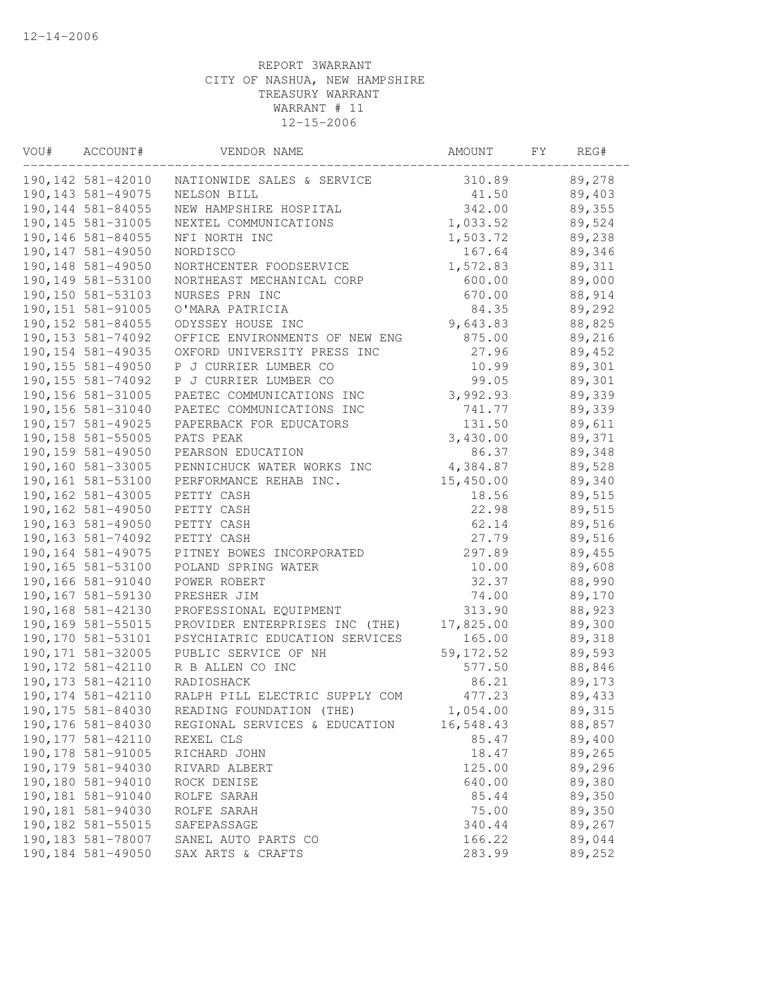| VOU# | ACCOUNT#           | VENDOR NAME                    | AMOUNT     | FΥ | REG#   |  |
|------|--------------------|--------------------------------|------------|----|--------|--|
|      | 190, 142 581-42010 | NATIONWIDE SALES & SERVICE     | 310.89     |    | 89,278 |  |
|      | 190, 143 581-49075 | NELSON BILL                    | 41.50      |    | 89,403 |  |
|      | 190, 144 581-84055 | NEW HAMPSHIRE HOSPITAL         | 342.00     |    | 89,355 |  |
|      | 190, 145 581-31005 | NEXTEL COMMUNICATIONS          | 1,033.52   |    | 89,524 |  |
|      | 190,146 581-84055  | NFI NORTH INC                  | 1,503.72   |    | 89,238 |  |
|      | 190, 147 581-49050 | NORDISCO                       | 167.64     |    | 89,346 |  |
|      | 190,148 581-49050  | NORTHCENTER FOODSERVICE        | 1,572.83   |    | 89,311 |  |
|      | 190,149 581-53100  | NORTHEAST MECHANICAL CORP      | 600.00     |    | 89,000 |  |
|      | 190,150 581-53103  | NURSES PRN INC                 | 670.00     |    | 88,914 |  |
|      | 190,151 581-91005  | O'MARA PATRICIA                | 84.35      |    | 89,292 |  |
|      | 190, 152 581-84055 | ODYSSEY HOUSE INC              | 9,643.83   |    | 88,825 |  |
|      | 190, 153 581-74092 | OFFICE ENVIRONMENTS OF NEW ENG | 875.00     |    | 89,216 |  |
|      | 190, 154 581-49035 | OXFORD UNIVERSITY PRESS INC    | 27.96      |    | 89,452 |  |
|      | 190, 155 581-49050 | P J CURRIER LUMBER CO          | 10.99      |    | 89,301 |  |
|      | 190, 155 581-74092 | P J CURRIER LUMBER CO          | 99.05      |    | 89,301 |  |
|      | 190,156 581-31005  | PAETEC COMMUNICATIONS INC      | 3,992.93   |    | 89,339 |  |
|      | 190,156 581-31040  | PAETEC COMMUNICATIONS INC      | 741.77     |    | 89,339 |  |
|      | 190, 157 581-49025 | PAPERBACK FOR EDUCATORS        | 131.50     |    | 89,611 |  |
|      | 190,158 581-55005  | PATS PEAK                      | 3,430.00   |    | 89,371 |  |
|      | 190, 159 581-49050 | PEARSON EDUCATION              | 86.37      |    | 89,348 |  |
|      | 190,160 581-33005  | PENNICHUCK WATER WORKS INC     | 4,384.87   |    | 89,528 |  |
|      | 190,161 581-53100  | PERFORMANCE REHAB INC.         | 15,450.00  |    | 89,340 |  |
|      | 190,162 581-43005  | PETTY CASH                     | 18.56      |    | 89,515 |  |
|      | 190,162 581-49050  | PETTY CASH                     | 22.98      |    | 89,515 |  |
|      | 190,163 581-49050  | PETTY CASH                     | 62.14      |    | 89,516 |  |
|      | 190, 163 581-74092 | PETTY CASH                     | 27.79      |    | 89,516 |  |
|      | 190,164 581-49075  | PITNEY BOWES INCORPORATED      | 297.89     |    | 89,455 |  |
|      | 190,165 581-53100  | POLAND SPRING WATER            | 10.00      |    | 89,608 |  |
|      | 190,166 581-91040  | POWER ROBERT                   | 32.37      |    | 88,990 |  |
|      | 190,167 581-59130  | PRESHER JIM                    | 74.00      |    | 89,170 |  |
|      | 190,168 581-42130  | PROFESSIONAL EQUIPMENT         | 313.90     |    | 88,923 |  |
|      | 190,169 581-55015  | PROVIDER ENTERPRISES INC (THE) | 17,825.00  |    | 89,300 |  |
|      | 190, 170 581-53101 | PSYCHIATRIC EDUCATION SERVICES | 165.00     |    | 89,318 |  |
|      | 190, 171 581-32005 | PUBLIC SERVICE OF NH           | 59, 172.52 |    | 89,593 |  |
|      | 190, 172 581-42110 | R B ALLEN CO INC               | 577.50     |    | 88,846 |  |
|      | 190, 173 581-42110 | RADIOSHACK                     | 86.21      |    | 89,173 |  |
|      | 190, 174 581-42110 | RALPH PILL ELECTRIC SUPPLY COM | 477.23     |    | 89,433 |  |
|      | 190, 175 581-84030 | READING FOUNDATION (THE)       | 1,054.00   |    | 89,315 |  |
|      | 190,176 581-84030  | REGIONAL SERVICES & EDUCATION  | 16,548.43  |    | 88,857 |  |
|      | 190, 177 581-42110 | REXEL CLS                      | 85.47      |    | 89,400 |  |
|      | 190, 178 581-91005 | RICHARD JOHN                   | 18.47      |    | 89,265 |  |
|      | 190,179 581-94030  | RIVARD ALBERT                  | 125.00     |    | 89,296 |  |
|      | 190,180 581-94010  | ROCK DENISE                    | 640.00     |    | 89,380 |  |
|      | 190,181 581-91040  | ROLFE SARAH                    | 85.44      |    | 89,350 |  |
|      | 190,181 581-94030  | ROLFE SARAH                    | 75.00      |    | 89,350 |  |
|      | 190,182 581-55015  | SAFEPASSAGE                    | 340.44     |    | 89,267 |  |
|      | 190,183 581-78007  | SANEL AUTO PARTS CO            | 166.22     |    | 89,044 |  |
|      | 190,184 581-49050  | SAX ARTS & CRAFTS              | 283.99     |    | 89,252 |  |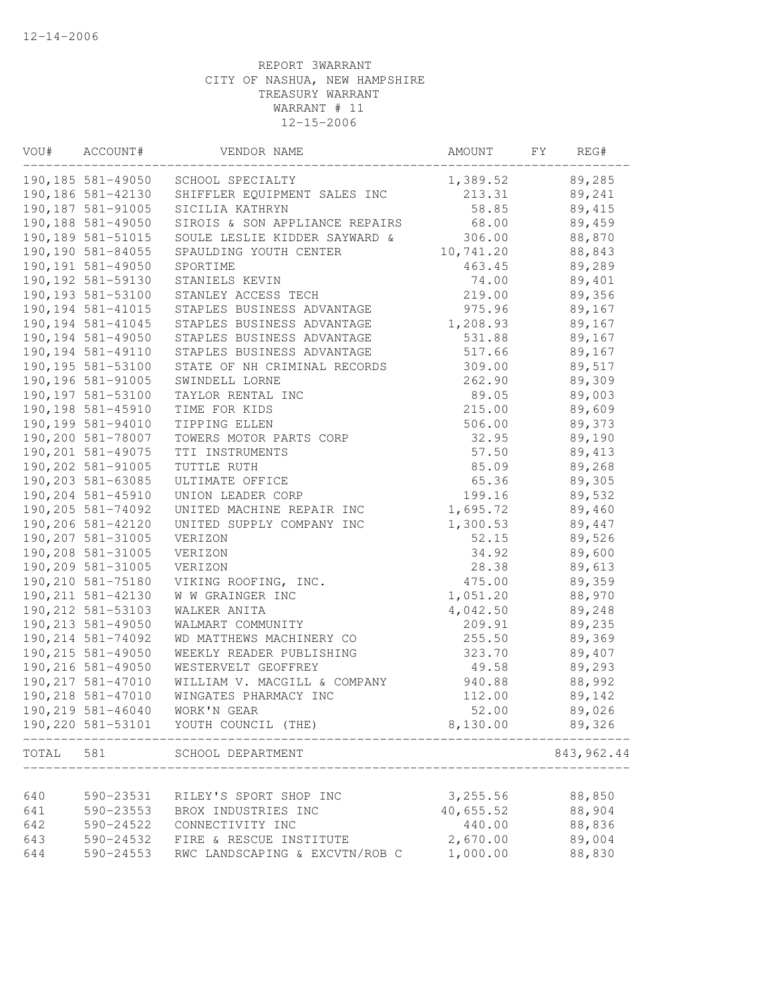| VOU#  | ACCOUNT#           | VENDOR NAME                           | AMOUNT    | FΥ | REG#        |
|-------|--------------------|---------------------------------------|-----------|----|-------------|
|       | 190,185 581-49050  | SCHOOL SPECIALTY                      | 1,389.52  |    | 89,285      |
|       | 190,186 581-42130  | SHIFFLER EQUIPMENT SALES INC          | 213.31    |    | 89,241      |
|       | 190,187 581-91005  | SICILIA KATHRYN                       | 58.85     |    | 89,415      |
|       | 190,188 581-49050  | SIROIS & SON APPLIANCE REPAIRS        | 68.00     |    | 89,459      |
|       | 190, 189 581-51015 | SOULE LESLIE KIDDER SAYWARD &         | 306.00    |    | 88,870      |
|       | 190,190 581-84055  | SPAULDING YOUTH CENTER                | 10,741.20 |    | 88,843      |
|       | 190, 191 581-49050 | SPORTIME                              | 463.45    |    | 89,289      |
|       | 190, 192 581-59130 | STANIELS KEVIN                        | 74.00     |    | 89,401      |
|       | 190,193 581-53100  | STANLEY ACCESS TECH                   | 219.00    |    | 89,356      |
|       | 190, 194 581-41015 | STAPLES BUSINESS ADVANTAGE            | 975.96    |    | 89,167      |
|       | 190, 194 581-41045 | STAPLES BUSINESS ADVANTAGE            | 1,208.93  |    | 89,167      |
|       | 190, 194 581-49050 | STAPLES BUSINESS ADVANTAGE            | 531.88    |    | 89,167      |
|       | 190, 194 581-49110 | STAPLES BUSINESS ADVANTAGE            | 517.66    |    | 89,167      |
|       | 190, 195 581-53100 | STATE OF NH CRIMINAL RECORDS          | 309.00    |    | 89,517      |
|       | 190,196 581-91005  | SWINDELL LORNE                        | 262.90    |    | 89,309      |
|       | 190,197 581-53100  | TAYLOR RENTAL INC                     | 89.05     |    | 89,003      |
|       | 190,198 581-45910  | TIME FOR KIDS                         | 215.00    |    | 89,609      |
|       | 190,199 581-94010  | TIPPING ELLEN                         | 506.00    |    | 89,373      |
|       | 190,200 581-78007  | TOWERS MOTOR PARTS CORP               | 32.95     |    | 89,190      |
|       | 190,201 581-49075  | TTI INSTRUMENTS                       | 57.50     |    | 89,413      |
|       | 190,202 581-91005  | TUTTLE RUTH                           | 85.09     |    | 89,268      |
|       | 190,203 581-63085  | ULTIMATE OFFICE                       | 65.36     |    | 89,305      |
|       | 190,204 581-45910  | UNION LEADER CORP                     | 199.16    |    | 89,532      |
|       | 190,205 581-74092  | UNITED MACHINE REPAIR INC             | 1,695.72  |    | 89,460      |
|       | 190,206 581-42120  | UNITED SUPPLY COMPANY INC             | 1,300.53  |    | 89,447      |
|       | 190,207 581-31005  | VERIZON                               | 52.15     |    | 89,526      |
|       | 190,208 581-31005  | VERIZON                               | 34.92     |    | 89,600      |
|       | 190,209 581-31005  | VERIZON                               | 28.38     |    | 89,613      |
|       | 190,210 581-75180  | VIKING ROOFING, INC.                  | 475.00    |    | 89,359      |
|       | 190, 211 581-42130 | W W GRAINGER INC                      | 1,051.20  |    | 88,970      |
|       | 190, 212 581-53103 | WALKER ANITA                          | 4,042.50  |    | 89,248      |
|       | 190, 213 581-49050 | WALMART COMMUNITY                     | 209.91    |    | 89,235      |
|       | 190, 214 581-74092 | WD MATTHEWS MACHINERY CO              | 255.50    |    | 89,369      |
|       | 190, 215 581-49050 | WEEKLY READER PUBLISHING              | 323.70    |    | 89,407      |
|       | 190,216 581-49050  | WESTERVELT GEOFFREY                   | 49.58     |    | 89,293      |
|       | 190, 217 581-47010 | WILLIAM V. MACGILL & COMPANY          | 940.88    |    | 88,992      |
|       | 190,218 581-47010  | WINGATES PHARMACY INC                 | 112.00    |    | 89,142      |
|       | 190,219 581-46040  | WORK'N GEAR                           | 52.00     |    | 89,026      |
|       |                    | 190,220 581-53101 YOUTH COUNCIL (THE) | 8,130.00  |    | 89,326      |
| TOTAL | 581                | SCHOOL DEPARTMENT                     |           |    | 843, 962.44 |
|       |                    |                                       |           |    |             |
| 640   | 590-23531          | RILEY'S SPORT SHOP INC                | 3, 255.56 |    | 88,850      |
| 641   | 590-23553          | BROX INDUSTRIES INC                   | 40,655.52 |    | 88,904      |
| 642   | 590-24522          | CONNECTIVITY INC                      | 440.00    |    | 88,836      |
| 643   |                    | 590-24532 FIRE & RESCUE INSTITUTE     | 2,670.00  |    | 89,004      |
| 644   | 590-24553          | RWC LANDSCAPING & EXCVTN/ROB C        | 1,000.00  |    | 88,830      |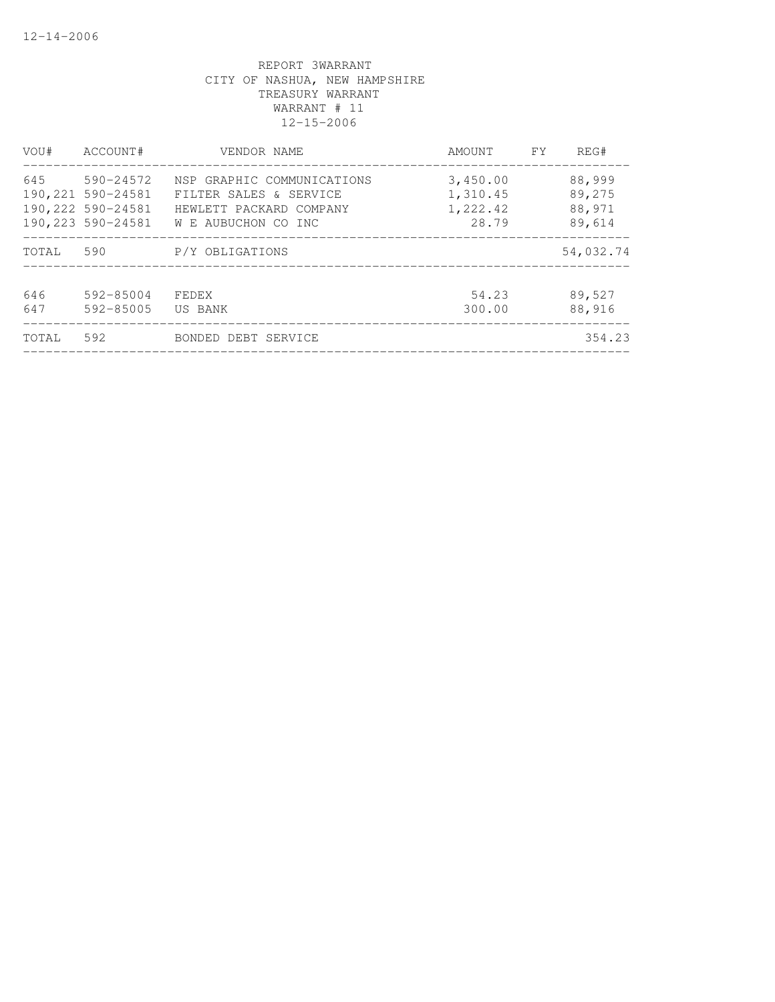| VOU#  | ACCOUNT#                               | VENDOR NAME                                       | AMOUNT               | <b>FY</b> | REG#             |
|-------|----------------------------------------|---------------------------------------------------|----------------------|-----------|------------------|
| 645   | 590-24572                              | NSP GRAPHIC COMMUNICATIONS                        | 3,450.00             |           | 88,999           |
|       | 190,221 590-24581<br>190,222 590-24581 | FILTER SALES & SERVICE<br>HEWLETT PACKARD COMPANY | 1,310.45<br>1,222.42 |           | 89,275<br>88,971 |
|       | 190,223 590-24581                      | W E AUBUCHON CO INC                               | 28.79                |           | 89,614           |
| TOTAL | 590                                    | P/Y OBLIGATIONS                                   |                      |           | 54,032.74        |
| 646   | 592-85004                              | FEDEX                                             | 54.23                |           | 89,527           |
| 647   | 592-85005                              | US BANK                                           | 300.00               |           | 88,916           |
| TOTAL | 592                                    | BONDED DEBT SERVICE                               |                      |           | 354.23           |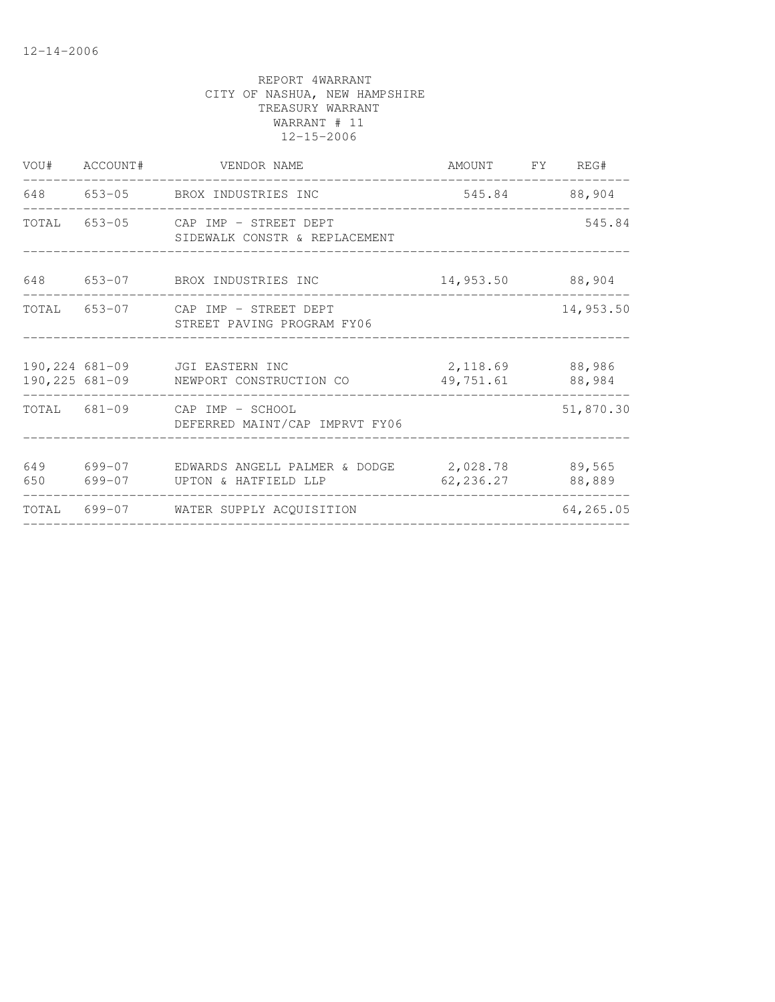|            | VOU# ACCOUNT# | VENDOR NAME                                                              | AMOUNT FY REG#<br>------------- |                  |
|------------|---------------|--------------------------------------------------------------------------|---------------------------------|------------------|
|            |               | 648 653-05 BROX INDUSTRIES INC                                           |                                 | 545.84 88,904    |
|            |               | TOTAL 653-05 CAP IMP - STREET DEPT<br>SIDEWALK CONSTR & REPLACEMENT      |                                 | 545.84           |
| 648        |               | 653-07 BROX INDUSTRIES INC                                               | 14,953.50 88,904                |                  |
|            |               | TOTAL 653-07 CAP IMP - STREET DEPT<br>STREET PAVING PROGRAM FY06         |                                 | 14,953.50        |
|            |               | 190,224 681-09 JGI EASTERN INC<br>190,225 681-09 NEWPORT CONSTRUCTION CO | 2,118.69 88,986<br>49,751.61    | 88,984           |
|            |               | TOTAL 681-09 CAP IMP - SCHOOL<br>DEFERRED MAINT/CAP IMPRVT FY06          |                                 | 51,870.30        |
| 649<br>650 |               | 699-07 UPTON & HATFIELD LLP                                              | 62,236.27                       | 89,565<br>88,889 |
|            |               | TOTAL 699-07 WATER SUPPLY ACQUISITION                                    |                                 | 64,265.05        |
|            |               |                                                                          |                                 |                  |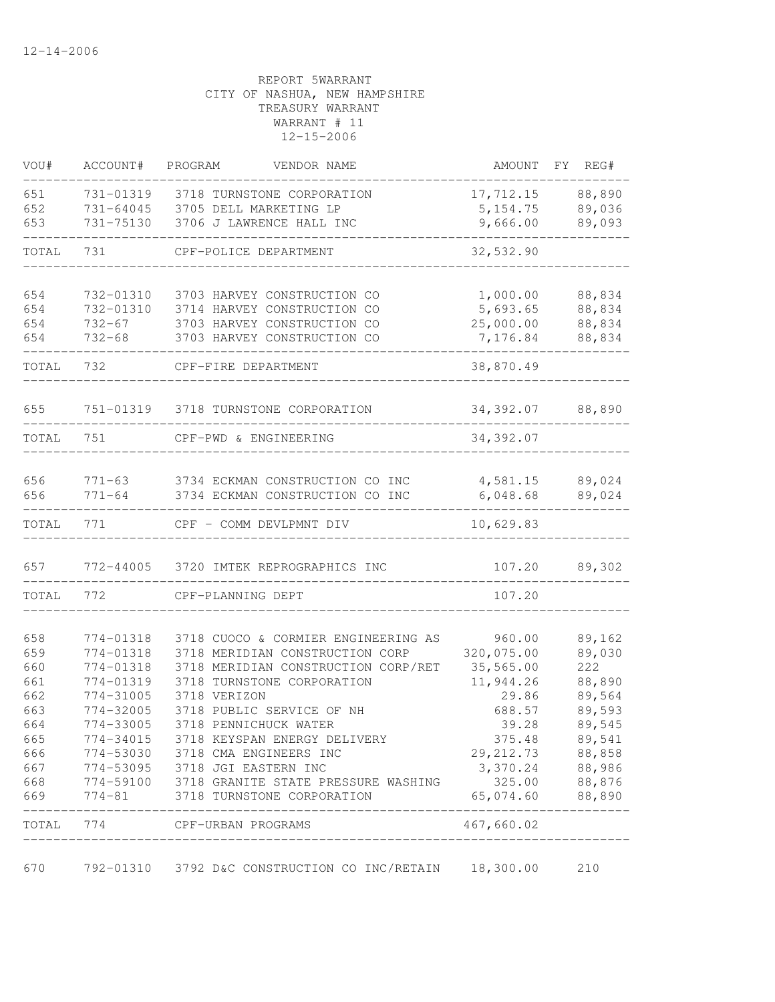| VOU#       | ACCOUNT#   | PROGRAM<br>VENDOR NAME                                                                                                            | AMOUNT                           | FY REG# |
|------------|------------|-----------------------------------------------------------------------------------------------------------------------------------|----------------------------------|---------|
| 651        | 731-01319  | 3718 TURNSTONE CORPORATION                                                                                                        | 17,712.15                        | 88,890  |
| 652        | 731-64045  | 3705 DELL MARKETING LP                                                                                                            | 5, 154.75                        | 89,036  |
| 653        | 731-75130  | 3706 J LAWRENCE HALL INC                                                                                                          | 9,666.00                         | 89,093  |
| TOTAL      | 731        | CPF-POLICE DEPARTMENT                                                                                                             | 32,532.90                        |         |
|            |            |                                                                                                                                   |                                  |         |
| 654        | 732-01310  | 3703 HARVEY CONSTRUCTION CO                                                                                                       | 1,000.00                         | 88,834  |
| 654        | 732-01310  | 3714 HARVEY CONSTRUCTION CO                                                                                                       | 5,693.65                         | 88,834  |
| 654        | $732 - 67$ | 3703 HARVEY CONSTRUCTION CO                                                                                                       | 25,000.00                        | 88,834  |
| 654        | $732 - 68$ | 3703 HARVEY CONSTRUCTION CO                                                                                                       | 7,176.84                         | 88,834  |
| TOTAL      | 732        | CPF-FIRE DEPARTMENT                                                                                                               | 38,870.49                        |         |
| 655        | 751-01319  | 3718 TURNSTONE CORPORATION                                                                                                        | 34,392.07                        | 88,890  |
|            |            |                                                                                                                                   |                                  |         |
| TOTAL      | 751        | CPF-PWD & ENGINEERING                                                                                                             | 34,392.07                        |         |
| 656        |            | 771-63 3734 ECKMAN CONSTRUCTION CO INC                                                                                            | 4,581.15                         | 89,024  |
| 656        | $771 - 64$ | 3734 ECKMAN CONSTRUCTION CO INC                                                                                                   | 6,048.68                         | 89,024  |
| TOTAL      | 771        | CPF - COMM DEVLPMNT DIV                                                                                                           | 10,629.83                        |         |
| 657        | 772-44005  | 3720 IMTEK REPROGRAPHICS INC                                                                                                      | 107.20                           | 89,302  |
| TOTAL      | 772        | CPF-PLANNING DEPT                                                                                                                 | 107.20                           |         |
|            |            |                                                                                                                                   |                                  |         |
| 658        | 774-01318  | 3718 CUOCO & CORMIER ENGINEERING AS                                                                                               | 960.00                           | 89,162  |
| 659        | 774-01318  | 3718 MERIDIAN CONSTRUCTION CORP                                                                                                   | 320,075.00                       | 89,030  |
| 660        | 774-01318  | 3718 MERIDIAN CONSTRUCTION CORP/RET                                                                                               | 35,565.00                        | 222     |
| 661        | 774-01319  | 3718 TURNSTONE CORPORATION                                                                                                        | 11,944.26                        | 88,890  |
| 662        | 774-31005  | 3718 VERIZON                                                                                                                      | 29.86                            | 89,564  |
| 663        | 774-32005  | 3718 PUBLIC SERVICE OF NH                                                                                                         | 688.57                           | 89,593  |
| 664        | 774-33005  | 3718 PENNICHUCK WATER                                                                                                             | 39.28                            | 89,545  |
| 665        |            | 774-34015 3718 KEYSPAN ENERGY DELIVERY                                                                                            | 375.48                           | 89,541  |
| 666        |            | 774-53030 3718 CMA ENGINEERS INC                                                                                                  | 29, 212.73 88, 858               |         |
| 667        |            | 774-53095 3718 JGI EASTERN INC                                                                                                    | 3,370.24 88,986<br>325.00 88,876 |         |
| 668<br>669 |            | 774-53095 3710 001 DIOLERT PRESSURE WASHING<br>774-59100 3718 GRANITE STATE PRESSURE WASHING<br>774-81 3718 TURNSTONE CORPORATION | 65,074.60 88,890                 |         |
| TOTAL      |            | 774 CPF-URBAN PROGRAMS                                                                                                            | 467,660.02                       |         |
|            |            | _________________________                                                                                                         |                                  |         |
| 670        |            | 792-01310 3792 D&C CONSTRUCTION CO INC/RETAIN 18,300.00                                                                           |                                  | 210     |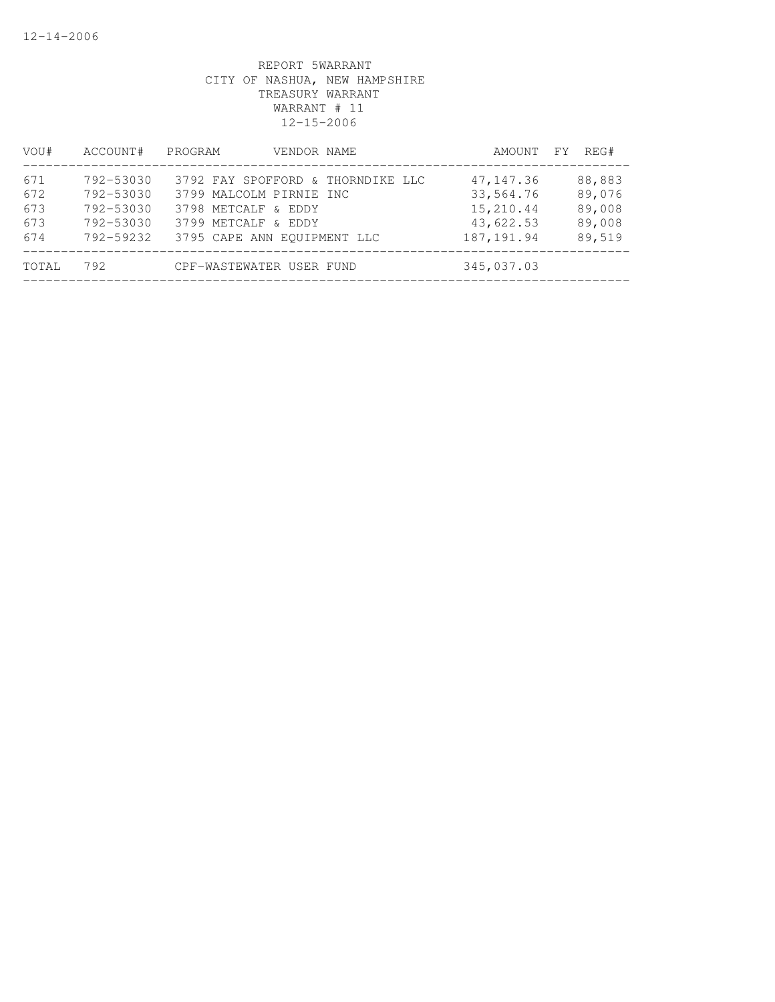| VOU#                            | ACCOUNT#                                                      | PROGRAM<br>VENDOR NAME                                                                                                                    | AMOUNT FY                                                        | REG#                                           |
|---------------------------------|---------------------------------------------------------------|-------------------------------------------------------------------------------------------------------------------------------------------|------------------------------------------------------------------|------------------------------------------------|
| 671<br>672<br>673<br>673<br>674 | 792-53030<br>792-53030<br>792-53030<br>792-53030<br>792-59232 | 3792 FAY SPOFFORD & THORNDIKE LLC<br>3799 MALCOLM PIRNIE INC<br>3798 METCALF & EDDY<br>3799 METCALF & EDDY<br>3795 CAPE ANN EOUIPMENT LLC | 47, 147.36<br>33,564.76<br>15,210.44<br>43,622.53<br>187, 191.94 | 88,883<br>89,076<br>89,008<br>89,008<br>89,519 |
| TOTAL                           | 792                                                           | CPF-WASTEWATER USER FUND                                                                                                                  | 345,037.03                                                       |                                                |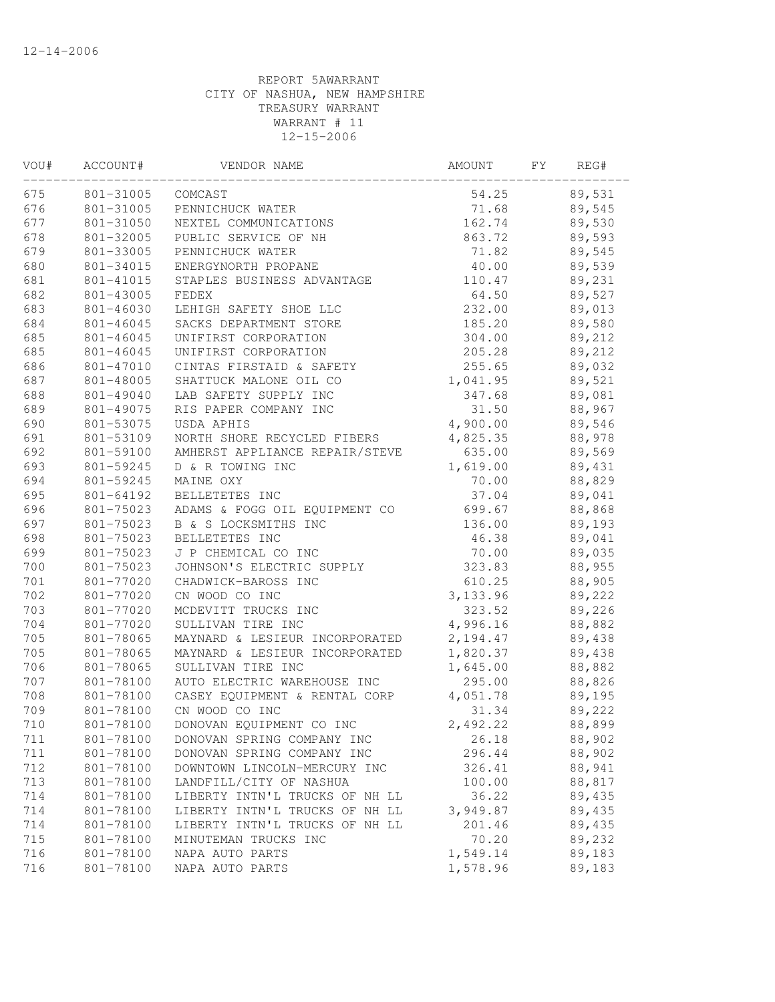| VOU# | ACCOUNT#  | VENDOR NAME                    | AMOUNT   | FΥ | REG#   |  |
|------|-----------|--------------------------------|----------|----|--------|--|
| 675  | 801-31005 | COMCAST                        | 54.25    |    | 89,531 |  |
| 676  | 801-31005 | PENNICHUCK WATER               | 71.68    |    | 89,545 |  |
| 677  | 801-31050 | NEXTEL COMMUNICATIONS          | 162.74   |    | 89,530 |  |
| 678  | 801-32005 | PUBLIC SERVICE OF NH           | 863.72   |    | 89,593 |  |
| 679  | 801-33005 | PENNICHUCK WATER               | 71.82    |    | 89,545 |  |
| 680  | 801-34015 | ENERGYNORTH PROPANE            | 40.00    |    | 89,539 |  |
| 681  | 801-41015 | STAPLES BUSINESS ADVANTAGE     | 110.47   |    | 89,231 |  |
| 682  | 801-43005 | FEDEX                          | 64.50    |    | 89,527 |  |
| 683  | 801-46030 | LEHIGH SAFETY SHOE LLC         | 232.00   |    | 89,013 |  |
| 684  | 801-46045 | SACKS DEPARTMENT STORE         | 185.20   |    | 89,580 |  |
| 685  | 801-46045 | UNIFIRST CORPORATION           | 304.00   |    | 89,212 |  |
| 685  | 801-46045 | UNIFIRST CORPORATION           | 205.28   |    | 89,212 |  |
| 686  | 801-47010 | CINTAS FIRSTAID & SAFETY       | 255.65   |    | 89,032 |  |
| 687  | 801-48005 | SHATTUCK MALONE OIL CO         | 1,041.95 |    | 89,521 |  |
| 688  | 801-49040 | LAB SAFETY SUPPLY INC          | 347.68   |    | 89,081 |  |
| 689  | 801-49075 | RIS PAPER COMPANY INC          | 31.50    |    | 88,967 |  |
| 690  | 801-53075 | USDA APHIS                     | 4,900.00 |    | 89,546 |  |
| 691  | 801-53109 | NORTH SHORE RECYCLED FIBERS    | 4,825.35 |    | 88,978 |  |
| 692  | 801-59100 | AMHERST APPLIANCE REPAIR/STEVE | 635.00   |    | 89,569 |  |
| 693  | 801-59245 | D & R TOWING INC               | 1,619.00 |    | 89,431 |  |
| 694  | 801-59245 | MAINE OXY                      | 70.00    |    | 88,829 |  |
| 695  | 801-64192 | BELLETETES INC                 | 37.04    |    | 89,041 |  |
| 696  | 801-75023 | ADAMS & FOGG OIL EQUIPMENT CO  | 699.67   |    | 88,868 |  |
| 697  | 801-75023 | B & S LOCKSMITHS INC           | 136.00   |    | 89,193 |  |
| 698  | 801-75023 | BELLETETES INC                 | 46.38    |    | 89,041 |  |
| 699  | 801-75023 | J P CHEMICAL CO INC            | 70.00    |    | 89,035 |  |
| 700  | 801-75023 | JOHNSON'S ELECTRIC SUPPLY      | 323.83   |    | 88,955 |  |
| 701  | 801-77020 | CHADWICK-BAROSS INC            | 610.25   |    | 88,905 |  |
| 702  | 801-77020 | CN WOOD CO INC                 | 3,133.96 |    | 89,222 |  |
| 703  | 801-77020 | MCDEVITT TRUCKS INC            | 323.52   |    | 89,226 |  |
| 704  | 801-77020 | SULLIVAN TIRE INC              | 4,996.16 |    | 88,882 |  |
| 705  | 801-78065 | MAYNARD & LESIEUR INCORPORATED | 2,194.47 |    | 89,438 |  |
| 705  | 801-78065 | MAYNARD & LESIEUR INCORPORATED | 1,820.37 |    | 89,438 |  |
| 706  | 801-78065 | SULLIVAN TIRE INC              | 1,645.00 |    | 88,882 |  |
| 707  | 801-78100 | AUTO ELECTRIC WAREHOUSE INC    | 295.00   |    | 88,826 |  |
| 708  | 801-78100 | CASEY EQUIPMENT & RENTAL CORP  | 4,051.78 |    | 89,195 |  |
| 709  | 801-78100 | CN WOOD CO INC                 | 31.34    |    | 89,222 |  |
| 710  | 801-78100 | DONOVAN EQUIPMENT CO INC       | 2,492.22 |    | 88,899 |  |
| 711  | 801-78100 | DONOVAN SPRING COMPANY INC     | 26.18    |    | 88,902 |  |
| 711  | 801-78100 | DONOVAN SPRING COMPANY INC     | 296.44   |    | 88,902 |  |
| 712  | 801-78100 | DOWNTOWN LINCOLN-MERCURY INC   | 326.41   |    | 88,941 |  |
| 713  | 801-78100 | LANDFILL/CITY OF NASHUA        | 100.00   |    | 88,817 |  |
| 714  | 801-78100 | LIBERTY INTN'L TRUCKS OF NH LL | 36.22    |    | 89,435 |  |
| 714  | 801-78100 | LIBERTY INTN'L TRUCKS OF NH LL | 3,949.87 |    | 89,435 |  |
| 714  | 801-78100 | LIBERTY INTN'L TRUCKS OF NH LL | 201.46   |    | 89,435 |  |
| 715  | 801-78100 | MINUTEMAN TRUCKS INC           | 70.20    |    | 89,232 |  |
| 716  | 801-78100 | NAPA AUTO PARTS                | 1,549.14 |    | 89,183 |  |
| 716  | 801-78100 | NAPA AUTO PARTS                | 1,578.96 |    | 89,183 |  |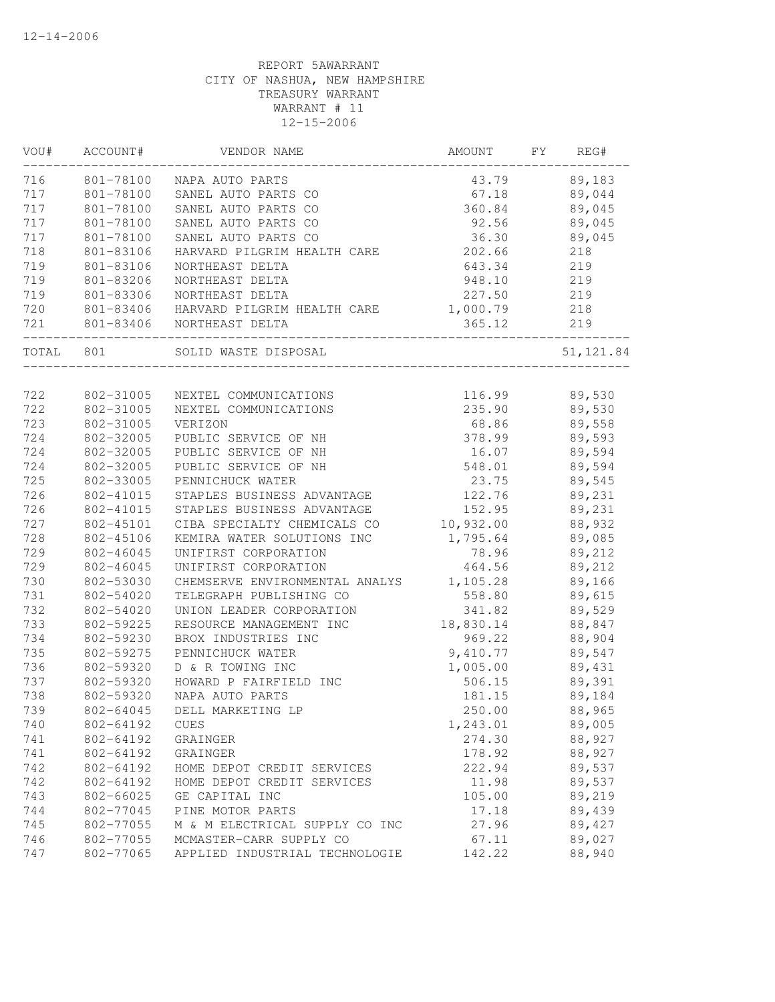| VOU#       | ACCOUNT#               | VENDOR NAME                                  | AMOUNT    | FY | REG#             |
|------------|------------------------|----------------------------------------------|-----------|----|------------------|
| 716        |                        | 801-78100 NAPA AUTO PARTS                    | 43.79     |    | 89,183           |
| 717        |                        | 801-78100 SANEL AUTO PARTS CO                | 67.18     |    | 89,044           |
| 717        | 801-78100              | SANEL AUTO PARTS CO                          | 360.84    |    | 89,045           |
| 717        | 801-78100              | SANEL AUTO PARTS CO                          | 92.56     |    | 89,045           |
| 717        | 801-78100              | SANEL AUTO PARTS CO                          | 36.30     |    | 89,045           |
| 718        | 801-83106              | HARVARD PILGRIM HEALTH CARE                  | 202.66    |    | 218              |
| 719        | 801-83106              | NORTHEAST DELTA                              | 643.34    |    | 219              |
| 719        | 801-83206              | NORTHEAST DELTA                              | 948.10    |    | 219              |
| 719        | 801-83306              | NORTHEAST DELTA                              | 227.50    |    | 219              |
| 720        |                        | 801-83406 HARVARD PILGRIM HEALTH CARE        | 1,000.79  |    | 218              |
| 721        |                        | 801-83406 NORTHEAST DELTA                    | 365.12    |    | 219              |
| TOTAL 801  |                        | SOLID WASTE DISPOSAL                         |           |    | 51, 121.84       |
| 722        |                        | 802-31005 NEXTEL COMMUNICATIONS              | 116.99    |    |                  |
| 722        | 802-31005              | NEXTEL COMMUNICATIONS                        | 235.90    |    | 89,530<br>89,530 |
| 723        | 802-31005              | VERIZON                                      | 68.86     |    | 89,558           |
|            |                        |                                              |           |    | 89,593           |
| 724<br>724 | 802-32005<br>802-32005 | PUBLIC SERVICE OF NH<br>PUBLIC SERVICE OF NH | 378.99    |    | 89,594           |
| 724        |                        |                                              | 16.07     |    |                  |
|            | 802-32005              | PUBLIC SERVICE OF NH                         | 548.01    |    | 89,594           |
| 725        | 802-33005              | PENNICHUCK WATER                             | 23.75     |    | 89,545           |
| 726        | 802-41015              | STAPLES BUSINESS ADVANTAGE                   | 122.76    |    | 89,231           |
| 726        | 802-41015              | STAPLES BUSINESS ADVANTAGE                   | 152.95    |    | 89,231           |
| 727        | 802-45101              | CIBA SPECIALTY CHEMICALS CO                  | 10,932.00 |    | 88,932           |
| 728        | 802-45106              | KEMIRA WATER SOLUTIONS INC                   | 1,795.64  |    | 89,085           |
| 729        | 802-46045              | UNIFIRST CORPORATION                         | 78.96     |    | 89,212           |
| 729        | 802-46045              | UNIFIRST CORPORATION                         | 464.56    |    | 89,212           |
| 730        | 802-53030              | CHEMSERVE ENVIRONMENTAL ANALYS 1,105.28      |           |    | 89,166           |
| 731        | 802-54020              | TELEGRAPH PUBLISHING CO                      | 558.80    |    | 89,615           |
| 732        | 802-54020              | UNION LEADER CORPORATION                     | 341.82    |    | 89,529           |
| 733        | 802-59225              | RESOURCE MANAGEMENT INC                      | 18,830.14 |    | 88,847           |
| 734        | 802-59230              | BROX INDUSTRIES INC                          | 969.22    |    | 88,904           |
| 735        | 802-59275              | PENNICHUCK WATER                             | 9,410.77  |    | 89,547           |
| 736        | 802-59320              | D & R TOWING INC                             | 1,005.00  |    | 89,431           |
| 737        | 802-59320              | HOWARD P FAIRFIELD INC                       | 506.15    |    | 89,391           |
| 738        | 802-59320              | NAPA AUTO PARTS                              | 181.15    |    | 89,184           |
| 739        | 802-64045              | DELL MARKETING LP                            | 250.00    |    | 88,965           |
| 740        | 802-64192              | <b>CUES</b>                                  | 1,243.01  |    | 89,005           |
| 741        | 802-64192              | GRAINGER                                     | 274.30    |    | 88,927           |
| 741        | 802-64192              | GRAINGER                                     | 178.92    |    | 88,927           |
| 742        | 802-64192              | HOME DEPOT CREDIT SERVICES                   | 222.94    |    | 89,537           |
| 742        | 802-64192              | HOME DEPOT CREDIT SERVICES                   | 11.98     |    | 89,537           |
| 743        | 802-66025              | GE CAPITAL INC                               | 105.00    |    | 89,219           |
| 744        | 802-77045              | PINE MOTOR PARTS                             | 17.18     |    | 89,439           |
| 745        | 802-77055              | M & M ELECTRICAL SUPPLY CO INC               | 27.96     |    | 89,427           |
| 746        | 802-77055              | MCMASTER-CARR SUPPLY CO                      | 67.11     |    | 89,027           |
| 747        | 802-77065              | APPLIED INDUSTRIAL TECHNOLOGIE               | 142.22    |    | 88,940           |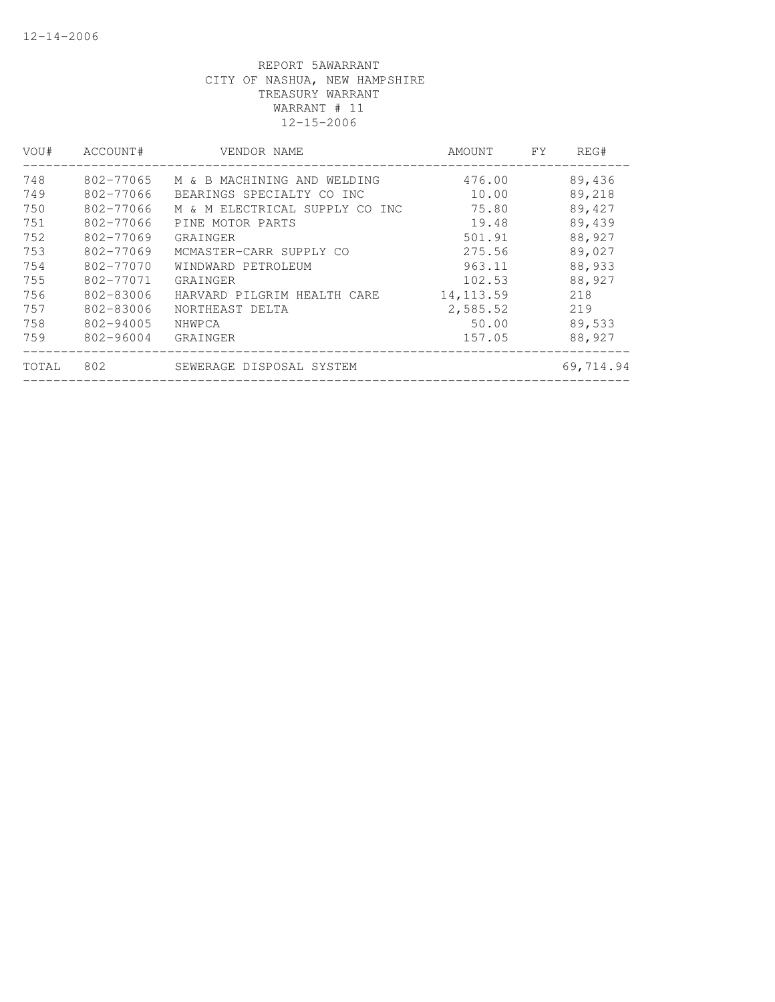| VOU#  | ACCOUNT#  | VENDOR NAME                    | AMOUNT     | <b>FY</b> | REG#      |
|-------|-----------|--------------------------------|------------|-----------|-----------|
| 748   | 802-77065 | M & B MACHINING AND WELDING    | 476.00     |           | 89,436    |
| 749   | 802-77066 | BEARINGS SPECIALTY CO INC      | 10.00      |           | 89,218    |
| 750   | 802-77066 | M & M ELECTRICAL SUPPLY CO INC | 75.80      |           | 89,427    |
| 751   | 802-77066 | PINE MOTOR PARTS               | 19.48      |           | 89,439    |
| 752   | 802-77069 | GRAINGER                       | 501.91     |           | 88,927    |
| 753   | 802-77069 | MCMASTER-CARR SUPPLY CO        | 275.56     |           | 89,027    |
| 754   | 802-77070 | WINDWARD PETROLEUM             | 963.11     |           | 88,933    |
| 755   | 802-77071 | GRAINGER                       | 102.53     |           | 88,927    |
| 756   | 802-83006 | HARVARD PILGRIM HEALTH CARE    | 14, 113.59 |           | 218       |
| 757   | 802-83006 | NORTHEAST DELTA                | 2,585.52   |           | 219       |
| 758   | 802-94005 | NHWPCA                         | 50.00      |           | 89,533    |
| 759   | 802-96004 | GRAINGER                       | 157.05     |           | 88,927    |
| TOTAL | 802       | SEWERAGE DISPOSAL SYSTEM       |            |           | 69,714.94 |
|       |           |                                |            |           |           |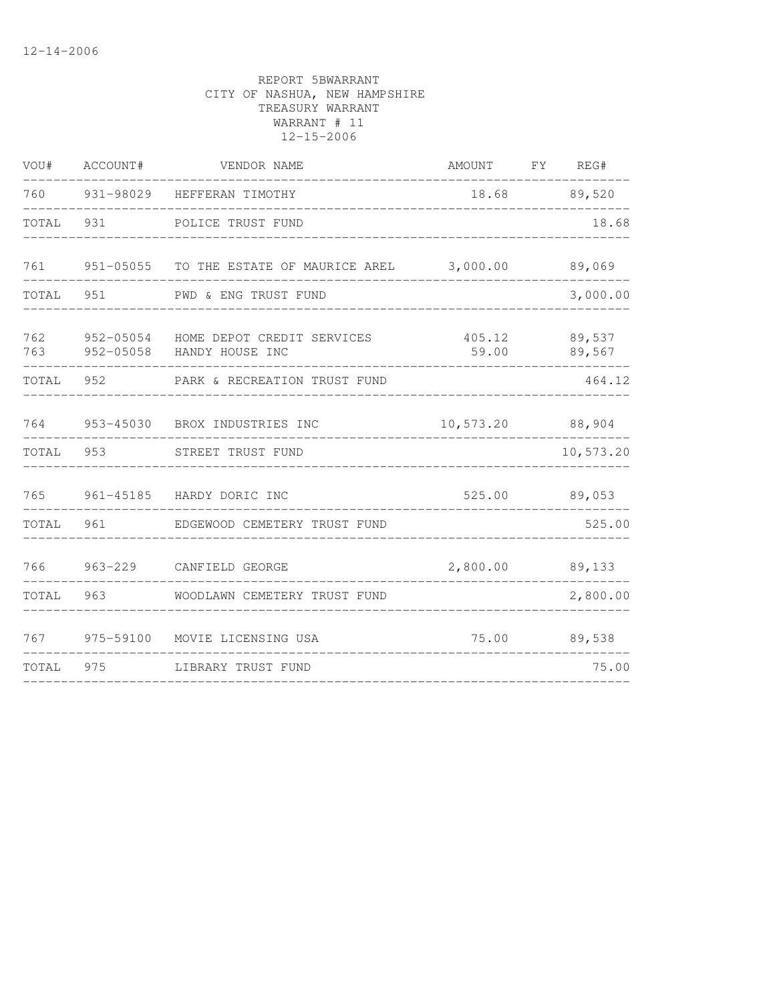| VOU#       | ACCOUNT# | VENDOR NAME                                                       | AMOUNT FY REG#   |                  |
|------------|----------|-------------------------------------------------------------------|------------------|------------------|
|            |          | 760 931-98029 HEFFERAN TIMOTHY                                    |                  | 18.68 89,520     |
| TOTAL      | 931      | POLICE TRUST FUND                                                 |                  | 18.68            |
|            |          | 761 951-05055 TO THE ESTATE OF MAURICE AREL 3,000.00 89,069       |                  |                  |
| TOTAL 951  |          | PWD & ENG TRUST FUND                                              |                  | 3,000.00         |
| 762<br>763 |          | 952-05054 HOME DEPOT CREDIT SERVICES<br>952-05058 HANDY HOUSE INC | 405.12<br>59.00  | 89,537<br>89,567 |
| TOTAL      | 952      | PARK & RECREATION TRUST FUND                                      |                  | 464.12           |
| 764        |          | 953-45030 BROX INDUSTRIES INC                                     | 10,573.20 88,904 |                  |
|            |          | TOTAL 953 STREET TRUST FUND                                       |                  | 10,573.20        |
| 765        |          | 961-45185 HARDY DORIC INC                                         |                  | 525.00 89,053    |
| TOTAL      | 961      | EDGEWOOD CEMETERY TRUST FUND                                      |                  | 525.00           |
| 766        |          | 963-229 CANFIELD GEORGE                                           | 2,800.00         | 89,133           |
| TOTAL      | 963      | WOODLAWN CEMETERY TRUST FUND                                      |                  | 2,800.00         |
|            |          | 767 975-59100 MOVIE LICENSING USA                                 | 75.00            | 89,538           |
| TOTAL      | 975      | LIBRARY TRUST FUND                                                |                  | 75.00            |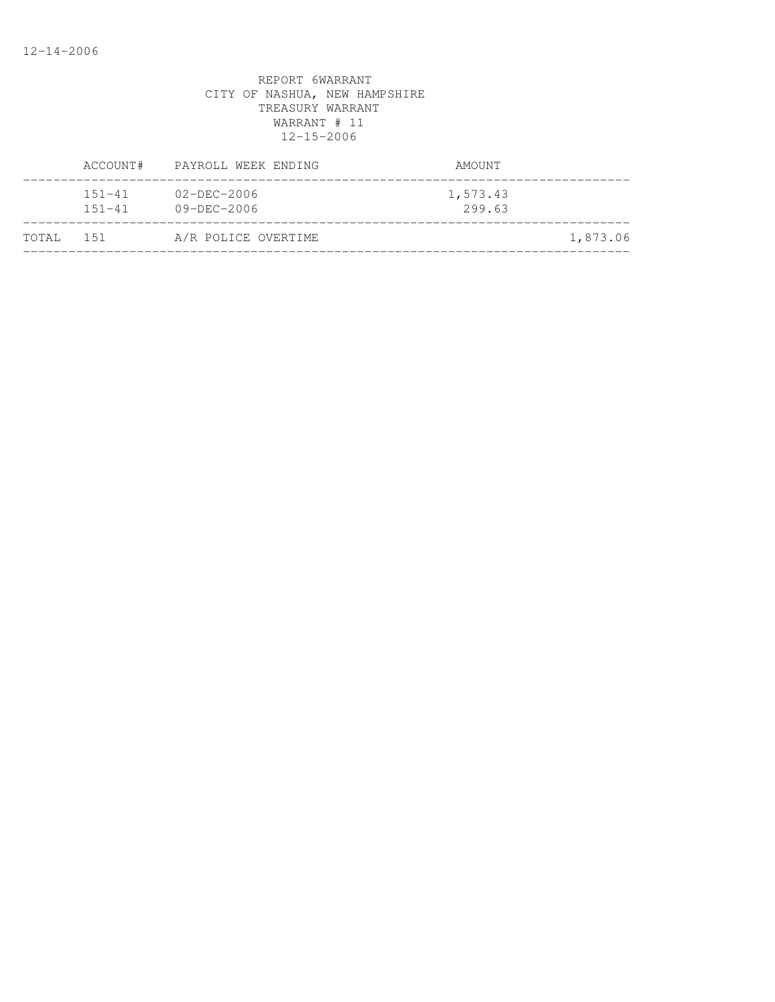|           |                          | ACCOUNT# PAYROLL WEEK ENDING           | AMOUNT             |  |
|-----------|--------------------------|----------------------------------------|--------------------|--|
|           | $151 - 41$<br>$151 - 41$ | $02 - DEC - 2006$<br>$09 - DEC - 2006$ | 1,573.43<br>299.63 |  |
| TOTAL 151 |                          | A/R POLICE OVERTIME                    | 1,873.06           |  |
|           |                          |                                        |                    |  |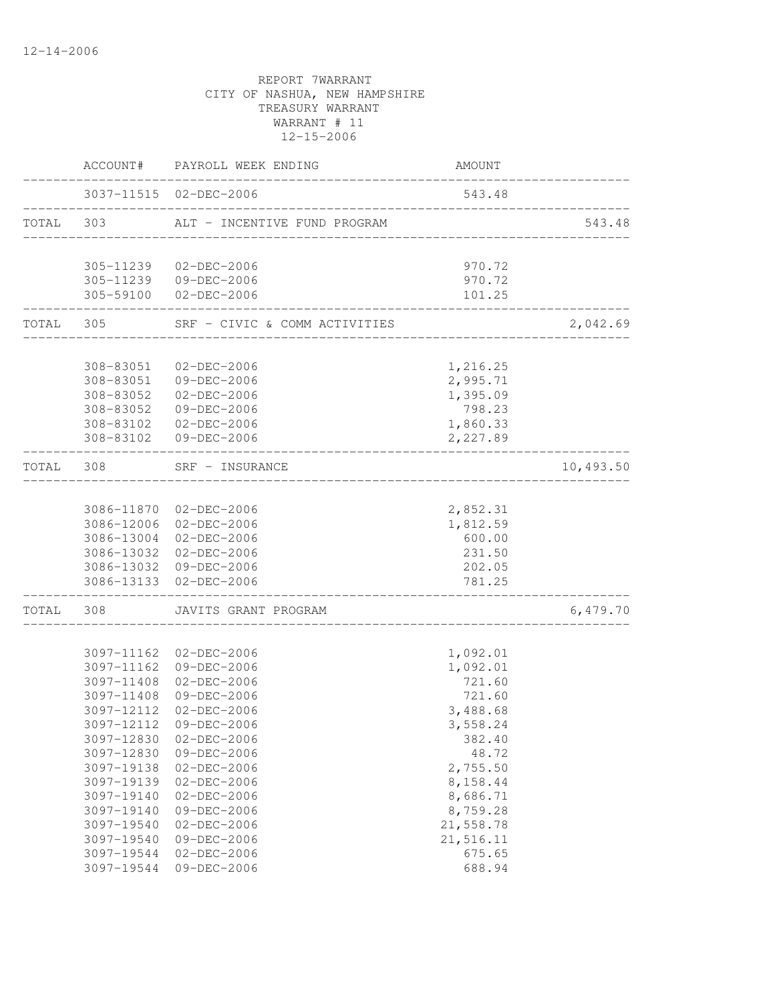|           |                        | ACCOUNT# PAYROLL WEEK ENDING                     | AMOUNT             |           |
|-----------|------------------------|--------------------------------------------------|--------------------|-----------|
|           |                        | 3037-11515 02-DEC-2006                           | 543.48             |           |
| TOTAL 303 |                        | ALT - INCENTIVE FUND PROGRAM                     |                    | 543.48    |
|           |                        | 305-11239 02-DEC-2006                            | 970.72             |           |
|           |                        | 305-11239 09-DEC-2006                            | 970.72             |           |
|           |                        | 305-59100 02-DEC-2006                            | 101.25             |           |
| TOTAL 305 |                        | SRF - CIVIC & COMM ACTIVITIES                    |                    | 2,042.69  |
|           |                        |                                                  |                    |           |
|           | 308-83051              | 02-DEC-2006                                      | 1,216.25           |           |
|           |                        | 308-83051 09-DEC-2006                            | 2,995.71           |           |
|           | 308-83052<br>308-83052 | 02-DEC-2006                                      | 1,395.09           |           |
|           |                        | 09-DEC-2006<br>308-83102  02-DEC-2006            | 798.23<br>1,860.33 |           |
|           |                        | 308-83102 09-DEC-2006                            | 2,227.89           |           |
| TOTAL 308 |                        | SRF - INSURANCE                                  |                    | 10,493.50 |
|           |                        |                                                  |                    |           |
|           |                        | 3086-11870 02-DEC-2006                           | 2,852.31           |           |
|           |                        | 3086-12006 02-DEC-2006                           | 1,812.59           |           |
|           |                        | 3086-13004 02-DEC-2006                           | 600.00             |           |
|           |                        | 3086-13032 02-DEC-2006                           | 231.50             |           |
|           |                        | 3086-13032 09-DEC-2006<br>3086-13133 02-DEC-2006 | 202.05<br>781.25   |           |
|           |                        |                                                  |                    |           |
| TOTAL     | 308                    | JAVITS GRANT PROGRAM                             |                    | 6,479.70  |
|           |                        | 3097-11162 02-DEC-2006                           | 1,092.01           |           |
|           |                        | 3097-11162 09-DEC-2006                           | 1,092.01           |           |
|           |                        | 3097-11408 02-DEC-2006                           | 721.60             |           |
|           | 3097-11408             | 09-DEC-2006                                      | 721.60             |           |
|           | 3097-12112             | $02 - DEC - 2006$                                | 3,488.68           |           |
|           |                        | 3097-12112 09-DEC-2006                           | 3,558.24           |           |
|           | 3097-12830             | $02 - DEC - 2006$                                | 382.40             |           |
|           | 3097-12830             | 09-DEC-2006                                      | 48.72              |           |
|           | 3097-19138             | $02 - DEC - 2006$                                | 2,755.50           |           |
|           | 3097-19139             | $02 - DEC - 2006$                                | 8,158.44           |           |
|           | 3097-19140             | $02 - DEC - 2006$                                | 8,686.71           |           |
|           | 3097-19140             | 09-DEC-2006                                      | 8,759.28           |           |
|           | 3097-19540             | $02 - DEC - 2006$                                | 21,558.78          |           |
|           | 3097-19540             | 09-DEC-2006                                      | 21,516.11          |           |
|           | 3097-19544             | $02 - DEC - 2006$                                | 675.65             |           |
|           | 3097-19544             | 09-DEC-2006                                      | 688.94             |           |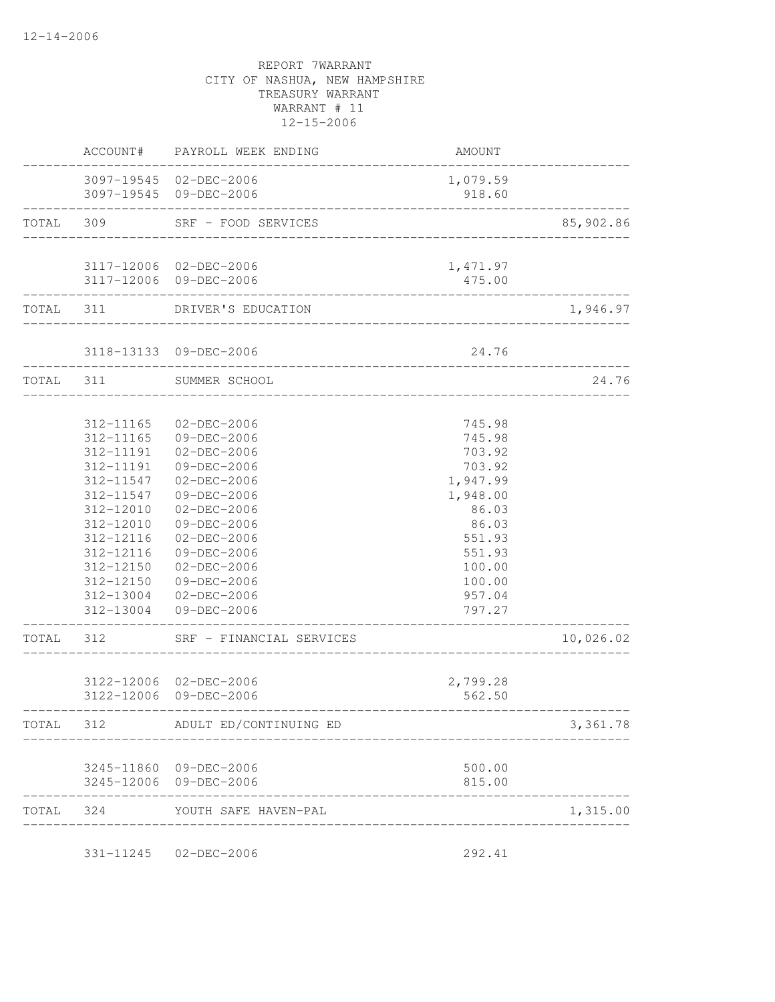|           |                 | ACCOUNT# PAYROLL WEEK ENDING                     | AMOUNT             |           |
|-----------|-----------------|--------------------------------------------------|--------------------|-----------|
|           |                 | 3097-19545 02-DEC-2006<br>3097-19545 09-DEC-2006 | 1,079.59<br>918.60 |           |
| TOTAL 309 |                 | SRF - FOOD SERVICES                              |                    | 85,902.86 |
|           |                 | 3117-12006 02-DEC-2006                           | 1,471.97           |           |
|           | --------------- | 3117-12006 09-DEC-2006                           | 475.00             |           |
|           |                 | TOTAL 311 DRIVER'S EDUCATION                     |                    | 1,946.97  |
|           |                 | 3118-13133 09-DEC-2006                           | 24.76              |           |
| TOTAL 311 |                 | SUMMER SCHOOL                                    |                    | 24.76     |
|           | 312-11165       | $02 - DEC - 2006$                                | 745.98             |           |
|           | 312-11165       | 09-DEC-2006                                      | 745.98             |           |
|           | 312-11191       | 02-DEC-2006                                      | 703.92             |           |
|           | 312-11191       | 09-DEC-2006                                      | 703.92             |           |
|           | 312-11547       | 02-DEC-2006                                      | 1,947.99           |           |
|           | 312-11547       | 09-DEC-2006                                      | 1,948.00           |           |
|           | 312-12010       | 02-DEC-2006                                      | 86.03              |           |
|           | 312-12010       | 09-DEC-2006                                      | 86.03              |           |
|           | 312-12116       | $02 - DEC - 2006$                                | 551.93             |           |
|           | 312-12116       | 09-DEC-2006                                      | 551.93             |           |
|           | 312-12150       | 02-DEC-2006                                      | 100.00             |           |
|           | 312-12150       | 09-DEC-2006                                      | 100.00             |           |
|           | 312-13004       | 02-DEC-2006<br>312-13004 09-DEC-2006             | 957.04<br>797.27   |           |
| TOTAL     | 312             | SRF - FINANCIAL SERVICES                         |                    | 10,026.02 |
|           |                 |                                                  |                    |           |
|           |                 | 3122-12006 02-DEC-2006<br>3122-12006 09-DEC-2006 | 2,799.28<br>562.50 |           |
| TOTAL     | 312             | ADULT ED/CONTINUING ED                           |                    | 3,361.78  |
|           |                 | 3245-11860 09-DEC-2006                           | 500.00             |           |
|           |                 | 3245-12006 09-DEC-2006                           | 815.00             |           |
| TOTAL     | 324             | YOUTH SAFE HAVEN-PAL<br>---------------------    |                    | 1,315.00  |
|           | 331-11245       | $02 - DEC - 2006$                                | 292.41             |           |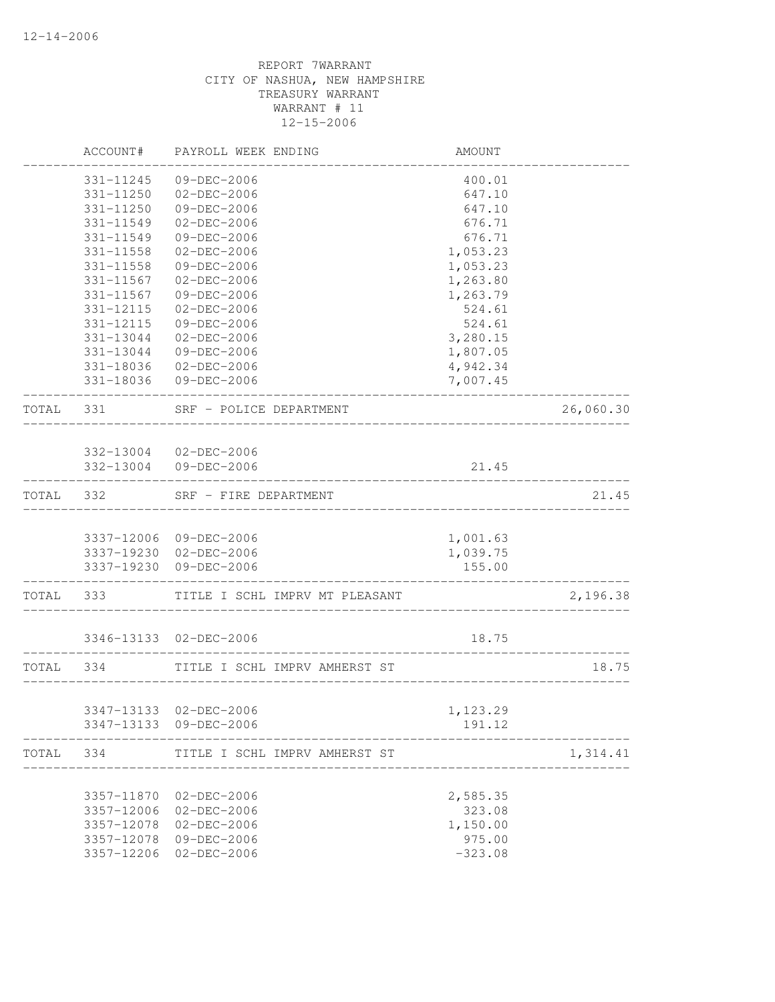|           | ACCOUNT#                 | PAYROLL WEEK ENDING                              | AMOUNT                |           |
|-----------|--------------------------|--------------------------------------------------|-----------------------|-----------|
|           | 331-11245                | 09-DEC-2006                                      | 400.01                |           |
|           | 331-11250                | 02-DEC-2006                                      | 647.10                |           |
|           | 331-11250                | 09-DEC-2006                                      | 647.10                |           |
|           | 331-11549                | $02-DEC-2006$                                    | 676.71                |           |
|           | 331-11549                | 09-DEC-2006                                      | 676.71                |           |
|           | 331-11558                | 02-DEC-2006                                      | 1,053.23              |           |
|           | 331-11558                | 09-DEC-2006                                      | 1,053.23              |           |
|           | 331-11567                | 02-DEC-2006                                      | 1,263.80              |           |
|           | 331-11567                | 09-DEC-2006                                      | 1,263.79              |           |
|           | 331-12115                | 02-DEC-2006                                      | 524.61                |           |
|           | 331-12115                | 09-DEC-2006                                      | 524.61                |           |
|           | 331-13044                | 02-DEC-2006                                      | 3,280.15              |           |
|           | 331-13044                | 09-DEC-2006                                      | 1,807.05              |           |
|           |                          | 331-18036 02-DEC-2006                            | 4,942.34              |           |
|           |                          | 331-18036 09-DEC-2006                            | 7,007.45              |           |
| TOTAL 331 |                          | SRF - POLICE DEPARTMENT                          |                       | 26,060.30 |
|           |                          |                                                  |                       |           |
|           |                          | 332-13004 02-DEC-2006                            |                       |           |
|           |                          | 332-13004 09-DEC-2006                            | 21.45                 |           |
| TOTAL 332 |                          | SRF - FIRE DEPARTMENT                            |                       | 21.45     |
|           |                          |                                                  |                       |           |
|           |                          | 3337-12006 09-DEC-2006<br>3337-19230 02-DEC-2006 | 1,001.63<br>1,039.75  |           |
|           |                          | 3337-19230 09-DEC-2006                           | 155.00                |           |
| TOTAL     | 333                      | TITLE I SCHL IMPRV MT PLEASANT                   | _____________________ | 2,196.38  |
|           |                          |                                                  |                       |           |
|           |                          | 3346-13133 02-DEC-2006                           | 18.75                 |           |
| TOTAL 334 |                          | TITLE I SCHL IMPRV AMHERST ST                    |                       | 18.75     |
|           |                          |                                                  |                       |           |
|           |                          | 3347-13133 02-DEC-2006                           | 1,123.29              |           |
|           |                          | 3347-13133 09-DEC-2006                           | 191.12                |           |
| TOTAL     | 334                      | TITLE I SCHL IMPRV AMHERST ST                    |                       | 1,314.41  |
|           |                          |                                                  |                       |           |
|           | 3357-11870               | 02-DEC-2006                                      | 2,585.35              |           |
|           | 3357-12006<br>3357-12078 | 02-DEC-2006<br>02-DEC-2006                       | 323.08<br>1,150.00    |           |
|           | 3357-12078               | 09-DEC-2006                                      | 975.00                |           |
|           | 3357-12206               | $02 - DEC - 2006$                                | $-323.08$             |           |
|           |                          |                                                  |                       |           |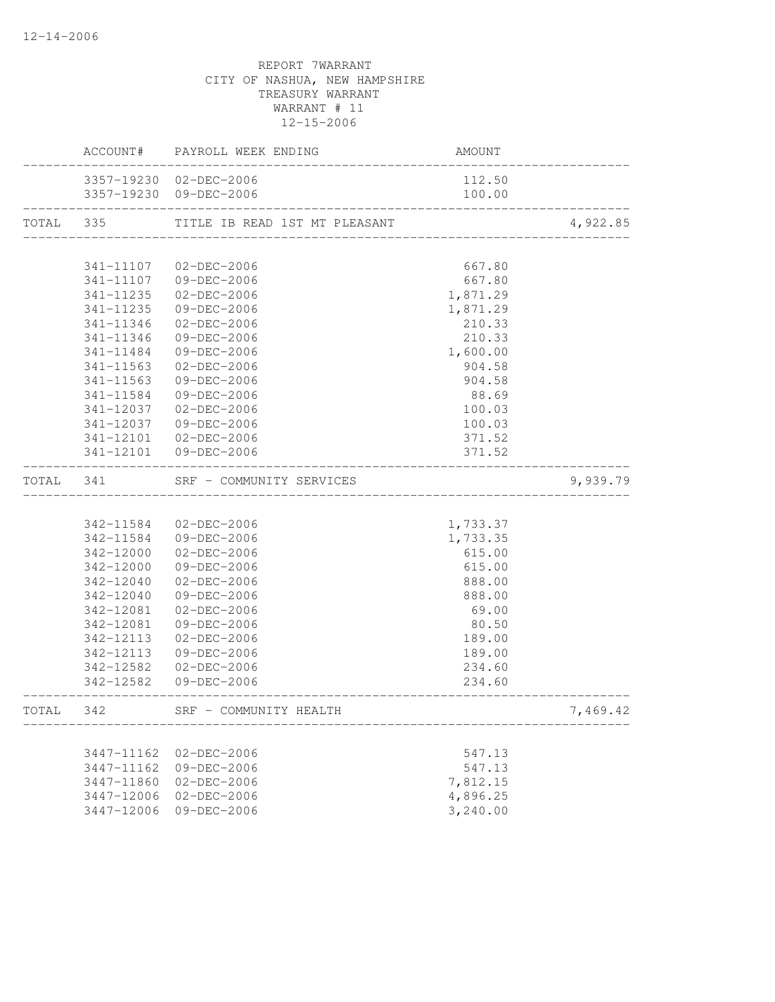|           |            | ACCOUNT# PAYROLL WEEK ENDING  | AMOUNT                         |          |
|-----------|------------|-------------------------------|--------------------------------|----------|
|           |            | 3357-19230 02-DEC-2006        | 112.50                         |          |
|           |            | 3357-19230 09-DEC-2006        | 100.00                         |          |
| TOTAL 335 |            | TITLE IB READ 1ST MT PLEASANT | ------------------------------ | 4,922.85 |
|           |            |                               |                                |          |
|           |            | 341-11107 02-DEC-2006         | 667.80                         |          |
|           | 341-11107  | 09-DEC-2006                   | 667.80                         |          |
|           | 341-11235  | 02-DEC-2006                   | 1,871.29                       |          |
|           | 341-11235  | 09-DEC-2006                   | 1,871.29                       |          |
|           | 341-11346  | $02 - DEC - 2006$             | 210.33                         |          |
|           | 341-11346  | 09-DEC-2006                   | 210.33                         |          |
|           | 341-11484  | 09-DEC-2006                   | 1,600.00                       |          |
|           | 341-11563  | 02-DEC-2006                   | 904.58                         |          |
|           | 341-11563  | 09-DEC-2006                   | 904.58                         |          |
|           | 341-11584  | 09-DEC-2006                   | 88.69                          |          |
|           | 341-12037  | 02-DEC-2006                   | 100.03                         |          |
|           | 341-12037  | 09-DEC-2006                   | 100.03                         |          |
|           | 341-12101  | 02-DEC-2006                   | 371.52                         |          |
|           |            | 341-12101 09-DEC-2006         | 371.52                         |          |
| TOTAL 341 |            | SRF - COMMUNITY SERVICES      |                                | 9,939.79 |
|           |            |                               |                                |          |
|           | 342-11584  | 02-DEC-2006                   | 1,733.37                       |          |
|           |            | 342-11584 09-DEC-2006         | 1,733.35                       |          |
|           | 342-12000  | 02-DEC-2006                   | 615.00                         |          |
|           | 342-12000  | 09-DEC-2006                   | 615.00                         |          |
|           | 342-12040  | $02 - DEC - 2006$             | 888.00                         |          |
|           | 342-12040  | 09-DEC-2006                   | 888.00                         |          |
|           | 342-12081  | 02-DEC-2006                   | 69.00                          |          |
|           | 342-12081  | 09-DEC-2006                   | 80.50                          |          |
|           | 342-12113  | $02 - DEC - 2006$             | 189.00                         |          |
|           | 342-12113  | 09-DEC-2006                   | 189.00                         |          |
|           |            | 342-12582 02-DEC-2006         | 234.60                         |          |
|           |            | 342-12582 09-DEC-2006         | 234.60                         |          |
| TOTAL 342 |            | SRF - COMMUNITY HEALTH        |                                | 7,469.42 |
|           |            |                               |                                |          |
|           | 3447-11162 | $02 - DEC - 2006$             | 547.13                         |          |
|           | 3447-11162 | 09-DEC-2006                   | 547.13                         |          |
|           | 3447-11860 | $02 - DEC - 2006$             | 7,812.15                       |          |
|           | 3447-12006 | $02 - DEC - 2006$             | 4,896.25                       |          |
|           | 3447-12006 | $09 - DEC - 2006$             | 3,240.00                       |          |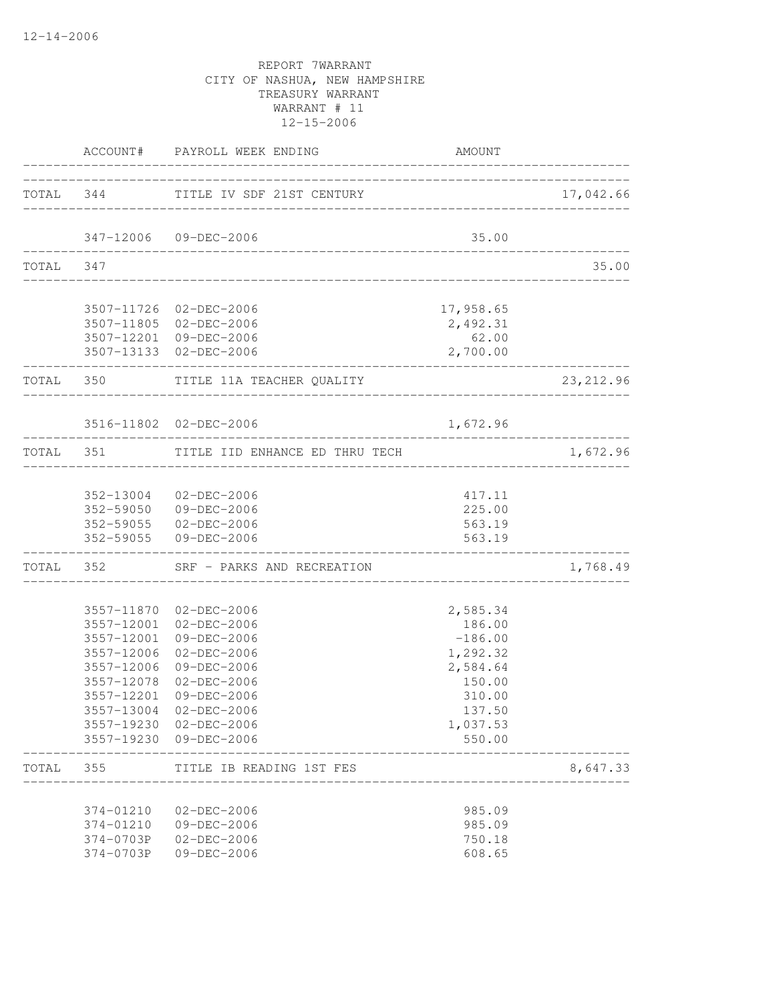|           |                    | ACCOUNT# PAYROLL WEEK ENDING                     | AMOUNT                |            |
|-----------|--------------------|--------------------------------------------------|-----------------------|------------|
|           |                    | TOTAL 344 TITLE IV SDF 21ST CENTURY              |                       | 17,042.66  |
|           |                    | 347-12006 09-DEC-2006                            | 35.00                 |            |
| TOTAL 347 |                    | .________________________________                |                       | 35.00      |
|           |                    |                                                  |                       |            |
|           |                    | 3507-11726 02-DEC-2006<br>3507-11805 02-DEC-2006 | 17,958.65<br>2,492.31 |            |
|           |                    | 3507-12201 09-DEC-2006                           | 62.00                 |            |
|           | __________________ | 3507-13133 02-DEC-2006                           | 2,700.00              |            |
|           |                    | TOTAL 350 TITLE 11A TEACHER QUALITY              |                       | 23, 212.96 |
|           |                    | 3516-11802 02-DEC-2006                           | 1,672.96              |            |
|           | TOTAL 351          | TITLE IID ENHANCE ED THRU TECH                   |                       | 1,672.96   |
|           |                    |                                                  |                       |            |
|           |                    | 352-13004 02-DEC-2006                            | 417.11                |            |
|           |                    | 352-59050 09-DEC-2006                            | 225.00                |            |
|           |                    | 352-59055 02-DEC-2006                            | 563.19                |            |
|           |                    | 352-59055 09-DEC-2006                            | 563.19                |            |
|           | TOTAL 352          | SRF - PARKS AND RECREATION                       |                       | 1,768.49   |
|           |                    |                                                  |                       |            |
|           |                    | 3557-11870 02-DEC-2006<br>3557-12001 02-DEC-2006 | 2,585.34<br>186.00    |            |
|           | 3557-12001         | 09-DEC-2006                                      | $-186.00$             |            |
|           | 3557-12006         | 02-DEC-2006                                      | 1,292.32              |            |
|           | 3557-12006         | 09-DEC-2006                                      | 2,584.64              |            |
|           | 3557-12078         | 02-DEC-2006                                      | 150.00                |            |
|           | 3557-12201         | 09-DEC-2006                                      | 310.00                |            |
|           |                    | 3557-13004 02-DEC-2006                           | 137.50                |            |
|           | 3557-19230         | 3557-19230 02-DEC-2006<br>09-DEC-2006            | 1,037.53<br>550.00    |            |
| TOTAL     | 355                | TITLE IB READING 1ST FES                         |                       | 8,647.33   |
|           | 374-01210          | 02-DEC-2006                                      | 985.09                |            |
|           | 374-01210          | 09-DEC-2006                                      | 985.09                |            |
|           | 374-0703P          | $02 - DEC - 2006$                                | 750.18                |            |
|           | 374-0703P          | 09-DEC-2006                                      | 608.65                |            |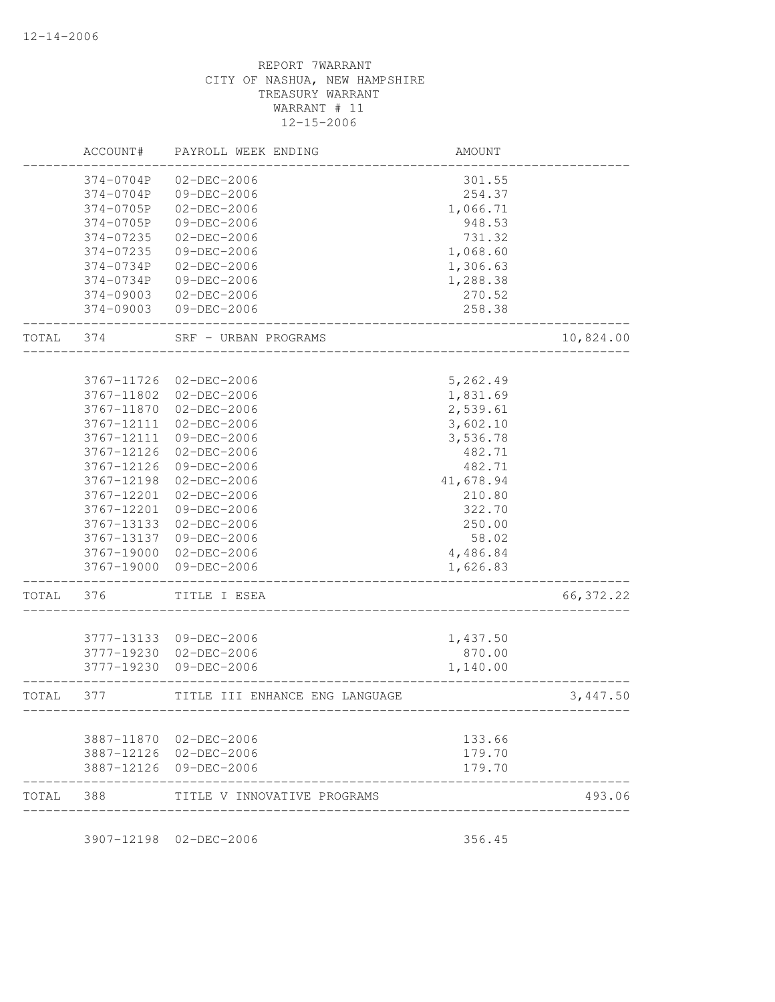|            | AMOUNT    | PAYROLL WEEK ENDING            | ACCOUNT#   |       |
|------------|-----------|--------------------------------|------------|-------|
|            | 301.55    | $02 - DEC - 2006$              | 374-0704P  |       |
|            | 254.37    | 09-DEC-2006                    | 374-0704P  |       |
|            | 1,066.71  | $02 - DEC - 2006$              | 374-0705P  |       |
|            | 948.53    | 09-DEC-2006                    | 374-0705P  |       |
|            | 731.32    | $02 - DEC - 2006$              | 374-07235  |       |
|            | 1,068.60  | 09-DEC-2006                    | 374-07235  |       |
|            | 1,306.63  | $02 - DEC - 2006$              | 374-0734P  |       |
|            | 1,288.38  | 09-DEC-2006                    | 374-0734P  |       |
|            | 270.52    | $02 - DEC - 2006$              | 374-09003  |       |
|            | 258.38    | 09-DEC-2006                    | 374-09003  |       |
| 10,824.00  |           | SRF - URBAN PROGRAMS           | 374        | TOTAL |
|            |           |                                |            |       |
|            | 5,262.49  | 02-DEC-2006                    | 3767-11726 |       |
|            | 1,831.69  | 02-DEC-2006                    | 3767-11802 |       |
|            | 2,539.61  | $02 - DEC - 2006$              | 3767-11870 |       |
|            | 3,602.10  | $02 - DEC - 2006$              | 3767-12111 |       |
|            | 3,536.78  | 09-DEC-2006                    | 3767-12111 |       |
|            | 482.71    | 02-DEC-2006                    | 3767-12126 |       |
|            | 482.71    | 09-DEC-2006                    | 3767-12126 |       |
|            | 41,678.94 | $02-DEC-2006$                  | 3767-12198 |       |
|            | 210.80    | $02-DEC-2006$                  | 3767-12201 |       |
|            | 322.70    | 09-DEC-2006                    | 3767-12201 |       |
|            | 250.00    | 02-DEC-2006                    | 3767-13133 |       |
|            | 58.02     | 09-DEC-2006                    | 3767-13137 |       |
|            | 4,486.84  | 02-DEC-2006                    | 3767-19000 |       |
|            | 1,626.83  | 09-DEC-2006                    | 3767-19000 |       |
| 66, 372.22 |           | TITLE I ESEA                   | 376        | TOTAL |
|            |           |                                |            |       |
|            | 1,437.50  | 09-DEC-2006                    | 3777-13133 |       |
|            | 870.00    | 02-DEC-2006                    | 3777-19230 |       |
|            | 1,140.00  | 09-DEC-2006                    | 3777-19230 |       |
| 3,447.50   |           | TITLE III ENHANCE ENG LANGUAGE | 377        | TOTAL |
|            | 133.66    | 3887-11870 02-DEC-2006         |            |       |
|            | 179.70    | 3887-12126 02-DEC-2006         |            |       |
|            | 179.70    | 3887-12126 09-DEC-2006         |            |       |
| 493.06     |           | TITLE V INNOVATIVE PROGRAMS    | 388        | TOTAL |

3907-12198 02-DEC-2006 356.45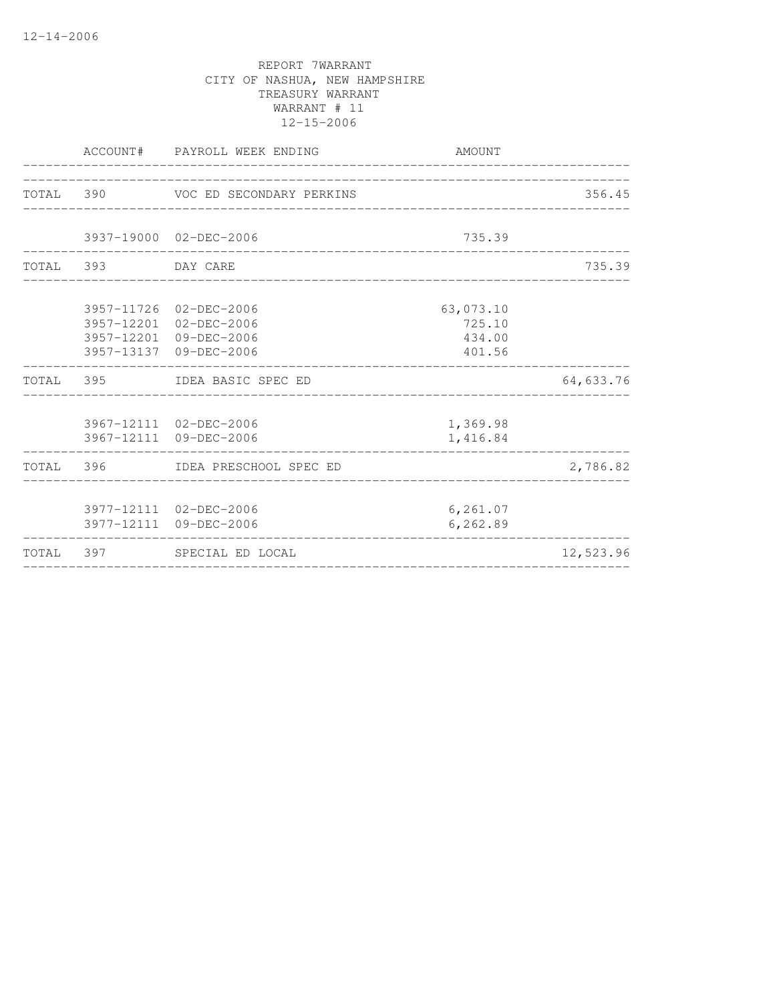|                    | ACCOUNT# PAYROLL WEEK ENDING                                                                         | AMOUNT                                  |           |
|--------------------|------------------------------------------------------------------------------------------------------|-----------------------------------------|-----------|
|                    | TOTAL 390 VOC ED SECONDARY PERKINS                                                                   |                                         | 356.45    |
|                    |                                                                                                      |                                         |           |
|                    | 3937-19000 02-DEC-2006                                                                               | 735.39                                  |           |
| TOTAL 393 DAY CARE |                                                                                                      |                                         | 735.39    |
|                    | 3957-11726 02-DEC-2006<br>3957-12201 02-DEC-2006<br>3957-12201 09-DEC-2006<br>3957-13137 09-DEC-2006 | 63,073.10<br>725.10<br>434.00<br>401.56 |           |
|                    | TOTAL 395 IDEA BASIC SPEC ED                                                                         |                                         | 64,633.76 |
|                    | 3967-12111 02-DEC-2006<br>3967-12111 09-DEC-2006                                                     | 1,369.98<br>1,416.84                    |           |
|                    | TOTAL 396 IDEA PRESCHOOL SPEC ED                                                                     |                                         | 2,786.82  |
|                    | 3977-12111 02-DEC-2006<br>3977-12111 09-DEC-2006                                                     | 6, 261.07<br>6, 262.89                  |           |
|                    | TOTAL 397 SPECIAL ED LOCAL                                                                           |                                         | 12,523.96 |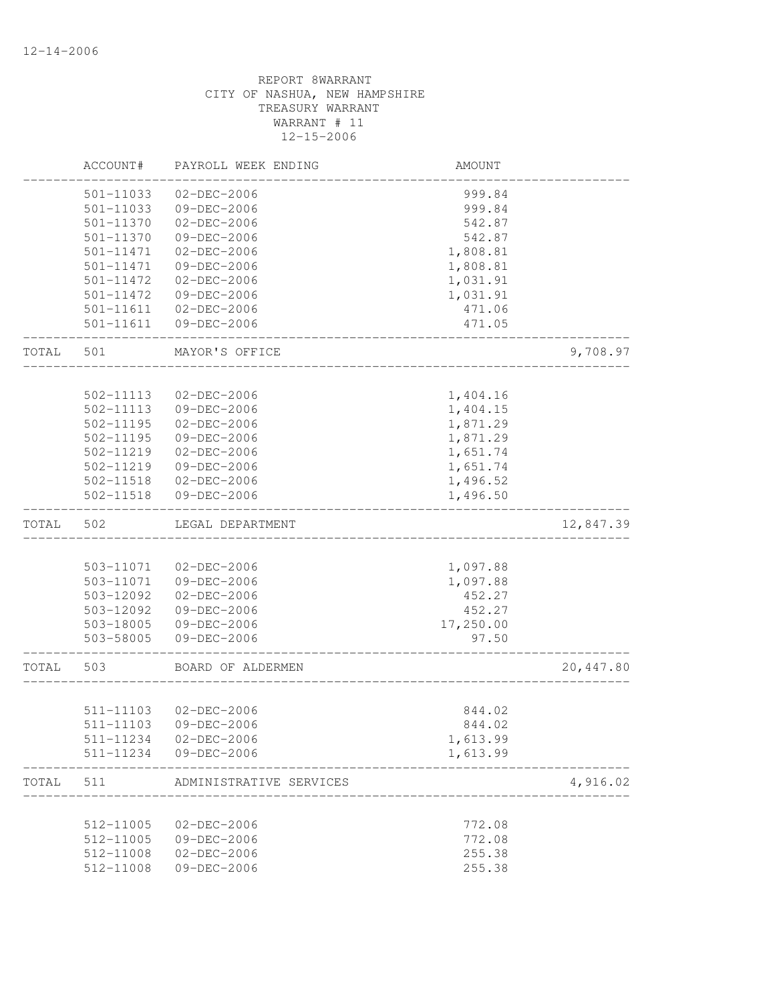|       | ACCOUNT#               | PAYROLL WEEK ENDING              | AMOUNT    |           |
|-------|------------------------|----------------------------------|-----------|-----------|
|       | 501-11033              | $02 - DEC - 2006$                | 999.84    |           |
|       | 501-11033              | 09-DEC-2006                      | 999.84    |           |
|       | 501-11370              | 02-DEC-2006                      | 542.87    |           |
|       | 501-11370              | 09-DEC-2006                      | 542.87    |           |
|       | 501-11471              | $02 - DEC - 2006$                | 1,808.81  |           |
|       | 501-11471              | 09-DEC-2006                      | 1,808.81  |           |
|       | 501-11472              | 02-DEC-2006                      | 1,031.91  |           |
|       | 501-11472              | 09-DEC-2006                      | 1,031.91  |           |
|       | 501-11611              | $02 - DEC - 2006$                | 471.06    |           |
|       | 501-11611              | 09-DEC-2006                      | 471.05    |           |
| TOTAL | 501                    | MAYOR'S OFFICE                   |           | 9,708.97  |
|       |                        |                                  |           |           |
|       | 502-11113              | $02 - DEC - 2006$                | 1,404.16  |           |
|       | 502-11113              | 09-DEC-2006<br>$02 - DEC - 2006$ | 1,404.15  |           |
|       | 502-11195              |                                  | 1,871.29  |           |
|       | 502-11195              | 09-DEC-2006                      | 1,871.29  |           |
|       | 502-11219              | $02 - DEC - 2006$                | 1,651.74  |           |
|       | 502-11219<br>502-11518 | 09-DEC-2006                      | 1,651.74  |           |
|       |                        | 02-DEC-2006                      | 1,496.52  |           |
|       | 502-11518              | 09-DEC-2006                      | 1,496.50  |           |
| TOTAL | 502                    | LEGAL DEPARTMENT                 |           | 12,847.39 |
|       |                        |                                  |           |           |
|       | 503-11071              | 02-DEC-2006                      | 1,097.88  |           |
|       | 503-11071              | 09-DEC-2006                      | 1,097.88  |           |
|       | 503-12092              | 02-DEC-2006                      | 452.27    |           |
|       | 503-12092              | 09-DEC-2006                      | 452.27    |           |
|       | 503-18005              | 09-DEC-2006                      | 17,250.00 |           |
|       | 503-58005              | 09-DEC-2006                      | 97.50     |           |
| TOTAL | 503                    | BOARD OF ALDERMEN                |           | 20,447.80 |
|       |                        |                                  |           |           |
|       | 511-11103              | 02-DEC-2006                      | 844.02    |           |
|       |                        | 511-11103 09-DEC-2006            | 844.02    |           |
|       |                        | 511-11234 02-DEC-2006            | 1,613.99  |           |
|       |                        | 511-11234 09-DEC-2006            | 1,613.99  |           |
| TOTAL | 511                    | ADMINISTRATIVE SERVICES          |           | 4,916.02  |
|       | 512-11005              | $02-DEC-2006$                    | 772.08    |           |
|       | 512-11005              | 09-DEC-2006                      | 772.08    |           |
|       | 512-11008              | $02 - DEC - 2006$                | 255.38    |           |
|       | 512-11008              | 09-DEC-2006                      | 255.38    |           |
|       |                        |                                  |           |           |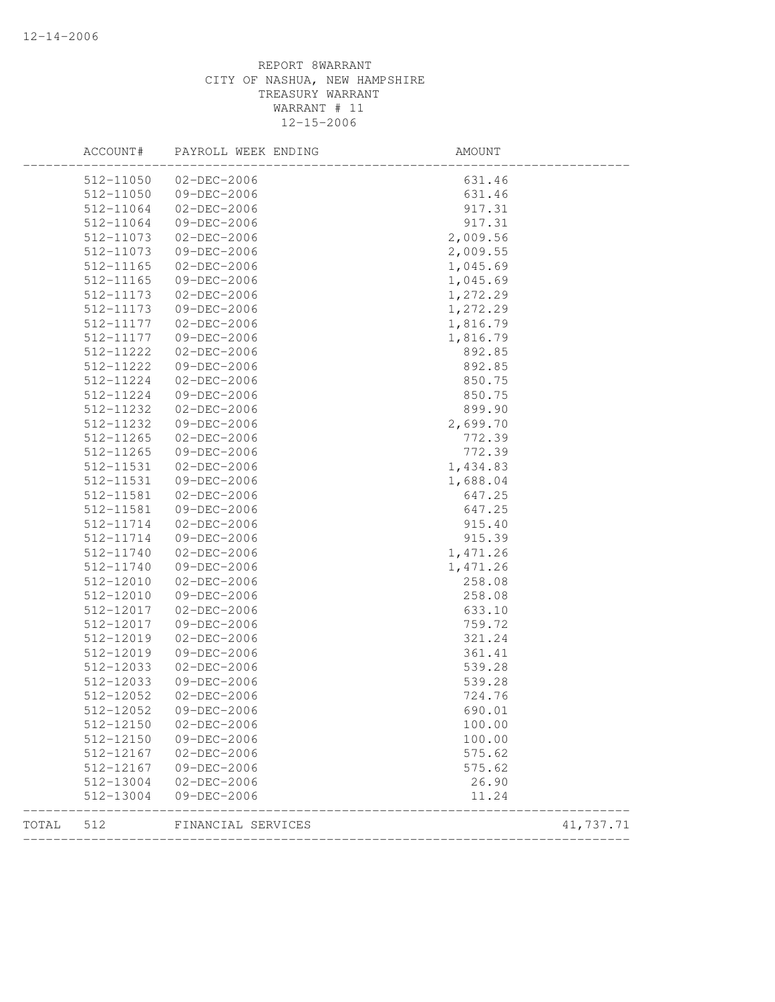|       | ACCOUNT#  | PAYROLL WEEK ENDING   | AMOUNT   |           |
|-------|-----------|-----------------------|----------|-----------|
|       |           | 512-11050 02-DEC-2006 | 631.46   |           |
|       | 512-11050 | 09-DEC-2006           | 631.46   |           |
|       | 512-11064 | 02-DEC-2006           | 917.31   |           |
|       | 512-11064 | 09-DEC-2006           | 917.31   |           |
|       | 512-11073 | 02-DEC-2006           | 2,009.56 |           |
|       | 512-11073 | 09-DEC-2006           | 2,009.55 |           |
|       | 512-11165 | 02-DEC-2006           | 1,045.69 |           |
|       | 512-11165 | 09-DEC-2006           | 1,045.69 |           |
|       | 512-11173 | 02-DEC-2006           | 1,272.29 |           |
|       | 512-11173 | 09-DEC-2006           | 1,272.29 |           |
|       | 512-11177 | $02 - DEC - 2006$     | 1,816.79 |           |
|       | 512-11177 | 09-DEC-2006           | 1,816.79 |           |
|       | 512-11222 | 02-DEC-2006           | 892.85   |           |
|       | 512-11222 | 09-DEC-2006           | 892.85   |           |
|       | 512-11224 | 02-DEC-2006           | 850.75   |           |
|       | 512-11224 | 09-DEC-2006           | 850.75   |           |
|       | 512-11232 | 02-DEC-2006           | 899.90   |           |
|       | 512-11232 | 09-DEC-2006           | 2,699.70 |           |
|       | 512-11265 | $02-DEC-2006$         | 772.39   |           |
|       | 512-11265 | 09-DEC-2006           | 772.39   |           |
|       | 512-11531 | 02-DEC-2006           | 1,434.83 |           |
|       | 512-11531 | 09-DEC-2006           | 1,688.04 |           |
|       | 512-11581 | 02-DEC-2006           | 647.25   |           |
|       | 512-11581 | 09-DEC-2006           | 647.25   |           |
|       | 512-11714 | 02-DEC-2006           | 915.40   |           |
|       | 512-11714 | 09-DEC-2006           | 915.39   |           |
|       | 512-11740 | 02-DEC-2006           | 1,471.26 |           |
|       | 512-11740 | 09-DEC-2006           | 1,471.26 |           |
|       | 512-12010 | 02-DEC-2006           | 258.08   |           |
|       | 512-12010 | 09-DEC-2006           | 258.08   |           |
|       | 512-12017 | 02-DEC-2006           | 633.10   |           |
|       | 512-12017 | 09-DEC-2006           | 759.72   |           |
|       | 512-12019 | 02-DEC-2006           | 321.24   |           |
|       | 512-12019 | 09-DEC-2006           | 361.41   |           |
|       | 512-12033 | 02-DEC-2006           | 539.28   |           |
|       | 512-12033 | 09-DEC-2006           | 539.28   |           |
|       | 512-12052 | 02-DEC-2006           | 724.76   |           |
|       | 512-12052 | 09-DEC-2006           | 690.01   |           |
|       | 512-12150 | $02 - DEC - 2006$     | 100.00   |           |
|       | 512-12150 | 09-DEC-2006           | 100.00   |           |
|       | 512-12167 | 02-DEC-2006           | 575.62   |           |
|       | 512-12167 | 09-DEC-2006           | 575.62   |           |
|       | 512-13004 | 02-DEC-2006           | 26.90    |           |
|       | 512-13004 | 09-DEC-2006           | 11.24    |           |
| TOTAL | 512       | FINANCIAL SERVICES    |          | 41,737.71 |
|       |           |                       |          |           |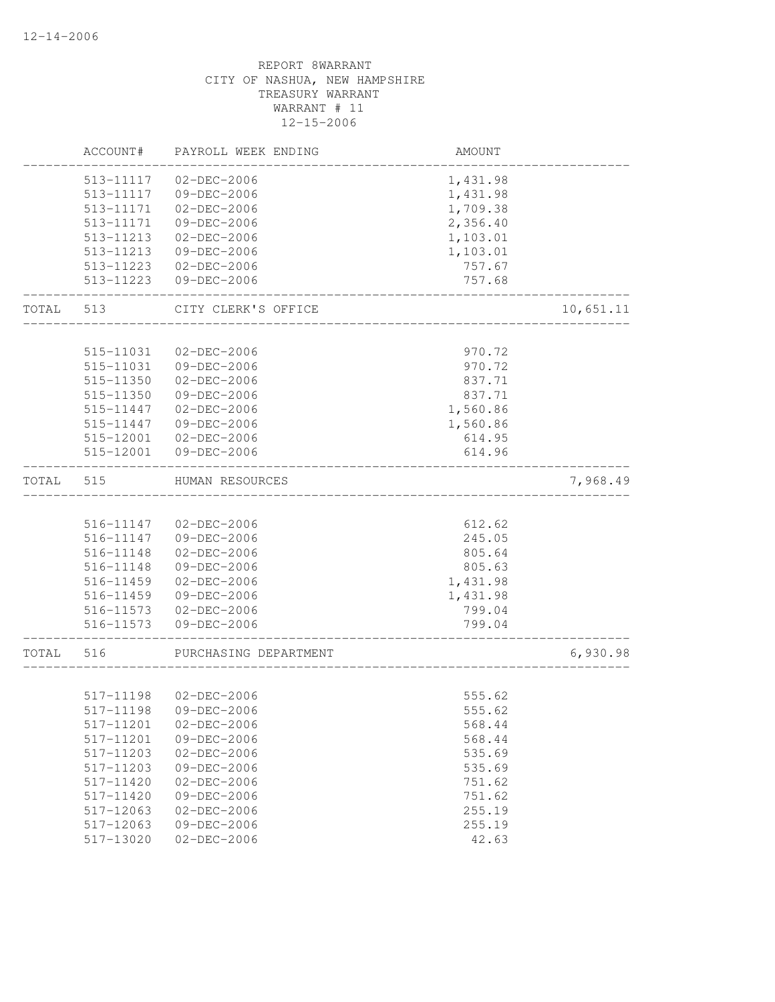|       | ACCOUNT#  | PAYROLL WEEK ENDING   | AMOUNT   |           |
|-------|-----------|-----------------------|----------|-----------|
|       | 513-11117 | $02 - DEC - 2006$     | 1,431.98 |           |
|       | 513-11117 | 09-DEC-2006           | 1,431.98 |           |
|       | 513-11171 | 02-DEC-2006           | 1,709.38 |           |
|       | 513-11171 | $09 - DEC - 2006$     | 2,356.40 |           |
|       | 513-11213 | $02-DEC-2006$         | 1,103.01 |           |
|       | 513-11213 | 09-DEC-2006           | 1,103.01 |           |
|       | 513-11223 | 02-DEC-2006           | 757.67   |           |
|       | 513-11223 | $09 - DEC - 2006$     | 757.68   |           |
| TOTAL | 513       | CITY CLERK'S OFFICE   |          | 10,651.11 |
|       |           |                       |          |           |
|       | 515-11031 | $02 - DEC - 2006$     | 970.72   |           |
|       | 515-11031 | 09-DEC-2006           | 970.72   |           |
|       | 515-11350 | 02-DEC-2006           | 837.71   |           |
|       | 515-11350 | 09-DEC-2006           | 837.71   |           |
|       | 515-11447 | $02 - DEC - 2006$     | 1,560.86 |           |
|       | 515-11447 | 09-DEC-2006           | 1,560.86 |           |
|       | 515-12001 | 02-DEC-2006           | 614.95   |           |
|       | 515-12001 | 09-DEC-2006           | 614.96   |           |
| TOTAL | 515       | HUMAN RESOURCES       |          | 7,968.49  |
|       |           |                       |          |           |
|       |           | 516-11147 02-DEC-2006 | 612.62   |           |
|       | 516-11147 | 09-DEC-2006           | 245.05   |           |
|       | 516-11148 | $02 - DEC - 2006$     | 805.64   |           |
|       | 516-11148 | 09-DEC-2006           | 805.63   |           |
|       | 516-11459 | 02-DEC-2006           | 1,431.98 |           |
|       | 516-11459 | 09-DEC-2006           | 1,431.98 |           |
|       | 516-11573 | $02 - DEC - 2006$     | 799.04   |           |
|       | 516-11573 | 09-DEC-2006           | 799.04   |           |
| TOTAL | 516       | PURCHASING DEPARTMENT |          | 6,930.98  |
|       | 517-11198 | 02-DEC-2006           | 555.62   |           |
|       |           | 517-11198 09-DEC-2006 | 555.62   |           |
|       | 517-11201 | 02-DEC-2006           | 568.44   |           |
|       | 517-11201 | 09-DEC-2006           | 568.44   |           |
|       | 517-11203 | $02 - DEC - 2006$     | 535.69   |           |
|       | 517-11203 | 09-DEC-2006           | 535.69   |           |
|       | 517-11420 | $02 - DEC - 2006$     | 751.62   |           |
|       | 517-11420 | 09-DEC-2006           | 751.62   |           |
|       | 517-12063 | $02 - DEC - 2006$     | 255.19   |           |
|       | 517-12063 | 09-DEC-2006           | 255.19   |           |
|       | 517-13020 | $02 - DEC - 2006$     | 42.63    |           |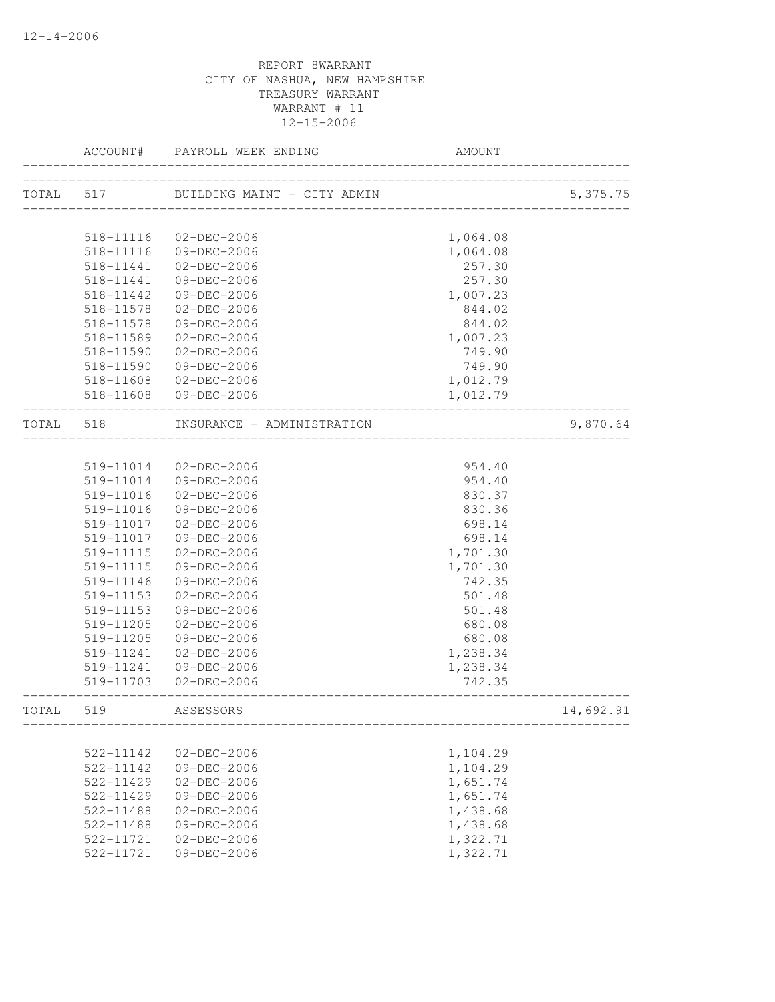|           | ACCOUNT#  | PAYROLL WEEK ENDING                    | AMOUNT                   |           |
|-----------|-----------|----------------------------------------|--------------------------|-----------|
| TOTAL 517 |           | BUILDING MAINT - CITY ADMIN            |                          | 5,375.75  |
|           |           |                                        | ________________________ |           |
|           | 518-11116 | 02-DEC-2006                            | 1,064.08                 |           |
|           | 518-11116 | 09-DEC-2006                            | 1,064.08                 |           |
|           | 518-11441 | 02-DEC-2006                            | 257.30                   |           |
|           | 518-11441 | 09-DEC-2006                            | 257.30                   |           |
|           | 518-11442 | 09-DEC-2006                            | 1,007.23                 |           |
|           | 518-11578 | 02-DEC-2006                            | 844.02                   |           |
|           | 518-11578 | 09-DEC-2006                            | 844.02                   |           |
|           | 518-11589 | 02-DEC-2006                            | 1,007.23                 |           |
|           | 518-11590 | 02-DEC-2006                            | 749.90                   |           |
|           | 518-11590 | 09-DEC-2006                            | 749.90                   |           |
|           |           | 518-11608 02-DEC-2006                  | 1,012.79                 |           |
|           |           | 518-11608 09-DEC-2006                  | 1,012.79                 |           |
| TOTAL 518 |           | INSURANCE - ADMINISTRATION             |                          | 9,870.64  |
|           |           |                                        |                          |           |
|           | 519-11014 | 02-DEC-2006                            | 954.40                   |           |
|           |           | 519-11014 09-DEC-2006                  | 954.40                   |           |
|           | 519-11016 | 02-DEC-2006                            | 830.37                   |           |
|           | 519-11016 | 09-DEC-2006                            | 830.36                   |           |
|           | 519-11017 | 02-DEC-2006                            | 698.14                   |           |
|           | 519-11017 | 09-DEC-2006                            | 698.14                   |           |
|           | 519-11115 | 02-DEC-2006                            | 1,701.30                 |           |
|           | 519-11115 | 09-DEC-2006                            | 1,701.30                 |           |
|           | 519-11146 | 09-DEC-2006                            | 742.35                   |           |
|           | 519-11153 | $02 - DEC - 2006$                      | 501.48                   |           |
|           | 519-11153 | 09-DEC-2006                            | 501.48                   |           |
|           | 519-11205 | 02-DEC-2006                            | 680.08                   |           |
|           | 519-11205 | 09-DEC-2006                            | 680.08                   |           |
|           | 519-11241 | 02-DEC-2006                            | 1,238.34                 |           |
|           | 519-11241 | 09-DEC-2006                            | 1,238.34                 |           |
|           |           | 519-11703 02-DEC-2006<br>_____________ | 742.35                   |           |
| TOTAL     | 519       | ASSESSORS                              |                          | 14,692.91 |
|           |           |                                        |                          |           |
|           | 522-11142 | $02 - DEC - 2006$                      | 1,104.29                 |           |
|           | 522-11142 | 09-DEC-2006                            | 1,104.29                 |           |
|           | 522-11429 | $02 - DEC - 2006$                      | 1,651.74                 |           |
|           | 522-11429 | 09-DEC-2006                            | 1,651.74                 |           |
|           | 522-11488 | $02 - DEC - 2006$                      | 1,438.68                 |           |
|           | 522-11488 | 09-DEC-2006                            | 1,438.68                 |           |
|           | 522-11721 | $02 - DEC - 2006$                      | 1,322.71                 |           |
|           | 522-11721 | 09-DEC-2006                            | 1,322.71                 |           |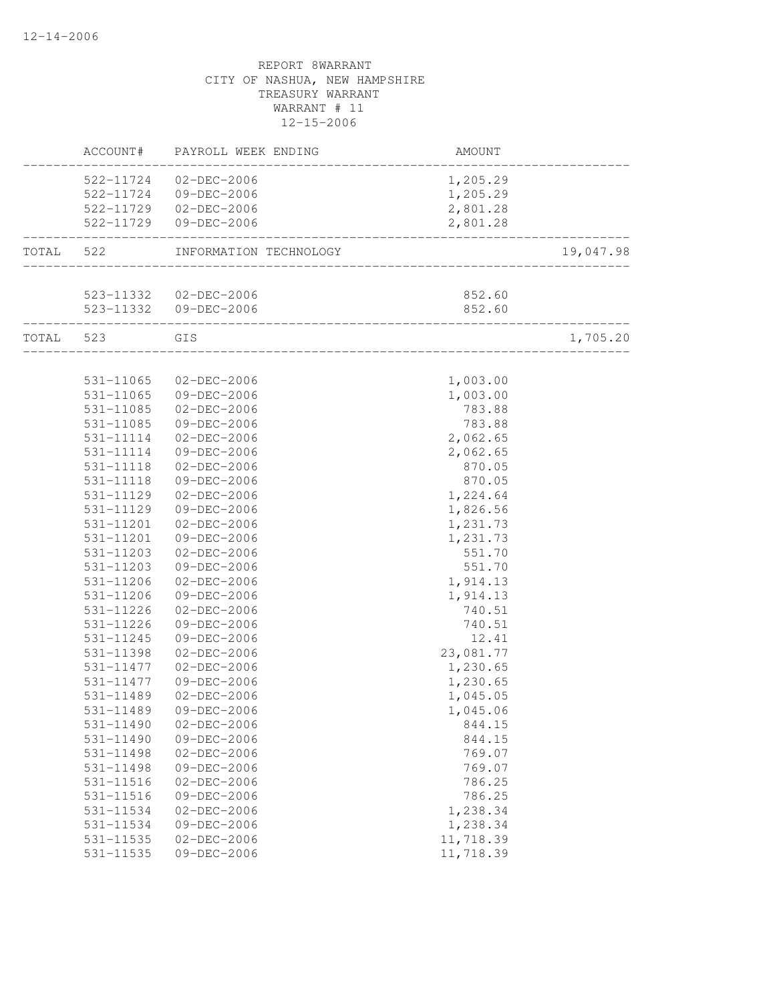|           | ACCOUNT#               | PAYROLL WEEK ENDING                                   | AMOUNT             |           |
|-----------|------------------------|-------------------------------------------------------|--------------------|-----------|
|           |                        | 522-11724 02-DEC-2006                                 | 1,205.29           |           |
|           |                        | 522-11724 09-DEC-2006                                 | 1,205.29           |           |
|           |                        | 522-11729 02-DEC-2006                                 | 2,801.28           |           |
|           |                        | 522-11729 09-DEC-2006                                 | 2,801.28           |           |
| TOTAL 522 |                        | INFORMATION TECHNOLOGY                                |                    | 19,047.98 |
|           |                        |                                                       |                    |           |
|           |                        | 523-11332 02-DEC-2006                                 | 852.60             |           |
|           |                        | 523-11332 09-DEC-2006<br>____________________________ | 852.60             |           |
| TOTAL 523 |                        | GIS<br>_________________________________              |                    | 1,705.20  |
|           |                        |                                                       |                    |           |
|           | 531-11065              | 02-DEC-2006                                           | 1,003.00           |           |
|           | 531-11065              | 09-DEC-2006                                           | 1,003.00           |           |
|           | 531-11085              | 02-DEC-2006                                           | 783.88             |           |
|           | 531-11085              | 09-DEC-2006                                           | 783.88             |           |
|           | 531-11114              | 02-DEC-2006                                           | 2,062.65           |           |
|           | 531-11114<br>531-11118 | 09-DEC-2006<br>02-DEC-2006                            | 2,062.65<br>870.05 |           |
|           | 531-11118              | 09-DEC-2006                                           | 870.05             |           |
|           | 531-11129              | 02-DEC-2006                                           | 1,224.64           |           |
|           | 531-11129              | 09-DEC-2006                                           | 1,826.56           |           |
|           | 531-11201              | 02-DEC-2006                                           | 1,231.73           |           |
|           | 531-11201              | 09-DEC-2006                                           | 1,231.73           |           |
|           | 531-11203              | 02-DEC-2006                                           | 551.70             |           |
|           | 531-11203              | 09-DEC-2006                                           | 551.70             |           |
|           | 531-11206              | 02-DEC-2006                                           | 1,914.13           |           |
|           | 531-11206              | 09-DEC-2006                                           | 1,914.13           |           |
|           | 531-11226              | 02-DEC-2006                                           | 740.51             |           |
|           | 531-11226              | 09-DEC-2006                                           | 740.51             |           |
|           | 531-11245              | 09-DEC-2006                                           | 12.41              |           |
|           | 531-11398              | 02-DEC-2006                                           | 23,081.77          |           |
|           | 531-11477              | 02-DEC-2006                                           | 1,230.65           |           |
|           | 531-11477              | 09-DEC-2006                                           | 1,230.65           |           |
|           | 531-11489              | 02-DEC-2006                                           | 1,045.05           |           |
|           | 531-11489              | 09-DEC-2006                                           | 1,045.06           |           |
|           | 531-11490              | $02 - DEC - 2006$                                     | 844.15             |           |
|           | $531 - 11490$          | 09-DEC-2006                                           | 844.15             |           |
|           | 531-11498              | $02 - DEC - 2006$                                     | 769.07             |           |
|           | 531-11498              | 09-DEC-2006                                           | 769.07             |           |
|           | 531-11516              | $02 - DEC - 2006$                                     | 786.25             |           |
|           | 531-11516              | 09-DEC-2006                                           | 786.25             |           |
|           | 531-11534              | $02 - DEC - 2006$                                     | 1,238.34           |           |
|           | 531-11534              | 09-DEC-2006                                           | 1,238.34           |           |
|           | 531-11535              | $02 - DEC - 2006$                                     | 11,718.39          |           |
|           | 531-11535              | $09 - DEC - 2006$                                     | 11,718.39          |           |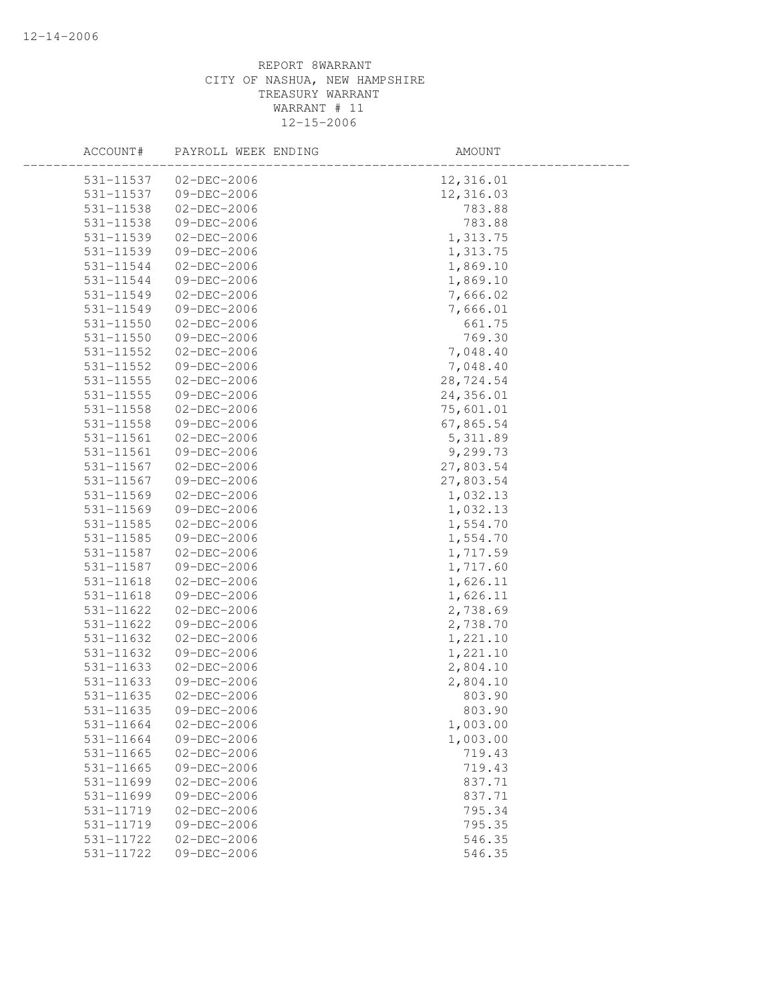| 531-11537<br>$02 - DEC - 2006$<br>12,316.01<br>531-11537<br>09-DEC-2006<br>12,316.03<br>531-11538<br>02-DEC-2006<br>783.88<br>531-11538<br>09-DEC-2006<br>783.88<br>531-11539<br>$02 - DEC - 2006$<br>1,313.75<br>1,313.75<br>531-11539<br>09-DEC-2006<br>1,869.10<br>531-11544<br>02-DEC-2006<br>09-DEC-2006<br>1,869.10<br>531-11544<br>7,666.02<br>531-11549<br>02-DEC-2006<br>531-11549<br>09-DEC-2006<br>7,666.01<br>531-11550<br>$02 - DEC - 2006$<br>661.75<br>531-11550<br>09-DEC-2006<br>769.30<br>531-11552<br>02-DEC-2006<br>7,048.40<br>531-11552<br>09-DEC-2006<br>7,048.40<br>28,724.54<br>531-11555<br>02-DEC-2006<br>24,356.01<br>531-11555<br>09-DEC-2006<br>75,601.01<br>02-DEC-2006<br>531-11558<br>67,865.54<br>531-11558<br>09-DEC-2006<br>5, 311.89<br>531-11561<br>$02 - DEC - 2006$<br>531-11561<br>09-DEC-2006<br>9,299.73<br>531-11567<br>$02 - DEC - 2006$<br>27,803.54<br>531-11567<br>09-DEC-2006<br>27,803.54<br>531-11569<br>02-DEC-2006<br>1,032.13<br>1,032.13<br>531-11569<br>09-DEC-2006<br>1,554.70<br>531-11585<br>02-DEC-2006<br>09-DEC-2006<br>1,554.70<br>531-11585<br>1,717.59<br>531-11587<br>02-DEC-2006<br>09-DEC-2006<br>1,717.60<br>531-11587<br>531-11618<br>02-DEC-2006<br>1,626.11<br>531-11618<br>09-DEC-2006<br>1,626.11<br>531-11622<br>02-DEC-2006<br>2,738.69 |  |
|---------------------------------------------------------------------------------------------------------------------------------------------------------------------------------------------------------------------------------------------------------------------------------------------------------------------------------------------------------------------------------------------------------------------------------------------------------------------------------------------------------------------------------------------------------------------------------------------------------------------------------------------------------------------------------------------------------------------------------------------------------------------------------------------------------------------------------------------------------------------------------------------------------------------------------------------------------------------------------------------------------------------------------------------------------------------------------------------------------------------------------------------------------------------------------------------------------------------------------------------------------------------------------------------------------------------|--|
|                                                                                                                                                                                                                                                                                                                                                                                                                                                                                                                                                                                                                                                                                                                                                                                                                                                                                                                                                                                                                                                                                                                                                                                                                                                                                                                     |  |
|                                                                                                                                                                                                                                                                                                                                                                                                                                                                                                                                                                                                                                                                                                                                                                                                                                                                                                                                                                                                                                                                                                                                                                                                                                                                                                                     |  |
|                                                                                                                                                                                                                                                                                                                                                                                                                                                                                                                                                                                                                                                                                                                                                                                                                                                                                                                                                                                                                                                                                                                                                                                                                                                                                                                     |  |
|                                                                                                                                                                                                                                                                                                                                                                                                                                                                                                                                                                                                                                                                                                                                                                                                                                                                                                                                                                                                                                                                                                                                                                                                                                                                                                                     |  |
|                                                                                                                                                                                                                                                                                                                                                                                                                                                                                                                                                                                                                                                                                                                                                                                                                                                                                                                                                                                                                                                                                                                                                                                                                                                                                                                     |  |
|                                                                                                                                                                                                                                                                                                                                                                                                                                                                                                                                                                                                                                                                                                                                                                                                                                                                                                                                                                                                                                                                                                                                                                                                                                                                                                                     |  |
|                                                                                                                                                                                                                                                                                                                                                                                                                                                                                                                                                                                                                                                                                                                                                                                                                                                                                                                                                                                                                                                                                                                                                                                                                                                                                                                     |  |
|                                                                                                                                                                                                                                                                                                                                                                                                                                                                                                                                                                                                                                                                                                                                                                                                                                                                                                                                                                                                                                                                                                                                                                                                                                                                                                                     |  |
|                                                                                                                                                                                                                                                                                                                                                                                                                                                                                                                                                                                                                                                                                                                                                                                                                                                                                                                                                                                                                                                                                                                                                                                                                                                                                                                     |  |
|                                                                                                                                                                                                                                                                                                                                                                                                                                                                                                                                                                                                                                                                                                                                                                                                                                                                                                                                                                                                                                                                                                                                                                                                                                                                                                                     |  |
|                                                                                                                                                                                                                                                                                                                                                                                                                                                                                                                                                                                                                                                                                                                                                                                                                                                                                                                                                                                                                                                                                                                                                                                                                                                                                                                     |  |
|                                                                                                                                                                                                                                                                                                                                                                                                                                                                                                                                                                                                                                                                                                                                                                                                                                                                                                                                                                                                                                                                                                                                                                                                                                                                                                                     |  |
|                                                                                                                                                                                                                                                                                                                                                                                                                                                                                                                                                                                                                                                                                                                                                                                                                                                                                                                                                                                                                                                                                                                                                                                                                                                                                                                     |  |
|                                                                                                                                                                                                                                                                                                                                                                                                                                                                                                                                                                                                                                                                                                                                                                                                                                                                                                                                                                                                                                                                                                                                                                                                                                                                                                                     |  |
|                                                                                                                                                                                                                                                                                                                                                                                                                                                                                                                                                                                                                                                                                                                                                                                                                                                                                                                                                                                                                                                                                                                                                                                                                                                                                                                     |  |
|                                                                                                                                                                                                                                                                                                                                                                                                                                                                                                                                                                                                                                                                                                                                                                                                                                                                                                                                                                                                                                                                                                                                                                                                                                                                                                                     |  |
|                                                                                                                                                                                                                                                                                                                                                                                                                                                                                                                                                                                                                                                                                                                                                                                                                                                                                                                                                                                                                                                                                                                                                                                                                                                                                                                     |  |
|                                                                                                                                                                                                                                                                                                                                                                                                                                                                                                                                                                                                                                                                                                                                                                                                                                                                                                                                                                                                                                                                                                                                                                                                                                                                                                                     |  |
|                                                                                                                                                                                                                                                                                                                                                                                                                                                                                                                                                                                                                                                                                                                                                                                                                                                                                                                                                                                                                                                                                                                                                                                                                                                                                                                     |  |
|                                                                                                                                                                                                                                                                                                                                                                                                                                                                                                                                                                                                                                                                                                                                                                                                                                                                                                                                                                                                                                                                                                                                                                                                                                                                                                                     |  |
|                                                                                                                                                                                                                                                                                                                                                                                                                                                                                                                                                                                                                                                                                                                                                                                                                                                                                                                                                                                                                                                                                                                                                                                                                                                                                                                     |  |
|                                                                                                                                                                                                                                                                                                                                                                                                                                                                                                                                                                                                                                                                                                                                                                                                                                                                                                                                                                                                                                                                                                                                                                                                                                                                                                                     |  |
|                                                                                                                                                                                                                                                                                                                                                                                                                                                                                                                                                                                                                                                                                                                                                                                                                                                                                                                                                                                                                                                                                                                                                                                                                                                                                                                     |  |
|                                                                                                                                                                                                                                                                                                                                                                                                                                                                                                                                                                                                                                                                                                                                                                                                                                                                                                                                                                                                                                                                                                                                                                                                                                                                                                                     |  |
|                                                                                                                                                                                                                                                                                                                                                                                                                                                                                                                                                                                                                                                                                                                                                                                                                                                                                                                                                                                                                                                                                                                                                                                                                                                                                                                     |  |
|                                                                                                                                                                                                                                                                                                                                                                                                                                                                                                                                                                                                                                                                                                                                                                                                                                                                                                                                                                                                                                                                                                                                                                                                                                                                                                                     |  |
|                                                                                                                                                                                                                                                                                                                                                                                                                                                                                                                                                                                                                                                                                                                                                                                                                                                                                                                                                                                                                                                                                                                                                                                                                                                                                                                     |  |
|                                                                                                                                                                                                                                                                                                                                                                                                                                                                                                                                                                                                                                                                                                                                                                                                                                                                                                                                                                                                                                                                                                                                                                                                                                                                                                                     |  |
|                                                                                                                                                                                                                                                                                                                                                                                                                                                                                                                                                                                                                                                                                                                                                                                                                                                                                                                                                                                                                                                                                                                                                                                                                                                                                                                     |  |
|                                                                                                                                                                                                                                                                                                                                                                                                                                                                                                                                                                                                                                                                                                                                                                                                                                                                                                                                                                                                                                                                                                                                                                                                                                                                                                                     |  |
|                                                                                                                                                                                                                                                                                                                                                                                                                                                                                                                                                                                                                                                                                                                                                                                                                                                                                                                                                                                                                                                                                                                                                                                                                                                                                                                     |  |
| 531-11622<br>09-DEC-2006<br>2,738.70                                                                                                                                                                                                                                                                                                                                                                                                                                                                                                                                                                                                                                                                                                                                                                                                                                                                                                                                                                                                                                                                                                                                                                                                                                                                                |  |
| 1,221.10<br>531-11632<br>02-DEC-2006                                                                                                                                                                                                                                                                                                                                                                                                                                                                                                                                                                                                                                                                                                                                                                                                                                                                                                                                                                                                                                                                                                                                                                                                                                                                                |  |
| 1,221.10<br>531-11632<br>09-DEC-2006                                                                                                                                                                                                                                                                                                                                                                                                                                                                                                                                                                                                                                                                                                                                                                                                                                                                                                                                                                                                                                                                                                                                                                                                                                                                                |  |
| 2,804.10<br>$02 - DEC - 2006$<br>531-11633                                                                                                                                                                                                                                                                                                                                                                                                                                                                                                                                                                                                                                                                                                                                                                                                                                                                                                                                                                                                                                                                                                                                                                                                                                                                          |  |
| 2,804.10<br>531-11633<br>09-DEC-2006                                                                                                                                                                                                                                                                                                                                                                                                                                                                                                                                                                                                                                                                                                                                                                                                                                                                                                                                                                                                                                                                                                                                                                                                                                                                                |  |
| 531-11635<br>02-DEC-2006<br>803.90                                                                                                                                                                                                                                                                                                                                                                                                                                                                                                                                                                                                                                                                                                                                                                                                                                                                                                                                                                                                                                                                                                                                                                                                                                                                                  |  |
| 531-11635<br>09-DEC-2006<br>803.90                                                                                                                                                                                                                                                                                                                                                                                                                                                                                                                                                                                                                                                                                                                                                                                                                                                                                                                                                                                                                                                                                                                                                                                                                                                                                  |  |
| 531-11664<br>$02 - DEC - 2006$<br>1,003.00                                                                                                                                                                                                                                                                                                                                                                                                                                                                                                                                                                                                                                                                                                                                                                                                                                                                                                                                                                                                                                                                                                                                                                                                                                                                          |  |
| 531-11664<br>09-DEC-2006<br>1,003.00                                                                                                                                                                                                                                                                                                                                                                                                                                                                                                                                                                                                                                                                                                                                                                                                                                                                                                                                                                                                                                                                                                                                                                                                                                                                                |  |
| 719.43<br>531-11665<br>$02 - DEC - 2006$                                                                                                                                                                                                                                                                                                                                                                                                                                                                                                                                                                                                                                                                                                                                                                                                                                                                                                                                                                                                                                                                                                                                                                                                                                                                            |  |
| 719.43<br>531-11665<br>09-DEC-2006                                                                                                                                                                                                                                                                                                                                                                                                                                                                                                                                                                                                                                                                                                                                                                                                                                                                                                                                                                                                                                                                                                                                                                                                                                                                                  |  |
| 837.71<br>531-11699<br>$02 - DEC - 2006$                                                                                                                                                                                                                                                                                                                                                                                                                                                                                                                                                                                                                                                                                                                                                                                                                                                                                                                                                                                                                                                                                                                                                                                                                                                                            |  |
| 09-DEC-2006<br>531-11699<br>837.71                                                                                                                                                                                                                                                                                                                                                                                                                                                                                                                                                                                                                                                                                                                                                                                                                                                                                                                                                                                                                                                                                                                                                                                                                                                                                  |  |
| 531-11719<br>$02 - DEC - 2006$<br>795.34                                                                                                                                                                                                                                                                                                                                                                                                                                                                                                                                                                                                                                                                                                                                                                                                                                                                                                                                                                                                                                                                                                                                                                                                                                                                            |  |
| 531-11719<br>09-DEC-2006<br>795.35                                                                                                                                                                                                                                                                                                                                                                                                                                                                                                                                                                                                                                                                                                                                                                                                                                                                                                                                                                                                                                                                                                                                                                                                                                                                                  |  |
| 531-11722<br>$02 - DEC - 2006$<br>546.35                                                                                                                                                                                                                                                                                                                                                                                                                                                                                                                                                                                                                                                                                                                                                                                                                                                                                                                                                                                                                                                                                                                                                                                                                                                                            |  |
| 546.35<br>531-11722<br>09-DEC-2006                                                                                                                                                                                                                                                                                                                                                                                                                                                                                                                                                                                                                                                                                                                                                                                                                                                                                                                                                                                                                                                                                                                                                                                                                                                                                  |  |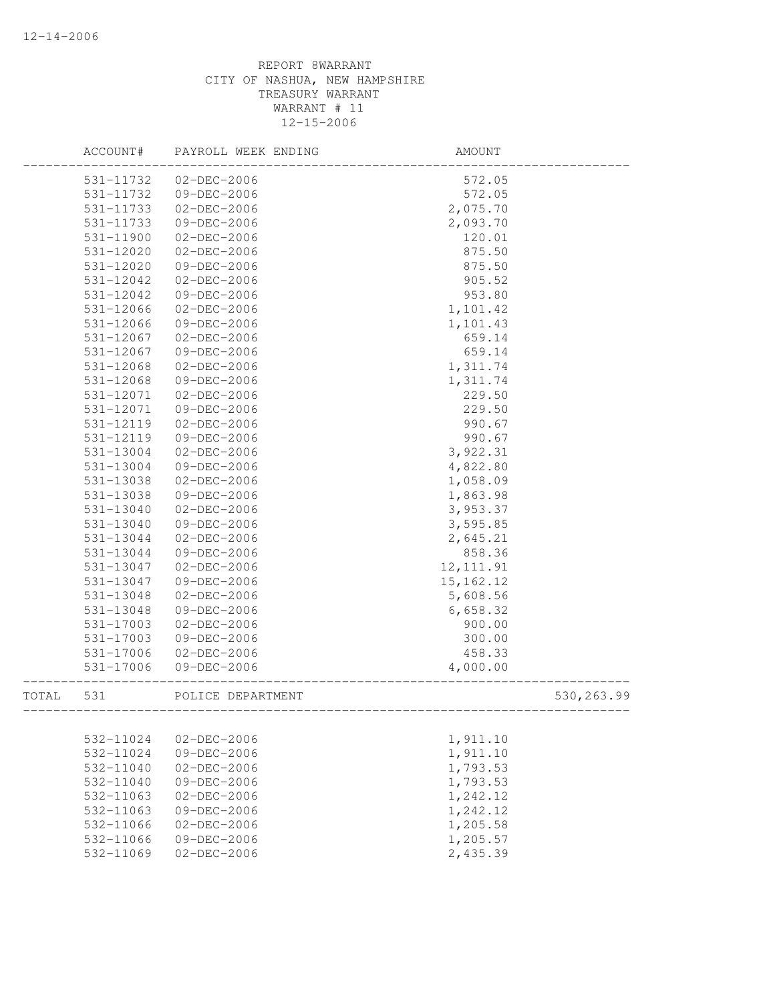|       | ACCOUNT#      | PAYROLL WEEK ENDING | AMOUNT      |             |
|-------|---------------|---------------------|-------------|-------------|
|       | 531-11732     | 02-DEC-2006         | 572.05      |             |
|       | 531-11732     | 09-DEC-2006         | 572.05      |             |
|       | 531-11733     | $02 - DEC - 2006$   | 2,075.70    |             |
|       | 531-11733     | 09-DEC-2006         | 2,093.70    |             |
|       | 531-11900     | $02 - DEC - 2006$   | 120.01      |             |
|       | 531-12020     | 02-DEC-2006         | 875.50      |             |
|       | 531-12020     | 09-DEC-2006         | 875.50      |             |
|       | 531-12042     | 02-DEC-2006         | 905.52      |             |
|       | 531-12042     | 09-DEC-2006         | 953.80      |             |
|       | 531-12066     | 02-DEC-2006         | 1,101.42    |             |
|       | 531-12066     | 09-DEC-2006         | 1,101.43    |             |
|       | 531-12067     | 02-DEC-2006         | 659.14      |             |
|       | 531-12067     | 09-DEC-2006         | 659.14      |             |
|       | 531-12068     | 02-DEC-2006         | 1,311.74    |             |
|       | 531-12068     | 09-DEC-2006         | 1,311.74    |             |
|       | 531-12071     | 02-DEC-2006         | 229.50      |             |
|       | 531-12071     | 09-DEC-2006         | 229.50      |             |
|       | 531-12119     | $02 - DEC - 2006$   | 990.67      |             |
|       | 531-12119     | 09-DEC-2006         | 990.67      |             |
|       | 531-13004     | 02-DEC-2006         | 3,922.31    |             |
|       | 531-13004     | 09-DEC-2006         | 4,822.80    |             |
|       | 531-13038     | 02-DEC-2006         | 1,058.09    |             |
|       | 531-13038     | 09-DEC-2006         | 1,863.98    |             |
|       | $531 - 13040$ | $02 - DEC - 2006$   | 3,953.37    |             |
|       | 531-13040     | 09-DEC-2006         | 3,595.85    |             |
|       | 531-13044     | 02-DEC-2006         | 2,645.21    |             |
|       | 531-13044     | 09-DEC-2006         | 858.36      |             |
|       | 531-13047     | 02-DEC-2006         | 12, 111.91  |             |
|       | 531-13047     | 09-DEC-2006         | 15, 162. 12 |             |
|       | 531-13048     | 02-DEC-2006         | 5,608.56    |             |
|       | 531-13048     | 09-DEC-2006         | 6,658.32    |             |
|       | 531-17003     | 02-DEC-2006         | 900.00      |             |
|       | 531-17003     | 09-DEC-2006         | 300.00      |             |
|       | 531-17006     | $02-DEC-2006$       | 458.33      |             |
|       | 531-17006     | 09-DEC-2006         | 4,000.00    |             |
| TOTAL | 531           | POLICE DEPARTMENT   |             | 530, 263.99 |
|       |               |                     |             |             |
|       | 532-11024     | $02 - DEC - 2006$   | 1,911.10    |             |
|       | 532-11024     | 09-DEC-2006         | 1,911.10    |             |
|       | 532-11040     | $02 - DEC - 2006$   | 1,793.53    |             |
|       | 532-11040     | 09-DEC-2006         | 1,793.53    |             |
|       | 532-11063     | $02 - DEC - 2006$   | 1,242.12    |             |
|       | 532-11063     | $09 - DEC - 2006$   | 1,242.12    |             |
|       | 532-11066     | $02 - DEC - 2006$   | 1,205.58    |             |
|       | 532-11066     | 09-DEC-2006         | 1,205.57    |             |
|       | 532-11069     | $02 - DEC - 2006$   | 2,435.39    |             |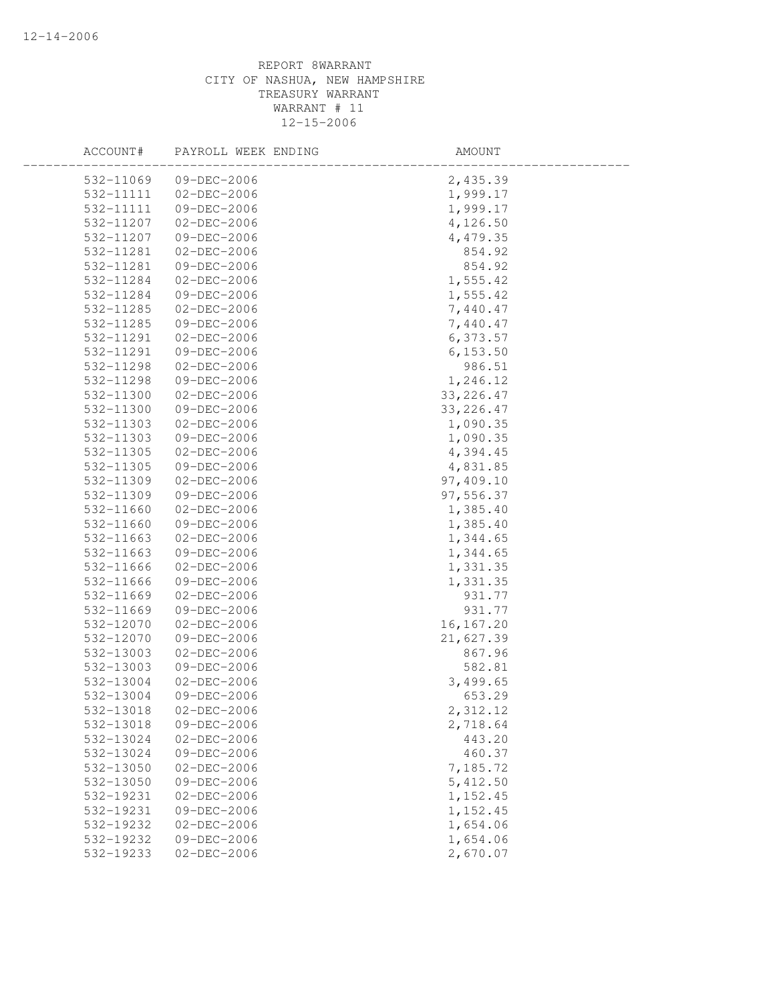| ACCOUNT#  | PAYROLL WEEK ENDING | AMOUNT     |  |
|-----------|---------------------|------------|--|
| 532-11069 | $09 - DEC - 2006$   | 2,435.39   |  |
| 532-11111 | 02-DEC-2006         | 1,999.17   |  |
| 532-11111 | 09-DEC-2006         | 1,999.17   |  |
| 532-11207 | 02-DEC-2006         | 4,126.50   |  |
| 532-11207 | 09-DEC-2006         | 4,479.35   |  |
| 532-11281 | 02-DEC-2006         | 854.92     |  |
| 532-11281 | 09-DEC-2006         | 854.92     |  |
| 532-11284 | $02 - DEC - 2006$   | 1,555.42   |  |
| 532-11284 | 09-DEC-2006         | 1,555.42   |  |
| 532-11285 | 02-DEC-2006         | 7,440.47   |  |
| 532-11285 | 09-DEC-2006         | 7,440.47   |  |
| 532-11291 | 02-DEC-2006         | 6,373.57   |  |
| 532-11291 | 09-DEC-2006         | 6, 153.50  |  |
| 532-11298 | 02-DEC-2006         | 986.51     |  |
| 532-11298 | 09-DEC-2006         | 1,246.12   |  |
| 532-11300 | 02-DEC-2006         | 33, 226.47 |  |
| 532-11300 | 09-DEC-2006         | 33, 226.47 |  |
| 532-11303 | 02-DEC-2006         | 1,090.35   |  |
| 532-11303 | 09-DEC-2006         | 1,090.35   |  |
| 532-11305 | 02-DEC-2006         | 4,394.45   |  |
| 532-11305 | 09-DEC-2006         | 4,831.85   |  |
| 532-11309 | $02-DEC-2006$       | 97,409.10  |  |
| 532-11309 | 09-DEC-2006         | 97,556.37  |  |
| 532-11660 | 02-DEC-2006         | 1,385.40   |  |
| 532-11660 | 09-DEC-2006         | 1,385.40   |  |
| 532-11663 | 02-DEC-2006         | 1,344.65   |  |
| 532-11663 | 09-DEC-2006         | 1,344.65   |  |
| 532-11666 | $02 - DEC - 2006$   | 1,331.35   |  |
| 532-11666 | 09-DEC-2006         | 1,331.35   |  |
| 532-11669 | 02-DEC-2006         | 931.77     |  |
| 532-11669 | 09-DEC-2006         | 931.77     |  |
| 532-12070 | 02-DEC-2006         | 16, 167.20 |  |
| 532-12070 | 09-DEC-2006         | 21,627.39  |  |
| 532-13003 | $02 - DEC - 2006$   | 867.96     |  |
| 532-13003 | 09-DEC-2006         | 582.81     |  |
| 532-13004 | $02 - DEC - 2006$   | 3,499.65   |  |
| 532-13004 | 09-DEC-2006         | 653.29     |  |
| 532-13018 | $02 - DEC - 2006$   | 2,312.12   |  |
| 532-13018 | 09-DEC-2006         | 2,718.64   |  |
| 532-13024 | $02 - DEC - 2006$   | 443.20     |  |
| 532-13024 | 09-DEC-2006         | 460.37     |  |
| 532-13050 | $02 - DEC - 2006$   | 7,185.72   |  |
| 532-13050 | 09-DEC-2006         | 5,412.50   |  |
| 532-19231 | $02 - DEC - 2006$   | 1,152.45   |  |
| 532-19231 | 09-DEC-2006         | 1,152.45   |  |
| 532-19232 | $02 - DEC - 2006$   | 1,654.06   |  |
| 532-19232 | 09-DEC-2006         | 1,654.06   |  |
| 532-19233 | $02 - DEC - 2006$   | 2,670.07   |  |
|           |                     |            |  |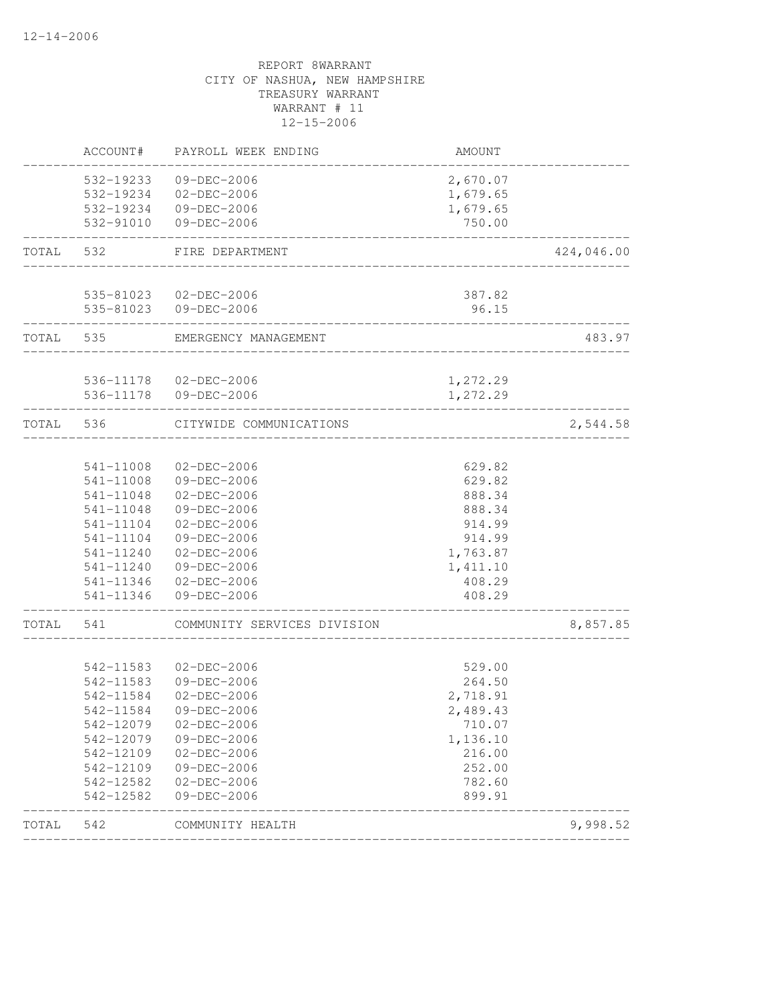| AMOUNT   | PAYROLL WEEK ENDING                                                                                                                                                                                              |                                                                                                                                                                                                                                                                                                                                                                           |                                                                                                                                                                                                                                                                                                                                                                                                                                                                      |
|----------|------------------------------------------------------------------------------------------------------------------------------------------------------------------------------------------------------------------|---------------------------------------------------------------------------------------------------------------------------------------------------------------------------------------------------------------------------------------------------------------------------------------------------------------------------------------------------------------------------|----------------------------------------------------------------------------------------------------------------------------------------------------------------------------------------------------------------------------------------------------------------------------------------------------------------------------------------------------------------------------------------------------------------------------------------------------------------------|
| 2,670.07 | 09-DEC-2006                                                                                                                                                                                                      |                                                                                                                                                                                                                                                                                                                                                                           |                                                                                                                                                                                                                                                                                                                                                                                                                                                                      |
| 1,679.65 |                                                                                                                                                                                                                  |                                                                                                                                                                                                                                                                                                                                                                           |                                                                                                                                                                                                                                                                                                                                                                                                                                                                      |
| 1,679.65 |                                                                                                                                                                                                                  |                                                                                                                                                                                                                                                                                                                                                                           |                                                                                                                                                                                                                                                                                                                                                                                                                                                                      |
| 750.00   | 09-DEC-2006                                                                                                                                                                                                      |                                                                                                                                                                                                                                                                                                                                                                           |                                                                                                                                                                                                                                                                                                                                                                                                                                                                      |
|          | FIRE DEPARTMENT                                                                                                                                                                                                  | 532                                                                                                                                                                                                                                                                                                                                                                       | TOTAL                                                                                                                                                                                                                                                                                                                                                                                                                                                                |
|          |                                                                                                                                                                                                                  |                                                                                                                                                                                                                                                                                                                                                                           |                                                                                                                                                                                                                                                                                                                                                                                                                                                                      |
| 96.15    |                                                                                                                                                                                                                  |                                                                                                                                                                                                                                                                                                                                                                           |                                                                                                                                                                                                                                                                                                                                                                                                                                                                      |
|          |                                                                                                                                                                                                                  | 535                                                                                                                                                                                                                                                                                                                                                                       | TOTAL                                                                                                                                                                                                                                                                                                                                                                                                                                                                |
|          |                                                                                                                                                                                                                  |                                                                                                                                                                                                                                                                                                                                                                           |                                                                                                                                                                                                                                                                                                                                                                                                                                                                      |
| 1,272.29 |                                                                                                                                                                                                                  |                                                                                                                                                                                                                                                                                                                                                                           |                                                                                                                                                                                                                                                                                                                                                                                                                                                                      |
|          |                                                                                                                                                                                                                  | 536                                                                                                                                                                                                                                                                                                                                                                       | TOTAL                                                                                                                                                                                                                                                                                                                                                                                                                                                                |
|          |                                                                                                                                                                                                                  |                                                                                                                                                                                                                                                                                                                                                                           |                                                                                                                                                                                                                                                                                                                                                                                                                                                                      |
|          |                                                                                                                                                                                                                  |                                                                                                                                                                                                                                                                                                                                                                           |                                                                                                                                                                                                                                                                                                                                                                                                                                                                      |
|          |                                                                                                                                                                                                                  |                                                                                                                                                                                                                                                                                                                                                                           |                                                                                                                                                                                                                                                                                                                                                                                                                                                                      |
|          |                                                                                                                                                                                                                  |                                                                                                                                                                                                                                                                                                                                                                           |                                                                                                                                                                                                                                                                                                                                                                                                                                                                      |
|          |                                                                                                                                                                                                                  |                                                                                                                                                                                                                                                                                                                                                                           |                                                                                                                                                                                                                                                                                                                                                                                                                                                                      |
|          |                                                                                                                                                                                                                  |                                                                                                                                                                                                                                                                                                                                                                           |                                                                                                                                                                                                                                                                                                                                                                                                                                                                      |
|          |                                                                                                                                                                                                                  |                                                                                                                                                                                                                                                                                                                                                                           |                                                                                                                                                                                                                                                                                                                                                                                                                                                                      |
|          |                                                                                                                                                                                                                  |                                                                                                                                                                                                                                                                                                                                                                           |                                                                                                                                                                                                                                                                                                                                                                                                                                                                      |
|          |                                                                                                                                                                                                                  |                                                                                                                                                                                                                                                                                                                                                                           |                                                                                                                                                                                                                                                                                                                                                                                                                                                                      |
| 408.29   | 09-DEC-2006                                                                                                                                                                                                      |                                                                                                                                                                                                                                                                                                                                                                           |                                                                                                                                                                                                                                                                                                                                                                                                                                                                      |
|          | COMMUNITY SERVICES DIVISION                                                                                                                                                                                      | 541                                                                                                                                                                                                                                                                                                                                                                       | TOTAL                                                                                                                                                                                                                                                                                                                                                                                                                                                                |
|          |                                                                                                                                                                                                                  |                                                                                                                                                                                                                                                                                                                                                                           |                                                                                                                                                                                                                                                                                                                                                                                                                                                                      |
|          |                                                                                                                                                                                                                  |                                                                                                                                                                                                                                                                                                                                                                           |                                                                                                                                                                                                                                                                                                                                                                                                                                                                      |
|          |                                                                                                                                                                                                                  |                                                                                                                                                                                                                                                                                                                                                                           |                                                                                                                                                                                                                                                                                                                                                                                                                                                                      |
|          |                                                                                                                                                                                                                  |                                                                                                                                                                                                                                                                                                                                                                           |                                                                                                                                                                                                                                                                                                                                                                                                                                                                      |
|          |                                                                                                                                                                                                                  |                                                                                                                                                                                                                                                                                                                                                                           |                                                                                                                                                                                                                                                                                                                                                                                                                                                                      |
|          |                                                                                                                                                                                                                  |                                                                                                                                                                                                                                                                                                                                                                           |                                                                                                                                                                                                                                                                                                                                                                                                                                                                      |
|          |                                                                                                                                                                                                                  |                                                                                                                                                                                                                                                                                                                                                                           |                                                                                                                                                                                                                                                                                                                                                                                                                                                                      |
|          |                                                                                                                                                                                                                  |                                                                                                                                                                                                                                                                                                                                                                           |                                                                                                                                                                                                                                                                                                                                                                                                                                                                      |
|          |                                                                                                                                                                                                                  |                                                                                                                                                                                                                                                                                                                                                                           |                                                                                                                                                                                                                                                                                                                                                                                                                                                                      |
| 899.91   | 09-DEC-2006                                                                                                                                                                                                      |                                                                                                                                                                                                                                                                                                                                                                           |                                                                                                                                                                                                                                                                                                                                                                                                                                                                      |
|          | COMMUNITY HEALTH                                                                                                                                                                                                 |                                                                                                                                                                                                                                                                                                                                                                           | TOTAL                                                                                                                                                                                                                                                                                                                                                                                                                                                                |
|          | 387.82<br>1,272.29<br>629.82<br>629.82<br>888.34<br>888.34<br>914.99<br>914.99<br>1,763.87<br>1,411.10<br>408.29<br>529.00<br>264.50<br>2,718.91<br>2,489.43<br>710.07<br>1,136.10<br>216.00<br>252.00<br>782.60 | EMERGENCY MANAGEMENT<br>CITYWIDE COMMUNICATIONS<br>$02 - DEC - 2006$<br>09-DEC-2006<br>$02 - DEC - 2006$<br>09-DEC-2006<br>$02-DEC-2006$<br>09-DEC-2006<br>02-DEC-2006<br>09-DEC-2006<br>02-DEC-2006<br>$02 - DEC - 2006$<br>09-DEC-2006<br>$02 - DEC - 2006$<br>09-DEC-2006<br>$02 - DEC - 2006$<br>09-DEC-2006<br>$02 - DEC - 2006$<br>09-DEC-2006<br>$02 - DEC - 2006$ | ACCOUNT#<br>532-19233<br>532-19234 02-DEC-2006<br>532-19234 09-DEC-2006<br>532-91010<br>535-81023 02-DEC-2006<br>535-81023 09-DEC-2006<br>536-11178  02-DEC-2006<br>536-11178 09-DEC-2006<br>541-11008<br>541-11008<br>541-11048<br>541-11048<br>541-11104<br>541-11104<br>541-11240<br>541-11240<br>541-11346<br>541-11346<br>542-11583<br>542-11583<br>542-11584<br>542-11584<br>542-12079<br>542-12079<br>542-12109<br>542-12109<br>542-12582<br>542-12582<br>542 |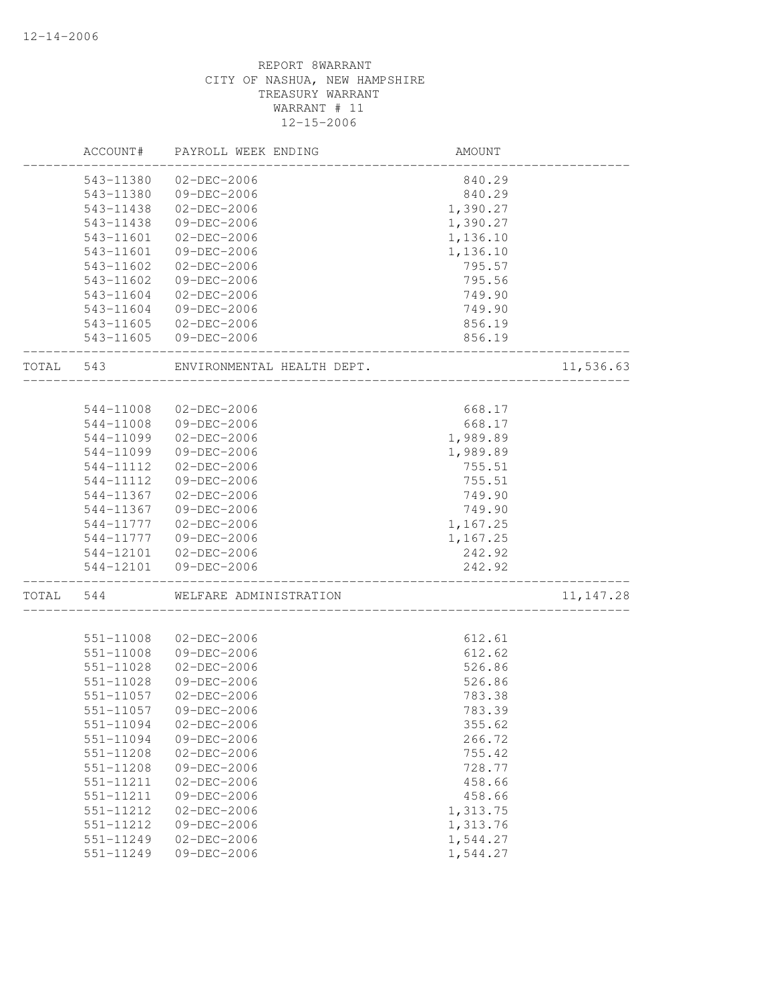|       | ACCOUNT#  | PAYROLL WEEK ENDING                  | AMOUNT           |            |
|-------|-----------|--------------------------------------|------------------|------------|
|       | 543-11380 | 02-DEC-2006                          | 840.29           |            |
|       | 543-11380 | 09-DEC-2006                          | 840.29           |            |
|       | 543-11438 | 02-DEC-2006                          | 1,390.27         |            |
|       | 543-11438 | 09-DEC-2006                          | 1,390.27         |            |
|       | 543-11601 | $02 - DEC - 2006$                    | 1,136.10         |            |
|       | 543-11601 | 09-DEC-2006                          | 1,136.10         |            |
|       | 543-11602 | 02-DEC-2006                          | 795.57           |            |
|       | 543-11602 | 09-DEC-2006                          | 795.56           |            |
|       | 543-11604 | 02-DEC-2006                          | 749.90           |            |
|       | 543-11604 | 09-DEC-2006                          | 749.90           |            |
|       | 543-11605 | 02-DEC-2006                          | 856.19           |            |
|       |           | 543-11605 09-DEC-2006                | 856.19           |            |
| TOTAL | 543       | ENVIRONMENTAL HEALTH DEPT.           |                  | 11,536.63  |
|       |           |                                      |                  |            |
|       | 544-11008 | $02 - DEC - 2006$                    | 668.17           |            |
|       | 544-11008 | 09-DEC-2006                          | 668.17           |            |
|       | 544-11099 | $02 - DEC - 2006$                    | 1,989.89         |            |
|       | 544-11099 | 09-DEC-2006                          | 1,989.89         |            |
|       | 544-11112 | 02-DEC-2006                          | 755.51           |            |
|       | 544-11112 | 09-DEC-2006                          | 755.51           |            |
|       | 544-11367 | $02 - DEC - 2006$                    | 749.90           |            |
|       | 544-11367 | 09-DEC-2006                          | 749.90           |            |
|       | 544-11777 | 02-DEC-2006                          | 1,167.25         |            |
|       | 544-11777 | 09-DEC-2006                          | 1,167.25         |            |
|       | 544-12101 | 544-12101 02-DEC-2006<br>09-DEC-2006 | 242.92<br>242.92 |            |
| TOTAL | 544       | WELFARE ADMINISTRATION               | --------------   | 11, 147.28 |
|       |           |                                      |                  |            |
|       | 551-11008 | $02 - DEC - 2006$                    | 612.61           |            |
|       | 551-11008 | 09-DEC-2006                          | 612.62           |            |
|       | 551-11028 | $02-DEC-2006$                        | 526.86           |            |
|       | 551-11028 | 09-DEC-2006                          | 526.86           |            |
|       | 551-11057 | $02 - DEC - 2006$                    | 783.38           |            |
|       | 551-11057 | 09-DEC-2006                          | 783.39           |            |
|       | 551-11094 | $02 - DEC - 2006$                    | 355.62           |            |
|       | 551-11094 | 09-DEC-2006                          | 266.72           |            |
|       | 551-11208 | 02-DEC-2006                          | 755.42           |            |
|       | 551-11208 | 09-DEC-2006                          | 728.77           |            |
|       | 551-11211 | $02 - DEC - 2006$                    | 458.66           |            |
|       | 551-11211 | 09-DEC-2006                          | 458.66           |            |
|       | 551-11212 | $02 - DEC - 2006$                    | 1,313.75         |            |
|       | 551-11212 | 09-DEC-2006                          | 1,313.76         |            |
|       | 551-11249 | $02 - DEC - 2006$                    | 1,544.27         |            |
|       | 551-11249 | 09-DEC-2006                          | 1,544.27         |            |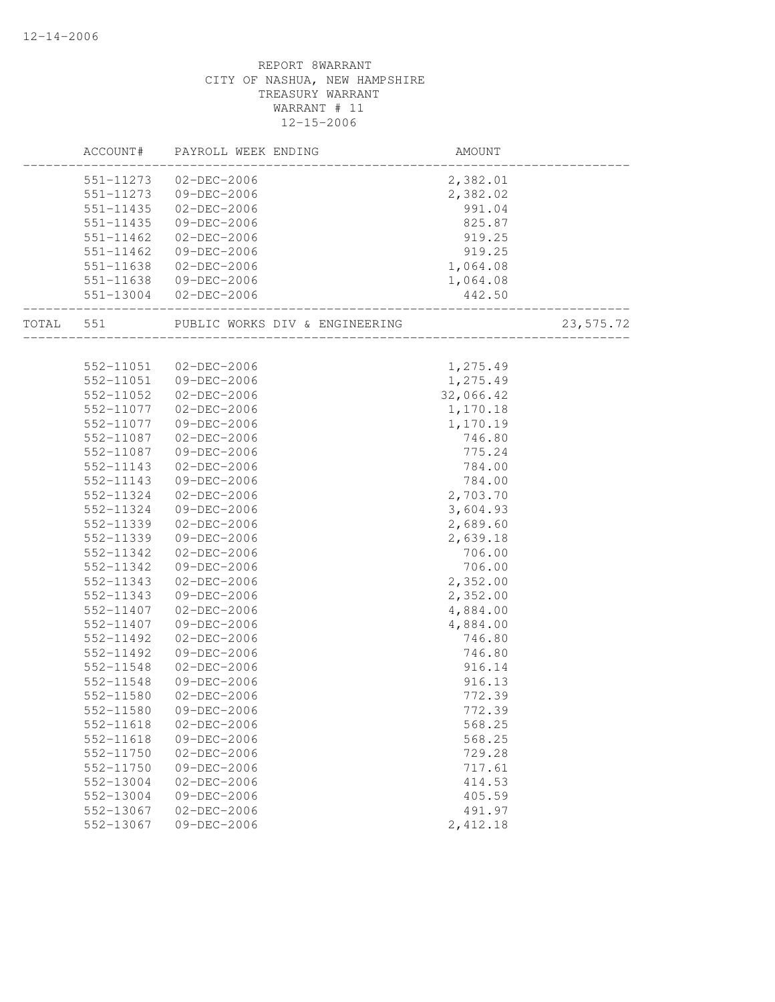|           | ACCOUNT#  | PAYROLL WEEK ENDING            | AMOUNT    |             |
|-----------|-----------|--------------------------------|-----------|-------------|
|           |           | 551-11273 02-DEC-2006          | 2,382.01  |             |
|           |           | 551-11273 09-DEC-2006          | 2,382.02  |             |
|           |           | 551-11435 02-DEC-2006          | 991.04    |             |
|           | 551-11435 | 09-DEC-2006                    | 825.87    |             |
|           | 551-11462 | 02-DEC-2006                    | 919.25    |             |
|           | 551-11462 | 09-DEC-2006                    | 919.25    |             |
|           | 551-11638 | 02-DEC-2006                    | 1,064.08  |             |
|           |           | 551-11638 09-DEC-2006          | 1,064.08  |             |
|           |           | 551-13004 02-DEC-2006          | 442.50    |             |
| TOTAL 551 |           | PUBLIC WORKS DIV & ENGINEERING |           | 23, 575. 72 |
|           |           |                                |           |             |
|           |           | 552-11051 02-DEC-2006          | 1,275.49  |             |
|           | 552-11051 | 09-DEC-2006                    | 1,275.49  |             |
|           | 552-11052 | 02-DEC-2006                    | 32,066.42 |             |
|           | 552-11077 | 02-DEC-2006                    | 1,170.18  |             |
|           | 552-11077 | 09-DEC-2006                    | 1,170.19  |             |
|           | 552-11087 | $02 - DEC - 2006$              | 746.80    |             |
|           | 552-11087 | 09-DEC-2006                    | 775.24    |             |
|           | 552-11143 | 02-DEC-2006                    | 784.00    |             |
|           | 552-11143 | 09-DEC-2006                    | 784.00    |             |
|           | 552-11324 | 02-DEC-2006                    | 2,703.70  |             |
|           | 552-11324 | 09-DEC-2006                    | 3,604.93  |             |
|           | 552-11339 | 02-DEC-2006                    | 2,689.60  |             |
|           | 552-11339 | 09-DEC-2006                    | 2,639.18  |             |
|           | 552-11342 | 02-DEC-2006                    | 706.00    |             |
|           | 552-11342 | 09-DEC-2006                    | 706.00    |             |
|           | 552-11343 | 02-DEC-2006                    | 2,352.00  |             |
|           | 552-11343 | 09-DEC-2006                    | 2,352.00  |             |
|           | 552-11407 | 02-DEC-2006                    | 4,884.00  |             |
|           | 552-11407 | 09-DEC-2006                    | 4,884.00  |             |
|           | 552-11492 | 02-DEC-2006                    | 746.80    |             |
|           | 552-11492 | 09-DEC-2006                    | 746.80    |             |
|           | 552-11548 | 02-DEC-2006                    | 916.14    |             |
|           | 552-11548 | 09-DEC-2006                    | 916.13    |             |
|           | 552-11580 | $02 - DEC - 2006$              | 772.39    |             |
|           | 552-11580 | 09-DEC-2006                    | 772.39    |             |
|           | 552-11618 | $02 - DEC - 2006$              | 568.25    |             |
|           | 552-11618 | 09-DEC-2006                    | 568.25    |             |
|           | 552-11750 | $02 - DEC - 2006$              | 729.28    |             |
|           | 552-11750 | 09-DEC-2006                    | 717.61    |             |
|           | 552-13004 | $02 - DEC - 2006$              | 414.53    |             |
|           | 552-13004 | 09-DEC-2006                    | 405.59    |             |
|           | 552-13067 | $02 - DEC - 2006$              | 491.97    |             |
|           | 552-13067 | 09-DEC-2006                    | 2,412.18  |             |
|           |           |                                |           |             |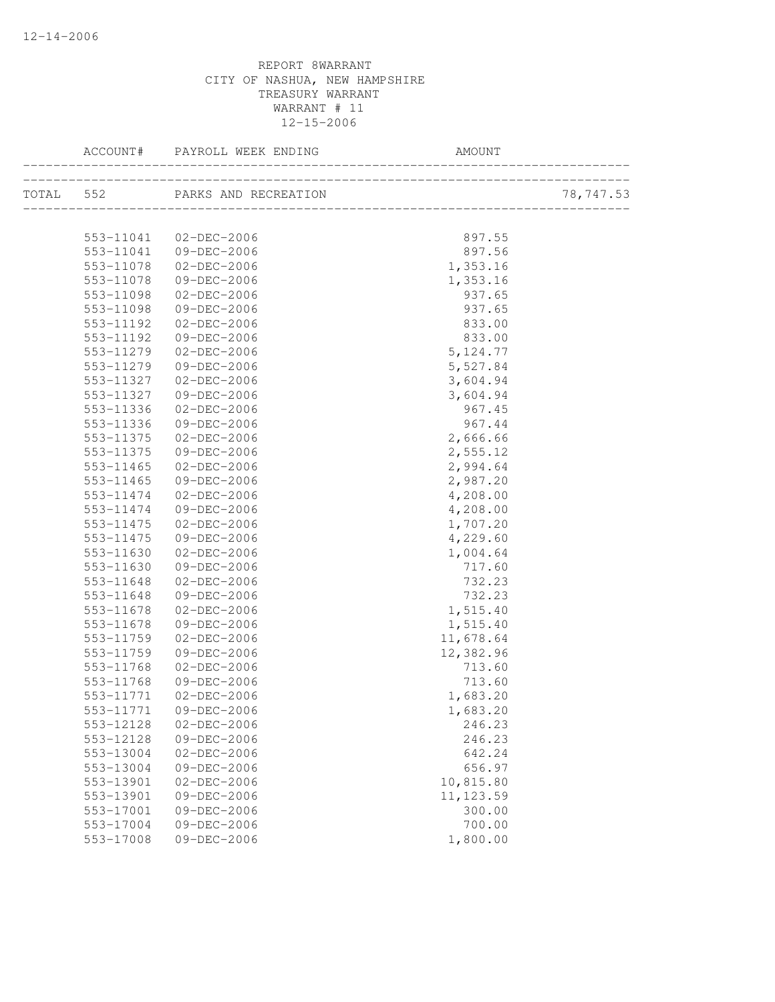| ACCOUNT#  |                       |            |           |
|-----------|-----------------------|------------|-----------|
|           |                       |            | 78,747.53 |
|           | 553-11041 02-DEC-2006 | 897.55     |           |
|           | 553-11041 09-DEC-2006 | 897.56     |           |
| 553-11078 | $02 - DEC - 2006$     | 1,353.16   |           |
| 553-11078 | 09-DEC-2006           | 1,353.16   |           |
| 553-11098 | $02 - DEC - 2006$     | 937.65     |           |
| 553-11098 | 09-DEC-2006           | 937.65     |           |
| 553-11192 | $02 - DEC - 2006$     | 833.00     |           |
| 553-11192 | 09-DEC-2006           | 833.00     |           |
| 553-11279 | 02-DEC-2006           | 5, 124.77  |           |
| 553-11279 | 09-DEC-2006           | 5,527.84   |           |
| 553-11327 | 02-DEC-2006           | 3,604.94   |           |
| 553-11327 | 09-DEC-2006           | 3,604.94   |           |
| 553-11336 | 02-DEC-2006           | 967.45     |           |
| 553-11336 | 09-DEC-2006           | 967.44     |           |
| 553-11375 | 02-DEC-2006           | 2,666.66   |           |
| 553-11375 | 09-DEC-2006           | 2,555.12   |           |
| 553-11465 | 02-DEC-2006           | 2,994.64   |           |
| 553-11465 | 09-DEC-2006           | 2,987.20   |           |
| 553-11474 | 02-DEC-2006           | 4,208.00   |           |
| 553-11474 | 09-DEC-2006           | 4,208.00   |           |
| 553-11475 | 02-DEC-2006           | 1,707.20   |           |
| 553-11475 | 09-DEC-2006           | 4,229.60   |           |
| 553-11630 | 02-DEC-2006           | 1,004.64   |           |
| 553-11630 | 09-DEC-2006           | 717.60     |           |
| 553-11648 | 02-DEC-2006           | 732.23     |           |
| 553-11648 | 09-DEC-2006           | 732.23     |           |
| 553-11678 | 02-DEC-2006           | 1,515.40   |           |
| 553-11678 | 09-DEC-2006           | 1,515.40   |           |
| 553-11759 | 02-DEC-2006           | 11,678.64  |           |
| 553-11759 | 09-DEC-2006           | 12,382.96  |           |
| 553-11768 | 02-DEC-2006           | 713.60     |           |
| 553-11768 | 09-DEC-2006           | 713.60     |           |
| 553-11771 | 02-DEC-2006           | 1,683.20   |           |
| 553-11771 | 09-DEC-2006           | 1,683.20   |           |
| 553-12128 | $02 - DEC - 2006$     | 246.23     |           |
| 553-12128 | 09-DEC-2006           | 246.23     |           |
| 553-13004 | $02 - DEC - 2006$     | 642.24     |           |
| 553-13004 | 09-DEC-2006           | 656.97     |           |
| 553-13901 | $02 - DEC - 2006$     | 10,815.80  |           |
| 553-13901 | 09-DEC-2006           | 11, 123.59 |           |
| 553-17001 | 09-DEC-2006           | 300.00     |           |
| 553-17004 | 09-DEC-2006           | 700.00     |           |
| 553-17008 | 09-DEC-2006           | 1,800.00   |           |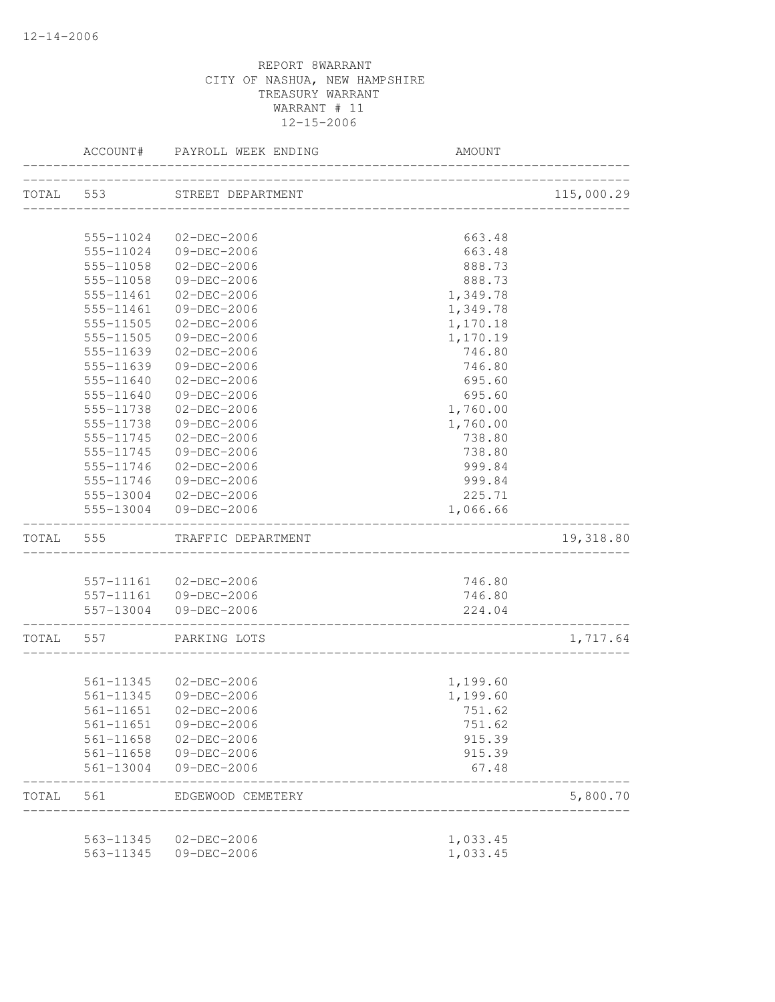|           | ACCOUNT#  | PAYROLL WEEK ENDING         | <b>AMOUNT</b>             |            |
|-----------|-----------|-----------------------------|---------------------------|------------|
|           |           | TOTAL 553 STREET DEPARTMENT |                           | 115,000.29 |
|           |           |                             | _______________________   |            |
|           | 555-11024 | 02-DEC-2006                 | 663.48                    |            |
|           | 555-11024 | 09-DEC-2006                 | 663.48                    |            |
|           | 555-11058 | 02-DEC-2006                 | 888.73                    |            |
|           | 555-11058 | 09-DEC-2006                 | 888.73                    |            |
|           | 555-11461 | 02-DEC-2006                 | 1,349.78                  |            |
|           | 555-11461 | 09-DEC-2006                 | 1,349.78                  |            |
|           | 555-11505 | $02 - DEC - 2006$           | 1,170.18                  |            |
|           | 555-11505 | 09-DEC-2006                 | 1,170.19                  |            |
|           | 555-11639 | $02 - DEC - 2006$           | 746.80                    |            |
|           | 555-11639 | 09-DEC-2006                 | 746.80                    |            |
|           | 555-11640 | $02 - DEC - 2006$           | 695.60                    |            |
|           | 555-11640 | $09 - DEC - 2006$           | 695.60                    |            |
|           | 555-11738 | $02 - DEC - 2006$           | 1,760.00                  |            |
|           | 555-11738 | 09-DEC-2006                 | 1,760.00                  |            |
|           | 555-11745 | $02 - DEC - 2006$           | 738.80                    |            |
|           | 555-11745 | 09-DEC-2006                 | 738.80                    |            |
|           | 555-11746 | 02-DEC-2006                 | 999.84                    |            |
|           | 555-11746 | 09-DEC-2006                 | 999.84                    |            |
|           |           | 555-13004 02-DEC-2006       | 225.71                    |            |
|           |           | 555-13004 09-DEC-2006       | 1,066.66                  |            |
| TOTAL 555 |           | TRAFFIC DEPARTMENT          |                           | 19,318.80  |
|           |           |                             |                           |            |
|           |           | 557-11161 02-DEC-2006       | 746.80                    |            |
|           |           | 557-11161 09-DEC-2006       | 746.80                    |            |
|           |           | 557-13004 09-DEC-2006       | 224.04                    |            |
| TOTAL 557 |           | PARKING LOTS                | _________________________ | 1,717.64   |
|           |           |                             |                           |            |
|           |           | 561-11345 02-DEC-2006       | 1,199.60                  |            |
|           |           | 561-11345 09-DEC-2006       | 1,199.60                  |            |
|           |           | 561-11651 02-DEC-2006       | 751.62                    |            |
|           |           | 561-11651 09-DEC-2006       | 751.62                    |            |
|           |           | 561-11658 02-DEC-2006       | 915.39                    |            |
|           |           | 561-11658 09-DEC-2006       | 915.39                    |            |
|           |           | 561-13004 09-DEC-2006       | 67.48                     |            |
| TOTAL     | 561       | EDGEWOOD CEMETERY           |                           | 5,800.70   |
|           |           | 563-11345 02-DEC-2006       | 1,033.45                  |            |
|           | 563-11345 | 09-DEC-2006                 | 1,033.45                  |            |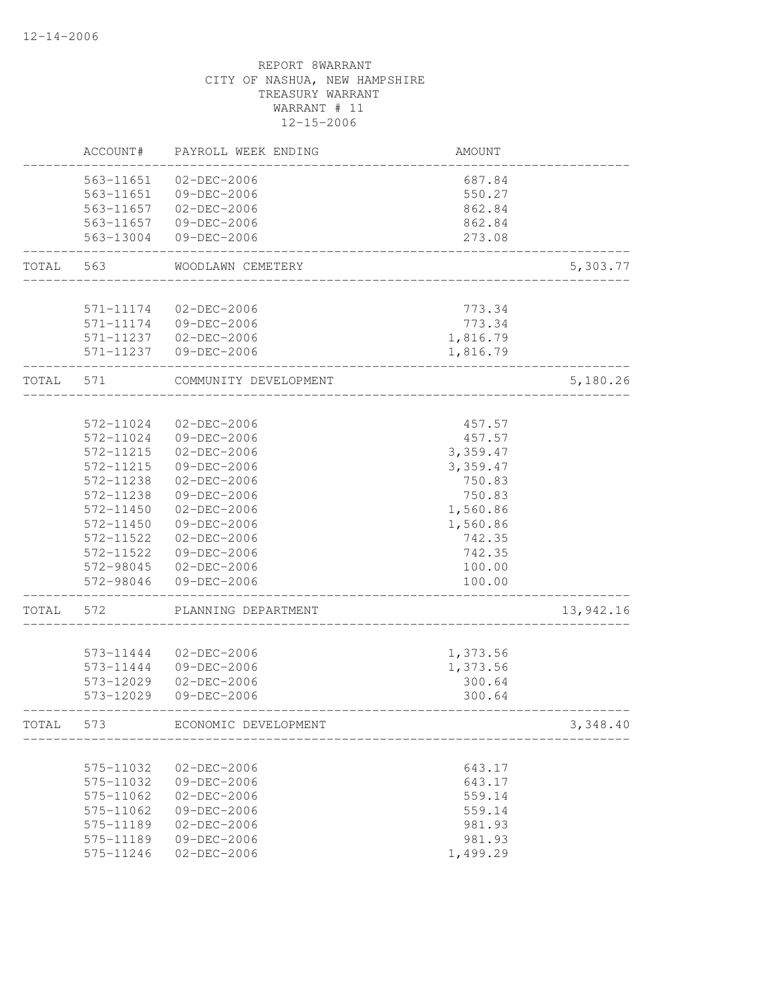|       | ACCOUNT#               | PAYROLL WEEK ENDING              | AMOUNT           |           |
|-------|------------------------|----------------------------------|------------------|-----------|
|       | 563-11651              | 02-DEC-2006                      | 687.84           |           |
|       | 563-11651              | 09-DEC-2006                      | 550.27           |           |
|       | 563-11657              | 02-DEC-2006                      | 862.84           |           |
|       | 563-11657              | 09-DEC-2006                      | 862.84           |           |
|       | 563-13004              | 09-DEC-2006                      | 273.08           |           |
| TOTAL | 563                    | WOODLAWN CEMETERY                |                  | 5,303.77  |
|       | 571-11174              | $02 - DEC - 2006$                | 773.34           |           |
|       | 571-11174              | 09-DEC-2006                      | 773.34           |           |
|       | 571-11237              | $02 - DEC - 2006$                | 1,816.79         |           |
|       | 571-11237              | 09-DEC-2006                      | 1,816.79         |           |
| TOTAL | 571                    | COMMUNITY DEVELOPMENT            |                  | 5,180.26  |
|       |                        |                                  |                  |           |
|       | 572-11024              | $02 - DEC - 2006$                | 457.57           |           |
|       | 572-11024              | 09-DEC-2006                      | 457.57           |           |
|       | 572-11215              | $02 - DEC - 2006$                | 3,359.47         |           |
|       | 572-11215              | 09-DEC-2006                      | 3,359.47         |           |
|       | 572-11238              | $02 - DEC - 2006$                | 750.83           |           |
|       | 572-11238              | 09-DEC-2006                      | 750.83           |           |
|       | 572-11450              | 02-DEC-2006                      | 1,560.86         |           |
|       | 572-11450              | 09-DEC-2006                      | 1,560.86         |           |
|       | 572-11522              | $02 - DEC - 2006$                | 742.35           |           |
|       | 572-11522              | 09-DEC-2006                      | 742.35           |           |
|       | 572-98045              | 02-DEC-2006                      | 100.00           |           |
|       | 572-98046              | $09 - DEC - 2006$                | 100.00           |           |
| TOTAL | 572                    | PLANNING DEPARTMENT              |                  | 13,942.16 |
|       |                        |                                  |                  |           |
|       | 573-11444              | $02 - DEC - 2006$                | 1,373.56         |           |
|       | 573-11444              | 09-DEC-2006                      | 1,373.56         |           |
|       | 573-12029<br>573-12029 | $02 - DEC - 2006$<br>09-DEC-2006 | 300.64<br>300.64 |           |
| TOTAL | 573                    | ECONOMIC DEVELOPMENT             |                  | 3,348.40  |
|       |                        |                                  |                  |           |
|       | 575-11032              | $02 - DEC - 2006$                | 643.17           |           |
|       | 575-11032              | 09-DEC-2006                      | 643.17           |           |
|       | 575-11062              | $02 - DEC - 2006$                | 559.14           |           |
|       | 575-11062              | 09-DEC-2006                      | 559.14           |           |
|       | 575-11189              | $02 - DEC - 2006$                | 981.93           |           |
|       | 575-11189              | $09 - DEC - 2006$                | 981.93           |           |
|       | 575-11246              | $02 - DEC - 2006$                | 1,499.29         |           |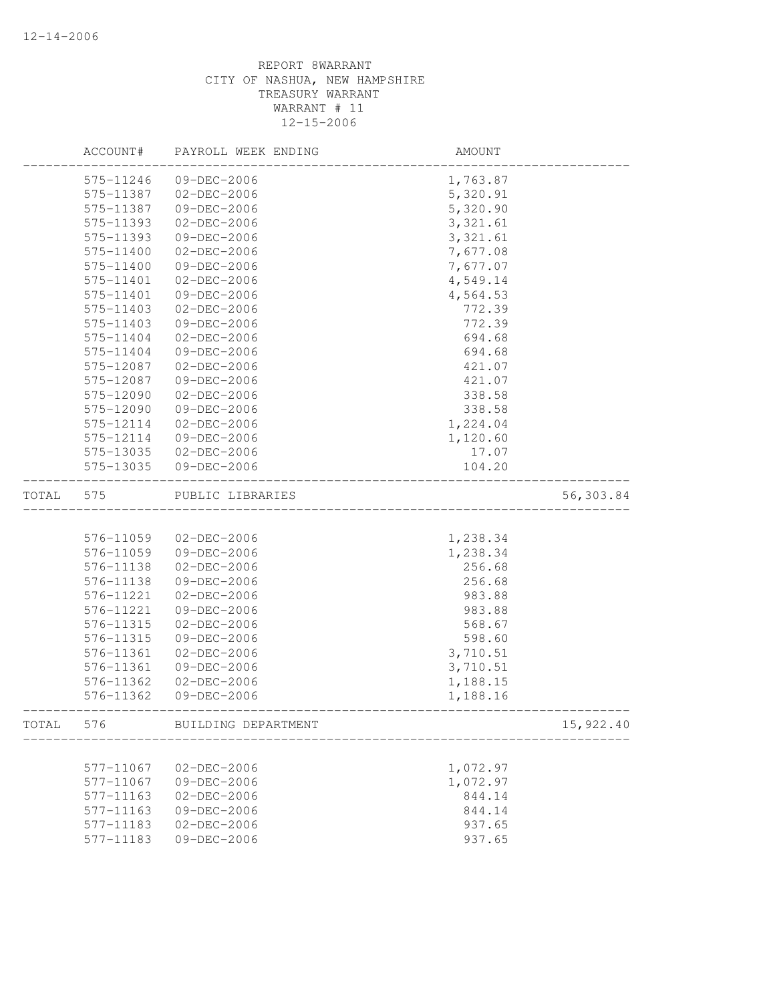|       | ACCOUNT#  | PAYROLL WEEK ENDING | AMOUNT                       |           |
|-------|-----------|---------------------|------------------------------|-----------|
|       | 575-11246 | 09-DEC-2006         | 1,763.87                     |           |
|       | 575-11387 | $02 - DEC - 2006$   | 5,320.91                     |           |
|       | 575-11387 | 09-DEC-2006         | 5,320.90                     |           |
|       | 575-11393 | 02-DEC-2006         | 3, 321.61                    |           |
|       | 575-11393 | 09-DEC-2006         | 3, 321.61                    |           |
|       | 575-11400 | $02 - DEC - 2006$   | 7,677.08                     |           |
|       | 575-11400 | 09-DEC-2006         | 7,677.07                     |           |
|       | 575-11401 | $02 - DEC - 2006$   | 4,549.14                     |           |
|       | 575-11401 | 09-DEC-2006         | 4,564.53                     |           |
|       | 575-11403 | $02 - DEC - 2006$   | 772.39                       |           |
|       | 575-11403 | 09-DEC-2006         | 772.39                       |           |
|       | 575-11404 | $02 - DEC - 2006$   | 694.68                       |           |
|       | 575-11404 | 09-DEC-2006         | 694.68                       |           |
|       | 575-12087 | $02 - DEC - 2006$   | 421.07                       |           |
|       | 575-12087 | 09-DEC-2006         | 421.07                       |           |
|       | 575-12090 | 02-DEC-2006         | 338.58                       |           |
|       | 575-12090 | 09-DEC-2006         | 338.58                       |           |
|       | 575-12114 | 02-DEC-2006         | 1,224.04                     |           |
|       | 575-12114 | 09-DEC-2006         | 1,120.60                     |           |
|       | 575-13035 | 02-DEC-2006         | 17.07                        |           |
|       | 575-13035 | 09-DEC-2006         | 104.20                       |           |
| TOTAL | 575       | PUBLIC LIBRARIES    | ____________________________ | 56,303.84 |
|       |           |                     |                              |           |
|       | 576-11059 | 02-DEC-2006         | 1,238.34                     |           |
|       | 576-11059 | 09-DEC-2006         | 1,238.34                     |           |
|       | 576-11138 | 02-DEC-2006         | 256.68                       |           |
|       | 576-11138 | 09-DEC-2006         | 256.68                       |           |
|       | 576-11221 | 02-DEC-2006         | 983.88                       |           |
|       | 576-11221 | 09-DEC-2006         | 983.88                       |           |
|       | 576-11315 | $02 - DEC - 2006$   | 568.67                       |           |
|       | 576-11315 | 09-DEC-2006         | 598.60                       |           |
|       | 576-11361 | 02-DEC-2006         | 3,710.51                     |           |
|       | 576-11361 | 09-DEC-2006         | 3,710.51                     |           |
|       | 576-11362 | 02-DEC-2006         | 1,188.15                     |           |
|       | 576-11362 | 09-DEC-2006         | 1,188.16                     |           |
| TOTAL | 576       | BUILDING DEPARTMENT |                              | 15,922.40 |
|       |           |                     |                              |           |
|       | 577-11067 | 02-DEC-2006         | 1,072.97                     |           |
|       | 577-11067 | 09-DEC-2006         | 1,072.97                     |           |
|       | 577-11163 | $02 - DEC - 2006$   | 844.14                       |           |
|       | 577-11163 | 09-DEC-2006         | 844.14                       |           |
|       | 577-11183 | $02 - DEC - 2006$   | 937.65                       |           |
|       | 577-11183 | 09-DEC-2006         | 937.65                       |           |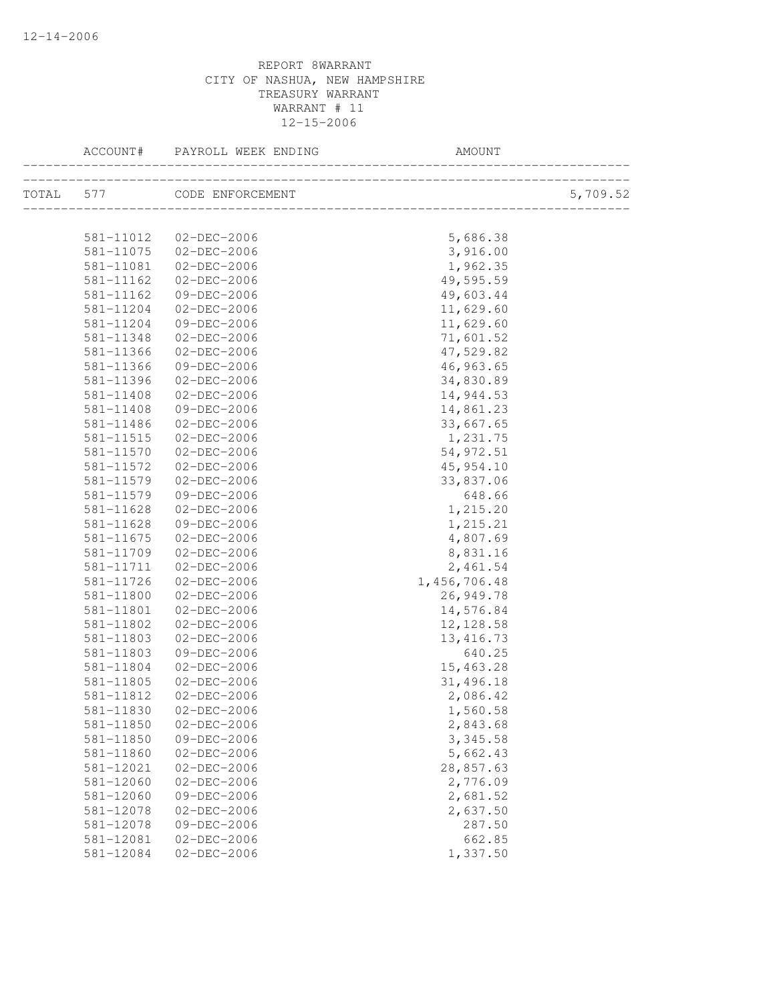| ACCOUNT#      | PAYROLL WEEK ENDING        | AMOUNT                                  |          |
|---------------|----------------------------|-----------------------------------------|----------|
|               | TOTAL 577 CODE ENFORCEMENT | L<br>---------------------------------- | 5,709.52 |
|               |                            |                                         |          |
|               | 581-11012  02-DEC-2006     | 5,686.38                                |          |
| 581-11075     | 02-DEC-2006                | 3,916.00                                |          |
| 581-11081     | 02-DEC-2006                | 1,962.35                                |          |
| 581-11162     | 02-DEC-2006                | 49,595.59                               |          |
| 581-11162     | 09-DEC-2006                | 49,603.44                               |          |
| 581-11204     | 02-DEC-2006                | 11,629.60                               |          |
| 581-11204     | 09-DEC-2006                | 11,629.60                               |          |
| 581-11348     | 02-DEC-2006                | 71,601.52                               |          |
| 581-11366     | 02-DEC-2006                | 47,529.82                               |          |
| 581-11366     | 09-DEC-2006                | 46,963.65                               |          |
| 581-11396     | 02-DEC-2006                | 34,830.89                               |          |
| 581-11408     | 02-DEC-2006                | 14,944.53                               |          |
| 581-11408     | 09-DEC-2006                | 14,861.23                               |          |
| 581-11486     | 02-DEC-2006                | 33,667.65                               |          |
| 581-11515     | 02-DEC-2006                | 1,231.75                                |          |
| 581-11570     | 02-DEC-2006                | 54, 972.51                              |          |
| 581-11572     | 02-DEC-2006                | 45,954.10                               |          |
| 581-11579     | 02-DEC-2006                | 33,837.06                               |          |
| 581-11579     | 09-DEC-2006                | 648.66                                  |          |
| 581-11628     | 02-DEC-2006                | 1,215.20                                |          |
| 581-11628     | 09-DEC-2006                | 1,215.21                                |          |
| $581 - 11675$ | 02-DEC-2006                | 4,807.69                                |          |
| 581-11709     | 02-DEC-2006                | 8,831.16                                |          |
| 581-11711     | 02-DEC-2006                | 2,461.54                                |          |
| 581-11726     | 02-DEC-2006                | 1,456,706.48                            |          |
| 581-11800     | 02-DEC-2006                | 26,949.78                               |          |
| 581-11801     | $02 - DEC - 2006$          | 14,576.84                               |          |
| 581-11802     | $02 - DEC - 2006$          | 12, 128.58                              |          |
| 581-11803     | $02 - DEC - 2006$          | 13, 416.73                              |          |
| 581-11803     | 09-DEC-2006                | 640.25                                  |          |
| 581-11804     | 02-DEC-2006                | 15,463.28                               |          |
| 581-11805     | 02-DEC-2006                | 31,496.18                               |          |
| 581-11812     | $02 - DEC - 2006$          | 2,086.42                                |          |
| 581-11830     | $02 - DEC - 2006$          | 1,560.58                                |          |
| 581-11850     | $02 - DEC - 2006$          | 2,843.68                                |          |
| 581-11850     | 09-DEC-2006                | 3,345.58                                |          |
| 581-11860     | $02 - DEC - 2006$          | 5,662.43                                |          |
| 581-12021     | $02 - DEC - 2006$          | 28,857.63                               |          |
| 581-12060     | $02 - DEC - 2006$          | 2,776.09                                |          |
| 581-12060     | 09-DEC-2006                | 2,681.52                                |          |
| 581-12078     | 02-DEC-2006                | 2,637.50                                |          |
| 581-12078     | 09-DEC-2006                | 287.50                                  |          |
| 581-12081     | $02 - DEC - 2006$          | 662.85                                  |          |
| 581-12084     | $02 - DEC - 2006$          | 1,337.50                                |          |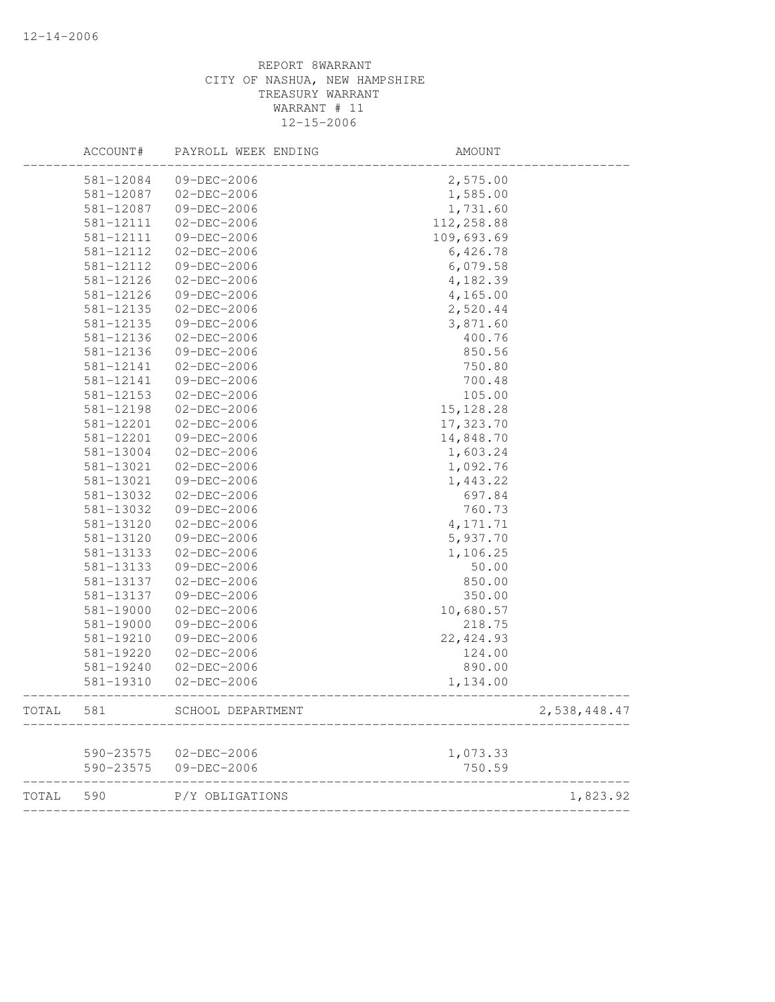|       | ACCOUNT#  | PAYROLL WEEK ENDING | AMOUNT     |              |
|-------|-----------|---------------------|------------|--------------|
|       | 581-12084 | 09-DEC-2006         | 2,575.00   |              |
|       | 581-12087 | 02-DEC-2006         | 1,585.00   |              |
|       | 581-12087 | 09-DEC-2006         | 1,731.60   |              |
|       | 581-12111 | 02-DEC-2006         | 112,258.88 |              |
|       | 581-12111 | 09-DEC-2006         | 109,693.69 |              |
|       | 581-12112 | 02-DEC-2006         | 6,426.78   |              |
|       | 581-12112 | 09-DEC-2006         | 6,079.58   |              |
|       | 581-12126 | 02-DEC-2006         | 4,182.39   |              |
|       | 581-12126 | 09-DEC-2006         | 4,165.00   |              |
|       | 581-12135 | 02-DEC-2006         | 2,520.44   |              |
|       | 581-12135 | 09-DEC-2006         | 3,871.60   |              |
|       | 581-12136 | 02-DEC-2006         | 400.76     |              |
|       | 581-12136 | 09-DEC-2006         | 850.56     |              |
|       | 581-12141 | 02-DEC-2006         | 750.80     |              |
|       | 581-12141 | 09-DEC-2006         | 700.48     |              |
|       | 581-12153 | 02-DEC-2006         | 105.00     |              |
|       | 581-12198 | 02-DEC-2006         | 15, 128.28 |              |
|       | 581-12201 | 02-DEC-2006         | 17,323.70  |              |
|       | 581-12201 | 09-DEC-2006         | 14,848.70  |              |
|       | 581-13004 | 02-DEC-2006         | 1,603.24   |              |
|       | 581-13021 | $02 - DEC - 2006$   | 1,092.76   |              |
|       | 581-13021 | 09-DEC-2006         | 1,443.22   |              |
|       | 581-13032 | 02-DEC-2006         | 697.84     |              |
|       | 581-13032 | 09-DEC-2006         | 760.73     |              |
|       | 581-13120 | 02-DEC-2006         | 4, 171.71  |              |
|       | 581-13120 | 09-DEC-2006         | 5,937.70   |              |
|       | 581-13133 | 02-DEC-2006         | 1,106.25   |              |
|       | 581-13133 | 09-DEC-2006         | 50.00      |              |
|       | 581-13137 | 02-DEC-2006         | 850.00     |              |
|       | 581-13137 | 09-DEC-2006         | 350.00     |              |
|       | 581-19000 | 02-DEC-2006         | 10,680.57  |              |
|       | 581-19000 | 09-DEC-2006         | 218.75     |              |
|       | 581-19210 | 09-DEC-2006         | 22, 424.93 |              |
|       | 581-19220 | $02 - DEC - 2006$   | 124.00     |              |
|       | 581-19240 | 02-DEC-2006         | 890.00     |              |
|       | 581-19310 | 02-DEC-2006         | 1,134.00   |              |
| TOTAL | 581       | SCHOOL DEPARTMENT   |            | 2,538,448.47 |
|       |           |                     |            |              |
|       | 590-23575 | $02-DEC-2006$       | 1,073.33   |              |
|       | 590-23575 | 09-DEC-2006         | 750.59     |              |
| TOTAL | 590       | P/Y OBLIGATIONS     |            | 1,823.92     |
|       |           |                     |            |              |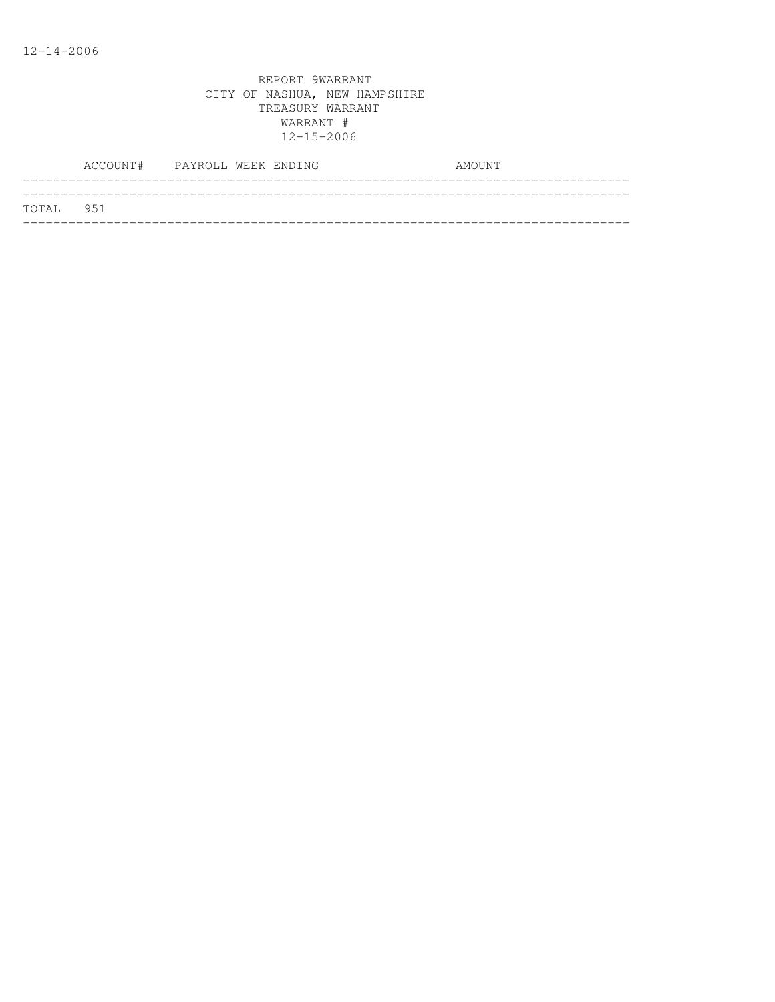|           | ACCOUNT# PAYROLL WEEK ENDING |  | AMOUNT |
|-----------|------------------------------|--|--------|
| TOTAL 951 |                              |  |        |
|           |                              |  |        |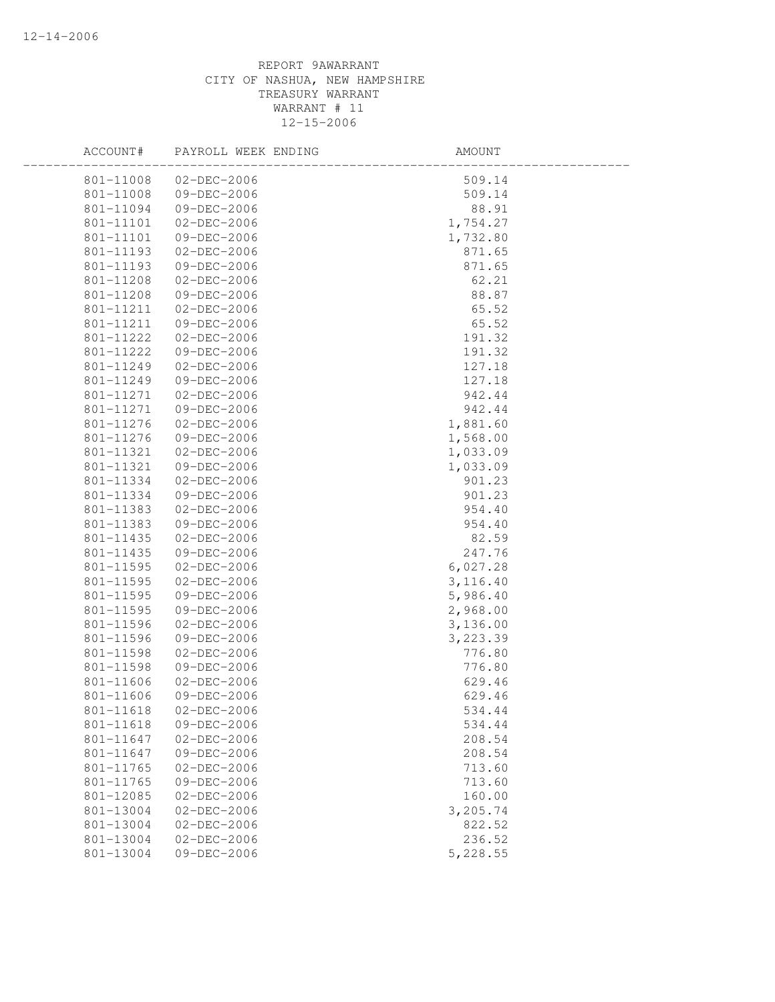| ACCOUNT#  | PAYROLL WEEK ENDING | AMOUNT    |  |
|-----------|---------------------|-----------|--|
| 801-11008 | $02 - DEC - 2006$   | 509.14    |  |
| 801-11008 | 09-DEC-2006         | 509.14    |  |
| 801-11094 | 09-DEC-2006         | 88.91     |  |
| 801-11101 | 02-DEC-2006         | 1,754.27  |  |
| 801-11101 | 09-DEC-2006         | 1,732.80  |  |
| 801-11193 | 02-DEC-2006         | 871.65    |  |
| 801-11193 | 09-DEC-2006         | 871.65    |  |
| 801-11208 | $02 - DEC - 2006$   | 62.21     |  |
| 801-11208 | 09-DEC-2006         | 88.87     |  |
| 801-11211 | $02 - DEC - 2006$   | 65.52     |  |
| 801-11211 | 09-DEC-2006         | 65.52     |  |
| 801-11222 | 02-DEC-2006         | 191.32    |  |
| 801-11222 | 09-DEC-2006         | 191.32    |  |
| 801-11249 | 02-DEC-2006         | 127.18    |  |
| 801-11249 | 09-DEC-2006         | 127.18    |  |
| 801-11271 | $02-DEC-2006$       | 942.44    |  |
| 801-11271 | 09-DEC-2006         | 942.44    |  |
| 801-11276 | 02-DEC-2006         | 1,881.60  |  |
| 801-11276 | 09-DEC-2006         | 1,568.00  |  |
| 801-11321 | 02-DEC-2006         | 1,033.09  |  |
| 801-11321 | 09-DEC-2006         | 1,033.09  |  |
| 801-11334 | 02-DEC-2006         | 901.23    |  |
| 801-11334 | 09-DEC-2006         | 901.23    |  |
| 801-11383 | 02-DEC-2006         | 954.40    |  |
| 801-11383 | 09-DEC-2006         | 954.40    |  |
| 801-11435 | 02-DEC-2006         | 82.59     |  |
| 801-11435 | 09-DEC-2006         | 247.76    |  |
| 801-11595 | 02-DEC-2006         | 6,027.28  |  |
| 801-11595 | 02-DEC-2006         | 3,116.40  |  |
| 801-11595 | 09-DEC-2006         | 5,986.40  |  |
| 801-11595 | 09-DEC-2006         | 2,968.00  |  |
| 801-11596 | 02-DEC-2006         | 3,136.00  |  |
| 801-11596 | 09-DEC-2006         | 3, 223.39 |  |
| 801-11598 | $02-DEC-2006$       | 776.80    |  |
| 801-11598 | 09-DEC-2006         | 776.80    |  |
| 801-11606 | $02 - DEC - 2006$   | 629.46    |  |
| 801-11606 | 09-DEC-2006         | 629.46    |  |
| 801-11618 | $02 - DEC - 2006$   | 534.44    |  |
| 801-11618 | 09-DEC-2006         | 534.44    |  |
| 801-11647 | $02 - DEC - 2006$   | 208.54    |  |
| 801-11647 | 09-DEC-2006         | 208.54    |  |
| 801-11765 | $02 - DEC - 2006$   | 713.60    |  |
| 801-11765 | 09-DEC-2006         | 713.60    |  |
| 801-12085 | $02 - DEC - 2006$   | 160.00    |  |
| 801-13004 | $02 - DEC - 2006$   | 3,205.74  |  |
| 801-13004 | $02 - DEC - 2006$   | 822.52    |  |
| 801-13004 | $02 - DEC - 2006$   | 236.52    |  |
| 801-13004 | 09-DEC-2006         | 5,228.55  |  |
|           |                     |           |  |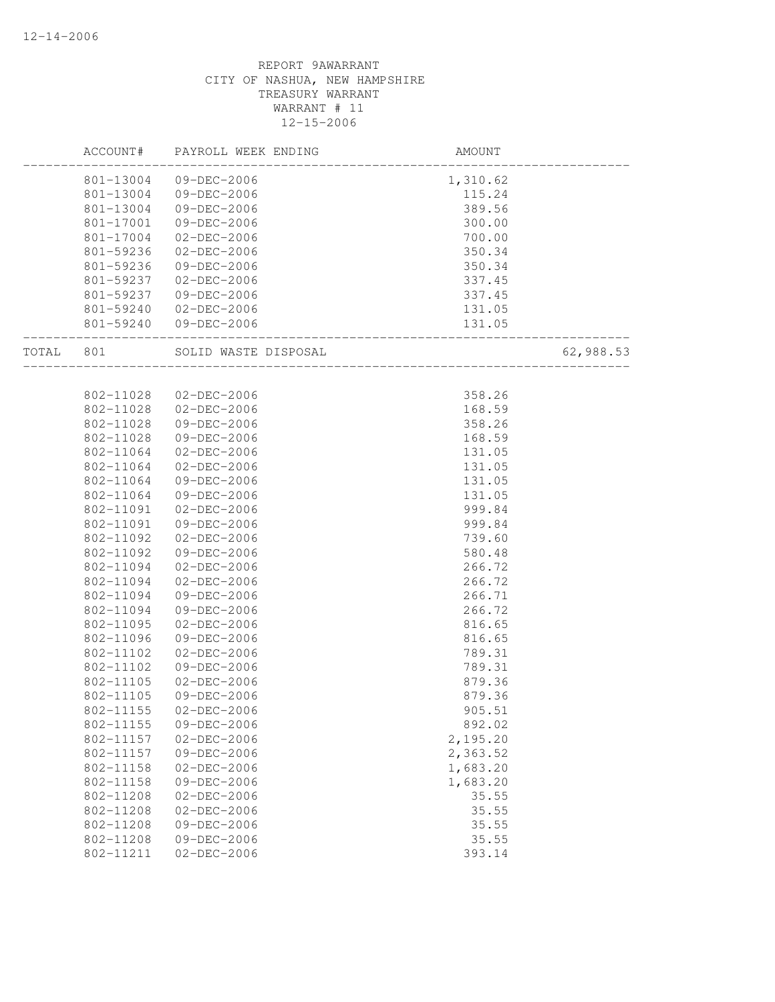|       | ACCOUNT#  | PAYROLL WEEK ENDING  | AMOUNT   |           |
|-------|-----------|----------------------|----------|-----------|
|       | 801-13004 | 09-DEC-2006          | 1,310.62 |           |
|       | 801-13004 | 09-DEC-2006          | 115.24   |           |
|       | 801-13004 | 09-DEC-2006          | 389.56   |           |
|       | 801-17001 | 09-DEC-2006          | 300.00   |           |
|       | 801-17004 | $02 - DEC - 2006$    | 700.00   |           |
|       | 801-59236 | $02 - DEC - 2006$    | 350.34   |           |
|       | 801-59236 | 09-DEC-2006          | 350.34   |           |
|       | 801-59237 | $02 - DEC - 2006$    | 337.45   |           |
|       | 801-59237 | 09-DEC-2006          | 337.45   |           |
|       | 801-59240 | 02-DEC-2006          | 131.05   |           |
|       | 801-59240 | 09-DEC-2006          | 131.05   |           |
| TOTAL | 801       | SOLID WASTE DISPOSAL |          | 62,988.53 |
|       |           |                      |          |           |
|       | 802-11028 | 02-DEC-2006          | 358.26   |           |
|       | 802-11028 | 02-DEC-2006          | 168.59   |           |
|       | 802-11028 | 09-DEC-2006          | 358.26   |           |
|       | 802-11028 | 09-DEC-2006          | 168.59   |           |
|       | 802-11064 | 02-DEC-2006          | 131.05   |           |
|       | 802-11064 | 02-DEC-2006          | 131.05   |           |
|       | 802-11064 | 09-DEC-2006          | 131.05   |           |
|       | 802-11064 | 09-DEC-2006          | 131.05   |           |
|       | 802-11091 | $02 - DEC - 2006$    | 999.84   |           |
|       | 802-11091 | 09-DEC-2006          | 999.84   |           |
|       | 802-11092 | 02-DEC-2006          | 739.60   |           |
|       | 802-11092 | 09-DEC-2006          | 580.48   |           |
|       | 802-11094 | 02-DEC-2006          | 266.72   |           |
|       | 802-11094 | $02 - DEC - 2006$    | 266.72   |           |
|       | 802-11094 | 09-DEC-2006          | 266.71   |           |
|       | 802-11094 | 09-DEC-2006          | 266.72   |           |
|       | 802-11095 | $02 - DEC - 2006$    | 816.65   |           |
|       | 802-11096 | 09-DEC-2006          | 816.65   |           |
|       | 802-11102 | $02 - DEC - 2006$    | 789.31   |           |
|       | 802-11102 | 09-DEC-2006          | 789.31   |           |
|       | 802-11105 | 02-DEC-2006          | 879.36   |           |
|       | 802-11105 | 09-DEC-2006          | 879.36   |           |
|       | 802-11155 | $02 - DEC - 2006$    | 905.51   |           |
|       | 802-11155 | 09-DEC-2006          | 892.02   |           |
|       | 802-11157 | $02 - DEC - 2006$    | 2,195.20 |           |
|       | 802-11157 | 09-DEC-2006          | 2,363.52 |           |
|       | 802-11158 | $02 - DEC - 2006$    | 1,683.20 |           |
|       | 802-11158 | 09-DEC-2006          | 1,683.20 |           |
|       | 802-11208 | $02 - DEC - 2006$    | 35.55    |           |
|       | 802-11208 | $02 - DEC - 2006$    | 35.55    |           |
|       | 802-11208 | 09-DEC-2006          | 35.55    |           |
|       | 802-11208 | 09-DEC-2006          | 35.55    |           |
|       | 802-11211 | $02 - DEC - 2006$    | 393.14   |           |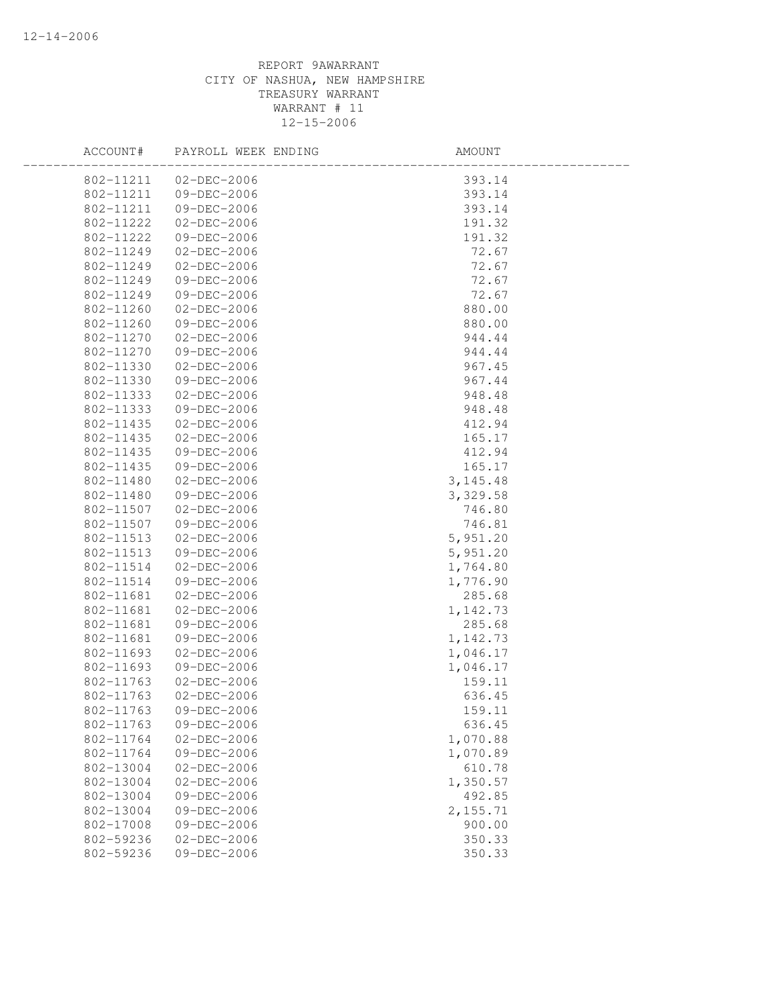| ACCOUNT#      | PAYROLL WEEK ENDING | AMOUNT    |
|---------------|---------------------|-----------|
| 802-11211     | 02-DEC-2006         | 393.14    |
| 802-11211     | 09-DEC-2006         | 393.14    |
| 802-11211     | 09-DEC-2006         | 393.14    |
| 802-11222     | 02-DEC-2006         | 191.32    |
| 802-11222     | 09-DEC-2006         | 191.32    |
| 802-11249     | $02 - DEC - 2006$   | 72.67     |
| 802-11249     | $02-DEC-2006$       | 72.67     |
| 802-11249     | 09-DEC-2006         | 72.67     |
| 802-11249     | 09-DEC-2006         | 72.67     |
| 802-11260     | 02-DEC-2006         | 880.00    |
| 802-11260     | 09-DEC-2006         | 880.00    |
| 802-11270     | 02-DEC-2006         | 944.44    |
| 802-11270     | 09-DEC-2006         | 944.44    |
| 802-11330     | 02-DEC-2006         | 967.45    |
| 802-11330     | 09-DEC-2006         | 967.44    |
| 802-11333     | $02-DEC-2006$       | 948.48    |
| 802-11333     | 09-DEC-2006         | 948.48    |
| 802-11435     | 02-DEC-2006         | 412.94    |
| $802 - 11435$ | $02 - DEC - 2006$   | 165.17    |
| 802-11435     | 09-DEC-2006         | 412.94    |
| 802-11435     | 09-DEC-2006         | 165.17    |
| 802-11480     | 02-DEC-2006         | 3, 145.48 |
| 802-11480     | 09-DEC-2006         | 3,329.58  |
| 802-11507     | $02 - DEC - 2006$   | 746.80    |
| 802-11507     | 09-DEC-2006         | 746.81    |
| 802-11513     | 02-DEC-2006         | 5,951.20  |
| 802-11513     | 09-DEC-2006         | 5,951.20  |
| 802-11514     | 02-DEC-2006         | 1,764.80  |
| 802-11514     | 09-DEC-2006         | 1,776.90  |
| 802-11681     | 02-DEC-2006         | 285.68    |
| 802-11681     | 02-DEC-2006         | 1,142.73  |
| 802-11681     | 09-DEC-2006         | 285.68    |
| 802-11681     | 09-DEC-2006         | 1,142.73  |
| 802-11693     | $02-DEC-2006$       | 1,046.17  |
| 802-11693     | 09-DEC-2006         | 1,046.17  |
| 802-11763     | 02-DEC-2006         | 159.11    |
| 802-11763     | 02-DEC-2006         | 636.45    |
| 802-11763     | 09-DEC-2006         | 159.11    |
| 802-11763     | 09-DEC-2006         | 636.45    |
| 802-11764     | $02 - DEC - 2006$   | 1,070.88  |
| 802-11764     | 09-DEC-2006         | 1,070.89  |
| 802-13004     | $02 - DEC - 2006$   | 610.78    |
| 802-13004     | $02 - DEC - 2006$   | 1,350.57  |
| 802-13004     | 09-DEC-2006         | 492.85    |
| 802-13004     | 09-DEC-2006         | 2,155.71  |
| 802-17008     | 09-DEC-2006         | 900.00    |
| 802-59236     | $02 - DEC - 2006$   | 350.33    |
| 802-59236     | 09-DEC-2006         | 350.33    |